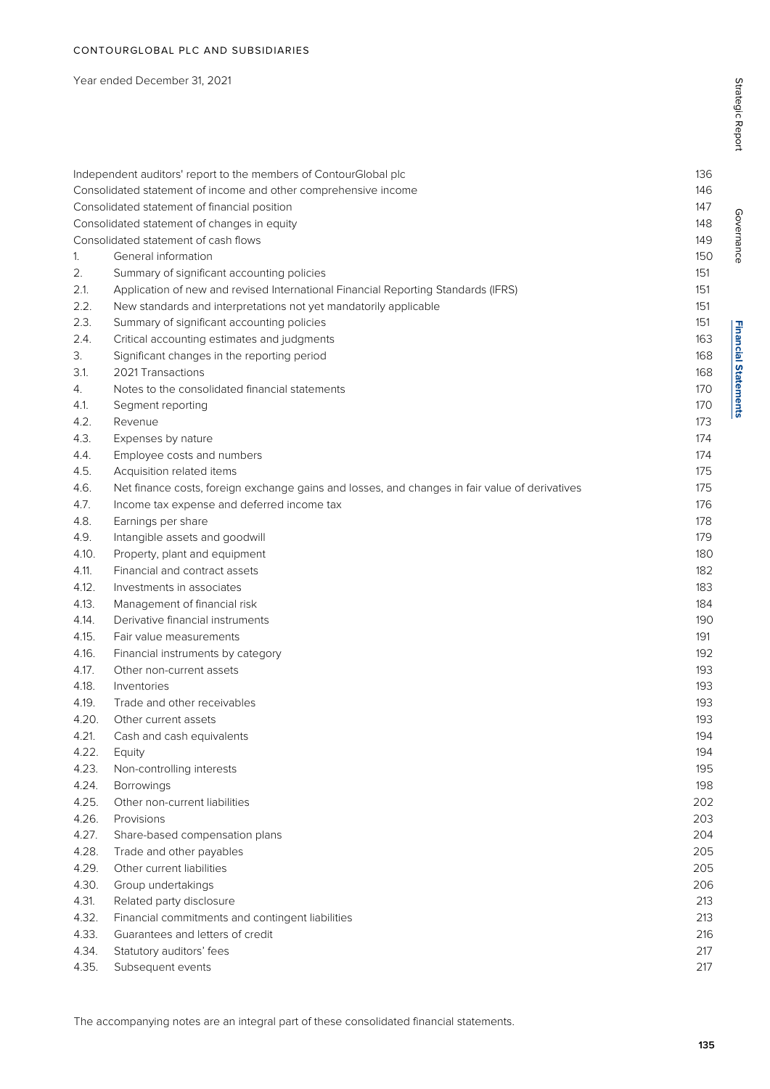#### Year ended December 31, 2021

|       | Independent auditors' report to the members of ContourGlobal plc                               | 136 |
|-------|------------------------------------------------------------------------------------------------|-----|
|       | Consolidated statement of income and other comprehensive income                                | 146 |
|       | Consolidated statement of financial position                                                   | 147 |
|       | Consolidated statement of changes in equity                                                    | 148 |
|       | Consolidated statement of cash flows                                                           | 149 |
| 1.    | General information                                                                            | 150 |
| 2.    | Summary of significant accounting policies                                                     | 151 |
| 2.1.  | Application of new and revised International Financial Reporting Standards (IFRS)              | 151 |
| 2.2.  | New standards and interpretations not yet mandatorily applicable                               | 151 |
| 2.3.  | Summary of significant accounting policies                                                     | 151 |
| 2.4.  | Critical accounting estimates and judgments                                                    | 163 |
| 3.    | Significant changes in the reporting period                                                    | 168 |
| 3.1.  | 2021 Transactions                                                                              | 168 |
| 4.    | Notes to the consolidated financial statements                                                 | 170 |
| 4.1.  | Segment reporting                                                                              | 170 |
| 4.2.  | Revenue                                                                                        | 173 |
| 4.3.  | Expenses by nature                                                                             | 174 |
| 4.4.  | Employee costs and numbers                                                                     | 174 |
| 4.5.  | Acquisition related items                                                                      | 175 |
| 4.6.  | Net finance costs, foreign exchange gains and losses, and changes in fair value of derivatives | 175 |
| 4.7.  | Income tax expense and deferred income tax                                                     | 176 |
| 4.8.  | Earnings per share                                                                             | 178 |
| 4.9.  | Intangible assets and goodwill                                                                 | 179 |
| 4.10. | Property, plant and equipment                                                                  | 180 |
| 4.11. | Financial and contract assets                                                                  | 182 |
| 4.12. | Investments in associates                                                                      | 183 |
| 4.13. | Management of financial risk                                                                   | 184 |
| 4.14. | Derivative financial instruments                                                               | 190 |
| 4.15. | Fair value measurements                                                                        | 191 |
| 4.16. | Financial instruments by category                                                              | 192 |
| 4.17. | Other non-current assets                                                                       | 193 |
| 4.18. | Inventories                                                                                    | 193 |
| 4.19. | Trade and other receivables                                                                    | 193 |
| 4.20. | Other current assets                                                                           | 193 |
| 4.21. | Cash and cash equivalents                                                                      | 194 |
| 4.22. | Equity                                                                                         | 194 |
| 4.23. | Non-controlling interests                                                                      | 195 |
| 4.24. | <b>Borrowings</b>                                                                              | 198 |
| 4.25. | Other non-current liabilities                                                                  | 202 |
| 4.26. | Provisions                                                                                     | 203 |
| 4.27. | Share-based compensation plans                                                                 | 204 |
| 4.28. | Trade and other payables                                                                       | 205 |
| 4.29. | Other current liabilities                                                                      | 205 |
| 4.30. | Group undertakings                                                                             | 206 |
| 4.31. | Related party disclosure                                                                       | 213 |
| 4.32. | Financial commitments and contingent liabilities                                               | 213 |
| 4.33. | Guarantees and letters of credit                                                               | 216 |
| 4.34. | Statutory auditors' fees                                                                       | 217 |
| 4.35. | Subsequent events                                                                              | 217 |
|       |                                                                                                |     |

Governance

Governance

**Financial Statements**

**Financial Statements**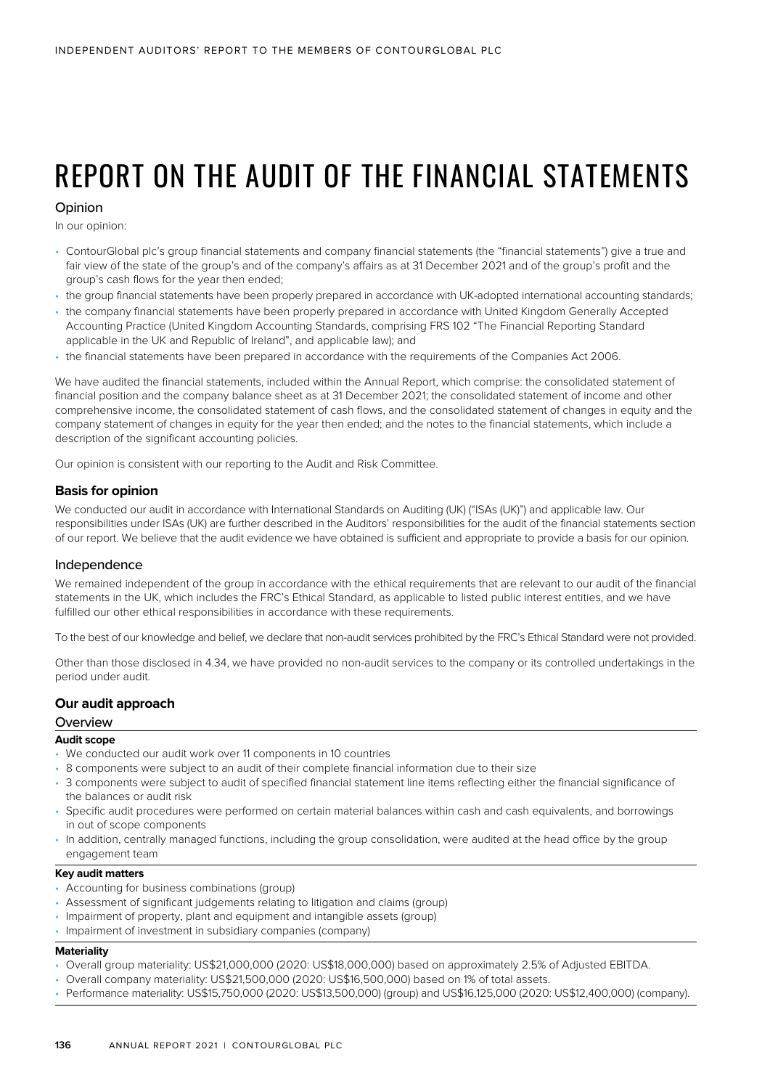# REPORT ON THE AUDIT OF THE FINANCIAL STATEMENTS

#### Opinion

In our opinion:

- ContourGlobal plc's group financial statements and company financial statements (the "financial statements") give a true and fair view of the state of the group's and of the company's affairs as at 31 December 2021 and of the group's profit and the group's cash flows for the year then ended;
- the group financial statements have been properly prepared in accordance with UK-adopted international accounting standards;
- the company financial statements have been properly prepared in accordance with United Kingdom Generally Accepted Accounting Practice (United Kingdom Accounting Standards, comprising FRS 102 "The Financial Reporting Standard applicable in the UK and Republic of Ireland", and applicable law); and
- the financial statements have been prepared in accordance with the requirements of the Companies Act 2006.

We have audited the financial statements, included within the Annual Report, which comprise: the consolidated statement of financial position and the company balance sheet as at 31 December 2021; the consolidated statement of income and other comprehensive income, the consolidated statement of cash flows, and the consolidated statement of changes in equity and the company statement of changes in equity for the year then ended; and the notes to the financial statements, which include a description of the significant accounting policies.

Our opinion is consistent with our reporting to the Audit and Risk Committee.

#### **Basis for opinion**

We conducted our audit in accordance with International Standards on Auditing (UK) ("ISAs (UK)") and applicable law. Our responsibilities under ISAs (UK) are further described in the Auditors' responsibilities for the audit of the financial statements section of our report. We believe that the audit evidence we have obtained is sufficient and appropriate to provide a basis for our opinion.

#### Independence

We remained independent of the group in accordance with the ethical requirements that are relevant to our audit of the financial statements in the UK, which includes the FRC's Ethical Standard, as applicable to listed public interest entities, and we have fulfilled our other ethical responsibilities in accordance with these requirements.

To the best of our knowledge and belief, we declare that non-audit services prohibited by the FRC's Ethical Standard were not provided.

Other than those disclosed in 4.34, we have provided no non-audit services to the company or its controlled undertakings in the period under audit.

#### **Our audit approach**

#### **Overview**

#### **Audit scope**

- We conducted our audit work over 11 components in 10 countries
- 8 components were subject to an audit of their complete financial information due to their size
- 3 components were subject to audit of specified financial statement line items reflecting either the financial significance of the balances or audit risk
- Specific audit procedures were performed on certain material balances within cash and cash equivalents, and borrowings in out of scope components
- In addition, centrally managed functions, including the group consolidation, were audited at the head office by the group engagement team

#### **Key audit matters**

- Accounting for business combinations (group)
- Assessment of significant judgements relating to litigation and claims (group)
- Impairment of property, plant and equipment and intangible assets (group)
- Impairment of investment in subsidiary companies (company)

#### **Materiality**

- Overall group materiality: US\$21,000,000 (2020: US\$18,000,000) based on approximately 2.5% of Adjusted EBITDA.
- Overall company materiality: US\$21,500,000 (2020: US\$16,500,000) based on 1% of total assets.
- Performance materiality: US\$15,750,000 (2020: US\$13,500,000) (group) and US\$16,125,000 (2020: US\$12,400,000) (company).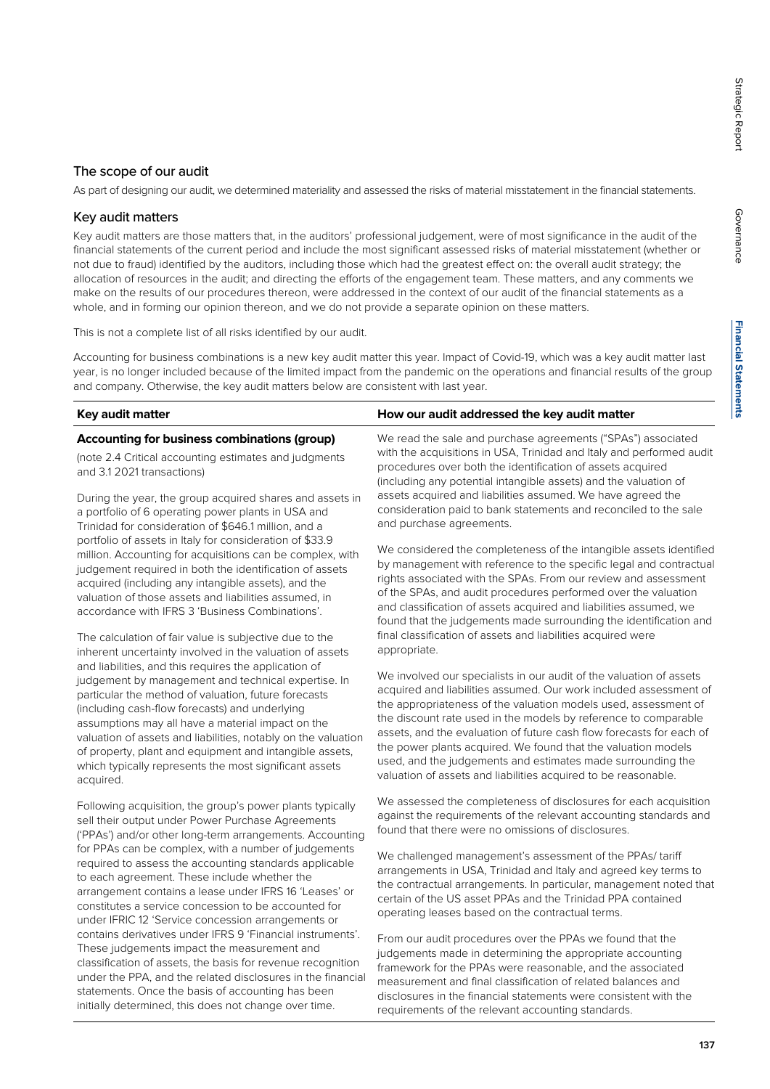# **Financial Statements Financial Statements**

#### The scope of our audit

As part of designing our audit, we determined materiality and assessed the risks of material misstatement in the financial statements.

#### Key audit matters

Key audit matters are those matters that, in the auditors' professional judgement, were of most significance in the audit of the financial statements of the current period and include the most significant assessed risks of material misstatement (whether or not due to fraud) identified by the auditors, including those which had the greatest effect on: the overall audit strategy; the allocation of resources in the audit; and directing the efforts of the engagement team. These matters, and any comments we make on the results of our procedures thereon, were addressed in the context of our audit of the financial statements as a whole, and in forming our opinion thereon, and we do not provide a separate opinion on these matters.

This is not a complete list of all risks identified by our audit.

Accounting for business combinations is a new key audit matter this year. Impact of Covid-19, which was a key audit matter last year, is no longer included because of the limited impact from the pandemic on the operations and financial results of the group and company. Otherwise, the key audit matters below are consistent with last year.

| Key audit matter                                                                                                                                                                                                                                                                                | How our audit addressed the key audit matter                                                                                                                                                                                                                                  |
|-------------------------------------------------------------------------------------------------------------------------------------------------------------------------------------------------------------------------------------------------------------------------------------------------|-------------------------------------------------------------------------------------------------------------------------------------------------------------------------------------------------------------------------------------------------------------------------------|
| Accounting for business combinations (group)                                                                                                                                                                                                                                                    | We read the sale and purchase agreements ("SPAs") associated                                                                                                                                                                                                                  |
| (note 2.4 Critical accounting estimates and judgments<br>and 3.1 2021 transactions)                                                                                                                                                                                                             | with the acquisitions in USA, Trinidad and Italy and performed audit<br>procedures over both the identification of assets acquired<br>(including any potential intangible assets) and the valuation of                                                                        |
| During the year, the group acquired shares and assets in<br>a portfolio of 6 operating power plants in USA and<br>Trinidad for consideration of \$646.1 million, and a                                                                                                                          | assets acquired and liabilities assumed. We have agreed the<br>consideration paid to bank statements and reconciled to the sale<br>and purchase agreements.                                                                                                                   |
| portfolio of assets in Italy for consideration of \$33.9<br>million. Accounting for acquisitions can be complex, with<br>judgement required in both the identification of assets<br>acquired (including any intangible assets), and the<br>valuation of those assets and liabilities assumed in | We considered the completeness of the intangible assets identified<br>by management with reference to the specific legal and contractual<br>rights associated with the SPAs. From our review and assessment<br>of the SPAs, and audit procedures performed over the valuation |

valuation of those assets and liabilities assumed, in accordance with IFRS 3 'Business Combinations'. The calculation of fair value is subjective due to the inherent uncertainty involved in the valuation of assets

and liabilities, and this requires the application of judgement by management and technical expertise. In particular the method of valuation, future forecasts (including cash-flow forecasts) and underlying assumptions may all have a material impact on the valuation of assets and liabilities, notably on the valuation of property, plant and equipment and intangible assets, which typically represents the most significant assets acquired.

Following acquisition, the group's power plants typically sell their output under Power Purchase Agreements ('PPAs') and/or other long-term arrangements. Accounting for PPAs can be complex, with a number of judgements required to assess the accounting standards applicable to each agreement. These include whether the arrangement contains a lease under IFRS 16 'Leases' or constitutes a service concession to be accounted for under IFRIC 12 'Service concession arrangements or contains derivatives under IFRS 9 'Financial instruments'. These judgements impact the measurement and classification of assets, the basis for revenue recognition under the PPA, and the related disclosures in the financial statements. Once the basis of accounting has been initially determined, this does not change over time.

of the SPAs, and audit procedures performed over the valuation and classification of assets acquired and liabilities assumed, we found that the judgements made surrounding the identification and final classification of assets and liabilities acquired were appropriate.

We involved our specialists in our audit of the valuation of assets acquired and liabilities assumed. Our work included assessment of the appropriateness of the valuation models used, assessment of the discount rate used in the models by reference to comparable assets, and the evaluation of future cash flow forecasts for each of the power plants acquired. We found that the valuation models used, and the judgements and estimates made surrounding the valuation of assets and liabilities acquired to be reasonable.

We assessed the completeness of disclosures for each acquisition against the requirements of the relevant accounting standards and found that there were no omissions of disclosures.

We challenged management's assessment of the PPAs/ tariff arrangements in USA, Trinidad and Italy and agreed key terms to the contractual arrangements. In particular, management noted that certain of the US asset PPAs and the Trinidad PPA contained operating leases based on the contractual terms.

From our audit procedures over the PPAs we found that the judgements made in determining the appropriate accounting framework for the PPAs were reasonable, and the associated measurement and final classification of related balances and disclosures in the financial statements were consistent with the requirements of the relevant accounting standards.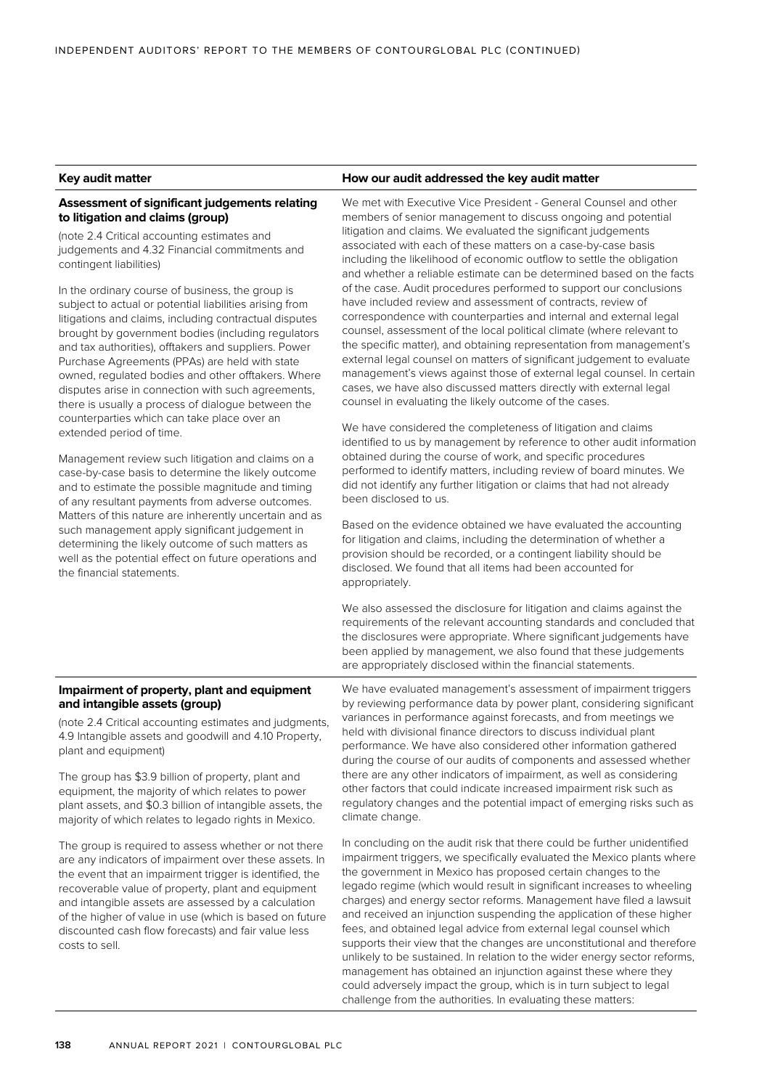#### **Key audit matter How our audit addressed the key audit matter**

#### **Assessment of significant judgements relating to litigation and claims (group)**

(note 2.4 Critical accounting estimates and judgements and 4.32 Financial commitments and contingent liabilities)

In the ordinary course of business, the group is subject to actual or potential liabilities arising from litigations and claims, including contractual disputes brought by government bodies (including regulators and tax authorities), offtakers and suppliers. Power Purchase Agreements (PPAs) are held with state owned, regulated bodies and other offtakers. Where disputes arise in connection with such agreements, there is usually a process of dialogue between the counterparties which can take place over an extended period of time.

Management review such litigation and claims on a case-by-case basis to determine the likely outcome and to estimate the possible magnitude and timing of any resultant payments from adverse outcomes. Matters of this nature are inherently uncertain and as such management apply significant judgement in determining the likely outcome of such matters as well as the potential effect on future operations and the financial statements.

We met with Executive Vice President - General Counsel and other members of senior management to discuss ongoing and potential litigation and claims. We evaluated the significant judgements associated with each of these matters on a case-by-case basis including the likelihood of economic outflow to settle the obligation and whether a reliable estimate can be determined based on the facts of the case. Audit procedures performed to support our conclusions have included review and assessment of contracts, review of correspondence with counterparties and internal and external legal counsel, assessment of the local political climate (where relevant to the specific matter), and obtaining representation from management's external legal counsel on matters of significant judgement to evaluate management's views against those of external legal counsel. In certain cases, we have also discussed matters directly with external legal counsel in evaluating the likely outcome of the cases.

We have considered the completeness of litigation and claims identified to us by management by reference to other audit information obtained during the course of work, and specific procedures performed to identify matters, including review of board minutes. We did not identify any further litigation or claims that had not already been disclosed to us.

Based on the evidence obtained we have evaluated the accounting for litigation and claims, including the determination of whether a provision should be recorded, or a contingent liability should be disclosed. We found that all items had been accounted for appropriately.

We also assessed the disclosure for litigation and claims against the requirements of the relevant accounting standards and concluded that the disclosures were appropriate. Where significant judgements have been applied by management, we also found that these judgements are appropriately disclosed within the financial statements.

#### **Impairment of property, plant and equipment and intangible assets (group)**

(note 2.4 Critical accounting estimates and judgments, 4.9 Intangible assets and goodwill and 4.10 Property, plant and equipment)

The group has \$3.9 billion of property, plant and equipment, the majority of which relates to power plant assets, and \$0.3 billion of intangible assets, the majority of which relates to legado rights in Mexico.

The group is required to assess whether or not there are any indicators of impairment over these assets. In the event that an impairment trigger is identified, the recoverable value of property, plant and equipment and intangible assets are assessed by a calculation of the higher of value in use (which is based on future discounted cash flow forecasts) and fair value less costs to sell.

We have evaluated management's assessment of impairment triggers by reviewing performance data by power plant, considering significant variances in performance against forecasts, and from meetings we held with divisional finance directors to discuss individual plant performance. We have also considered other information gathered during the course of our audits of components and assessed whether there are any other indicators of impairment, as well as considering other factors that could indicate increased impairment risk such as regulatory changes and the potential impact of emerging risks such as climate change.

In concluding on the audit risk that there could be further unidentified impairment triggers, we specifically evaluated the Mexico plants where the government in Mexico has proposed certain changes to the legado regime (which would result in significant increases to wheeling charges) and energy sector reforms. Management have filed a lawsuit and received an injunction suspending the application of these higher fees, and obtained legal advice from external legal counsel which supports their view that the changes are unconstitutional and therefore unlikely to be sustained. In relation to the wider energy sector reforms, management has obtained an injunction against these where they could adversely impact the group, which is in turn subject to legal challenge from the authorities. In evaluating these matters: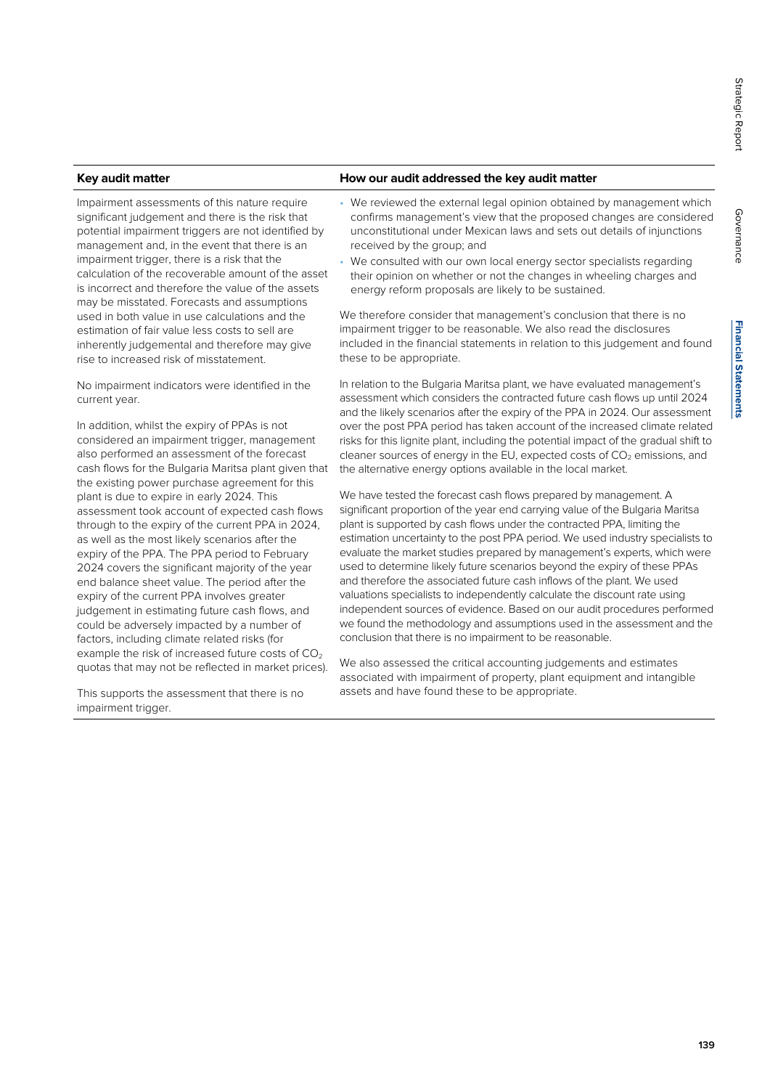# **Financial Statements Financial Statements**

Governance

Governance

Impairment assessments of this nature require significant judgement and there is the risk that potential impairment triggers are not identified by management and, in the event that there is an impairment trigger, there is a risk that the calculation of the recoverable amount of the asset is incorrect and therefore the value of the assets may be misstated. Forecasts and assumptions used in both value in use calculations and the estimation of fair value less costs to sell are inherently judgemental and therefore may give rise to increased risk of misstatement.

No impairment indicators were identified in the current year.

In addition, whilst the expiry of PPAs is not considered an impairment trigger, management also performed an assessment of the forecast cash flows for the Bulgaria Maritsa plant given that the existing power purchase agreement for this plant is due to expire in early 2024. This assessment took account of expected cash flows through to the expiry of the current PPA in 2024, as well as the most likely scenarios after the expiry of the PPA. The PPA period to February 2024 covers the significant majority of the year end balance sheet value. The period after the expiry of the current PPA involves greater judgement in estimating future cash flows, and could be adversely impacted by a number of factors, including climate related risks (for example the risk of increased future costs of  $CO<sub>2</sub>$ quotas that may not be reflected in market prices).

This supports the assessment that there is no impairment trigger.

#### **Key audit matter How our audit addressed the key audit matter**

- We reviewed the external legal opinion obtained by management which confirms management's view that the proposed changes are considered unconstitutional under Mexican laws and sets out details of injunctions received by the group; and
- We consulted with our own local energy sector specialists regarding their opinion on whether or not the changes in wheeling charges and energy reform proposals are likely to be sustained.

We therefore consider that management's conclusion that there is no impairment trigger to be reasonable. We also read the disclosures included in the financial statements in relation to this judgement and found these to be appropriate.

In relation to the Bulgaria Maritsa plant, we have evaluated management's assessment which considers the contracted future cash flows up until 2024 and the likely scenarios after the expiry of the PPA in 2024. Our assessment over the post PPA period has taken account of the increased climate related risks for this lignite plant, including the potential impact of the gradual shift to cleaner sources of energy in the EU, expected costs of  $CO<sub>2</sub>$  emissions, and the alternative energy options available in the local market.

We have tested the forecast cash flows prepared by management. A significant proportion of the year end carrying value of the Bulgaria Maritsa plant is supported by cash flows under the contracted PPA, limiting the estimation uncertainty to the post PPA period. We used industry specialists to evaluate the market studies prepared by management's experts, which were used to determine likely future scenarios beyond the expiry of these PPAs and therefore the associated future cash inflows of the plant. We used valuations specialists to independently calculate the discount rate using independent sources of evidence. Based on our audit procedures performed we found the methodology and assumptions used in the assessment and the conclusion that there is no impairment to be reasonable.

We also assessed the critical accounting judgements and estimates associated with impairment of property, plant equipment and intangible assets and have found these to be appropriate.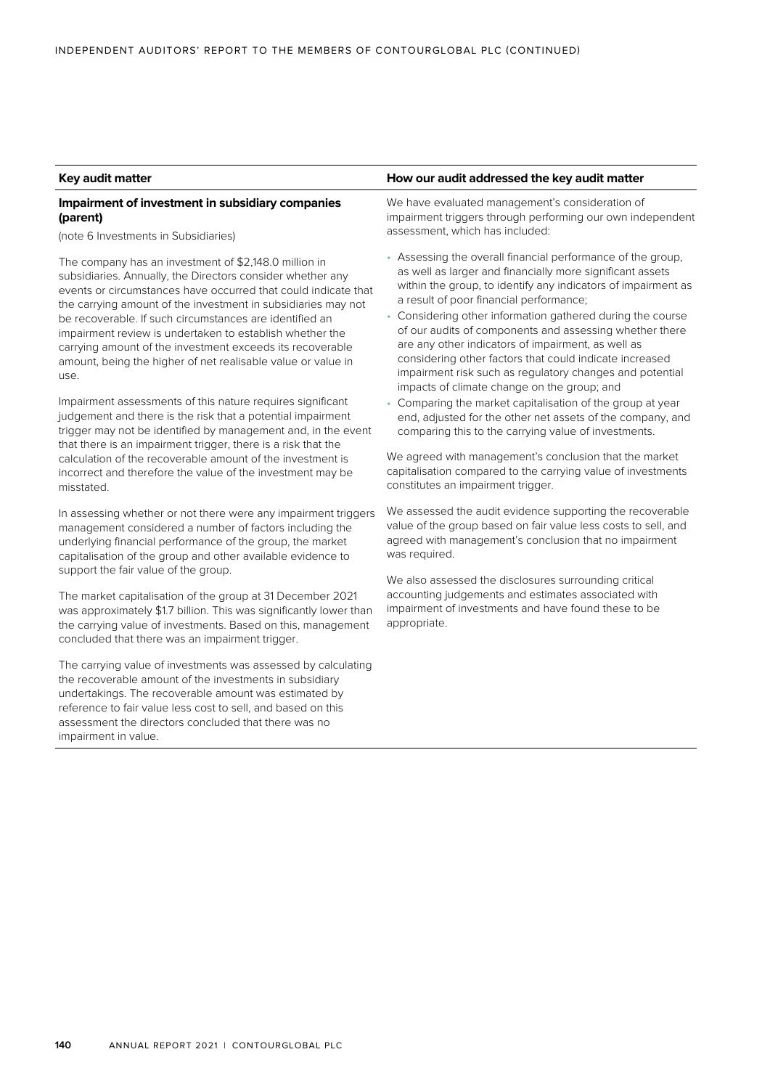#### **Impairment of investment in subsidiary companies (parent)**

(note 6 Investments in Subsidiaries)

The company has an investment of \$2,148.0 million in subsidiaries. Annually, the Directors consider whether any events or circumstances have occurred that could indicate that the carrying amount of the investment in subsidiaries may not be recoverable. If such circumstances are identified an impairment review is undertaken to establish whether the carrying amount of the investment exceeds its recoverable amount, being the higher of net realisable value or value in use.

Impairment assessments of this nature requires significant judgement and there is the risk that a potential impairment trigger may not be identified by management and, in the event that there is an impairment trigger, there is a risk that the calculation of the recoverable amount of the investment is incorrect and therefore the value of the investment may be misstated.

In assessing whether or not there were any impairment triggers management considered a number of factors including the underlying financial performance of the group, the market capitalisation of the group and other available evidence to support the fair value of the group.

The market capitalisation of the group at 31 December 2021 was approximately \$1.7 billion. This was significantly lower than the carrying value of investments. Based on this, management concluded that there was an impairment trigger.

The carrying value of investments was assessed by calculating the recoverable amount of the investments in subsidiary undertakings. The recoverable amount was estimated by reference to fair value less cost to sell, and based on this assessment the directors concluded that there was no impairment in value.

#### **Key audit matter How our audit addressed the key audit matter**

We have evaluated management's consideration of impairment triggers through performing our own independent assessment, which has included:

- Assessing the overall financial performance of the group, as well as larger and financially more significant assets within the group, to identify any indicators of impairment as a result of poor financial performance;
- Considering other information gathered during the course of our audits of components and assessing whether there are any other indicators of impairment, as well as considering other factors that could indicate increased impairment risk such as regulatory changes and potential impacts of climate change on the group; and
- Comparing the market capitalisation of the group at year end, adjusted for the other net assets of the company, and comparing this to the carrying value of investments.

We agreed with management's conclusion that the market capitalisation compared to the carrying value of investments constitutes an impairment trigger.

We assessed the audit evidence supporting the recoverable value of the group based on fair value less costs to sell, and agreed with management's conclusion that no impairment was required.

We also assessed the disclosures surrounding critical accounting judgements and estimates associated with impairment of investments and have found these to be appropriate.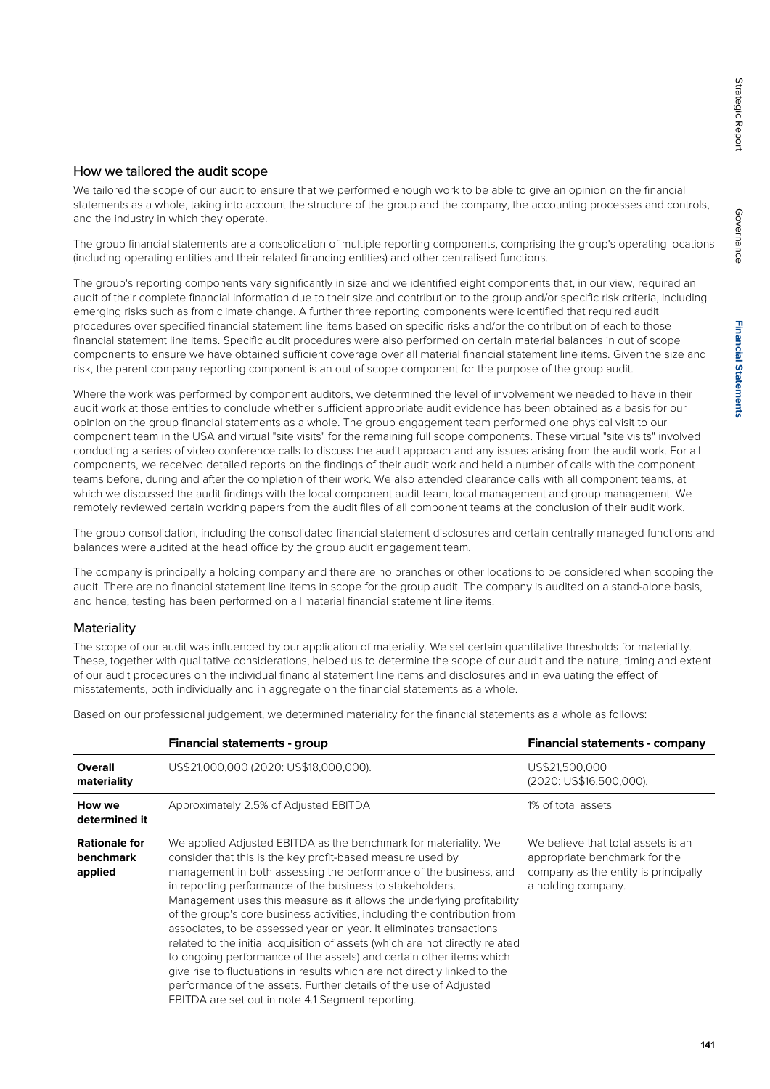#### How we tailored the audit scope

We tailored the scope of our audit to ensure that we performed enough work to be able to give an opinion on the financial statements as a whole, taking into account the structure of the group and the company, the accounting processes and controls, and the industry in which they operate.

The group financial statements are a consolidation of multiple reporting components, comprising the group's operating locations (including operating entities and their related financing entities) and other centralised functions.

The group's reporting components vary significantly in size and we identified eight components that, in our view, required an audit of their complete financial information due to their size and contribution to the group and/or specific risk criteria, including emerging risks such as from climate change. A further three reporting components were identified that required audit procedures over specified financial statement line items based on specific risks and/or the contribution of each to those financial statement line items. Specific audit procedures were also performed on certain material balances in out of scope components to ensure we have obtained sufficient coverage over all material financial statement line items. Given the size and risk, the parent company reporting component is an out of scope component for the purpose of the group audit.

Where the work was performed by component auditors, we determined the level of involvement we needed to have in their audit work at those entities to conclude whether sufficient appropriate audit evidence has been obtained as a basis for our opinion on the group financial statements as a whole. The group engagement team performed one physical visit to our component team in the USA and virtual "site visits" for the remaining full scope components. These virtual "site visits" involved conducting a series of video conference calls to discuss the audit approach and any issues arising from the audit work. For all components, we received detailed reports on the findings of their audit work and held a number of calls with the component teams before, during and after the completion of their work. We also attended clearance calls with all component teams, at which we discussed the audit findings with the local component audit team, local management and group management. We remotely reviewed certain working papers from the audit files of all component teams at the conclusion of their audit work.

The group consolidation, including the consolidated financial statement disclosures and certain centrally managed functions and balances were audited at the head office by the group audit engagement team.

The company is principally a holding company and there are no branches or other locations to be considered when scoping the audit. There are no financial statement line items in scope for the group audit. The company is audited on a stand-alone basis, and hence, testing has been performed on all material financial statement line items.

#### **Materiality**

The scope of our audit was influenced by our application of materiality. We set certain quantitative thresholds for materiality. These, together with qualitative considerations, helped us to determine the scope of our audit and the nature, timing and extent of our audit procedures on the individual financial statement line items and disclosures and in evaluating the effect of misstatements, both individually and in aggregate on the financial statements as a whole.

Based on our professional judgement, we determined materiality for the financial statements as a whole as follows:

|                                              | <b>Financial statements - group</b>                                                                                                                                                                                                                                                                                                                                                                                                                                                                                                                                                                                                                                                                                                                                                                                                                        | <b>Financial statements - company</b>                                                                                             |
|----------------------------------------------|------------------------------------------------------------------------------------------------------------------------------------------------------------------------------------------------------------------------------------------------------------------------------------------------------------------------------------------------------------------------------------------------------------------------------------------------------------------------------------------------------------------------------------------------------------------------------------------------------------------------------------------------------------------------------------------------------------------------------------------------------------------------------------------------------------------------------------------------------------|-----------------------------------------------------------------------------------------------------------------------------------|
| Overall<br>materiality                       | US\$21,000,000 (2020: US\$18,000,000).                                                                                                                                                                                                                                                                                                                                                                                                                                                                                                                                                                                                                                                                                                                                                                                                                     | US\$21,500,000<br>(2020: US\$16,500,000).                                                                                         |
| How we<br>determined it                      | Approximately 2.5% of Adjusted EBITDA                                                                                                                                                                                                                                                                                                                                                                                                                                                                                                                                                                                                                                                                                                                                                                                                                      | 1% of total assets                                                                                                                |
| <b>Rationale for</b><br>benchmark<br>applied | We applied Adjusted EBITDA as the benchmark for materiality. We<br>consider that this is the key profit-based measure used by<br>management in both assessing the performance of the business, and<br>in reporting performance of the business to stakeholders.<br>Management uses this measure as it allows the underlying profitability<br>of the group's core business activities, including the contribution from<br>associates, to be assessed year on year. It eliminates transactions<br>related to the initial acquisition of assets (which are not directly related<br>to ongoing performance of the assets) and certain other items which<br>give rise to fluctuations in results which are not directly linked to the<br>performance of the assets. Further details of the use of Adjusted<br>EBITDA are set out in note 4.1 Segment reporting. | We believe that total assets is an<br>appropriate benchmark for the<br>company as the entity is principally<br>a holding company. |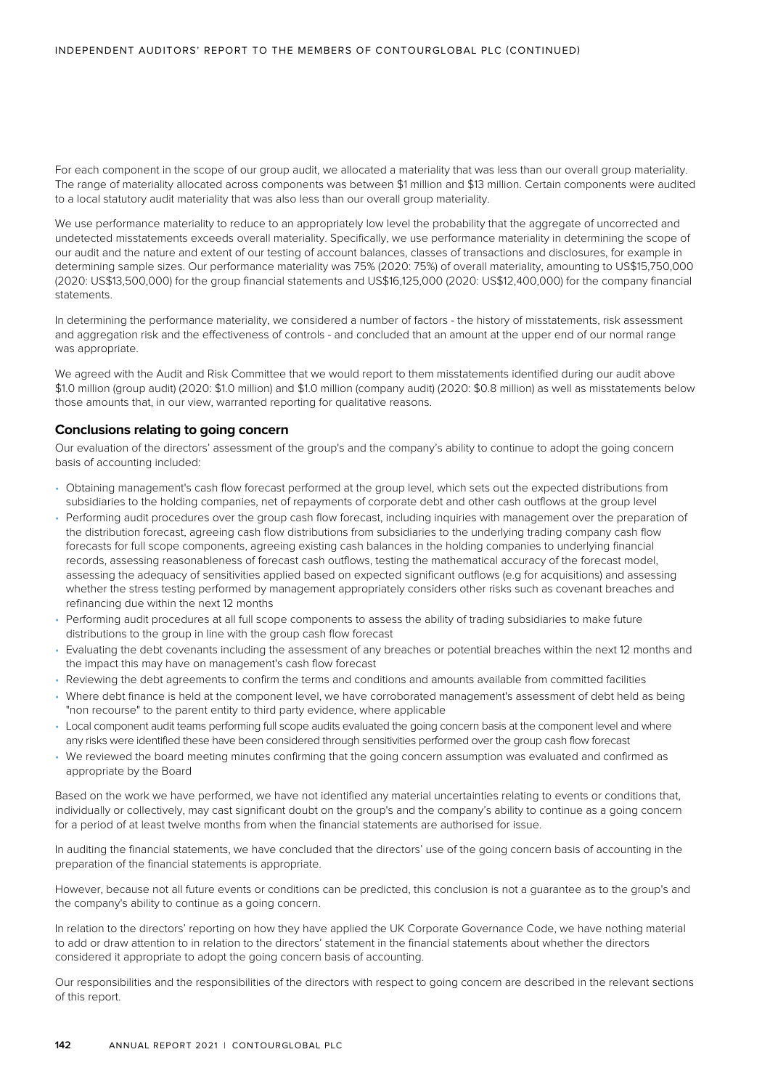For each component in the scope of our group audit, we allocated a materiality that was less than our overall group materiality. The range of materiality allocated across components was between \$1 million and \$13 million. Certain components were audited to a local statutory audit materiality that was also less than our overall group materiality.

We use performance materiality to reduce to an appropriately low level the probability that the aggregate of uncorrected and undetected misstatements exceeds overall materiality. Specifically, we use performance materiality in determining the scope of our audit and the nature and extent of our testing of account balances, classes of transactions and disclosures, for example in determining sample sizes. Our performance materiality was 75% (2020: 75%) of overall materiality, amounting to US\$15,750,000 (2020: US\$13,500,000) for the group financial statements and US\$16,125,000 (2020: US\$12,400,000) for the company financial statements.

In determining the performance materiality, we considered a number of factors - the history of misstatements, risk assessment and aggregation risk and the effectiveness of controls - and concluded that an amount at the upper end of our normal range was appropriate.

We agreed with the Audit and Risk Committee that we would report to them misstatements identified during our audit above \$1.0 million (group audit) (2020: \$1.0 million) and \$1.0 million (company audit) (2020: \$0.8 million) as well as misstatements below those amounts that, in our view, warranted reporting for qualitative reasons.

#### **Conclusions relating to going concern**

Our evaluation of the directors' assessment of the group's and the company's ability to continue to adopt the going concern basis of accounting included:

- Obtaining management's cash flow forecast performed at the group level, which sets out the expected distributions from subsidiaries to the holding companies, net of repayments of corporate debt and other cash outflows at the group level
- Performing audit procedures over the group cash flow forecast, including inquiries with management over the preparation of the distribution forecast, agreeing cash flow distributions from subsidiaries to the underlying trading company cash flow forecasts for full scope components, agreeing existing cash balances in the holding companies to underlying financial records, assessing reasonableness of forecast cash outflows, testing the mathematical accuracy of the forecast model, assessing the adequacy of sensitivities applied based on expected significant outflows (e.g for acquisitions) and assessing whether the stress testing performed by management appropriately considers other risks such as covenant breaches and refinancing due within the next 12 months
- Performing audit procedures at all full scope components to assess the ability of trading subsidiaries to make future distributions to the group in line with the group cash flow forecast
- Evaluating the debt covenants including the assessment of any breaches or potential breaches within the next 12 months and the impact this may have on management's cash flow forecast
- Reviewing the debt agreements to confirm the terms and conditions and amounts available from committed facilities
- Where debt finance is held at the component level, we have corroborated management's assessment of debt held as being "non recourse" to the parent entity to third party evidence, where applicable
- Local component audit teams performing full scope audits evaluated the going concern basis at the component level and where any risks were identified these have been considered through sensitivities performed over the group cash flow forecast
- We reviewed the board meeting minutes confirming that the going concern assumption was evaluated and confirmed as appropriate by the Board

Based on the work we have performed, we have not identified any material uncertainties relating to events or conditions that, individually or collectively, may cast significant doubt on the group's and the company's ability to continue as a going concern for a period of at least twelve months from when the financial statements are authorised for issue.

In auditing the financial statements, we have concluded that the directors' use of the going concern basis of accounting in the preparation of the financial statements is appropriate.

However, because not all future events or conditions can be predicted, this conclusion is not a guarantee as to the group's and the company's ability to continue as a going concern.

In relation to the directors' reporting on how they have applied the UK Corporate Governance Code, we have nothing material to add or draw attention to in relation to the directors' statement in the financial statements about whether the directors considered it appropriate to adopt the going concern basis of accounting.

Our responsibilities and the responsibilities of the directors with respect to going concern are described in the relevant sections of this report.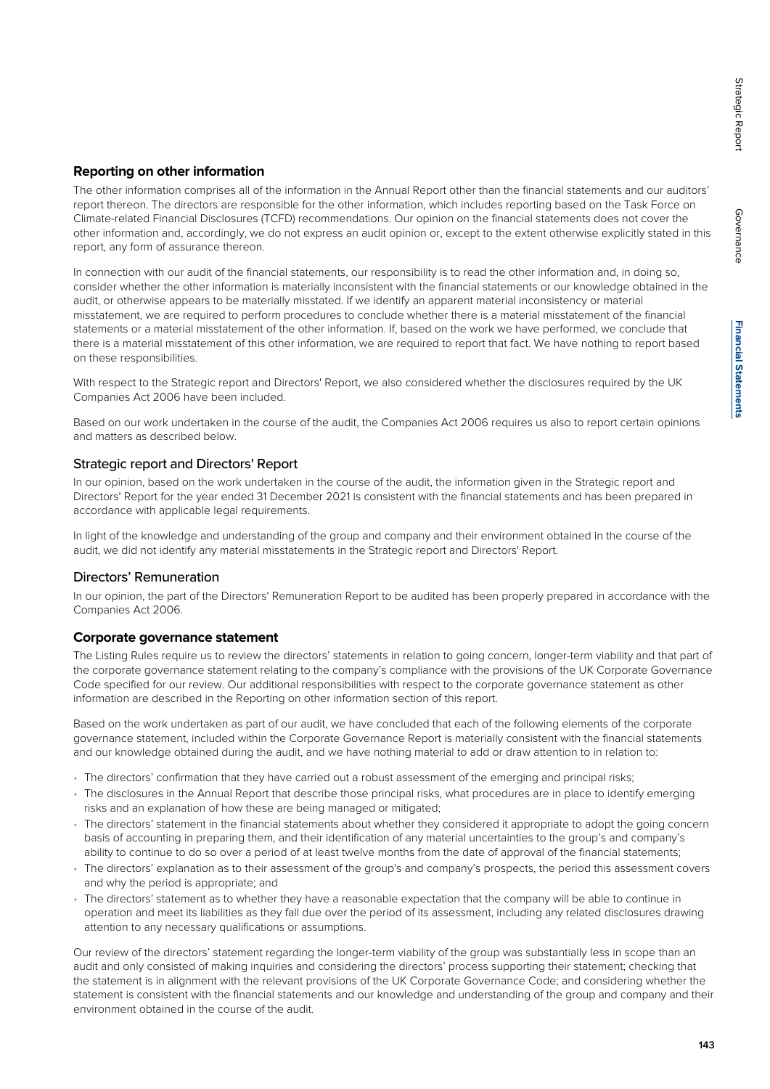# Governance Governance

#### **Reporting on other information**

The other information comprises all of the information in the Annual Report other than the financial statements and our auditors' report thereon. The directors are responsible for the other information, which includes reporting based on the Task Force on Climate-related Financial Disclosures (TCFD) recommendations. Our opinion on the financial statements does not cover the other information and, accordingly, we do not express an audit opinion or, except to the extent otherwise explicitly stated in this report, any form of assurance thereon.

In connection with our audit of the financial statements, our responsibility is to read the other information and, in doing so, consider whether the other information is materially inconsistent with the financial statements or our knowledge obtained in the audit, or otherwise appears to be materially misstated. If we identify an apparent material inconsistency or material misstatement, we are required to perform procedures to conclude whether there is a material misstatement of the financial statements or a material misstatement of the other information. If, based on the work we have performed, we conclude that there is a material misstatement of this other information, we are required to report that fact. We have nothing to report based on these responsibilities.

With respect to the Strategic report and Directors' Report, we also considered whether the disclosures required by the UK Companies Act 2006 have been included.

Based on our work undertaken in the course of the audit, the Companies Act 2006 requires us also to report certain opinions and matters as described below.

#### Strategic report and Directors' Report

In our opinion, based on the work undertaken in the course of the audit, the information given in the Strategic report and Directors' Report for the year ended 31 December 2021 is consistent with the financial statements and has been prepared in accordance with applicable legal requirements.

In light of the knowledge and understanding of the group and company and their environment obtained in the course of the audit, we did not identify any material misstatements in the Strategic report and Directors' Report.

#### Directors' Remuneration

In our opinion, the part of the Directors' Remuneration Report to be audited has been properly prepared in accordance with the Companies Act 2006.

#### **Corporate governance statement**

The Listing Rules require us to review the directors' statements in relation to going concern, longer-term viability and that part of the corporate governance statement relating to the company's compliance with the provisions of the UK Corporate Governance Code specified for our review. Our additional responsibilities with respect to the corporate governance statement as other information are described in the Reporting on other information section of this report.

Based on the work undertaken as part of our audit, we have concluded that each of the following elements of the corporate governance statement, included within the Corporate Governance Report is materially consistent with the financial statements and our knowledge obtained during the audit, and we have nothing material to add or draw attention to in relation to:

- The directors' confirmation that they have carried out a robust assessment of the emerging and principal risks;
- The disclosures in the Annual Report that describe those principal risks, what procedures are in place to identify emerging risks and an explanation of how these are being managed or mitigated;
- The directors' statement in the financial statements about whether they considered it appropriate to adopt the going concern basis of accounting in preparing them, and their identification of any material uncertainties to the group's and company's ability to continue to do so over a period of at least twelve months from the date of approval of the financial statements;
- The directors' explanation as to their assessment of the group's and company's prospects, the period this assessment covers and why the period is appropriate; and
- The directors' statement as to whether they have a reasonable expectation that the company will be able to continue in operation and meet its liabilities as they fall due over the period of its assessment, including any related disclosures drawing attention to any necessary qualifications or assumptions.

Our review of the directors' statement regarding the longer-term viability of the group was substantially less in scope than an audit and only consisted of making inquiries and considering the directors' process supporting their statement; checking that the statement is in alignment with the relevant provisions of the UK Corporate Governance Code; and considering whether the statement is consistent with the financial statements and our knowledge and understanding of the group and company and their environment obtained in the course of the audit.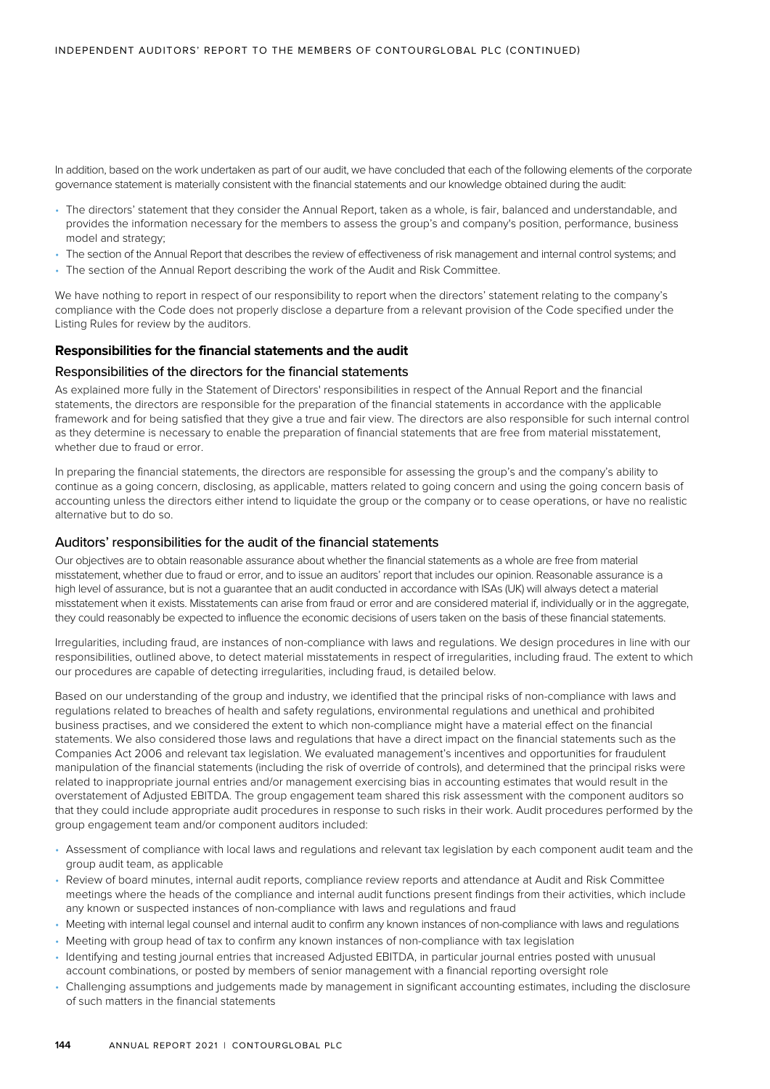In addition, based on the work undertaken as part of our audit, we have concluded that each of the following elements of the corporate governance statement is materially consistent with the financial statements and our knowledge obtained during the audit:

- The directors' statement that they consider the Annual Report, taken as a whole, is fair, balanced and understandable, and provides the information necessary for the members to assess the group's and company's position, performance, business model and strategy;
- The section of the Annual Report that describes the review of effectiveness of risk management and internal control systems; and
- The section of the Annual Report describing the work of the Audit and Risk Committee.

We have nothing to report in respect of our responsibility to report when the directors' statement relating to the company's compliance with the Code does not properly disclose a departure from a relevant provision of the Code specified under the Listing Rules for review by the auditors.

#### **Responsibilities for the financial statements and the audit**

#### Responsibilities of the directors for the financial statements

As explained more fully in the Statement of Directors' responsibilities in respect of the Annual Report and the financial statements, the directors are responsible for the preparation of the financial statements in accordance with the applicable framework and for being satisfied that they give a true and fair view. The directors are also responsible for such internal control as they determine is necessary to enable the preparation of financial statements that are free from material misstatement, whether due to fraud or error.

In preparing the financial statements, the directors are responsible for assessing the group's and the company's ability to continue as a going concern, disclosing, as applicable, matters related to going concern and using the going concern basis of accounting unless the directors either intend to liquidate the group or the company or to cease operations, or have no realistic alternative but to do so.

#### Auditors' responsibilities for the audit of the financial statements

Our objectives are to obtain reasonable assurance about whether the financial statements as a whole are free from material misstatement, whether due to fraud or error, and to issue an auditors' report that includes our opinion. Reasonable assurance is a high level of assurance, but is not a guarantee that an audit conducted in accordance with ISAs (UK) will always detect a material misstatement when it exists. Misstatements can arise from fraud or error and are considered material if, individually or in the aggregate. they could reasonably be expected to influence the economic decisions of users taken on the basis of these financial statements.

Irregularities, including fraud, are instances of non-compliance with laws and regulations. We design procedures in line with our responsibilities, outlined above, to detect material misstatements in respect of irregularities, including fraud. The extent to which our procedures are capable of detecting irregularities, including fraud, is detailed below.

Based on our understanding of the group and industry, we identified that the principal risks of non-compliance with laws and regulations related to breaches of health and safety regulations, environmental regulations and unethical and prohibited business practises, and we considered the extent to which non-compliance might have a material effect on the financial statements. We also considered those laws and regulations that have a direct impact on the financial statements such as the Companies Act 2006 and relevant tax legislation. We evaluated management's incentives and opportunities for fraudulent manipulation of the financial statements (including the risk of override of controls), and determined that the principal risks were related to inappropriate journal entries and/or management exercising bias in accounting estimates that would result in the overstatement of Adjusted EBITDA. The group engagement team shared this risk assessment with the component auditors so that they could include appropriate audit procedures in response to such risks in their work. Audit procedures performed by the group engagement team and/or component auditors included:

- Assessment of compliance with local laws and regulations and relevant tax legislation by each component audit team and the group audit team, as applicable
- Review of board minutes, internal audit reports, compliance review reports and attendance at Audit and Risk Committee meetings where the heads of the compliance and internal audit functions present findings from their activities, which include any known or suspected instances of non-compliance with laws and regulations and fraud
- Meeting with internal legal counsel and internal audit to confirm any known instances of non-compliance with laws and regulations
- Meeting with group head of tax to confirm any known instances of non-compliance with tax legislation
- Identifying and testing journal entries that increased Adjusted EBITDA, in particular journal entries posted with unusual account combinations, or posted by members of senior management with a financial reporting oversight role
- Challenging assumptions and judgements made by management in significant accounting estimates, including the disclosure of such matters in the financial statements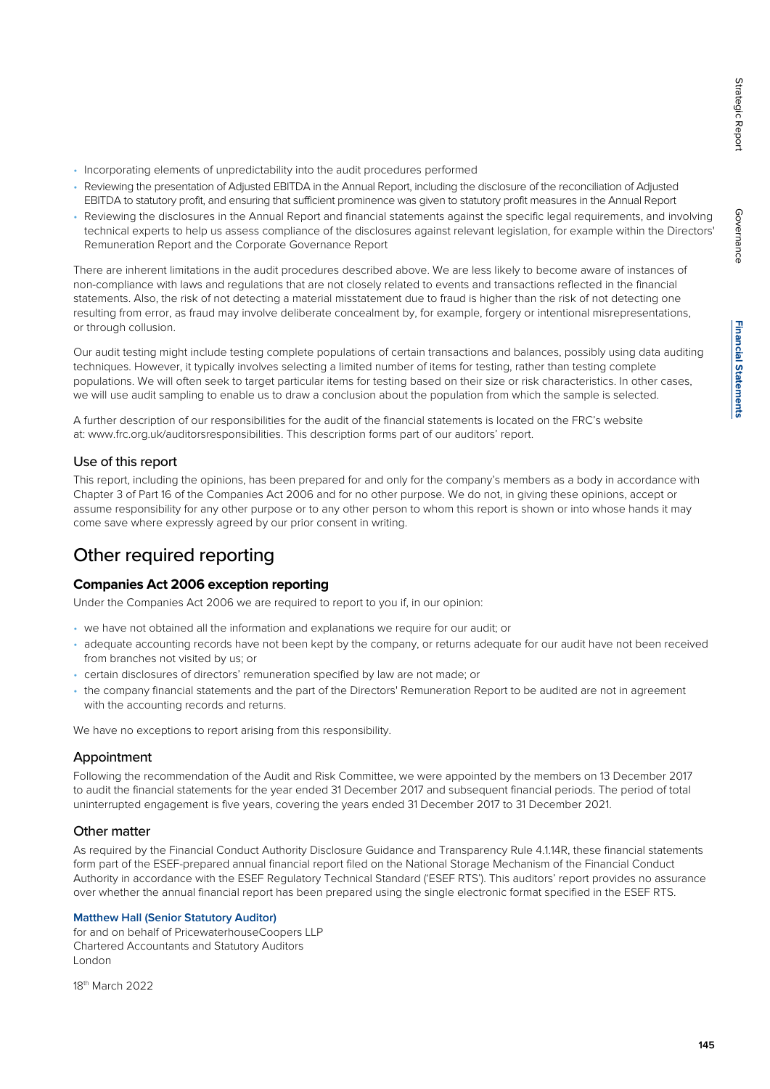- Incorporating elements of unpredictability into the audit procedures performed
- Reviewing the presentation of Adjusted EBITDA in the Annual Report, including the disclosure of the reconciliation of Adjusted EBITDA to statutory profit, and ensuring that sufficient prominence was given to statutory profit measures in the Annual Report
- Reviewing the disclosures in the Annual Report and financial statements against the specific legal requirements, and involving technical experts to help us assess compliance of the disclosures against relevant legislation, for example within the Directors' Remuneration Report and the Corporate Governance Report

There are inherent limitations in the audit procedures described above. We are less likely to become aware of instances of non-compliance with laws and regulations that are not closely related to events and transactions reflected in the financial statements. Also, the risk of not detecting a material misstatement due to fraud is higher than the risk of not detecting one resulting from error, as fraud may involve deliberate concealment by, for example, forgery or intentional misrepresentations, or through collusion.

Our audit testing might include testing complete populations of certain transactions and balances, possibly using data auditing techniques. However, it typically involves selecting a limited number of items for testing, rather than testing complete populations. We will often seek to target particular items for testing based on their size or risk characteristics. In other cases, we will use audit sampling to enable us to draw a conclusion about the population from which the sample is selected.

A further description of our responsibilities for the audit of the financial statements is located on the FRC's website at: www.frc.org.uk/auditorsresponsibilities. This description forms part of our auditors' report.

#### Use of this report

This report, including the opinions, has been prepared for and only for the company's members as a body in accordance with Chapter 3 of Part 16 of the Companies Act 2006 and for no other purpose. We do not, in giving these opinions, accept or assume responsibility for any other purpose or to any other person to whom this report is shown or into whose hands it may come save where expressly agreed by our prior consent in writing.

### Other required reporting

#### **Companies Act 2006 exception reporting**

Under the Companies Act 2006 we are required to report to you if, in our opinion:

- we have not obtained all the information and explanations we require for our audit; or
- adequate accounting records have not been kept by the company, or returns adequate for our audit have not been received from branches not visited by us; or
- certain disclosures of directors' remuneration specified by law are not made; or
- the company financial statements and the part of the Directors' Remuneration Report to be audited are not in agreement with the accounting records and returns.

We have no exceptions to report arising from this responsibility.

#### Appointment

Following the recommendation of the Audit and Risk Committee, we were appointed by the members on 13 December 2017 to audit the financial statements for the year ended 31 December 2017 and subsequent financial periods. The period of total uninterrupted engagement is five years, covering the years ended 31 December 2017 to 31 December 2021.

#### Other matter

As required by the Financial Conduct Authority Disclosure Guidance and Transparency Rule 4.1.14R, these financial statements form part of the ESEF-prepared annual financial report filed on the National Storage Mechanism of the Financial Conduct Authority in accordance with the ESEF Regulatory Technical Standard ('ESEF RTS'). This auditors' report provides no assurance over whether the annual financial report has been prepared using the single electronic format specified in the ESEF RTS.

#### **Matthew Hall (Senior Statutory Auditor)**

for and on behalf of PricewaterhouseCoopers LLP Chartered Accountants and Statutory Auditors London

18th March 2022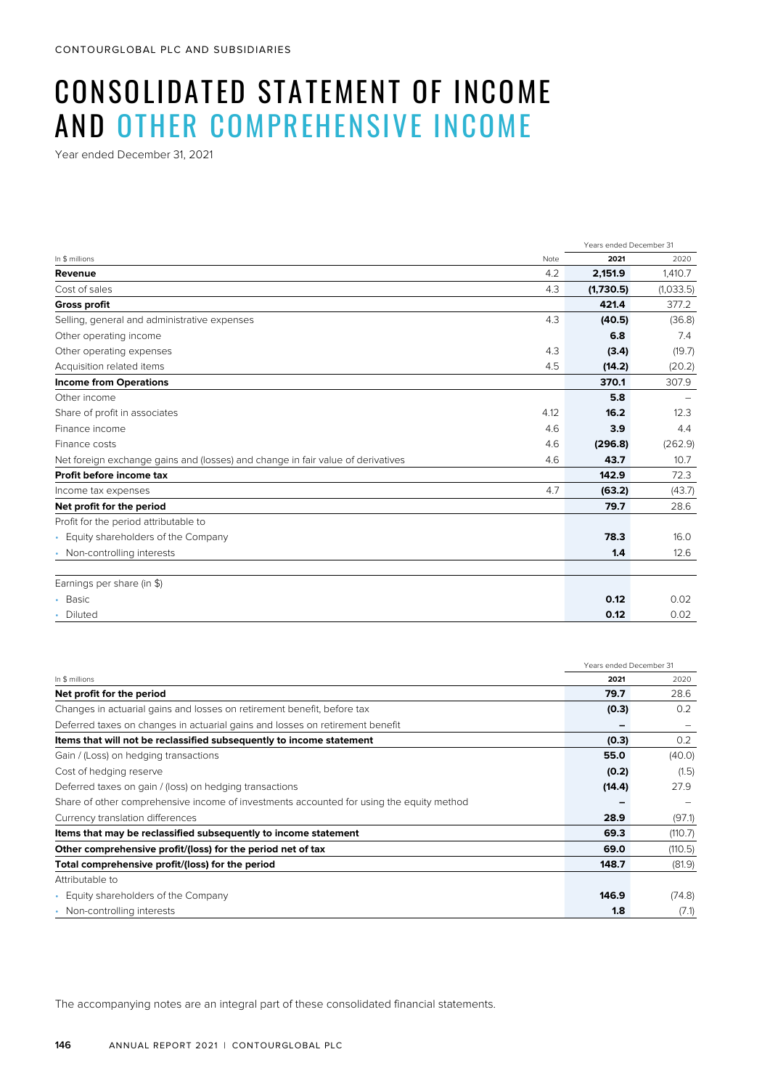# CONSOLIDATED STATEMENT OF INCOME AND OTHER COMPREHENSIVE INCOME

Year ended December 31, 2021

|                                                                                 |      | Years ended December 31 |           |
|---------------------------------------------------------------------------------|------|-------------------------|-----------|
| In \$ millions                                                                  | Note | 2021                    | 2020      |
| Revenue                                                                         | 4.2  | 2,151.9                 | 1,410.7   |
| Cost of sales                                                                   | 4.3  | (1,730.5)               | (1,033.5) |
| <b>Gross profit</b>                                                             |      | 421.4                   | 377.2     |
| Selling, general and administrative expenses                                    | 4.3  | (40.5)                  | (36.8)    |
| Other operating income                                                          |      | 6.8                     | 7.4       |
| Other operating expenses                                                        | 4.3  | (3.4)                   | (19.7)    |
| Acquisition related items                                                       | 4.5  | (14.2)                  | (20.2)    |
| <b>Income from Operations</b>                                                   |      | 370.1                   | 307.9     |
| Other income                                                                    |      | 5.8                     |           |
| Share of profit in associates                                                   | 4.12 | 16.2                    | 12.3      |
| Finance income                                                                  | 4.6  | 3.9                     | 4.4       |
| Finance costs                                                                   | 4.6  | (296.8)                 | (262.9)   |
| Net foreign exchange gains and (losses) and change in fair value of derivatives | 4.6  | 43.7                    | 10.7      |
| Profit before income tax                                                        |      | 142.9                   | 72.3      |
| Income tax expenses                                                             | 4.7  | (63.2)                  | (43.7)    |
| Net profit for the period                                                       |      | 79.7                    | 28.6      |
| Profit for the period attributable to                                           |      |                         |           |
| • Equity shareholders of the Company                                            |      | 78.3                    | 16.0      |
| • Non-controlling interests                                                     |      | 1.4                     | 12.6      |
| Earnings per share (in \$)                                                      |      |                         |           |
| • Basic                                                                         |      | 0.12                    | 0.02      |
| • Diluted                                                                       |      | 0.12                    | 0.02      |

|                                                                                          | Years ended December 31 |         |
|------------------------------------------------------------------------------------------|-------------------------|---------|
| In \$ millions                                                                           | 2021                    | 2020    |
| Net profit for the period                                                                | 79.7                    | 28.6    |
| Changes in actuarial gains and losses on retirement benefit, before tax                  | (0.3)                   | 0.2     |
| Deferred taxes on changes in actuarial gains and losses on retirement benefit            |                         |         |
| Items that will not be reclassified subsequently to income statement                     | (0.3)                   | 0.2     |
| Gain / (Loss) on hedging transactions                                                    | 55.0                    | (40.0)  |
| Cost of hedging reserve                                                                  | (0.2)                   | (1.5)   |
| Deferred taxes on gain / (loss) on hedging transactions                                  | (14.4)                  | 27.9    |
| Share of other comprehensive income of investments accounted for using the equity method |                         |         |
| Currency translation differences                                                         | 28.9                    | (97.1)  |
| Items that may be reclassified subsequently to income statement                          | 69.3                    | (110.7) |
| Other comprehensive profit/(loss) for the period net of tax                              | 69.0                    | (110.5) |
| Total comprehensive profit/(loss) for the period                                         | 148.7                   | (81.9)  |
| Attributable to                                                                          |                         |         |
| Equity shareholders of the Company                                                       | 146.9                   | (74.8)  |
| • Non-controlling interests                                                              | 1.8                     | (7.1)   |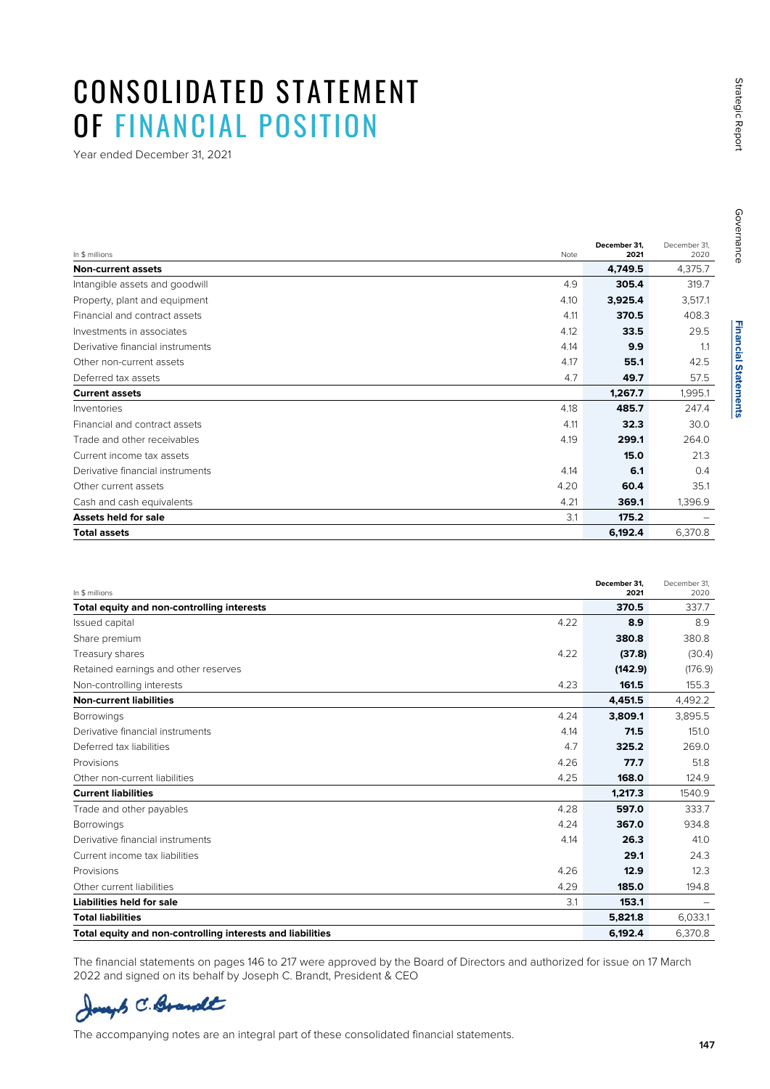## CONSOLIDATED STATEMENT OF FINANCIAL POSITION

Year ended December 31, 2021

| In \$ millions                   | Note | December 31.<br>2021 | December 31,<br>2020 |
|----------------------------------|------|----------------------|----------------------|
| <b>Non-current assets</b>        |      | 4,749.5              | 4,375.7              |
| Intangible assets and goodwill   | 4.9  | 305.4                | 319.7                |
| Property, plant and equipment    | 4.10 | 3,925.4              | 3,517.1              |
| Financial and contract assets    | 4.11 | 370.5                | 408.3                |
| Investments in associates        | 4.12 | 33.5                 | 29.5                 |
| Derivative financial instruments | 4.14 | 9.9                  | 1.1                  |
| Other non-current assets         | 4.17 | 55.1                 | 42.5                 |
| Deferred tax assets              | 4.7  | 49.7                 | 57.5                 |
| <b>Current assets</b>            |      | 1,267.7              | 1,995.1              |
| Inventories                      | 4.18 | 485.7                | 247.4                |
| Financial and contract assets    | 4.11 | 32.3                 | 30.0                 |
| Trade and other receivables      | 4.19 | 299.1                | 264.0                |
| Current income tax assets        |      | 15.0                 | 21.3                 |
| Derivative financial instruments | 4.14 | 6.1                  | 0.4                  |
| Other current assets             | 4.20 | 60.4                 | 35.1                 |
| Cash and cash equivalents        | 4.21 | 369.1                | 1,396.9              |
| Assets held for sale             | 3.1  | 175.2                |                      |
| <b>Total assets</b>              |      | 6,192.4              | 6,370.8              |

| In \$ millions                                             |      | December 31,<br>2021 | December 31.<br>2020 |
|------------------------------------------------------------|------|----------------------|----------------------|
| Total equity and non-controlling interests                 |      | 370.5                | 337.7                |
| Issued capital                                             | 4.22 | 8.9                  | 8.9                  |
| Share premium                                              |      | 380.8                | 380.8                |
| Treasury shares                                            | 4.22 | (37.8)               | (30.4)               |
| Retained earnings and other reserves                       |      | (142.9)              | (176.9)              |
| Non-controlling interests                                  | 4.23 | 161.5                | 155.3                |
| <b>Non-current liabilities</b>                             |      | 4.451.5              | 4,492.2              |
| <b>Borrowings</b>                                          | 4.24 | 3,809.1              | 3,895.5              |
| Derivative financial instruments                           | 4.14 | 71.5                 | 151.0                |
| Deferred tax liabilities                                   | 4.7  | 325.2                | 269.0                |
| Provisions                                                 | 4.26 | 77.7                 | 51.8                 |
| Other non-current liabilities                              | 4.25 | 168.0                | 124.9                |
| <b>Current liabilities</b>                                 |      | 1,217.3              | 1540.9               |
| Trade and other payables                                   | 4.28 | 597.0                | 333.7                |
| <b>Borrowings</b>                                          | 4.24 | 367.0                | 934.8                |
| Derivative financial instruments                           | 4.14 | 26.3                 | 41.0                 |
| Current income tax liabilities                             |      | 29.1                 | 24.3                 |
| Provisions                                                 | 4.26 | 12.9                 | 12.3                 |
| Other current liabilities                                  | 4.29 | 185.0                | 194.8                |
| <b>Liabilities held for sale</b>                           | 3.1  | 153.1                |                      |
| <b>Total liabilities</b>                                   |      | 5,821.8              | 6,033.1              |
| Total equity and non-controlling interests and liabilities |      | 6.192.4              | 6.370.8              |

The financial statements on pages 146 to 217 were approved by the Board of Directors and authorized for issue on 17 March 2022 and signed on its behalf by Joseph C. Brandt, President & CEO

Joseph C. Brandt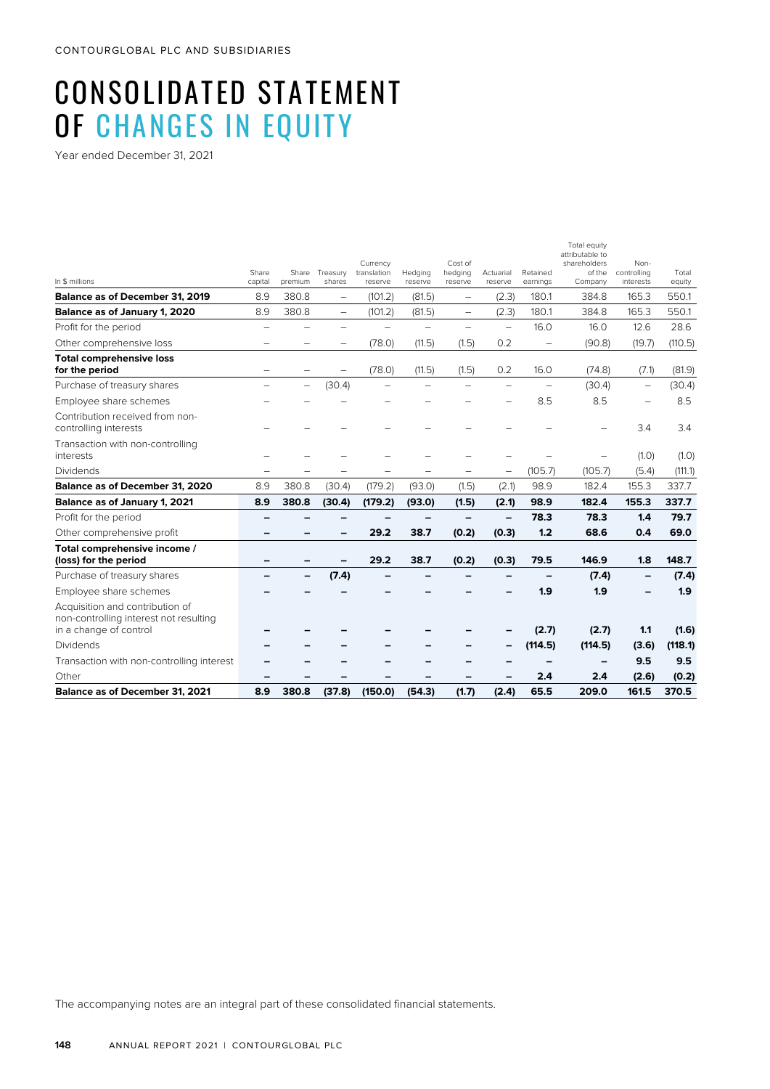# CONSOLIDATED STATEMENT OF CHANGES IN EQUITY

Year ended December 31, 2021

|                                                                                                     |                          |                          |                          | Currency               |                          | Cost of                  |                          |                          | Total equity<br>attributable to<br>shareholders | Non-                     |                 |
|-----------------------------------------------------------------------------------------------------|--------------------------|--------------------------|--------------------------|------------------------|--------------------------|--------------------------|--------------------------|--------------------------|-------------------------------------------------|--------------------------|-----------------|
| In \$ millions                                                                                      | Share<br>capital         | Share<br>premium         | Treasury<br>shares       | translation<br>reserve | Hedging<br>reserve       | hedging<br>reserve       | Actuarial<br>reserve     | Retained<br>earnings     | of the<br>Company                               | controlling<br>interests | Total<br>equity |
| <b>Balance as of December 31, 2019</b>                                                              | 8.9                      | 380.8                    | $\overline{\phantom{m}}$ | (101.2)                | (81.5)                   | $\overline{\phantom{0}}$ | (2.3)                    | 180.1                    | 384.8                                           | 165.3                    | 550.1           |
| Balance as of January 1, 2020                                                                       | 8.9                      | 380.8                    | $\qquad \qquad -$        | (101.2)                | (81.5)                   | $\overline{\phantom{0}}$ | (2.3)                    | 180.1                    | 384.8                                           | 165.3                    | 550.1           |
| Profit for the period                                                                               | $\overline{\phantom{0}}$ |                          | $\overline{\phantom{0}}$ |                        | $\overline{\phantom{0}}$ | $\overline{\phantom{0}}$ | $\overline{\phantom{0}}$ | 16.0                     | 16.0                                            | 12.6                     | 28.6            |
| Other comprehensive loss                                                                            |                          |                          |                          | (78.0)                 | (11.5)                   | (1.5)                    | 0.2                      | $\qquad \qquad -$        | (90.8)                                          | (19.7)                   | (110.5)         |
| <b>Total comprehensive loss</b><br>for the period                                                   |                          |                          | $\overline{\phantom{0}}$ | (78.0)                 | (11.5)                   | (1.5)                    | 0.2                      | 16.0                     | (74.8)                                          | (7.1)                    | (81.9)          |
| Purchase of treasury shares                                                                         |                          | $\overline{\phantom{0}}$ | (30.4)                   |                        | -                        |                          | $\overline{\phantom{0}}$ | $\overline{\phantom{0}}$ | (30.4)                                          | $\overline{\phantom{0}}$ | (30.4)          |
| Employee share schemes                                                                              |                          |                          |                          |                        |                          |                          |                          | 8.5                      | 8.5                                             | $\overline{\phantom{a}}$ | 8.5             |
| Contribution received from non-<br>controlling interests                                            |                          |                          |                          |                        |                          |                          |                          |                          |                                                 | 3.4                      | 3.4             |
| Transaction with non-controlling<br>interests                                                       |                          |                          |                          |                        |                          |                          |                          |                          |                                                 | (1.0)                    | (1.0)           |
| Dividends                                                                                           |                          |                          |                          |                        |                          |                          | $\qquad \qquad -$        | (105.7)                  | (105.7)                                         | (5.4)                    | (111.1)         |
| Balance as of December 31, 2020                                                                     | 8.9                      | 380.8                    | (30.4)                   | (179.2)                | (93.0)                   | (1.5)                    | (2.1)                    | 98.9                     | 182.4                                           | 155.3                    | 337.7           |
| Balance as of January 1, 2021                                                                       | 8.9                      | 380.8                    | (30.4)                   | (179.2)                | (93.0)                   | (1.5)                    | (2.1)                    | 98.9                     | 182.4                                           | 155.3                    | 337.7           |
| Profit for the period                                                                               |                          |                          |                          |                        |                          | -                        | $\overline{\phantom{0}}$ | 78.3                     | 78.3                                            | 1.4                      | 79.7            |
| Other comprehensive profit                                                                          |                          |                          |                          | 29.2                   | 38.7                     | (0.2)                    | (0.3)                    | 1.2                      | 68.6                                            | 0.4                      | 69.0            |
| Total comprehensive income /<br>(loss) for the period                                               |                          |                          |                          | 29.2                   | 38.7                     | (0.2)                    | (0.3)                    | 79.5                     | 146.9                                           | 1.8                      | 148.7           |
| Purchase of treasury shares                                                                         |                          |                          | (7.4)                    |                        |                          |                          |                          |                          | (7.4)                                           |                          | (7.4)           |
| Employee share schemes                                                                              |                          |                          |                          |                        |                          |                          |                          | 1.9                      | 1.9                                             |                          | 1.9             |
| Acquisition and contribution of<br>non-controlling interest not resulting<br>in a change of control |                          |                          |                          |                        |                          |                          |                          | (2.7)                    | (2.7)                                           | 1.1                      | (1.6)           |
| Dividends                                                                                           |                          |                          |                          |                        |                          |                          |                          | (114.5)                  | (114.5)                                         | (3.6)                    | (118.1)         |
| Transaction with non-controlling interest                                                           |                          |                          |                          |                        |                          |                          |                          |                          |                                                 | 9.5                      | 9.5             |
| Other                                                                                               |                          |                          |                          |                        |                          |                          |                          | 2.4                      | 2.4                                             | (2.6)                    | (0.2)           |
| Balance as of December 31, 2021                                                                     | 8.9                      | 380.8                    | (37.8)                   | (150.0)                | (54.3)                   | (1.7)                    | (2.4)                    | 65.5                     | 209.0                                           | 161.5                    | 370.5           |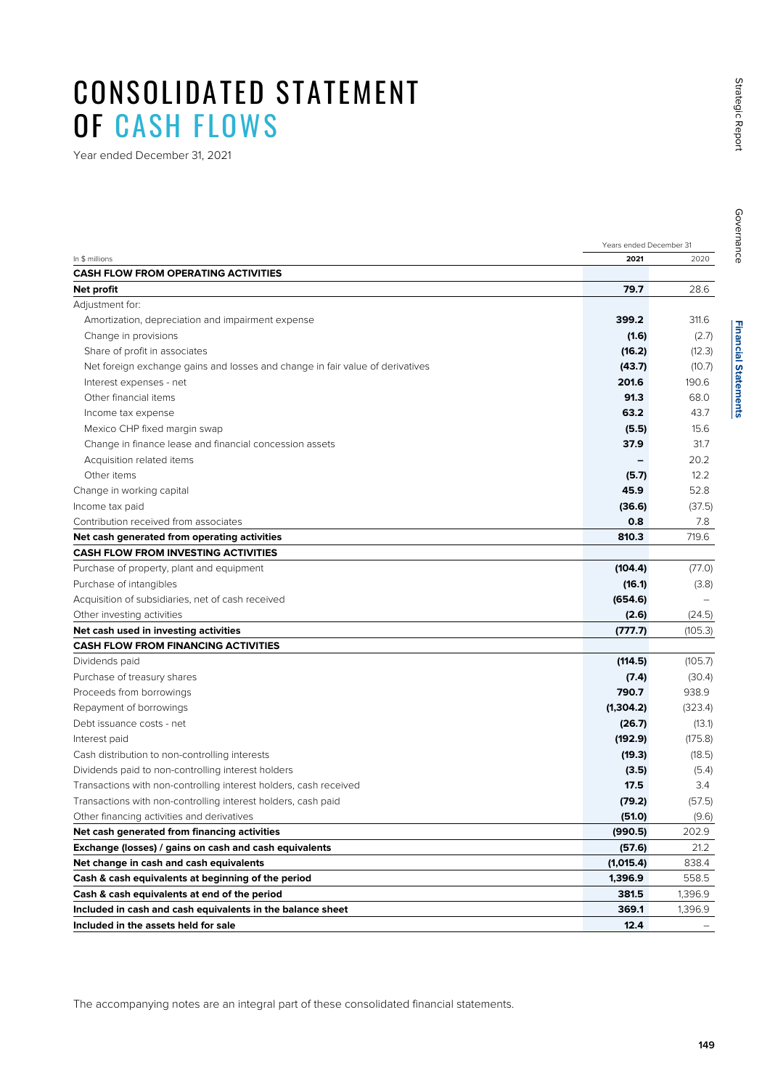## CONSOLIDATED STATEMENT OF CASH FLOWS

Year ended December 31, 2021

|                                                                               | Years ended December 31 |         |  |
|-------------------------------------------------------------------------------|-------------------------|---------|--|
| In \$ millions                                                                | 2021                    | 2020    |  |
| <b>CASH FLOW FROM OPERATING ACTIVITIES</b>                                    |                         |         |  |
| Net profit                                                                    | 79.7                    | 28.6    |  |
| Adjustment for:                                                               |                         |         |  |
| Amortization, depreciation and impairment expense                             | 399.2                   | 311.6   |  |
| Change in provisions                                                          | (1.6)                   | (2.7)   |  |
| Share of profit in associates                                                 | (16.2)                  | (12.3)  |  |
| Net foreign exchange gains and losses and change in fair value of derivatives | (43.7)                  | (10.7)  |  |
| Interest expenses - net                                                       | 201.6                   | 190.6   |  |
| Other financial items                                                         | 91.3                    | 68.0    |  |
| Income tax expense                                                            | 63.2                    | 43.7    |  |
| Mexico CHP fixed margin swap                                                  | (5.5)                   | 15.6    |  |
| Change in finance lease and financial concession assets                       | 37.9                    | 31.7    |  |
| Acquisition related items                                                     |                         | 20.2    |  |
| Other items                                                                   | (5.7)                   | 12.2    |  |
| Change in working capital                                                     | 45.9                    | 52.8    |  |
| Income tax paid                                                               | (36.6)                  | (37.5)  |  |
| Contribution received from associates                                         | 0.8                     | 7.8     |  |
| Net cash generated from operating activities                                  | 810.3                   | 719.6   |  |
| <b>CASH FLOW FROM INVESTING ACTIVITIES</b>                                    |                         |         |  |
| Purchase of property, plant and equipment                                     | (104.4)                 | (77.0)  |  |
| Purchase of intangibles                                                       | (16.1)                  | (3.8)   |  |
| Acquisition of subsidiaries, net of cash received                             | (654.6)                 |         |  |
| Other investing activities                                                    | (2.6)                   | (24.5)  |  |
| Net cash used in investing activities                                         | (777.7)                 | (105.3) |  |
| <b>CASH FLOW FROM FINANCING ACTIVITIES</b>                                    |                         |         |  |
| Dividends paid                                                                | (114.5)                 | (105.7) |  |
| Purchase of treasury shares                                                   | (7.4)                   | (30.4)  |  |
| Proceeds from borrowings                                                      | 790.7                   | 938.9   |  |
| Repayment of borrowings                                                       | (1,304.2)               | (323.4) |  |
| Debt issuance costs - net                                                     | (26.7)                  | (13.1)  |  |
| Interest paid                                                                 | (192.9)                 | (175.8) |  |
| Cash distribution to non-controlling interests                                | (19.3)                  | (18.5)  |  |
| Dividends paid to non-controlling interest holders                            | (3.5)                   | (5.4)   |  |
| Transactions with non-controlling interest holders, cash received             | 17.5                    | 3.4     |  |
| Transactions with non-controlling interest holders, cash paid                 | (79.2)                  | (57.5)  |  |
| Other financing activities and derivatives                                    | (51.0)                  | (9.6)   |  |
| Net cash generated from financing activities                                  | (990.5)                 | 202.9   |  |
| Exchange (losses) / gains on cash and cash equivalents                        | (57.6)                  | 21.2    |  |
| Net change in cash and cash equivalents                                       | (1,015.4)               | 838.4   |  |
| Cash & cash equivalents at beginning of the period                            | 1,396.9                 | 558.5   |  |
| Cash & cash equivalents at end of the period                                  | 381.5                   | 1,396.9 |  |
| Included in cash and cash equivalents in the balance sheet                    | 369.1                   | 1,396.9 |  |
| Included in the assets held for sale                                          | 12.4                    |         |  |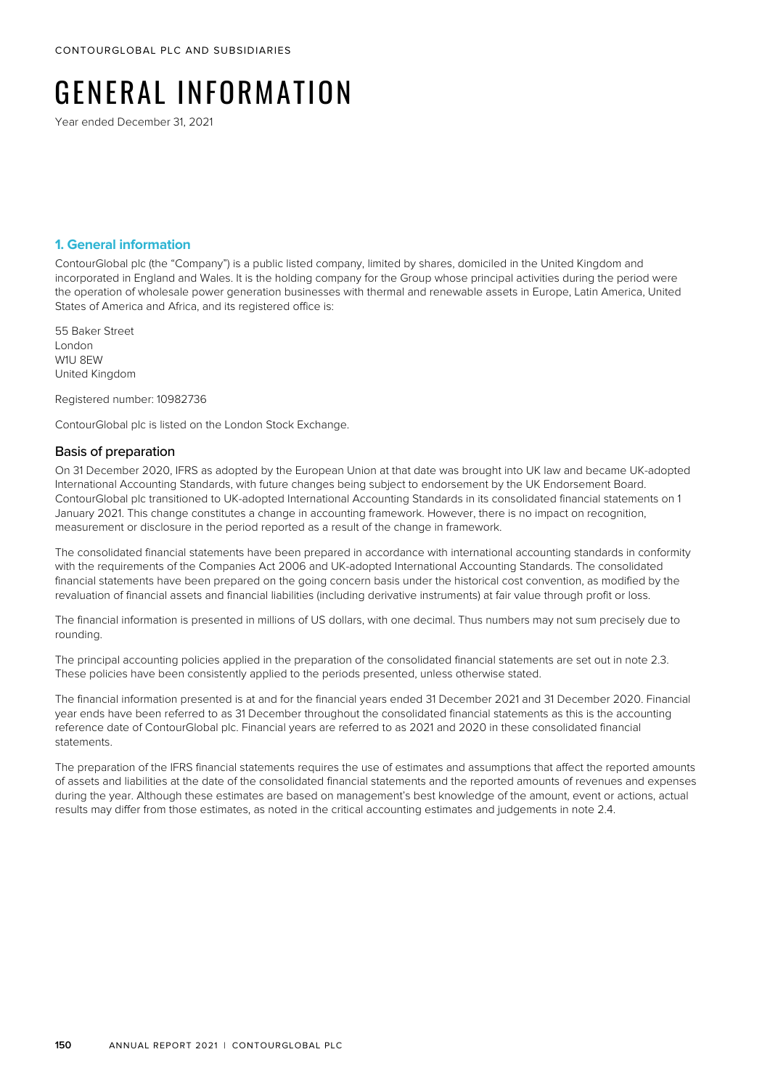# GENERAL INFORMATION

Year ended December 31, 2021

#### **1. General information**

ContourGlobal plc (the "Company") is a public listed company, limited by shares, domiciled in the United Kingdom and incorporated in England and Wales. It is the holding company for the Group whose principal activities during the period were the operation of wholesale power generation businesses with thermal and renewable assets in Europe, Latin America, United States of America and Africa, and its registered office is:

55 Baker Street London W1U 8EW United Kingdom

Registered number: 10982736

ContourGlobal plc is listed on the London Stock Exchange.

#### Basis of preparation

On 31 December 2020, IFRS as adopted by the European Union at that date was brought into UK law and became UK-adopted International Accounting Standards, with future changes being subject to endorsement by the UK Endorsement Board. ContourGlobal plc transitioned to UK-adopted International Accounting Standards in its consolidated financial statements on 1 January 2021. This change constitutes a change in accounting framework. However, there is no impact on recognition, measurement or disclosure in the period reported as a result of the change in framework.

The consolidated financial statements have been prepared in accordance with international accounting standards in conformity with the requirements of the Companies Act 2006 and UK-adopted International Accounting Standards. The consolidated financial statements have been prepared on the going concern basis under the historical cost convention, as modified by the revaluation of financial assets and financial liabilities (including derivative instruments) at fair value through profit or loss.

The financial information is presented in millions of US dollars, with one decimal. Thus numbers may not sum precisely due to rounding.

The principal accounting policies applied in the preparation of the consolidated financial statements are set out in note 2.3. These policies have been consistently applied to the periods presented, unless otherwise stated.

The financial information presented is at and for the financial years ended 31 December 2021 and 31 December 2020. Financial year ends have been referred to as 31 December throughout the consolidated financial statements as this is the accounting reference date of ContourGlobal plc. Financial years are referred to as 2021 and 2020 in these consolidated financial statements.

The preparation of the IFRS financial statements requires the use of estimates and assumptions that affect the reported amounts of assets and liabilities at the date of the consolidated financial statements and the reported amounts of revenues and expenses during the year. Although these estimates are based on management's best knowledge of the amount, event or actions, actual results may differ from those estimates, as noted in the critical accounting estimates and judgements in note 2.4.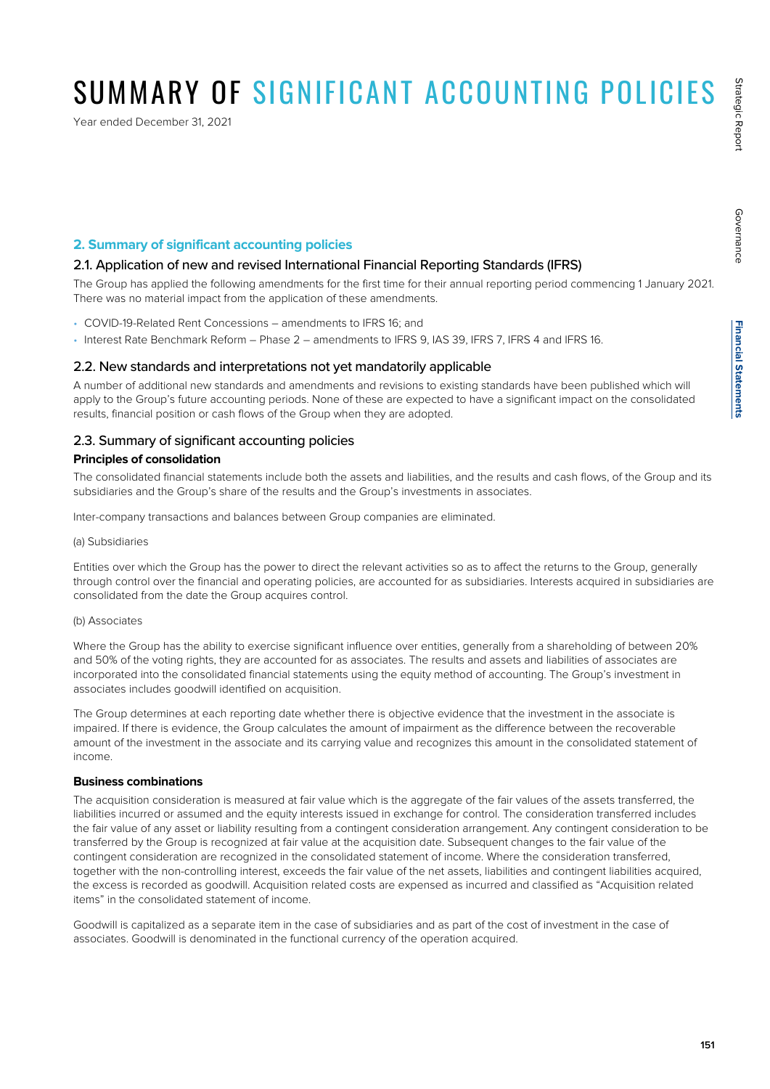Governance

Governance

# SUMMARY OF SIGNIFICANT ACCOUNTING POLICIES

Year ended December 31, 2021

#### **2. Summary of significant accounting policies**

#### 2.1. Application of new and revised International Financial Reporting Standards (IFRS)

The Group has applied the following amendments for the first time for their annual reporting period commencing 1 January 2021. There was no material impact from the application of these amendments.

- COVID-19-Related Rent Concessions amendments to IFRS 16; and
- Interest Rate Benchmark Reform Phase 2 amendments to IFRS 9, IAS 39, IFRS 7, IFRS 4 and IFRS 16.

#### 2.2. New standards and interpretations not yet mandatorily applicable

A number of additional new standards and amendments and revisions to existing standards have been published which will apply to the Group's future accounting periods. None of these are expected to have a significant impact on the consolidated results, financial position or cash flows of the Group when they are adopted.

#### 2.3. Summary of significant accounting policies

#### **Principles of consolidation**

The consolidated financial statements include both the assets and liabilities, and the results and cash flows, of the Group and its subsidiaries and the Group's share of the results and the Group's investments in associates.

Inter-company transactions and balances between Group companies are eliminated.

#### (a) Subsidiaries

Entities over which the Group has the power to direct the relevant activities so as to affect the returns to the Group, generally through control over the financial and operating policies, are accounted for as subsidiaries. Interests acquired in subsidiaries are consolidated from the date the Group acquires control.

#### (b) Associates

Where the Group has the ability to exercise significant influence over entities, generally from a shareholding of between 20% and 50% of the voting rights, they are accounted for as associates. The results and assets and liabilities of associates are incorporated into the consolidated financial statements using the equity method of accounting. The Group's investment in associates includes goodwill identified on acquisition.

The Group determines at each reporting date whether there is objective evidence that the investment in the associate is impaired. If there is evidence, the Group calculates the amount of impairment as the difference between the recoverable amount of the investment in the associate and its carrying value and recognizes this amount in the consolidated statement of income.

#### **Business combinations**

The acquisition consideration is measured at fair value which is the aggregate of the fair values of the assets transferred, the liabilities incurred or assumed and the equity interests issued in exchange for control. The consideration transferred includes the fair value of any asset or liability resulting from a contingent consideration arrangement. Any contingent consideration to be transferred by the Group is recognized at fair value at the acquisition date. Subsequent changes to the fair value of the contingent consideration are recognized in the consolidated statement of income. Where the consideration transferred, together with the non-controlling interest, exceeds the fair value of the net assets, liabilities and contingent liabilities acquired, the excess is recorded as goodwill. Acquisition related costs are expensed as incurred and classified as "Acquisition related items" in the consolidated statement of income.

Goodwill is capitalized as a separate item in the case of subsidiaries and as part of the cost of investment in the case of associates. Goodwill is denominated in the functional currency of the operation acquired.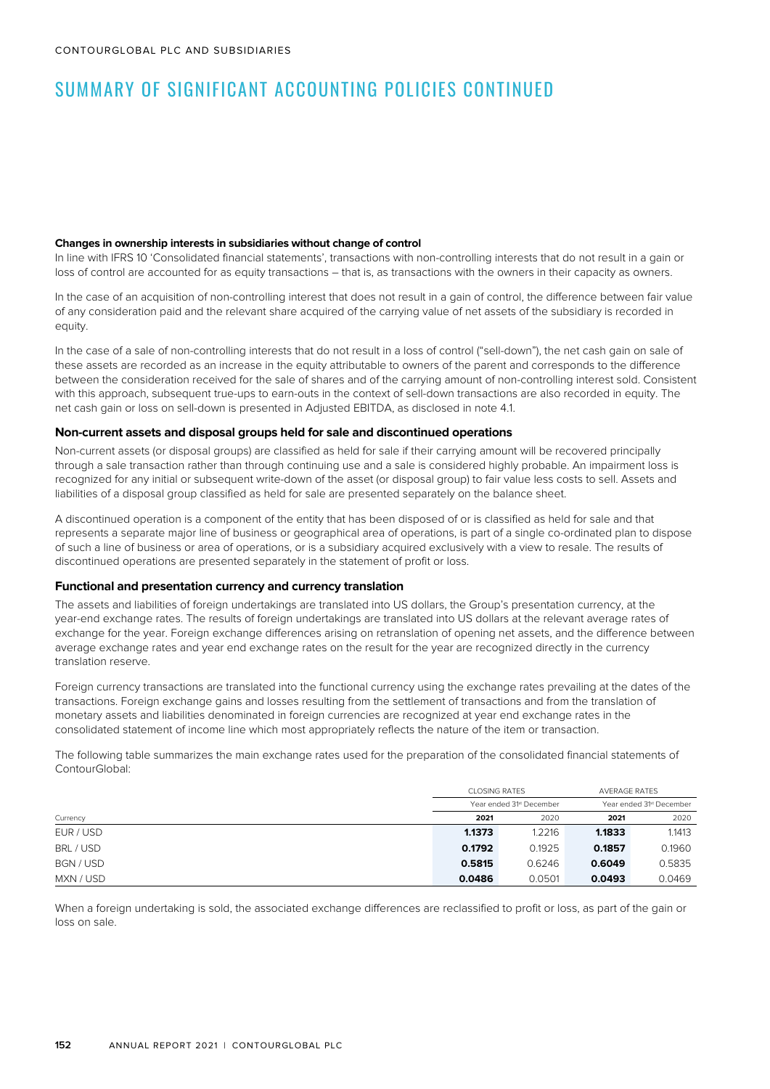#### **Changes in ownership interests in subsidiaries without change of control**

In line with IFRS 10 'Consolidated financial statements', transactions with non-controlling interests that do not result in a gain or loss of control are accounted for as equity transactions – that is, as transactions with the owners in their capacity as owners.

In the case of an acquisition of non-controlling interest that does not result in a gain of control, the difference between fair value of any consideration paid and the relevant share acquired of the carrying value of net assets of the subsidiary is recorded in equity.

In the case of a sale of non-controlling interests that do not result in a loss of control ("sell-down"), the net cash gain on sale of these assets are recorded as an increase in the equity attributable to owners of the parent and corresponds to the difference between the consideration received for the sale of shares and of the carrying amount of non-controlling interest sold. Consistent with this approach, subsequent true-ups to earn-outs in the context of sell-down transactions are also recorded in equity. The net cash gain or loss on sell-down is presented in Adjusted EBITDA, as disclosed in note 4.1.

#### **Non-current assets and disposal groups held for sale and discontinued operations**

Non-current assets (or disposal groups) are classified as held for sale if their carrying amount will be recovered principally through a sale transaction rather than through continuing use and a sale is considered highly probable. An impairment loss is recognized for any initial or subsequent write-down of the asset (or disposal group) to fair value less costs to sell. Assets and liabilities of a disposal group classified as held for sale are presented separately on the balance sheet.

A discontinued operation is a component of the entity that has been disposed of or is classified as held for sale and that represents a separate major line of business or geographical area of operations, is part of a single co-ordinated plan to dispose of such a line of business or area of operations, or is a subsidiary acquired exclusively with a view to resale. The results of discontinued operations are presented separately in the statement of profit or loss.

#### **Functional and presentation currency and currency translation**

The assets and liabilities of foreign undertakings are translated into US dollars, the Group's presentation currency, at the year-end exchange rates. The results of foreign undertakings are translated into US dollars at the relevant average rates of exchange for the year. Foreign exchange differences arising on retranslation of opening net assets, and the difference between average exchange rates and year end exchange rates on the result for the year are recognized directly in the currency translation reserve.

Foreign currency transactions are translated into the functional currency using the exchange rates prevailing at the dates of the transactions. Foreign exchange gains and losses resulting from the settlement of transactions and from the translation of monetary assets and liabilities denominated in foreign currencies are recognized at year end exchange rates in the consolidated statement of income line which most appropriately reflects the nature of the item or transaction.

The following table summarizes the main exchange rates used for the preparation of the consolidated financial statements of ContourGlobal:

|           | <b>CLOSING RATES</b> |                          |        | <b>AVERAGE RATES</b>                 |  |
|-----------|----------------------|--------------------------|--------|--------------------------------------|--|
|           |                      | Year ended 31st December |        | Year ended 31 <sup>st</sup> December |  |
| Currency  | 2021                 | 2020                     | 2021   | 2020                                 |  |
| EUR / USD | 1.1373               | 1.2216                   | 1.1833 | 1.1413                               |  |
| BRL / USD | 0.1792               | 0.1925                   | 0.1857 | 0.1960                               |  |
| BGN / USD | 0.5815               | 0.6246                   | 0.6049 | 0.5835                               |  |
| MXN / USD | 0.0486               | 0.0501                   | 0.0493 | 0.0469                               |  |

When a foreign undertaking is sold, the associated exchange differences are reclassified to profit or loss, as part of the gain or loss on sale.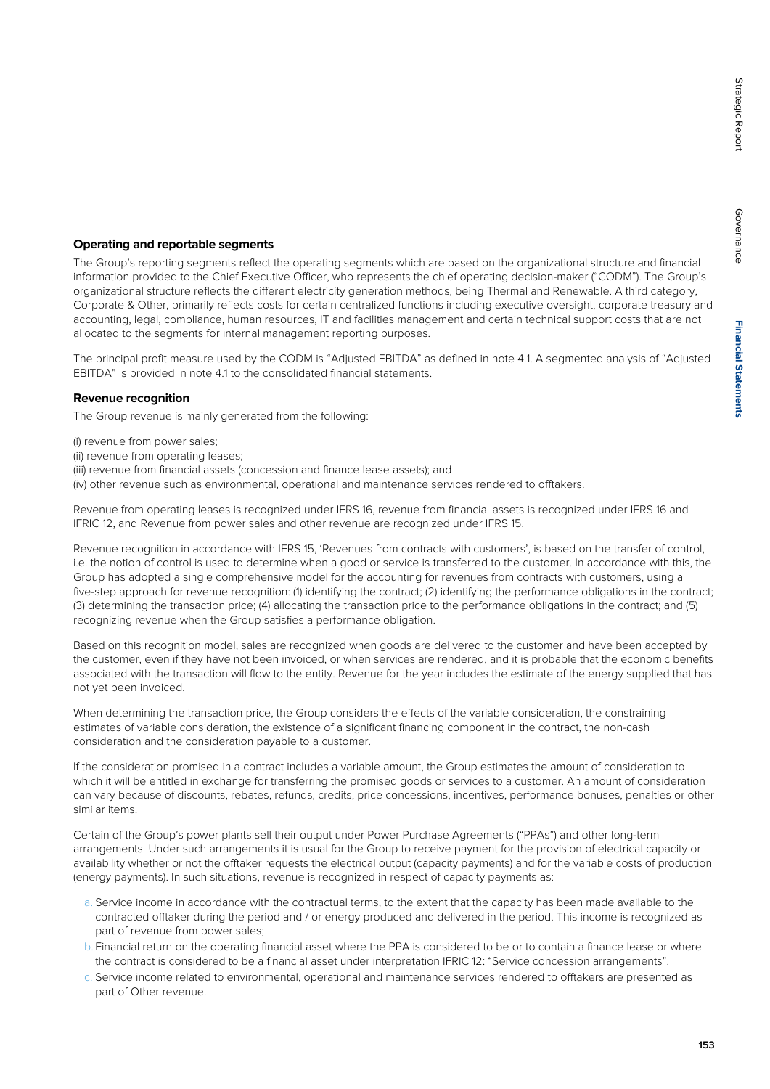Governance

Governance

#### **Operating and reportable segments**

The Group's reporting segments reflect the operating segments which are based on the organizational structure and financial information provided to the Chief Executive Officer, who represents the chief operating decision-maker ("CODM"). The Group's organizational structure reflects the different electricity generation methods, being Thermal and Renewable. A third category, Corporate & Other, primarily reflects costs for certain centralized functions including executive oversight, corporate treasury and accounting, legal, compliance, human resources, IT and facilities management and certain technical support costs that are not allocated to the segments for internal management reporting purposes.

The principal profit measure used by the CODM is "Adjusted EBITDA" as defined in note 4.1. A segmented analysis of "Adjusted EBITDA" is provided in note 4.1 to the consolidated financial statements.

#### **Revenue recognition**

The Group revenue is mainly generated from the following:

(i) revenue from power sales;

- (ii) revenue from operating leases;
- (iii) revenue from financial assets (concession and finance lease assets); and
- (iv) other revenue such as environmental, operational and maintenance services rendered to offtakers.

Revenue from operating leases is recognized under IFRS 16, revenue from financial assets is recognized under IFRS 16 and IFRIC 12, and Revenue from power sales and other revenue are recognized under IFRS 15.

Revenue recognition in accordance with IFRS 15, 'Revenues from contracts with customers', is based on the transfer of control, i.e. the notion of control is used to determine when a good or service is transferred to the customer. In accordance with this, the Group has adopted a single comprehensive model for the accounting for revenues from contracts with customers, using a five-step approach for revenue recognition: (1) identifying the contract; (2) identifying the performance obligations in the contract; (3) determining the transaction price; (4) allocating the transaction price to the performance obligations in the contract; and (5) recognizing revenue when the Group satisfies a performance obligation.

Based on this recognition model, sales are recognized when goods are delivered to the customer and have been accepted by the customer, even if they have not been invoiced, or when services are rendered, and it is probable that the economic benefits associated with the transaction will flow to the entity. Revenue for the year includes the estimate of the energy supplied that has not yet been invoiced.

When determining the transaction price, the Group considers the effects of the variable consideration, the constraining estimates of variable consideration, the existence of a significant financing component in the contract, the non-cash consideration and the consideration payable to a customer.

If the consideration promised in a contract includes a variable amount, the Group estimates the amount of consideration to which it will be entitled in exchange for transferring the promised goods or services to a customer. An amount of consideration can vary because of discounts, rebates, refunds, credits, price concessions, incentives, performance bonuses, penalties or other similar items.

Certain of the Group's power plants sell their output under Power Purchase Agreements ("PPAs") and other long-term arrangements. Under such arrangements it is usual for the Group to receive payment for the provision of electrical capacity or availability whether or not the offtaker requests the electrical output (capacity payments) and for the variable costs of production (energy payments). In such situations, revenue is recognized in respect of capacity payments as:

- a. Service income in accordance with the contractual terms, to the extent that the capacity has been made available to the contracted offtaker during the period and / or energy produced and delivered in the period. This income is recognized as part of revenue from power sales;
- b. Financial return on the operating financial asset where the PPA is considered to be or to contain a finance lease or where the contract is considered to be a financial asset under interpretation IFRIC 12: "Service concession arrangements".
- c. Service income related to environmental, operational and maintenance services rendered to offtakers are presented as part of Other revenue.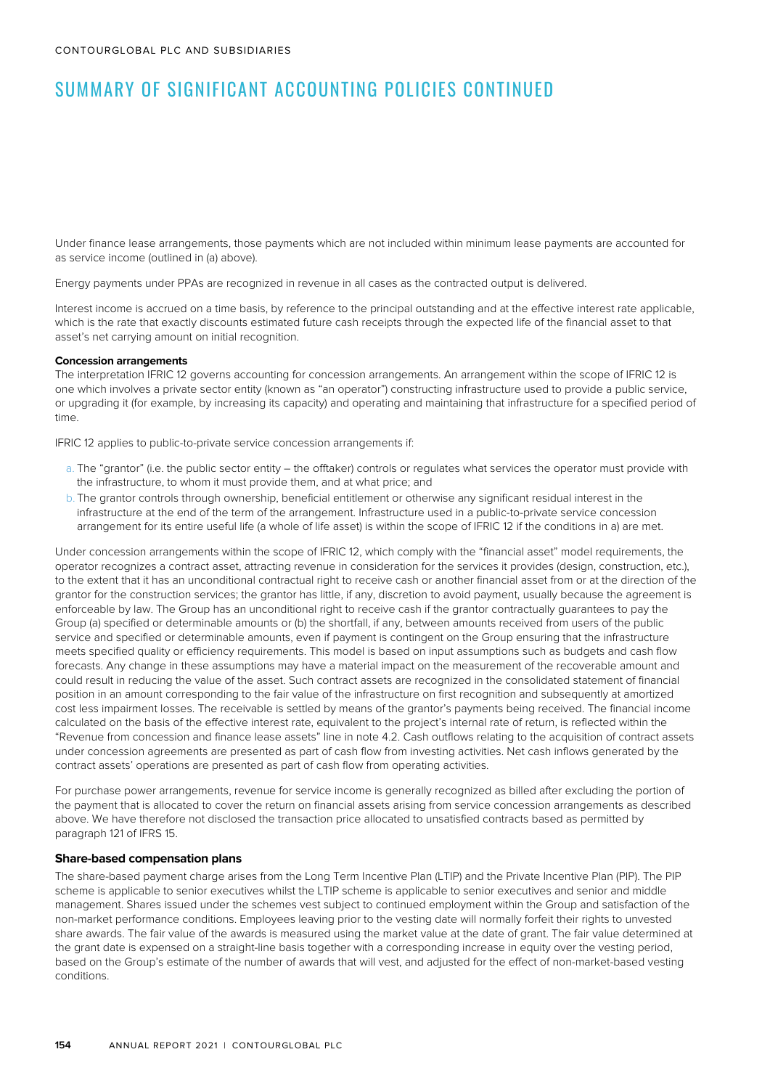Under finance lease arrangements, those payments which are not included within minimum lease payments are accounted for as service income (outlined in (a) above).

Energy payments under PPAs are recognized in revenue in all cases as the contracted output is delivered.

Interest income is accrued on a time basis, by reference to the principal outstanding and at the effective interest rate applicable, which is the rate that exactly discounts estimated future cash receipts through the expected life of the financial asset to that asset's net carrying amount on initial recognition.

#### **Concession arrangements**

The interpretation IFRIC 12 governs accounting for concession arrangements. An arrangement within the scope of IFRIC 12 is one which involves a private sector entity (known as "an operator") constructing infrastructure used to provide a public service, or upgrading it (for example, by increasing its capacity) and operating and maintaining that infrastructure for a specified period of time.

IFRIC 12 applies to public-to-private service concession arrangements if:

- a. The "grantor" (i.e. the public sector entity the offtaker) controls or regulates what services the operator must provide with the infrastructure, to whom it must provide them, and at what price; and
- b. The grantor controls through ownership, beneficial entitlement or otherwise any significant residual interest in the infrastructure at the end of the term of the arrangement. Infrastructure used in a public-to-private service concession arrangement for its entire useful life (a whole of life asset) is within the scope of IFRIC 12 if the conditions in a) are met.

Under concession arrangements within the scope of IFRIC 12, which comply with the "financial asset" model requirements, the operator recognizes a contract asset, attracting revenue in consideration for the services it provides (design, construction, etc.), to the extent that it has an unconditional contractual right to receive cash or another financial asset from or at the direction of the grantor for the construction services; the grantor has little, if any, discretion to avoid payment, usually because the agreement is enforceable by law. The Group has an unconditional right to receive cash if the grantor contractually guarantees to pay the Group (a) specified or determinable amounts or (b) the shortfall, if any, between amounts received from users of the public service and specified or determinable amounts, even if payment is contingent on the Group ensuring that the infrastructure meets specified quality or efficiency requirements. This model is based on input assumptions such as budgets and cash flow forecasts. Any change in these assumptions may have a material impact on the measurement of the recoverable amount and could result in reducing the value of the asset. Such contract assets are recognized in the consolidated statement of financial position in an amount corresponding to the fair value of the infrastructure on first recognition and subsequently at amortized cost less impairment losses. The receivable is settled by means of the grantor's payments being received. The financial income calculated on the basis of the effective interest rate, equivalent to the project's internal rate of return, is reflected within the "Revenue from concession and finance lease assets" line in note 4.2. Cash outflows relating to the acquisition of contract assets under concession agreements are presented as part of cash flow from investing activities. Net cash inflows generated by the contract assets' operations are presented as part of cash flow from operating activities.

For purchase power arrangements, revenue for service income is generally recognized as billed after excluding the portion of the payment that is allocated to cover the return on financial assets arising from service concession arrangements as described above. We have therefore not disclosed the transaction price allocated to unsatisfied contracts based as permitted by paragraph 121 of IFRS 15.

#### **Share-based compensation plans**

The share-based payment charge arises from the Long Term Incentive Plan (LTIP) and the Private Incentive Plan (PIP). The PIP scheme is applicable to senior executives whilst the LTIP scheme is applicable to senior executives and senior and middle management. Shares issued under the schemes vest subject to continued employment within the Group and satisfaction of the non-market performance conditions. Employees leaving prior to the vesting date will normally forfeit their rights to unvested share awards. The fair value of the awards is measured using the market value at the date of grant. The fair value determined at the grant date is expensed on a straight-line basis together with a corresponding increase in equity over the vesting period, based on the Group's estimate of the number of awards that will vest, and adjusted for the effect of non-market-based vesting conditions.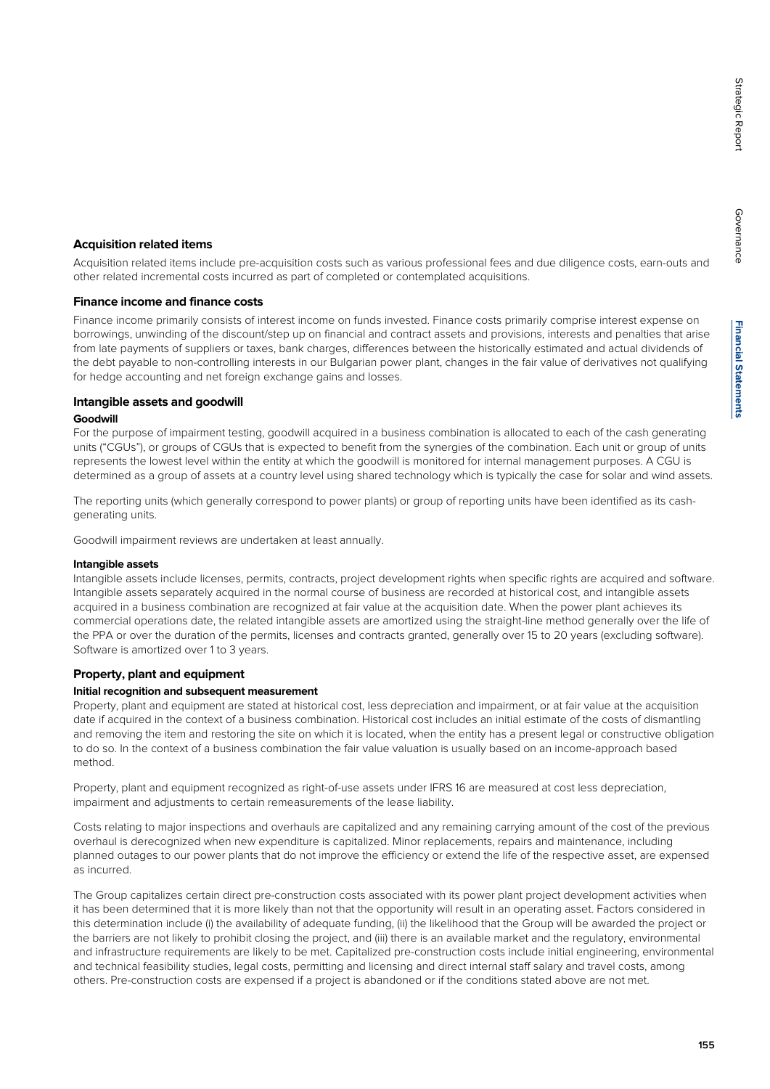Governance

Governance

#### **Acquisition related items**

Acquisition related items include pre-acquisition costs such as various professional fees and due diligence costs, earn-outs and other related incremental costs incurred as part of completed or contemplated acquisitions.

#### **Finance income and finance costs**

Finance income primarily consists of interest income on funds invested. Finance costs primarily comprise interest expense on borrowings, unwinding of the discount/step up on financial and contract assets and provisions, interests and penalties that arise from late payments of suppliers or taxes, bank charges, differences between the historically estimated and actual dividends of the debt payable to non-controlling interests in our Bulgarian power plant, changes in the fair value of derivatives not qualifying for hedge accounting and net foreign exchange gains and losses.

#### **Intangible assets and goodwill**

#### **Goodwill**

For the purpose of impairment testing, goodwill acquired in a business combination is allocated to each of the cash generating units ("CGUs"), or groups of CGUs that is expected to benefit from the synergies of the combination. Each unit or group of units represents the lowest level within the entity at which the goodwill is monitored for internal management purposes. A CGU is determined as a group of assets at a country level using shared technology which is typically the case for solar and wind assets.

The reporting units (which generally correspond to power plants) or group of reporting units have been identified as its cashgenerating units.

Goodwill impairment reviews are undertaken at least annually.

#### **Intangible assets**

Intangible assets include licenses, permits, contracts, project development rights when specific rights are acquired and software. Intangible assets separately acquired in the normal course of business are recorded at historical cost, and intangible assets acquired in a business combination are recognized at fair value at the acquisition date. When the power plant achieves its commercial operations date, the related intangible assets are amortized using the straight-line method generally over the life of the PPA or over the duration of the permits, licenses and contracts granted, generally over 15 to 20 years (excluding software). Software is amortized over 1 to 3 years.

#### **Property, plant and equipment**

#### **Initial recognition and subsequent measurement**

Property, plant and equipment are stated at historical cost, less depreciation and impairment, or at fair value at the acquisition date if acquired in the context of a business combination. Historical cost includes an initial estimate of the costs of dismantling and removing the item and restoring the site on which it is located, when the entity has a present legal or constructive obligation to do so. In the context of a business combination the fair value valuation is usually based on an income-approach based method.

Property, plant and equipment recognized as right-of-use assets under IFRS 16 are measured at cost less depreciation, impairment and adjustments to certain remeasurements of the lease liability.

Costs relating to major inspections and overhauls are capitalized and any remaining carrying amount of the cost of the previous overhaul is derecognized when new expenditure is capitalized. Minor replacements, repairs and maintenance, including planned outages to our power plants that do not improve the efficiency or extend the life of the respective asset, are expensed as incurred.

The Group capitalizes certain direct pre-construction costs associated with its power plant project development activities when it has been determined that it is more likely than not that the opportunity will result in an operating asset. Factors considered in this determination include (i) the availability of adequate funding, (ii) the likelihood that the Group will be awarded the project or the barriers are not likely to prohibit closing the project, and (iii) there is an available market and the regulatory, environmental and infrastructure requirements are likely to be met. Capitalized pre-construction costs include initial engineering, environmental and technical feasibility studies, legal costs, permitting and licensing and direct internal staff salary and travel costs, among others. Pre-construction costs are expensed if a project is abandoned or if the conditions stated above are not met.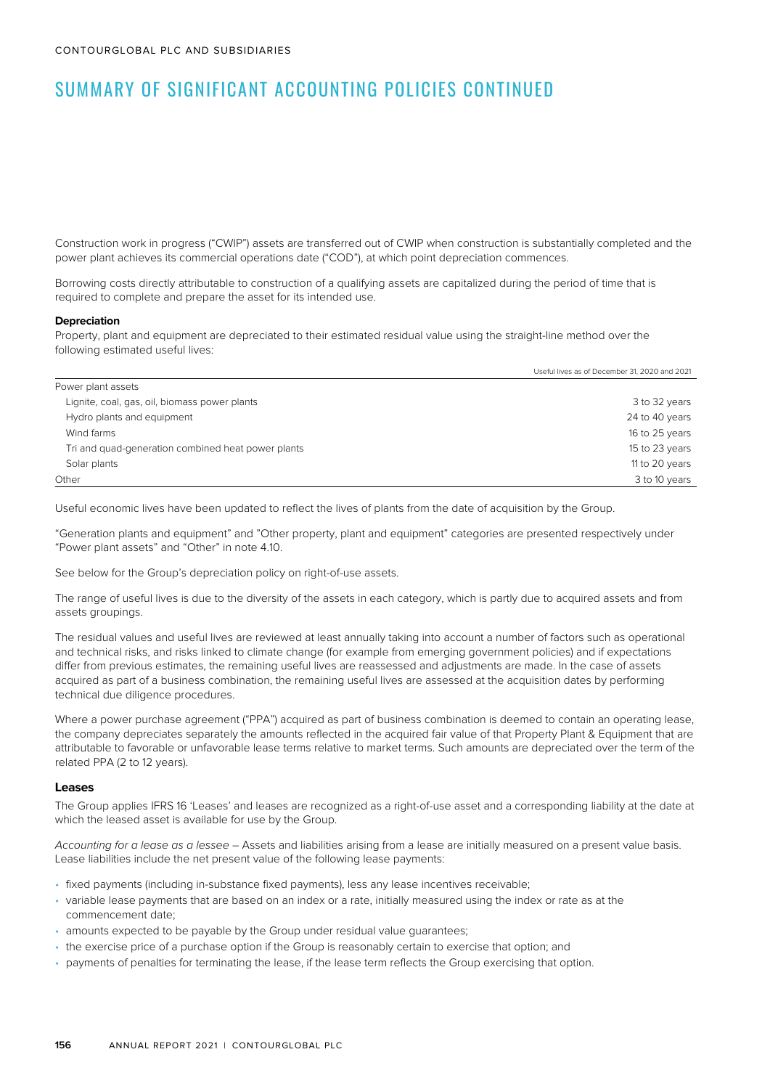Construction work in progress ("CWIP") assets are transferred out of CWIP when construction is substantially completed and the power plant achieves its commercial operations date ("COD"), at which point depreciation commences.

Borrowing costs directly attributable to construction of a qualifying assets are capitalized during the period of time that is required to complete and prepare the asset for its intended use.

#### **Depreciation**

Property, plant and equipment are depreciated to their estimated residual value using the straight-line method over the following estimated useful lives:

|                                                    | Useful lives as of December 31, 2020 and 2021 |
|----------------------------------------------------|-----------------------------------------------|
| Power plant assets                                 |                                               |
| Lignite, coal, gas, oil, biomass power plants      | 3 to 32 years                                 |
| Hydro plants and equipment                         | 24 to 40 years                                |
| Wind farms                                         | 16 to 25 years                                |
| Tri and quad-generation combined heat power plants | 15 to 23 years                                |
| Solar plants                                       | 11 to 20 years                                |
| Other                                              | 3 to 10 years                                 |

Useful economic lives have been updated to reflect the lives of plants from the date of acquisition by the Group.

"Generation plants and equipment" and "Other property, plant and equipment" categories are presented respectively under "Power plant assets" and "Other" in note 4.10.

See below for the Group's depreciation policy on right-of-use assets.

The range of useful lives is due to the diversity of the assets in each category, which is partly due to acquired assets and from assets groupings.

The residual values and useful lives are reviewed at least annually taking into account a number of factors such as operational and technical risks, and risks linked to climate change (for example from emerging government policies) and if expectations differ from previous estimates, the remaining useful lives are reassessed and adjustments are made. In the case of assets acquired as part of a business combination, the remaining useful lives are assessed at the acquisition dates by performing technical due diligence procedures.

Where a power purchase agreement ("PPA") acquired as part of business combination is deemed to contain an operating lease, the company depreciates separately the amounts reflected in the acquired fair value of that Property Plant & Equipment that are attributable to favorable or unfavorable lease terms relative to market terms. Such amounts are depreciated over the term of the related PPA (2 to 12 years).

#### **Leases**

The Group applies IFRS 16 'Leases' and leases are recognized as a right-of-use asset and a corresponding liability at the date at which the leased asset is available for use by the Group.

Accounting for a lease as a lessee – Assets and liabilities arising from a lease are initially measured on a present value basis. Lease liabilities include the net present value of the following lease payments:

- fixed payments (including in-substance fixed payments), less any lease incentives receivable;
- variable lease payments that are based on an index or a rate, initially measured using the index or rate as at the commencement date;
- amounts expected to be payable by the Group under residual value guarantees;
- the exercise price of a purchase option if the Group is reasonably certain to exercise that option; and
- payments of penalties for terminating the lease, if the lease term reflects the Group exercising that option.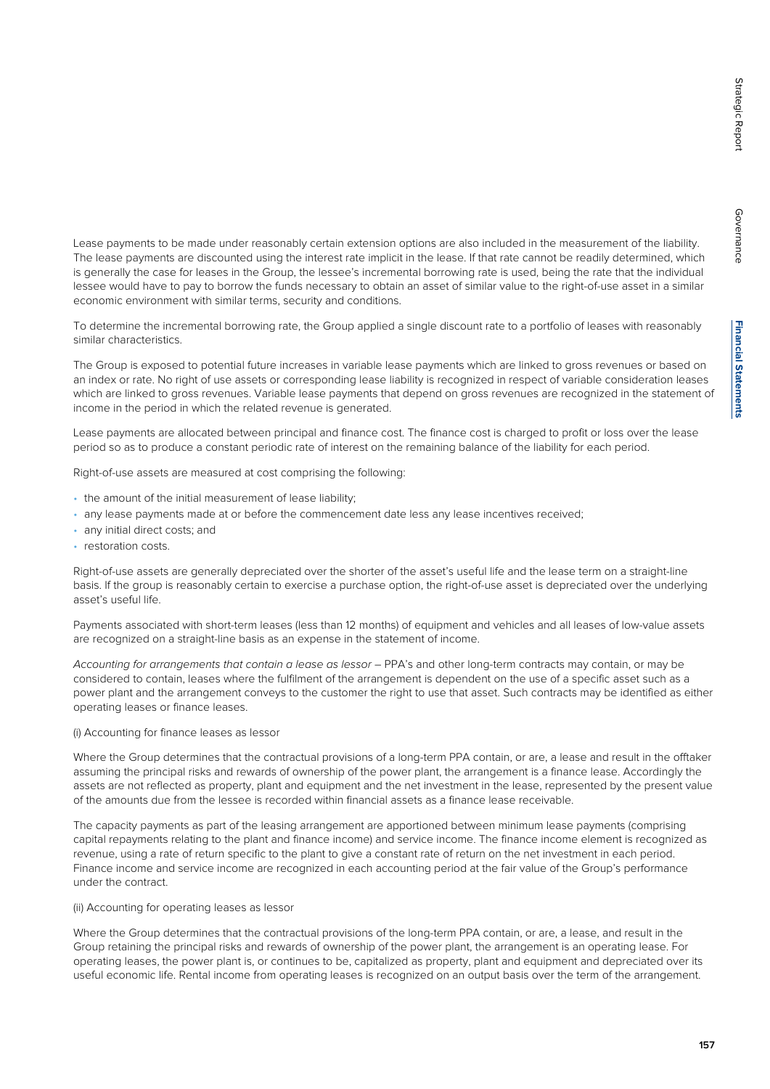Lease payments to be made under reasonably certain extension options are also included in the measurement of the liability. The lease payments are discounted using the interest rate implicit in the lease. If that rate cannot be readily determined, which is generally the case for leases in the Group, the lessee's incremental borrowing rate is used, being the rate that the individual lessee would have to pay to borrow the funds necessary to obtain an asset of similar value to the right-of-use asset in a similar economic environment with similar terms, security and conditions.

To determine the incremental borrowing rate, the Group applied a single discount rate to a portfolio of leases with reasonably similar characteristics.

The Group is exposed to potential future increases in variable lease payments which are linked to gross revenues or based on an index or rate. No right of use assets or corresponding lease liability is recognized in respect of variable consideration leases which are linked to gross revenues. Variable lease payments that depend on gross revenues are recognized in the statement of income in the period in which the related revenue is generated.

Lease payments are allocated between principal and finance cost. The finance cost is charged to profit or loss over the lease period so as to produce a constant periodic rate of interest on the remaining balance of the liability for each period.

Right-of-use assets are measured at cost comprising the following:

- the amount of the initial measurement of lease liability;
- any lease payments made at or before the commencement date less any lease incentives received;
- any initial direct costs; and
- restoration costs.

Right-of-use assets are generally depreciated over the shorter of the asset's useful life and the lease term on a straight-line basis. If the group is reasonably certain to exercise a purchase option, the right-of-use asset is depreciated over the underlying asset's useful life.

Payments associated with short-term leases (less than 12 months) of equipment and vehicles and all leases of low-value assets are recognized on a straight-line basis as an expense in the statement of income.

Accounting for arrangements that contain a lease as lessor – PPA's and other long-term contracts may contain, or may be considered to contain, leases where the fulfilment of the arrangement is dependent on the use of a specific asset such as a power plant and the arrangement conveys to the customer the right to use that asset. Such contracts may be identified as either operating leases or finance leases.

#### (i) Accounting for finance leases as lessor

Where the Group determines that the contractual provisions of a long-term PPA contain, or are, a lease and result in the offtaker assuming the principal risks and rewards of ownership of the power plant, the arrangement is a finance lease. Accordingly the assets are not reflected as property, plant and equipment and the net investment in the lease, represented by the present value of the amounts due from the lessee is recorded within financial assets as a finance lease receivable.

The capacity payments as part of the leasing arrangement are apportioned between minimum lease payments (comprising capital repayments relating to the plant and finance income) and service income. The finance income element is recognized as revenue, using a rate of return specific to the plant to give a constant rate of return on the net investment in each period. Finance income and service income are recognized in each accounting period at the fair value of the Group's performance under the contract.

#### (ii) Accounting for operating leases as lessor

Where the Group determines that the contractual provisions of the long-term PPA contain, or are, a lease, and result in the Group retaining the principal risks and rewards of ownership of the power plant, the arrangement is an operating lease. For operating leases, the power plant is, or continues to be, capitalized as property, plant and equipment and depreciated over its useful economic life. Rental income from operating leases is recognized on an output basis over the term of the arrangement.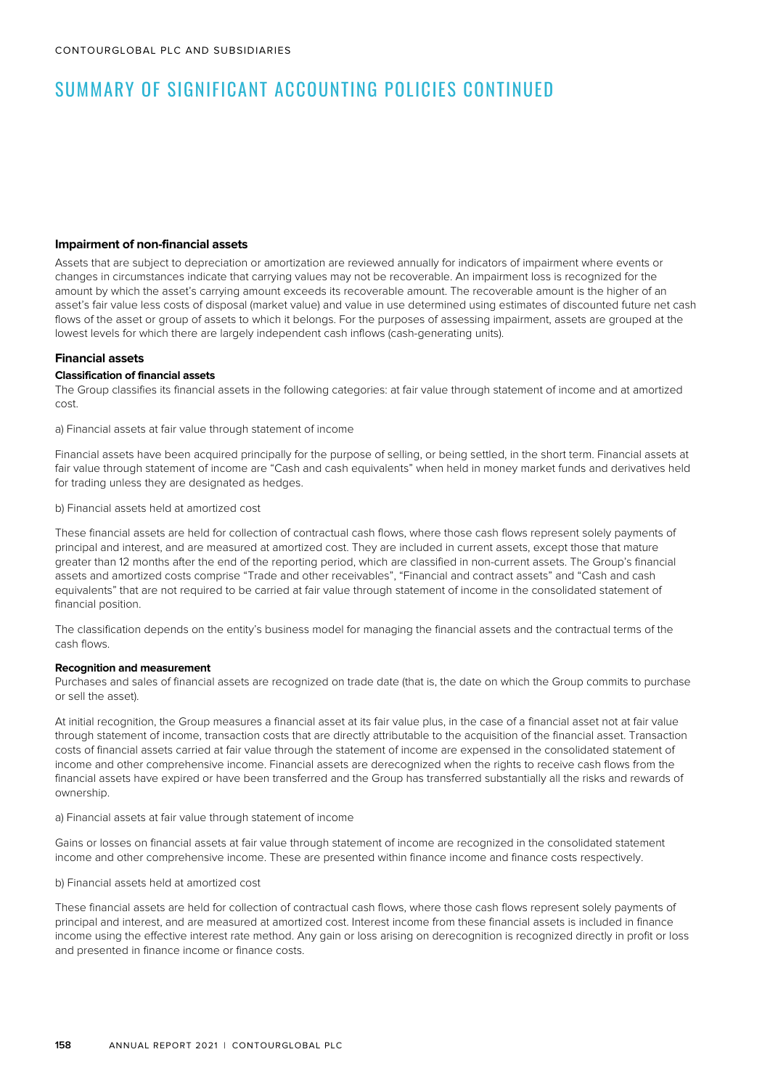#### **Impairment of non-financial assets**

Assets that are subject to depreciation or amortization are reviewed annually for indicators of impairment where events or changes in circumstances indicate that carrying values may not be recoverable. An impairment loss is recognized for the amount by which the asset's carrying amount exceeds its recoverable amount. The recoverable amount is the higher of an asset's fair value less costs of disposal (market value) and value in use determined using estimates of discounted future net cash flows of the asset or group of assets to which it belongs. For the purposes of assessing impairment, assets are grouped at the lowest levels for which there are largely independent cash inflows (cash-generating units).

#### **Financial assets**

#### **Classification of financial assets**

The Group classifies its financial assets in the following categories: at fair value through statement of income and at amortized cost.

a) Financial assets at fair value through statement of income

Financial assets have been acquired principally for the purpose of selling, or being settled, in the short term. Financial assets at fair value through statement of income are "Cash and cash equivalents" when held in money market funds and derivatives held for trading unless they are designated as hedges.

b) Financial assets held at amortized cost

These financial assets are held for collection of contractual cash flows, where those cash flows represent solely payments of principal and interest, and are measured at amortized cost. They are included in current assets, except those that mature greater than 12 months after the end of the reporting period, which are classified in non-current assets. The Group's financial assets and amortized costs comprise "Trade and other receivables", "Financial and contract assets" and "Cash and cash equivalents" that are not required to be carried at fair value through statement of income in the consolidated statement of financial position.

The classification depends on the entity's business model for managing the financial assets and the contractual terms of the cash flows.

#### **Recognition and measurement**

Purchases and sales of financial assets are recognized on trade date (that is, the date on which the Group commits to purchase or sell the asset).

At initial recognition, the Group measures a financial asset at its fair value plus, in the case of a financial asset not at fair value through statement of income, transaction costs that are directly attributable to the acquisition of the financial asset. Transaction costs of financial assets carried at fair value through the statement of income are expensed in the consolidated statement of income and other comprehensive income. Financial assets are derecognized when the rights to receive cash flows from the financial assets have expired or have been transferred and the Group has transferred substantially all the risks and rewards of ownership.

a) Financial assets at fair value through statement of income

Gains or losses on financial assets at fair value through statement of income are recognized in the consolidated statement income and other comprehensive income. These are presented within finance income and finance costs respectively.

b) Financial assets held at amortized cost

These financial assets are held for collection of contractual cash flows, where those cash flows represent solely payments of principal and interest, and are measured at amortized cost. Interest income from these financial assets is included in finance income using the effective interest rate method. Any gain or loss arising on derecognition is recognized directly in profit or loss and presented in finance income or finance costs.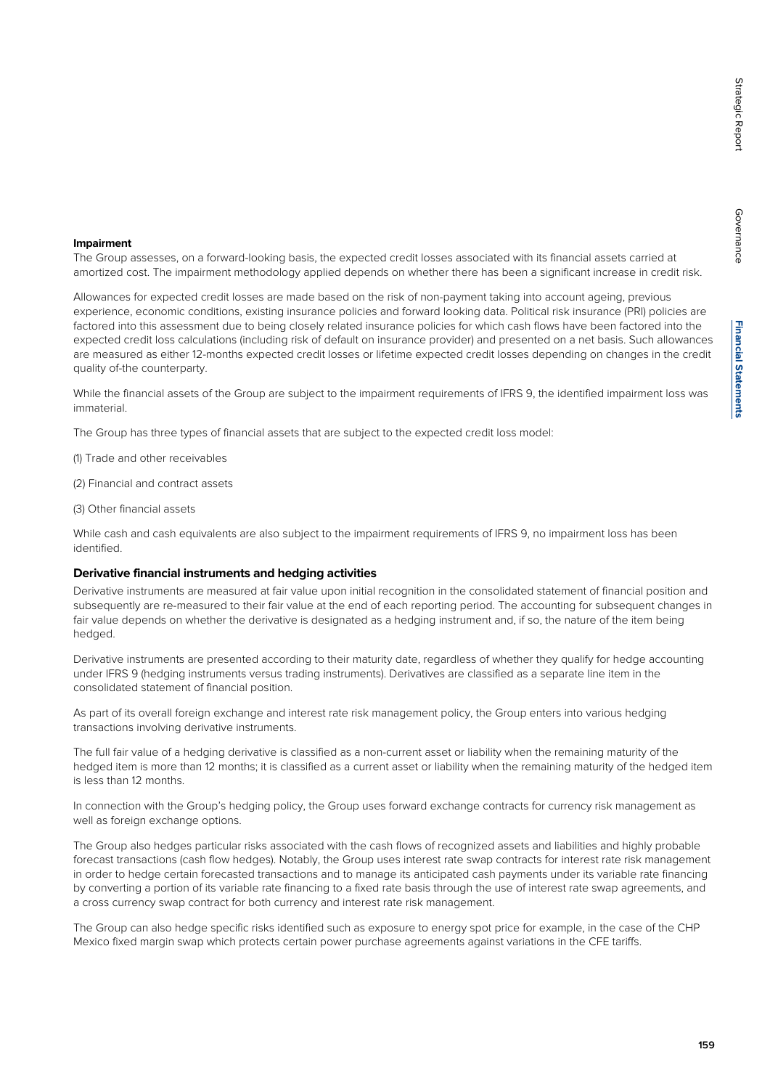Governance

Governance

#### **Impairment**

The Group assesses, on a forward-looking basis, the expected credit losses associated with its financial assets carried at amortized cost. The impairment methodology applied depends on whether there has been a significant increase in credit risk.

Allowances for expected credit losses are made based on the risk of non-payment taking into account ageing, previous experience, economic conditions, existing insurance policies and forward looking data. Political risk insurance (PRI) policies are factored into this assessment due to being closely related insurance policies for which cash flows have been factored into the expected credit loss calculations (including risk of default on insurance provider) and presented on a net basis. Such allowances are measured as either 12-months expected credit losses or lifetime expected credit losses depending on changes in the credit quality of-the counterparty.

While the financial assets of the Group are subject to the impairment requirements of IFRS 9, the identified impairment loss was immaterial.

The Group has three types of financial assets that are subject to the expected credit loss model:

(1) Trade and other receivables

(2) Financial and contract assets

(3) Other financial assets

While cash and cash equivalents are also subject to the impairment requirements of IFRS 9, no impairment loss has been identified.

#### **Derivative financial instruments and hedging activities**

Derivative instruments are measured at fair value upon initial recognition in the consolidated statement of financial position and subsequently are re-measured to their fair value at the end of each reporting period. The accounting for subsequent changes in fair value depends on whether the derivative is designated as a hedging instrument and, if so, the nature of the item being hedged.

Derivative instruments are presented according to their maturity date, regardless of whether they qualify for hedge accounting under IFRS 9 (hedging instruments versus trading instruments). Derivatives are classified as a separate line item in the consolidated statement of financial position.

As part of its overall foreign exchange and interest rate risk management policy, the Group enters into various hedging transactions involving derivative instruments.

The full fair value of a hedging derivative is classified as a non-current asset or liability when the remaining maturity of the hedged item is more than 12 months; it is classified as a current asset or liability when the remaining maturity of the hedged item is less than 12 months.

In connection with the Group's hedging policy, the Group uses forward exchange contracts for currency risk management as well as foreign exchange options.

The Group also hedges particular risks associated with the cash flows of recognized assets and liabilities and highly probable forecast transactions (cash flow hedges). Notably, the Group uses interest rate swap contracts for interest rate risk management in order to hedge certain forecasted transactions and to manage its anticipated cash payments under its variable rate financing by converting a portion of its variable rate financing to a fixed rate basis through the use of interest rate swap agreements, and a cross currency swap contract for both currency and interest rate risk management.

The Group can also hedge specific risks identified such as exposure to energy spot price for example, in the case of the CHP Mexico fixed margin swap which protects certain power purchase agreements against variations in the CFE tariffs.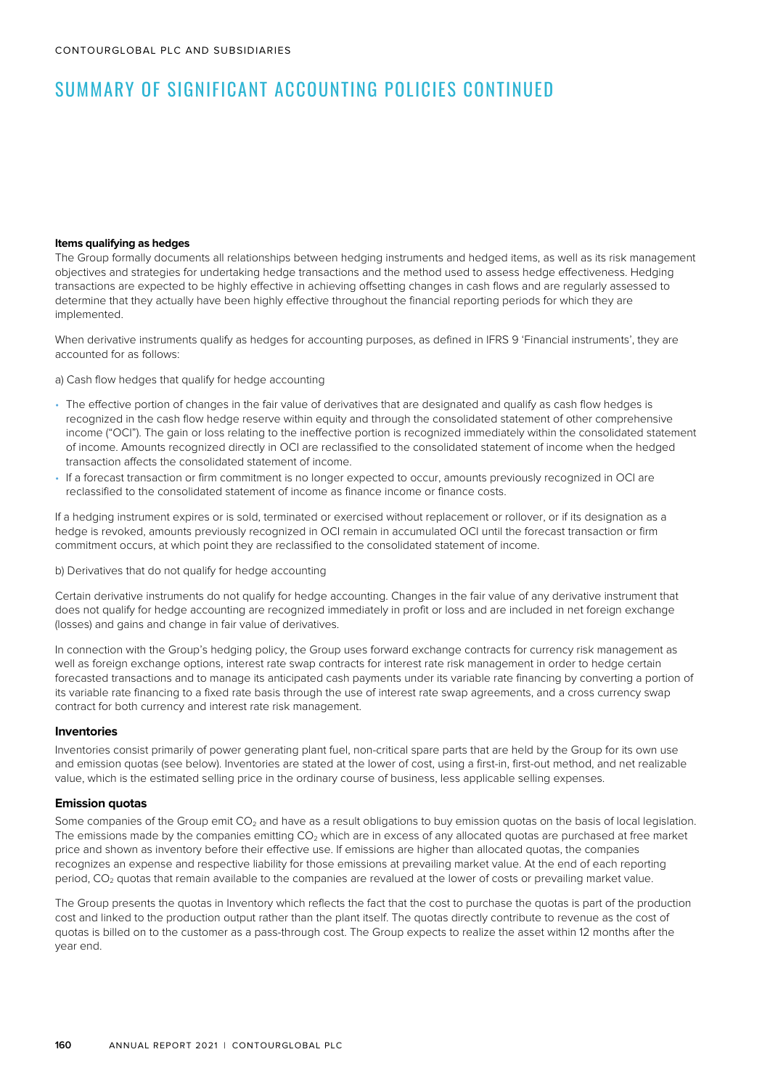#### **Items qualifying as hedges**

The Group formally documents all relationships between hedging instruments and hedged items, as well as its risk management objectives and strategies for undertaking hedge transactions and the method used to assess hedge effectiveness. Hedging transactions are expected to be highly effective in achieving offsetting changes in cash flows and are regularly assessed to determine that they actually have been highly effective throughout the financial reporting periods for which they are implemented.

When derivative instruments qualify as hedges for accounting purposes, as defined in IFRS 9 'Financial instruments', they are accounted for as follows:

a) Cash flow hedges that qualify for hedge accounting

- The effective portion of changes in the fair value of derivatives that are designated and qualify as cash flow hedges is recognized in the cash flow hedge reserve within equity and through the consolidated statement of other comprehensive income ("OCI"). The gain or loss relating to the ineffective portion is recognized immediately within the consolidated statement of income. Amounts recognized directly in OCI are reclassified to the consolidated statement of income when the hedged transaction affects the consolidated statement of income.
- If a forecast transaction or firm commitment is no longer expected to occur, amounts previously recognized in OCI are reclassified to the consolidated statement of income as finance income or finance costs.

If a hedging instrument expires or is sold, terminated or exercised without replacement or rollover, or if its designation as a hedge is revoked, amounts previously recognized in OCI remain in accumulated OCI until the forecast transaction or firm commitment occurs, at which point they are reclassified to the consolidated statement of income.

b) Derivatives that do not qualify for hedge accounting

Certain derivative instruments do not qualify for hedge accounting. Changes in the fair value of any derivative instrument that does not qualify for hedge accounting are recognized immediately in profit or loss and are included in net foreign exchange (losses) and gains and change in fair value of derivatives.

In connection with the Group's hedging policy, the Group uses forward exchange contracts for currency risk management as well as foreign exchange options, interest rate swap contracts for interest rate risk management in order to hedge certain forecasted transactions and to manage its anticipated cash payments under its variable rate financing by converting a portion of its variable rate financing to a fixed rate basis through the use of interest rate swap agreements, and a cross currency swap contract for both currency and interest rate risk management.

#### **Inventories**

Inventories consist primarily of power generating plant fuel, non-critical spare parts that are held by the Group for its own use and emission quotas (see below). Inventories are stated at the lower of cost, using a first-in, first-out method, and net realizable value, which is the estimated selling price in the ordinary course of business, less applicable selling expenses.

#### **Emission quotas**

Some companies of the Group emit CO<sub>2</sub> and have as a result obligations to buy emission quotas on the basis of local legislation. The emissions made by the companies emitting  $CO<sub>2</sub>$  which are in excess of any allocated quotas are purchased at free market price and shown as inventory before their effective use. If emissions are higher than allocated quotas, the companies recognizes an expense and respective liability for those emissions at prevailing market value. At the end of each reporting period, CO<sub>2</sub> quotas that remain available to the companies are revalued at the lower of costs or prevailing market value.

The Group presents the quotas in Inventory which reflects the fact that the cost to purchase the quotas is part of the production cost and linked to the production output rather than the plant itself. The quotas directly contribute to revenue as the cost of quotas is billed on to the customer as a pass-through cost. The Group expects to realize the asset within 12 months after the year end.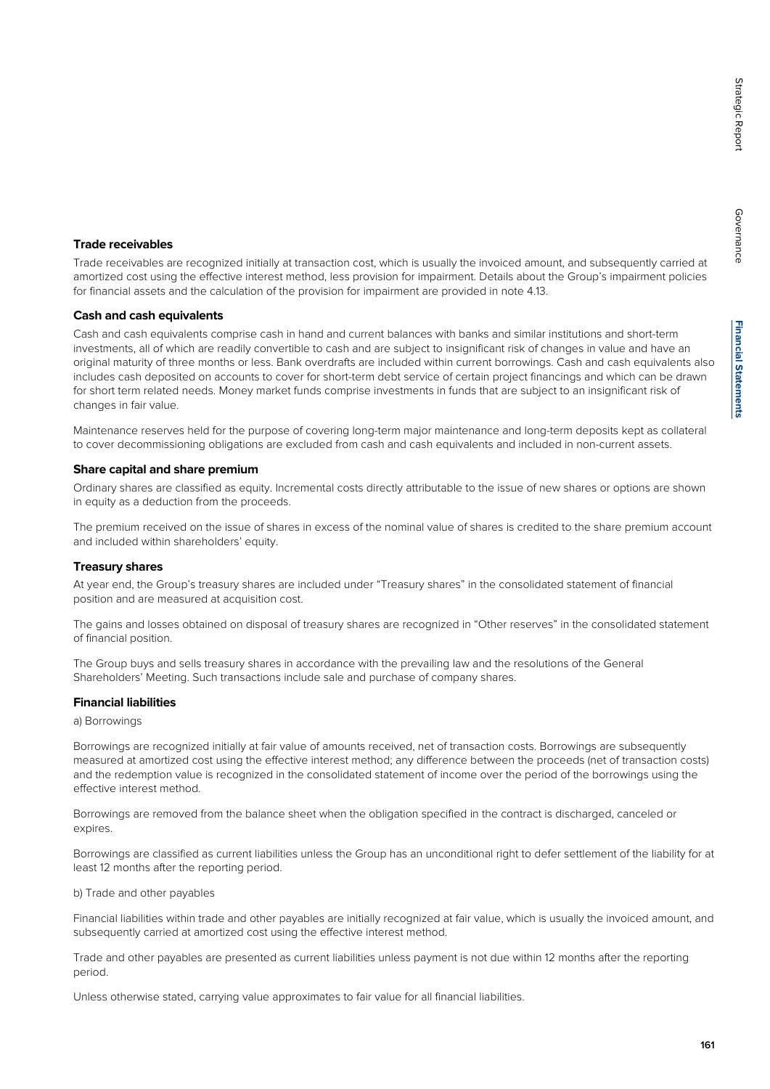Governance

Governance

#### **Trade receivables**

Trade receivables are recognized initially at transaction cost, which is usually the invoiced amount, and subsequently carried at amortized cost using the effective interest method, less provision for impairment. Details about the Group's impairment policies for financial assets and the calculation of the provision for impairment are provided in note 4.13.

#### **Cash and cash equivalents**

Cash and cash equivalents comprise cash in hand and current balances with banks and similar institutions and short-term investments, all of which are readily convertible to cash and are subject to insignificant risk of changes in value and have an original maturity of three months or less. Bank overdrafts are included within current borrowings. Cash and cash equivalents also includes cash deposited on accounts to cover for short-term debt service of certain project financings and which can be drawn for short term related needs. Money market funds comprise investments in funds that are subject to an insignificant risk of changes in fair value.

Maintenance reserves held for the purpose of covering long-term major maintenance and long-term deposits kept as collateral to cover decommissioning obligations are excluded from cash and cash equivalents and included in non-current assets.

#### **Share capital and share premium**

Ordinary shares are classified as equity. Incremental costs directly attributable to the issue of new shares or options are shown in equity as a deduction from the proceeds.

The premium received on the issue of shares in excess of the nominal value of shares is credited to the share premium account and included within shareholders' equity.

#### **Treasury shares**

At year end, the Group's treasury shares are included under "Treasury shares" in the consolidated statement of financial position and are measured at acquisition cost.

The gains and losses obtained on disposal of treasury shares are recognized in "Other reserves" in the consolidated statement of financial position.

The Group buys and sells treasury shares in accordance with the prevailing law and the resolutions of the General Shareholders' Meeting. Such transactions include sale and purchase of company shares.

#### **Financial liabilities**

a) Borrowings

Borrowings are recognized initially at fair value of amounts received, net of transaction costs. Borrowings are subsequently measured at amortized cost using the effective interest method; any difference between the proceeds (net of transaction costs) and the redemption value is recognized in the consolidated statement of income over the period of the borrowings using the effective interest method.

Borrowings are removed from the balance sheet when the obligation specified in the contract is discharged, canceled or expires.

Borrowings are classified as current liabilities unless the Group has an unconditional right to defer settlement of the liability for at least 12 months after the reporting period.

b) Trade and other payables

Financial liabilities within trade and other payables are initially recognized at fair value, which is usually the invoiced amount, and subsequently carried at amortized cost using the effective interest method.

Trade and other payables are presented as current liabilities unless payment is not due within 12 months after the reporting period.

Unless otherwise stated, carrying value approximates to fair value for all financial liabilities.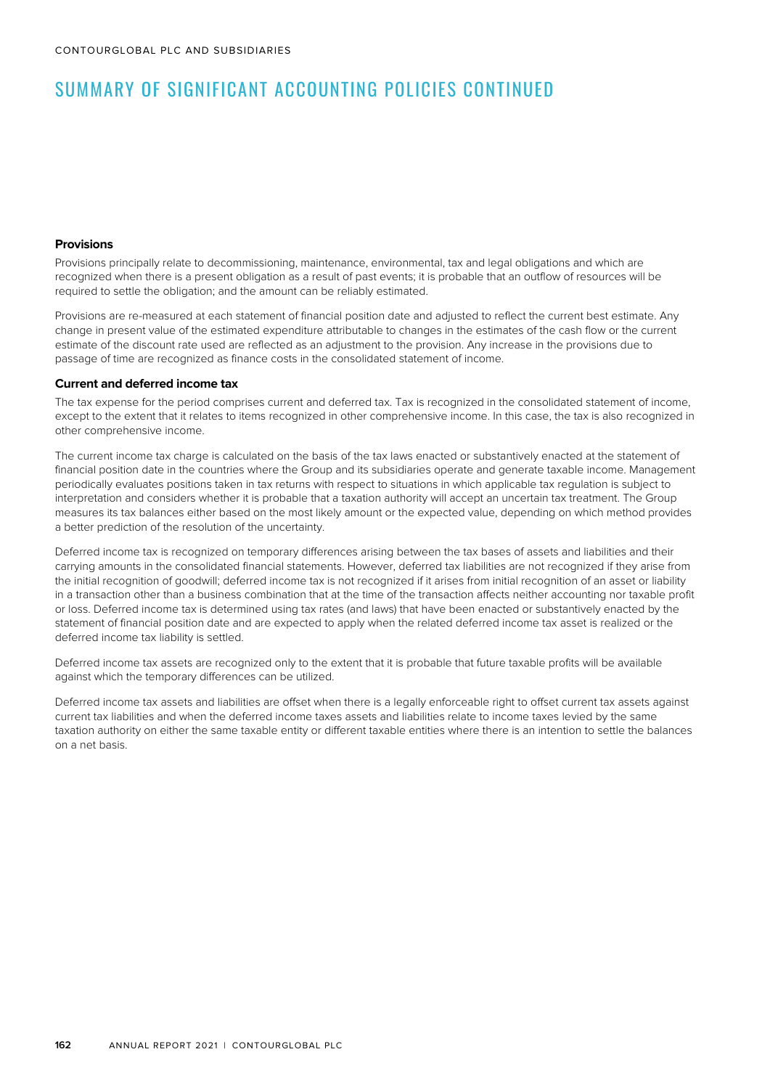#### **Provisions**

Provisions principally relate to decommissioning, maintenance, environmental, tax and legal obligations and which are recognized when there is a present obligation as a result of past events; it is probable that an outflow of resources will be required to settle the obligation; and the amount can be reliably estimated.

Provisions are re-measured at each statement of financial position date and adjusted to reflect the current best estimate. Any change in present value of the estimated expenditure attributable to changes in the estimates of the cash flow or the current estimate of the discount rate used are reflected as an adjustment to the provision. Any increase in the provisions due to passage of time are recognized as finance costs in the consolidated statement of income.

#### **Current and deferred income tax**

The tax expense for the period comprises current and deferred tax. Tax is recognized in the consolidated statement of income, except to the extent that it relates to items recognized in other comprehensive income. In this case, the tax is also recognized in other comprehensive income.

The current income tax charge is calculated on the basis of the tax laws enacted or substantively enacted at the statement of financial position date in the countries where the Group and its subsidiaries operate and generate taxable income. Management periodically evaluates positions taken in tax returns with respect to situations in which applicable tax regulation is subject to interpretation and considers whether it is probable that a taxation authority will accept an uncertain tax treatment. The Group measures its tax balances either based on the most likely amount or the expected value, depending on which method provides a better prediction of the resolution of the uncertainty.

Deferred income tax is recognized on temporary differences arising between the tax bases of assets and liabilities and their carrying amounts in the consolidated financial statements. However, deferred tax liabilities are not recognized if they arise from the initial recognition of goodwill; deferred income tax is not recognized if it arises from initial recognition of an asset or liability in a transaction other than a business combination that at the time of the transaction affects neither accounting nor taxable profit or loss. Deferred income tax is determined using tax rates (and laws) that have been enacted or substantively enacted by the statement of financial position date and are expected to apply when the related deferred income tax asset is realized or the deferred income tax liability is settled.

Deferred income tax assets are recognized only to the extent that it is probable that future taxable profits will be available against which the temporary differences can be utilized.

Deferred income tax assets and liabilities are offset when there is a legally enforceable right to offset current tax assets against current tax liabilities and when the deferred income taxes assets and liabilities relate to income taxes levied by the same taxation authority on either the same taxable entity or different taxable entities where there is an intention to settle the balances on a net basis.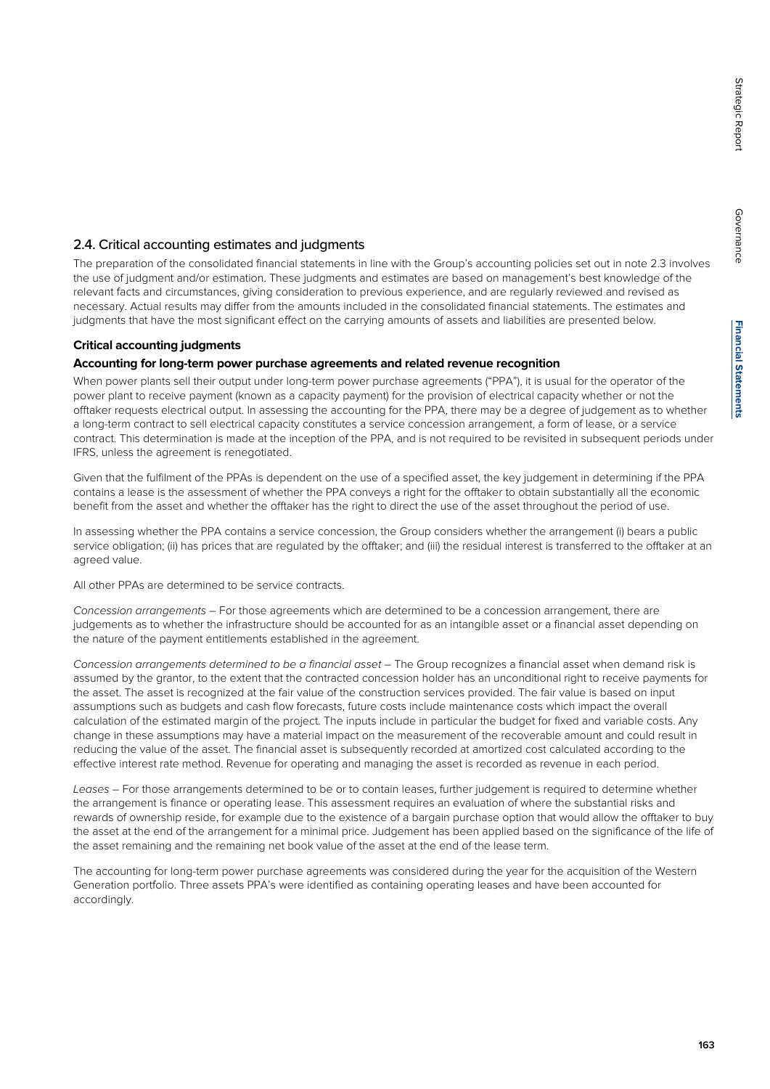Governance

Governance

#### 2.4. Critical accounting estimates and judgments

The preparation of the consolidated financial statements in line with the Group's accounting policies set out in note 2.3 involves the use of judgment and/or estimation. These judgments and estimates are based on management's best knowledge of the relevant facts and circumstances, giving consideration to previous experience, and are regularly reviewed and revised as necessary. Actual results may differ from the amounts included in the consolidated financial statements. The estimates and judgments that have the most significant effect on the carrying amounts of assets and liabilities are presented below.

#### **Critical accounting judgments**

#### **Accounting for long-term power purchase agreements and related revenue recognition**

When power plants sell their output under long-term power purchase agreements ("PPA"), it is usual for the operator of the power plant to receive payment (known as a capacity payment) for the provision of electrical capacity whether or not the offtaker requests electrical output. In assessing the accounting for the PPA, there may be a degree of judgement as to whether a long-term contract to sell electrical capacity constitutes a service concession arrangement, a form of lease, or a service contract. This determination is made at the inception of the PPA, and is not required to be revisited in subsequent periods under IFRS, unless the agreement is renegotiated.

Given that the fulfilment of the PPAs is dependent on the use of a specified asset, the key judgement in determining if the PPA contains a lease is the assessment of whether the PPA conveys a right for the offtaker to obtain substantially all the economic benefit from the asset and whether the offtaker has the right to direct the use of the asset throughout the period of use.

In assessing whether the PPA contains a service concession, the Group considers whether the arrangement (i) bears a public service obligation; (ii) has prices that are regulated by the offtaker; and (iii) the residual interest is transferred to the offtaker at an agreed value.

All other PPAs are determined to be service contracts.

Concession arrangements – For those agreements which are determined to be a concession arrangement, there are judgements as to whether the infrastructure should be accounted for as an intangible asset or a financial asset depending on the nature of the payment entitlements established in the agreement.

Concession arrangements determined to be a financial asset – The Group recognizes a financial asset when demand risk is assumed by the grantor, to the extent that the contracted concession holder has an unconditional right to receive payments for the asset. The asset is recognized at the fair value of the construction services provided. The fair value is based on input assumptions such as budgets and cash flow forecasts, future costs include maintenance costs which impact the overall calculation of the estimated margin of the project. The inputs include in particular the budget for fixed and variable costs. Any change in these assumptions may have a material impact on the measurement of the recoverable amount and could result in reducing the value of the asset. The financial asset is subsequently recorded at amortized cost calculated according to the effective interest rate method. Revenue for operating and managing the asset is recorded as revenue in each period.

Leases – For those arrangements determined to be or to contain leases, further judgement is required to determine whether the arrangement is finance or operating lease. This assessment requires an evaluation of where the substantial risks and rewards of ownership reside, for example due to the existence of a bargain purchase option that would allow the offtaker to buy the asset at the end of the arrangement for a minimal price. Judgement has been applied based on the significance of the life of the asset remaining and the remaining net book value of the asset at the end of the lease term.

The accounting for long-term power purchase agreements was considered during the year for the acquisition of the Western Generation portfolio. Three assets PPA's were identified as containing operating leases and have been accounted for accordingly.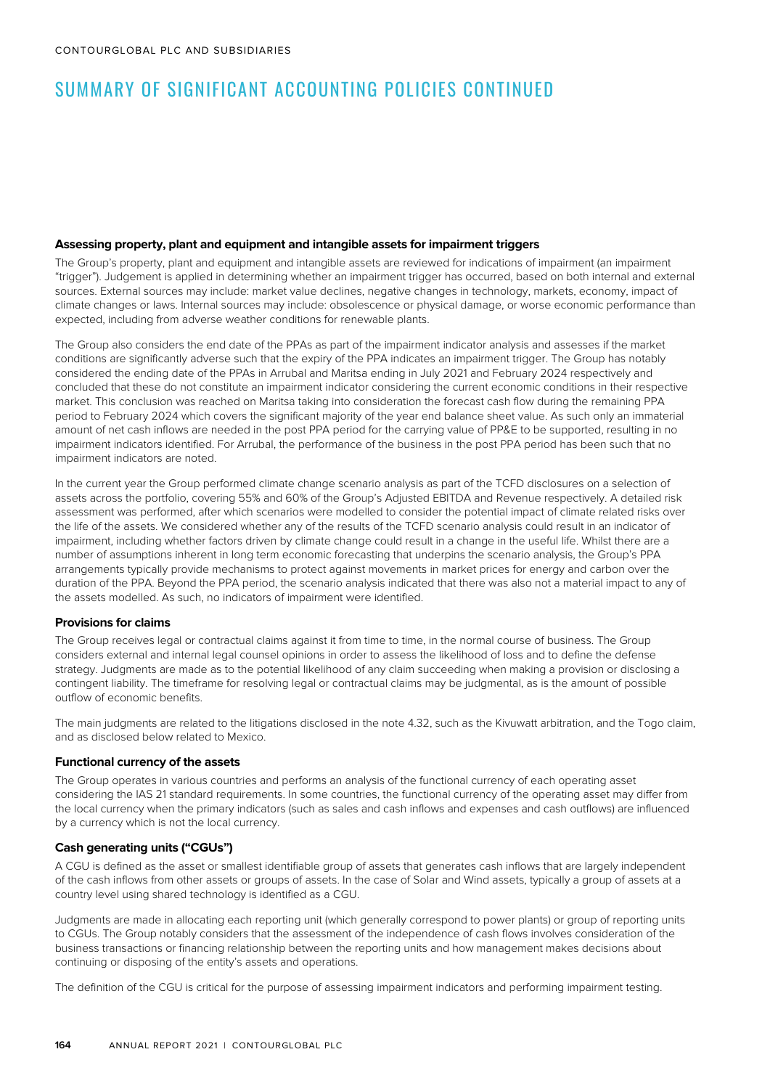#### **Assessing property, plant and equipment and intangible assets for impairment triggers**

The Group's property, plant and equipment and intangible assets are reviewed for indications of impairment (an impairment "trigger"). Judgement is applied in determining whether an impairment trigger has occurred, based on both internal and external sources. External sources may include: market value declines, negative changes in technology, markets, economy, impact of climate changes or laws. Internal sources may include: obsolescence or physical damage, or worse economic performance than expected, including from adverse weather conditions for renewable plants.

The Group also considers the end date of the PPAs as part of the impairment indicator analysis and assesses if the market conditions are significantly adverse such that the expiry of the PPA indicates an impairment trigger. The Group has notably considered the ending date of the PPAs in Arrubal and Maritsa ending in July 2021 and February 2024 respectively and concluded that these do not constitute an impairment indicator considering the current economic conditions in their respective market. This conclusion was reached on Maritsa taking into consideration the forecast cash flow during the remaining PPA period to February 2024 which covers the significant majority of the year end balance sheet value. As such only an immaterial amount of net cash inflows are needed in the post PPA period for the carrying value of PP&E to be supported, resulting in no impairment indicators identified. For Arrubal, the performance of the business in the post PPA period has been such that no impairment indicators are noted.

In the current year the Group performed climate change scenario analysis as part of the TCFD disclosures on a selection of assets across the portfolio, covering 55% and 60% of the Group's Adjusted EBITDA and Revenue respectively. A detailed risk assessment was performed, after which scenarios were modelled to consider the potential impact of climate related risks over the life of the assets. We considered whether any of the results of the TCFD scenario analysis could result in an indicator of impairment, including whether factors driven by climate change could result in a change in the useful life. Whilst there are a number of assumptions inherent in long term economic forecasting that underpins the scenario analysis, the Group's PPA arrangements typically provide mechanisms to protect against movements in market prices for energy and carbon over the duration of the PPA. Beyond the PPA period, the scenario analysis indicated that there was also not a material impact to any of the assets modelled. As such, no indicators of impairment were identified.

#### **Provisions for claims**

The Group receives legal or contractual claims against it from time to time, in the normal course of business. The Group considers external and internal legal counsel opinions in order to assess the likelihood of loss and to define the defense strategy. Judgments are made as to the potential likelihood of any claim succeeding when making a provision or disclosing a contingent liability. The timeframe for resolving legal or contractual claims may be judgmental, as is the amount of possible outflow of economic benefits.

The main judgments are related to the litigations disclosed in the note 4.32, such as the Kivuwatt arbitration, and the Togo claim, and as disclosed below related to Mexico.

#### **Functional currency of the assets**

The Group operates in various countries and performs an analysis of the functional currency of each operating asset considering the IAS 21 standard requirements. In some countries, the functional currency of the operating asset may differ from the local currency when the primary indicators (such as sales and cash inflows and expenses and cash outflows) are influenced by a currency which is not the local currency.

#### **Cash generating units ("CGUs")**

A CGU is defined as the asset or smallest identifiable group of assets that generates cash inflows that are largely independent of the cash inflows from other assets or groups of assets. In the case of Solar and Wind assets, typically a group of assets at a country level using shared technology is identified as a CGU.

Judgments are made in allocating each reporting unit (which generally correspond to power plants) or group of reporting units to CGUs. The Group notably considers that the assessment of the independence of cash flows involves consideration of the business transactions or financing relationship between the reporting units and how management makes decisions about continuing or disposing of the entity's assets and operations.

The definition of the CGU is critical for the purpose of assessing impairment indicators and performing impairment testing.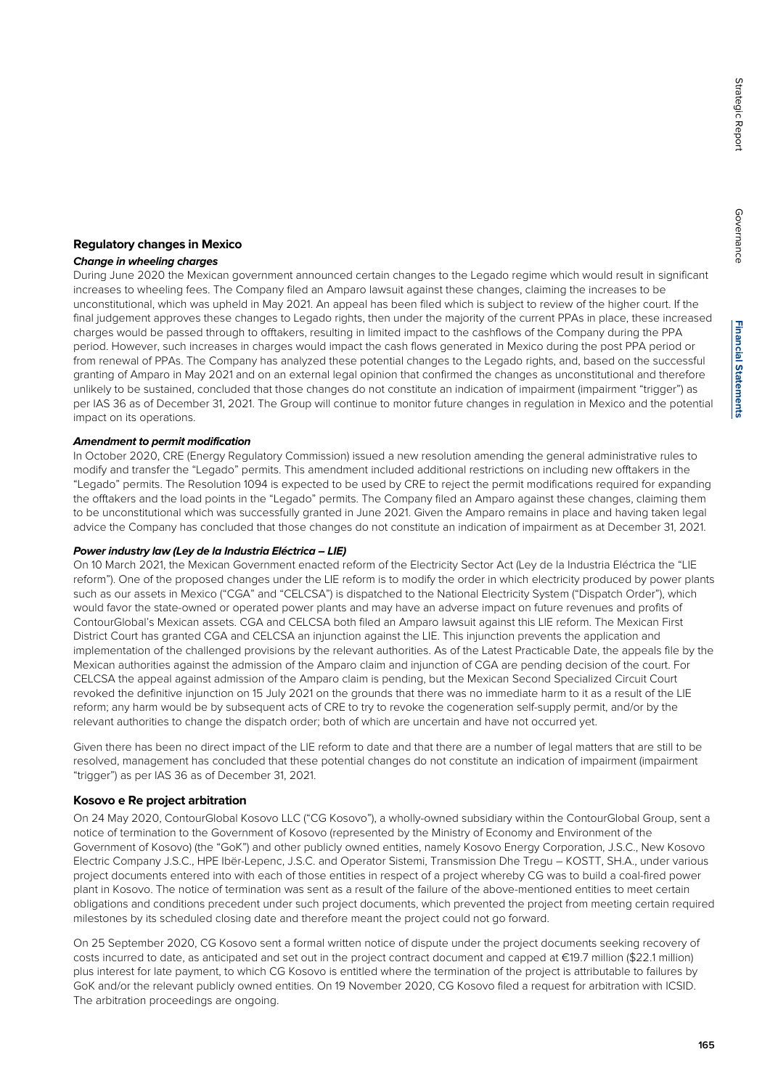Governance

Governance

#### **Regulatory changes in Mexico**

#### **Change in wheeling charges**

During June 2020 the Mexican government announced certain changes to the Legado regime which would result in significant increases to wheeling fees. The Company filed an Amparo lawsuit against these changes, claiming the increases to be unconstitutional, which was upheld in May 2021. An appeal has been filed which is subject to review of the higher court. If the final judgement approves these changes to Legado rights, then under the majority of the current PPAs in place, these increased charges would be passed through to offtakers, resulting in limited impact to the cashflows of the Company during the PPA period. However, such increases in charges would impact the cash flows generated in Mexico during the post PPA period or from renewal of PPAs. The Company has analyzed these potential changes to the Legado rights, and, based on the successful granting of Amparo in May 2021 and on an external legal opinion that confirmed the changes as unconstitutional and therefore unlikely to be sustained, concluded that those changes do not constitute an indication of impairment (impairment "trigger") as per IAS 36 as of December 31, 2021. The Group will continue to monitor future changes in regulation in Mexico and the potential impact on its operations.

#### **Amendment to permit modification**

In October 2020, CRE (Energy Regulatory Commission) issued a new resolution amending the general administrative rules to modify and transfer the "Legado" permits. This amendment included additional restrictions on including new offtakers in the "Legado" permits. The Resolution 1094 is expected to be used by CRE to reject the permit modifications required for expanding the offtakers and the load points in the "Legado" permits. The Company filed an Amparo against these changes, claiming them to be unconstitutional which was successfully granted in June 2021. Given the Amparo remains in place and having taken legal advice the Company has concluded that those changes do not constitute an indication of impairment as at December 31, 2021.

#### **Power industry law (Ley de la Industria Eléctrica – LIE)**

On 10 March 2021, the Mexican Government enacted reform of the Electricity Sector Act (Ley de la Industria Eléctrica the "LIE reform"). One of the proposed changes under the LIE reform is to modify the order in which electricity produced by power plants such as our assets in Mexico ("CGA" and "CELCSA") is dispatched to the National Electricity System ("Dispatch Order"), which would favor the state-owned or operated power plants and may have an adverse impact on future revenues and profits of ContourGlobal's Mexican assets. CGA and CELCSA both filed an Amparo lawsuit against this LIE reform. The Mexican First District Court has granted CGA and CELCSA an injunction against the LIE. This injunction prevents the application and implementation of the challenged provisions by the relevant authorities. As of the Latest Practicable Date, the appeals file by the Mexican authorities against the admission of the Amparo claim and injunction of CGA are pending decision of the court. For CELCSA the appeal against admission of the Amparo claim is pending, but the Mexican Second Specialized Circuit Court revoked the definitive injunction on 15 July 2021 on the grounds that there was no immediate harm to it as a result of the LIE reform; any harm would be by subsequent acts of CRE to try to revoke the cogeneration self-supply permit, and/or by the relevant authorities to change the dispatch order; both of which are uncertain and have not occurred yet.

Given there has been no direct impact of the LIE reform to date and that there are a number of legal matters that are still to be resolved, management has concluded that these potential changes do not constitute an indication of impairment (impairment "trigger") as per IAS 36 as of December 31, 2021.

#### **Kosovo e Re project arbitration**

On 24 May 2020, ContourGlobal Kosovo LLC ("CG Kosovo"), a wholly-owned subsidiary within the ContourGlobal Group, sent a notice of termination to the Government of Kosovo (represented by the Ministry of Economy and Environment of the Government of Kosovo) (the "GoK") and other publicly owned entities, namely Kosovo Energy Corporation, J.S.C., New Kosovo Electric Company J.S.C., HPE Ibër-Lepenc, J.S.C. and Operator Sistemi, Transmission Dhe Tregu – KOSTT, SH.A., under various project documents entered into with each of those entities in respect of a project whereby CG was to build a coal-fired power plant in Kosovo. The notice of termination was sent as a result of the failure of the above-mentioned entities to meet certain obligations and conditions precedent under such project documents, which prevented the project from meeting certain required milestones by its scheduled closing date and therefore meant the project could not go forward.

On 25 September 2020, CG Kosovo sent a formal written notice of dispute under the project documents seeking recovery of costs incurred to date, as anticipated and set out in the project contract document and capped at €19.7 million (\$22.1 million) plus interest for late payment, to which CG Kosovo is entitled where the termination of the project is attributable to failures by GoK and/or the relevant publicly owned entities. On 19 November 2020, CG Kosovo filed a request for arbitration with ICSID. The arbitration proceedings are ongoing.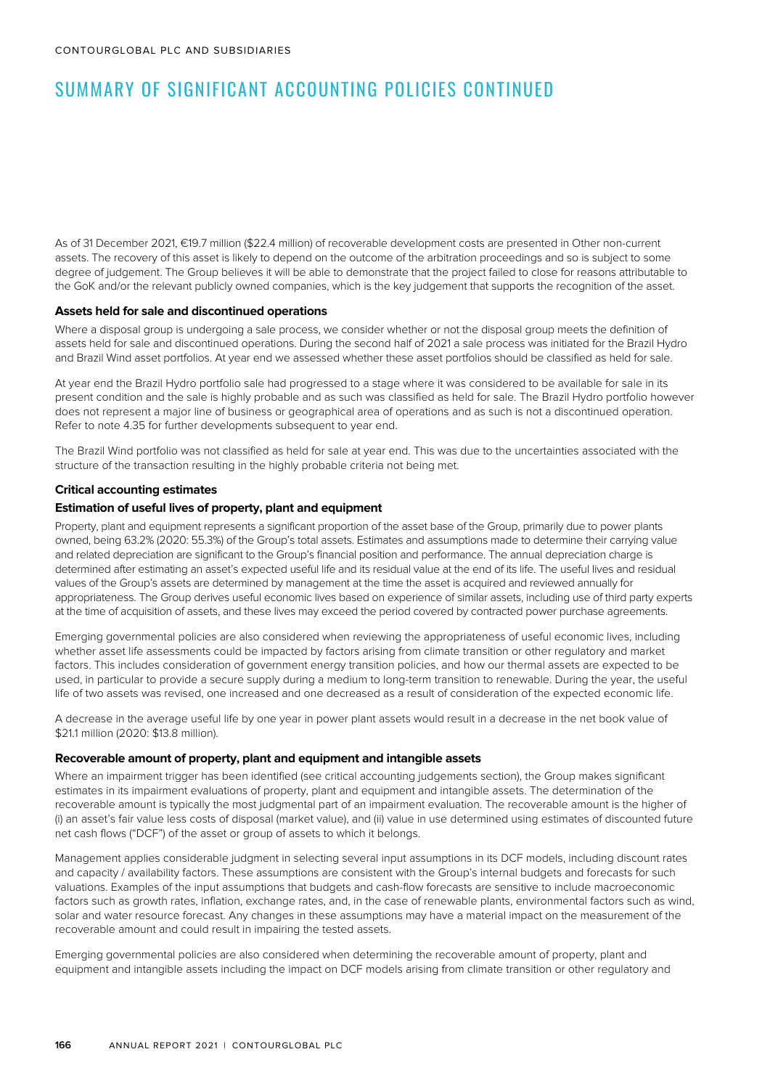As of 31 December 2021, €19.7 million (\$22.4 million) of recoverable development costs are presented in Other non-current assets. The recovery of this asset is likely to depend on the outcome of the arbitration proceedings and so is subject to some degree of judgement. The Group believes it will be able to demonstrate that the project failed to close for reasons attributable to the GoK and/or the relevant publicly owned companies, which is the key judgement that supports the recognition of the asset.

#### **Assets held for sale and discontinued operations**

Where a disposal group is undergoing a sale process, we consider whether or not the disposal group meets the definition of assets held for sale and discontinued operations. During the second half of 2021 a sale process was initiated for the Brazil Hydro and Brazil Wind asset portfolios. At year end we assessed whether these asset portfolios should be classified as held for sale.

At year end the Brazil Hydro portfolio sale had progressed to a stage where it was considered to be available for sale in its present condition and the sale is highly probable and as such was classified as held for sale. The Brazil Hydro portfolio however does not represent a major line of business or geographical area of operations and as such is not a discontinued operation. Refer to note 4.35 for further developments subsequent to year end.

The Brazil Wind portfolio was not classified as held for sale at year end. This was due to the uncertainties associated with the structure of the transaction resulting in the highly probable criteria not being met.

#### **Critical accounting estimates**

#### **Estimation of useful lives of property, plant and equipment**

Property, plant and equipment represents a significant proportion of the asset base of the Group, primarily due to power plants owned, being 63.2% (2020: 55.3%) of the Group's total assets. Estimates and assumptions made to determine their carrying value and related depreciation are significant to the Group's financial position and performance. The annual depreciation charge is determined after estimating an asset's expected useful life and its residual value at the end of its life. The useful lives and residual values of the Group's assets are determined by management at the time the asset is acquired and reviewed annually for appropriateness. The Group derives useful economic lives based on experience of similar assets, including use of third party experts at the time of acquisition of assets, and these lives may exceed the period covered by contracted power purchase agreements.

Emerging governmental policies are also considered when reviewing the appropriateness of useful economic lives, including whether asset life assessments could be impacted by factors arising from climate transition or other regulatory and market factors. This includes consideration of government energy transition policies, and how our thermal assets are expected to be used, in particular to provide a secure supply during a medium to long-term transition to renewable. During the year, the useful life of two assets was revised, one increased and one decreased as a result of consideration of the expected economic life.

A decrease in the average useful life by one year in power plant assets would result in a decrease in the net book value of \$21.1 million (2020: \$13.8 million).

#### **Recoverable amount of property, plant and equipment and intangible assets**

Where an impairment trigger has been identified (see critical accounting judgements section), the Group makes significant estimates in its impairment evaluations of property, plant and equipment and intangible assets. The determination of the recoverable amount is typically the most judgmental part of an impairment evaluation. The recoverable amount is the higher of (i) an asset's fair value less costs of disposal (market value), and (ii) value in use determined using estimates of discounted future net cash flows ("DCF") of the asset or group of assets to which it belongs.

Management applies considerable judgment in selecting several input assumptions in its DCF models, including discount rates and capacity / availability factors. These assumptions are consistent with the Group's internal budgets and forecasts for such valuations. Examples of the input assumptions that budgets and cash-flow forecasts are sensitive to include macroeconomic factors such as growth rates, inflation, exchange rates, and, in the case of renewable plants, environmental factors such as wind, solar and water resource forecast. Any changes in these assumptions may have a material impact on the measurement of the recoverable amount and could result in impairing the tested assets.

Emerging governmental policies are also considered when determining the recoverable amount of property, plant and equipment and intangible assets including the impact on DCF models arising from climate transition or other regulatory and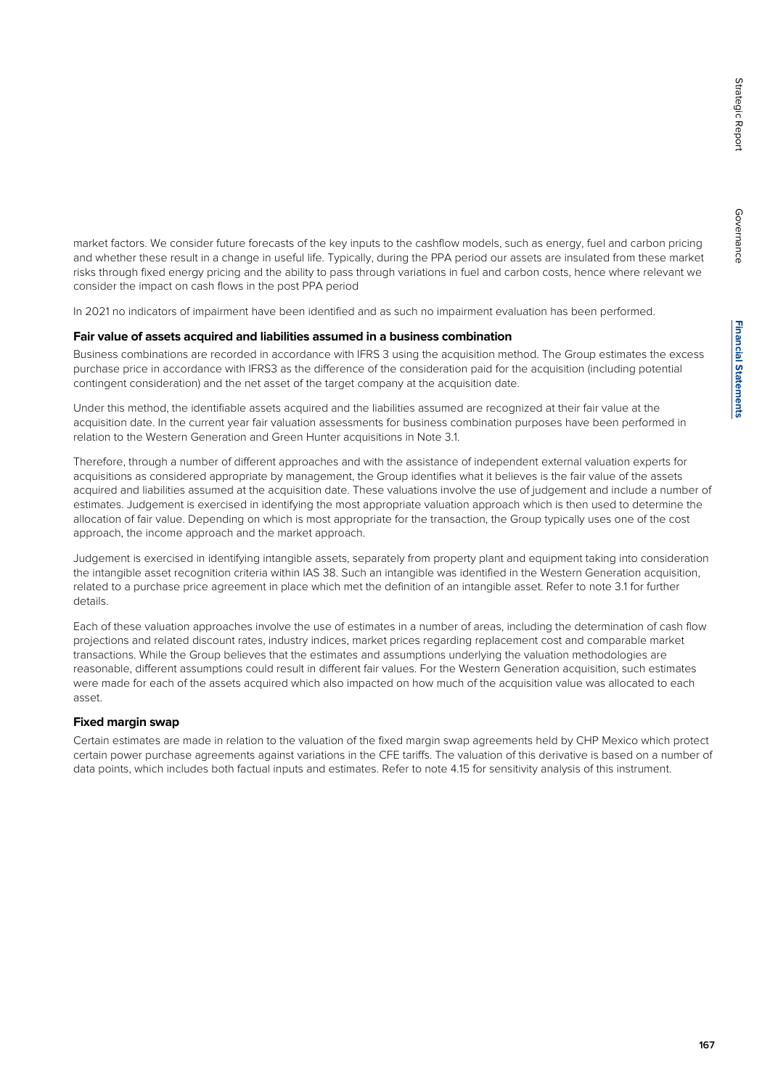**Financial Statements Financial Statements**

market factors. We consider future forecasts of the key inputs to the cashflow models, such as energy, fuel and carbon pricing and whether these result in a change in useful life. Typically, during the PPA period our assets are insulated from these market risks through fixed energy pricing and the ability to pass through variations in fuel and carbon costs, hence where relevant we consider the impact on cash flows in the post PPA period

In 2021 no indicators of impairment have been identified and as such no impairment evaluation has been performed.

#### **Fair value of assets acquired and liabilities assumed in a business combination**

Business combinations are recorded in accordance with IFRS 3 using the acquisition method. The Group estimates the excess purchase price in accordance with IFRS3 as the difference of the consideration paid for the acquisition (including potential contingent consideration) and the net asset of the target company at the acquisition date.

Under this method, the identifiable assets acquired and the liabilities assumed are recognized at their fair value at the acquisition date. In the current year fair valuation assessments for business combination purposes have been performed in relation to the Western Generation and Green Hunter acquisitions in Note 3.1.

Therefore, through a number of different approaches and with the assistance of independent external valuation experts for acquisitions as considered appropriate by management, the Group identifies what it believes is the fair value of the assets acquired and liabilities assumed at the acquisition date. These valuations involve the use of judgement and include a number of estimates. Judgement is exercised in identifying the most appropriate valuation approach which is then used to determine the allocation of fair value. Depending on which is most appropriate for the transaction, the Group typically uses one of the cost approach, the income approach and the market approach.

Judgement is exercised in identifying intangible assets, separately from property plant and equipment taking into consideration the intangible asset recognition criteria within IAS 38. Such an intangible was identified in the Western Generation acquisition, related to a purchase price agreement in place which met the definition of an intangible asset. Refer to note 3.1 for further details.

Each of these valuation approaches involve the use of estimates in a number of areas, including the determination of cash flow projections and related discount rates, industry indices, market prices regarding replacement cost and comparable market transactions. While the Group believes that the estimates and assumptions underlying the valuation methodologies are reasonable, different assumptions could result in different fair values. For the Western Generation acquisition, such estimates were made for each of the assets acquired which also impacted on how much of the acquisition value was allocated to each asset.

#### **Fixed margin swap**

Certain estimates are made in relation to the valuation of the fixed margin swap agreements held by CHP Mexico which protect certain power purchase agreements against variations in the CFE tariffs. The valuation of this derivative is based on a number of data points, which includes both factual inputs and estimates. Refer to note 4.15 for sensitivity analysis of this instrument.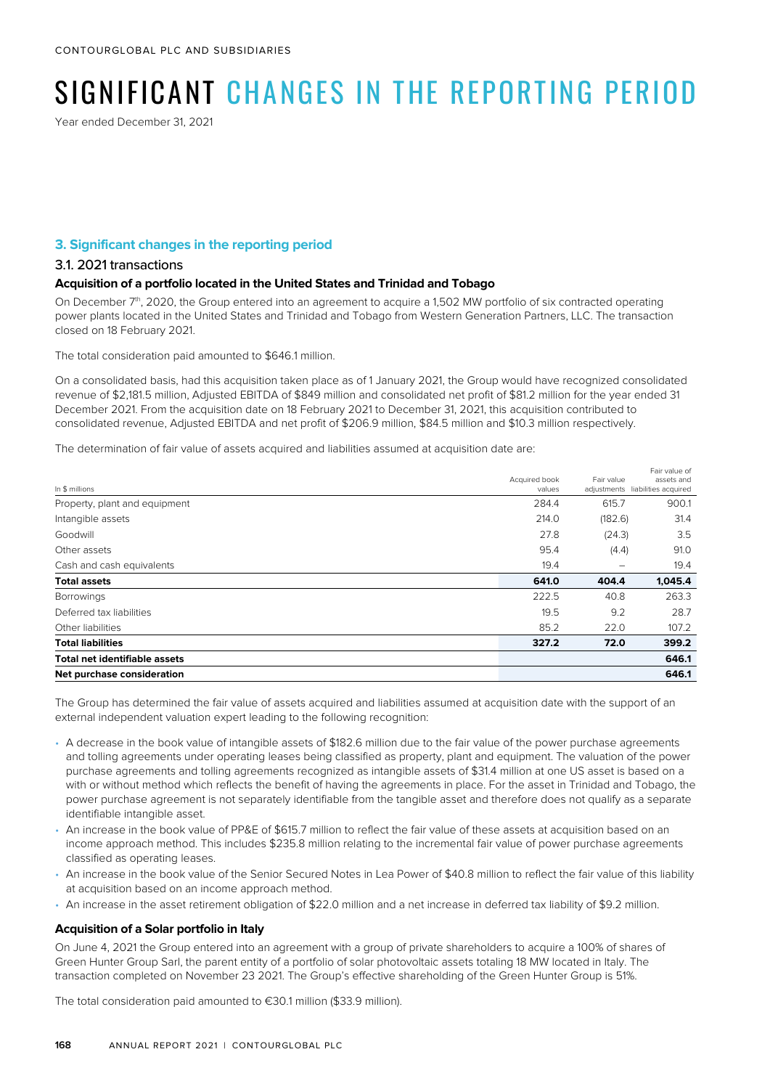# SIGNIFICANT CHANGES IN THE REPORTING PFRIOD

Year ended December 31, 2021

#### **3. Significant changes in the reporting period**

#### 3.1. 2021 transactions

#### **Acquisition of a portfolio located in the United States and Trinidad and Tobago**

On December 7<sup>th</sup>, 2020, the Group entered into an agreement to acquire a 1,502 MW portfolio of six contracted operating power plants located in the United States and Trinidad and Tobago from Western Generation Partners, LLC. The transaction closed on 18 February 2021.

The total consideration paid amounted to \$646.1 million.

On a consolidated basis, had this acquisition taken place as of 1 January 2021, the Group would have recognized consolidated revenue of \$2,181.5 million, Adjusted EBITDA of \$849 million and consolidated net profit of \$81.2 million for the year ended 31 December 2021. From the acquisition date on 18 February 2021 to December 31, 2021, this acquisition contributed to consolidated revenue, Adjusted EBITDA and net profit of \$206.9 million, \$84.5 million and \$10.3 million respectively.

The determination of fair value of assets acquired and liabilities assumed at acquisition date are:

|                                      |               |            | Fair value of                    |
|--------------------------------------|---------------|------------|----------------------------------|
|                                      | Acquired book | Fair value | assets and                       |
| In \$ millions                       | values        |            | adjustments liabilities acquired |
| Property, plant and equipment        | 284.4         | 615.7      | 900.1                            |
| Intangible assets                    | 214.0         | (182.6)    | 31.4                             |
| Goodwill                             | 27.8          | (24.3)     | 3.5                              |
| Other assets                         | 95.4          | (4.4)      | 91.0                             |
| Cash and cash equivalents            | 19.4          | -          | 19.4                             |
| <b>Total assets</b>                  | 641.0         | 404.4      | 1,045.4                          |
| <b>Borrowings</b>                    | 222.5         | 40.8       | 263.3                            |
| Deferred tax liabilities             | 19.5          | 9.2        | 28.7                             |
| Other liabilities                    | 85.2          | 22.0       | 107.2                            |
| <b>Total liabilities</b>             | 327.2         | 72.0       | 399.2                            |
| <b>Total net identifiable assets</b> |               |            | 646.1                            |
| Net purchase consideration           |               |            | 646.1                            |

The Group has determined the fair value of assets acquired and liabilities assumed at acquisition date with the support of an external independent valuation expert leading to the following recognition:

- A decrease in the book value of intangible assets of \$182.6 million due to the fair value of the power purchase agreements and tolling agreements under operating leases being classified as property, plant and equipment. The valuation of the power purchase agreements and tolling agreements recognized as intangible assets of \$31.4 million at one US asset is based on a with or without method which reflects the benefit of having the agreements in place. For the asset in Trinidad and Tobago, the power purchase agreement is not separately identifiable from the tangible asset and therefore does not qualify as a separate identifiable intangible asset.
- An increase in the book value of PP&E of \$615.7 million to reflect the fair value of these assets at acquisition based on an income approach method. This includes \$235.8 million relating to the incremental fair value of power purchase agreements classified as operating leases.
- An increase in the book value of the Senior Secured Notes in Lea Power of \$40.8 million to reflect the fair value of this liability at acquisition based on an income approach method.
- An increase in the asset retirement obligation of \$22.0 million and a net increase in deferred tax liability of \$9.2 million.

#### **Acquisition of a Solar portfolio in Italy**

On June 4, 2021 the Group entered into an agreement with a group of private shareholders to acquire a 100% of shares of Green Hunter Group Sarl, the parent entity of a portfolio of solar photovoltaic assets totaling 18 MW located in Italy. The transaction completed on November 23 2021. The Group's effective shareholding of the Green Hunter Group is 51%.

The total consideration paid amounted to €30.1 million (\$33.9 million).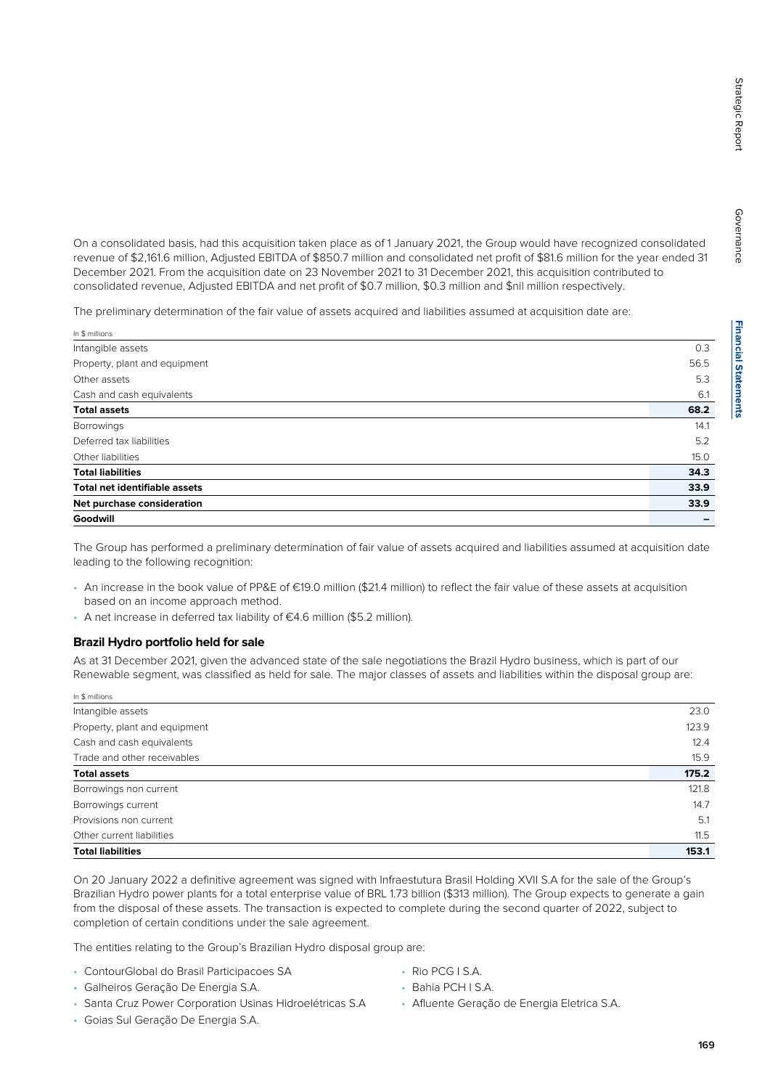On a consolidated basis, had this acquisition taken place as of 1 January 2021, the Group would have recognized consolidated revenue of \$2,161.6 million, Adjusted EBITDA of \$850.7 million and consolidated net profit of \$81.6 million for the year ended 31 December 2021. From the acquisition date on 23 November 2021 to 31 December 2021, this acquisition contributed to consolidated revenue, Adjusted EBITDA and net profit of \$0.7 million, \$0.3 million and \$nil million respectively.

The preliminary determination of the fair value of assets acquired and liabilities assumed at acquisition date are:

| In \$ millions                       |      |
|--------------------------------------|------|
| Intangible assets                    | 0.3  |
| Property, plant and equipment        | 56.5 |
| Other assets                         | 5.3  |
| Cash and cash equivalents            | 6.1  |
| <b>Total assets</b>                  | 68.2 |
| <b>Borrowings</b>                    | 14.1 |
| Deferred tax liabilities             | 5.2  |
| Other liabilities                    | 15.0 |
| <b>Total liabilities</b>             | 34.3 |
| <b>Total net identifiable assets</b> | 33.9 |
| Net purchase consideration           | 33.9 |
| Goodwill                             |      |

The Group has performed a preliminary determination of fair value of assets acquired and liabilities assumed at acquisition date leading to the following recognition:

- An increase in the book value of PP&E of €19.0 million (\$21.4 million) to reflect the fair value of these assets at acquisition based on an income approach method.
- A net increase in deferred tax liability of €4.6 million (\$5.2 million).

#### **Brazil Hydro portfolio held for sale**

As at 31 December 2021, given the advanced state of the sale negotiations the Brazil Hydro business, which is part of our Renewable segment, was classified as held for sale. The major classes of assets and liabilities within the disposal group are:

| In \$ millions                |       |
|-------------------------------|-------|
| Intangible assets             | 23.0  |
| Property, plant and equipment | 123.9 |
| Cash and cash equivalents     | 12.4  |
| Trade and other receivables   | 15.9  |
| <b>Total assets</b>           | 175.2 |
| Borrowings non current        | 121.8 |
| Borrowings current            | 14.7  |
| Provisions non current        | 5.1   |
| Other current liabilities     | 11.5  |
| <b>Total liabilities</b>      | 153.1 |

On 20 January 2022 a definitive agreement was signed with Infraestutura Brasil Holding XVII S.A for the sale of the Group's Brazilian Hydro power plants for a total enterprise value of BRL 1.73 billion (\$313 million). The Group expects to generate a gain from the disposal of these assets. The transaction is expected to complete during the second quarter of 2022, subject to completion of certain conditions under the sale agreement.

The entities relating to the Group's Brazilian Hydro disposal group are:

- ContourGlobal do Brasil Participacoes SA
- Galheiros Geração De Energia S.A.
- Santa Cruz Power Corporation Usinas Hidroelétricas S.A
- Goias Sul Geração De Energia S.A.
- Rio PCG I S.A.
- Bahia PCH I S.A.
- Afluente Geração de Energia Eletrica S.A.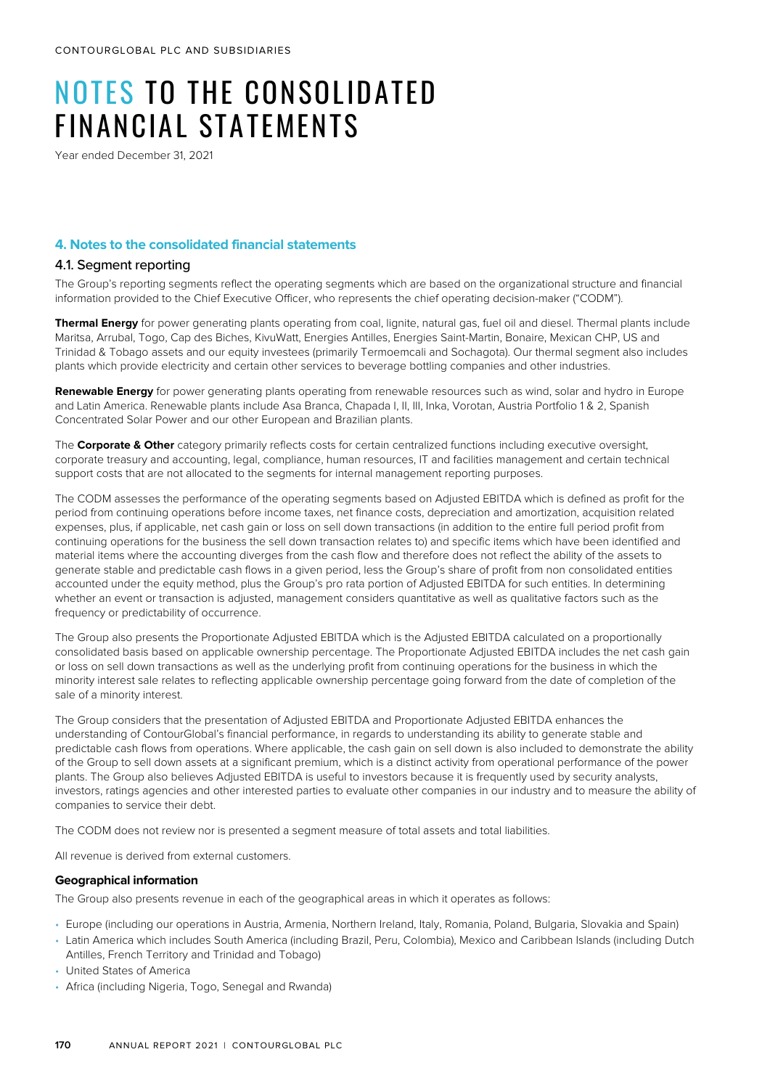# NOTES TO THE CONSOLIDATED FINANCIAL STATEMENTS

Year ended December 31, 2021

#### **4. Notes to the consolidated financial statements**

#### 4.1. Seament reporting

The Group's reporting segments reflect the operating segments which are based on the organizational structure and financial information provided to the Chief Executive Officer, who represents the chief operating decision-maker ("CODM").

**Thermal Energy** for power generating plants operating from coal, lignite, natural gas, fuel oil and diesel. Thermal plants include Maritsa, Arrubal, Togo, Cap des Biches, KivuWatt, Energies Antilles, Energies Saint-Martin, Bonaire, Mexican CHP, US and Trinidad & Tobago assets and our equity investees (primarily Termoemcali and Sochagota). Our thermal segment also includes plants which provide electricity and certain other services to beverage bottling companies and other industries.

**Renewable Energy** for power generating plants operating from renewable resources such as wind, solar and hydro in Europe and Latin America. Renewable plants include Asa Branca, Chapada I, II, III, Inka, Vorotan, Austria Portfolio 1 & 2, Spanish Concentrated Solar Power and our other European and Brazilian plants.

The **Corporate & Other** category primarily reflects costs for certain centralized functions including executive oversight, corporate treasury and accounting, legal, compliance, human resources, IT and facilities management and certain technical support costs that are not allocated to the segments for internal management reporting purposes.

The CODM assesses the performance of the operating segments based on Adjusted EBITDA which is defined as profit for the period from continuing operations before income taxes, net finance costs, depreciation and amortization, acquisition related expenses, plus, if applicable, net cash gain or loss on sell down transactions (in addition to the entire full period profit from continuing operations for the business the sell down transaction relates to) and specific items which have been identified and material items where the accounting diverges from the cash flow and therefore does not reflect the ability of the assets to generate stable and predictable cash flows in a given period, less the Group's share of profit from non consolidated entities accounted under the equity method, plus the Group's pro rata portion of Adjusted EBITDA for such entities. In determining whether an event or transaction is adjusted, management considers quantitative as well as qualitative factors such as the frequency or predictability of occurrence.

The Group also presents the Proportionate Adjusted EBITDA which is the Adjusted EBITDA calculated on a proportionally consolidated basis based on applicable ownership percentage. The Proportionate Adjusted EBITDA includes the net cash gain or loss on sell down transactions as well as the underlying profit from continuing operations for the business in which the minority interest sale relates to reflecting applicable ownership percentage going forward from the date of completion of the sale of a minority interest.

The Group considers that the presentation of Adjusted EBITDA and Proportionate Adjusted EBITDA enhances the understanding of ContourGlobal's financial performance, in regards to understanding its ability to generate stable and predictable cash flows from operations. Where applicable, the cash gain on sell down is also included to demonstrate the ability of the Group to sell down assets at a significant premium, which is a distinct activity from operational performance of the power plants. The Group also believes Adjusted EBITDA is useful to investors because it is frequently used by security analysts, investors, ratings agencies and other interested parties to evaluate other companies in our industry and to measure the ability of companies to service their debt.

The CODM does not review nor is presented a segment measure of total assets and total liabilities.

All revenue is derived from external customers.

#### **Geographical information**

The Group also presents revenue in each of the geographical areas in which it operates as follows:

- Europe (including our operations in Austria, Armenia, Northern Ireland, Italy, Romania, Poland, Bulgaria, Slovakia and Spain)
- Latin America which includes South America (including Brazil, Peru, Colombia), Mexico and Caribbean Islands (including Dutch Antilles, French Territory and Trinidad and Tobago)
- United States of America
- Africa (including Nigeria, Togo, Senegal and Rwanda)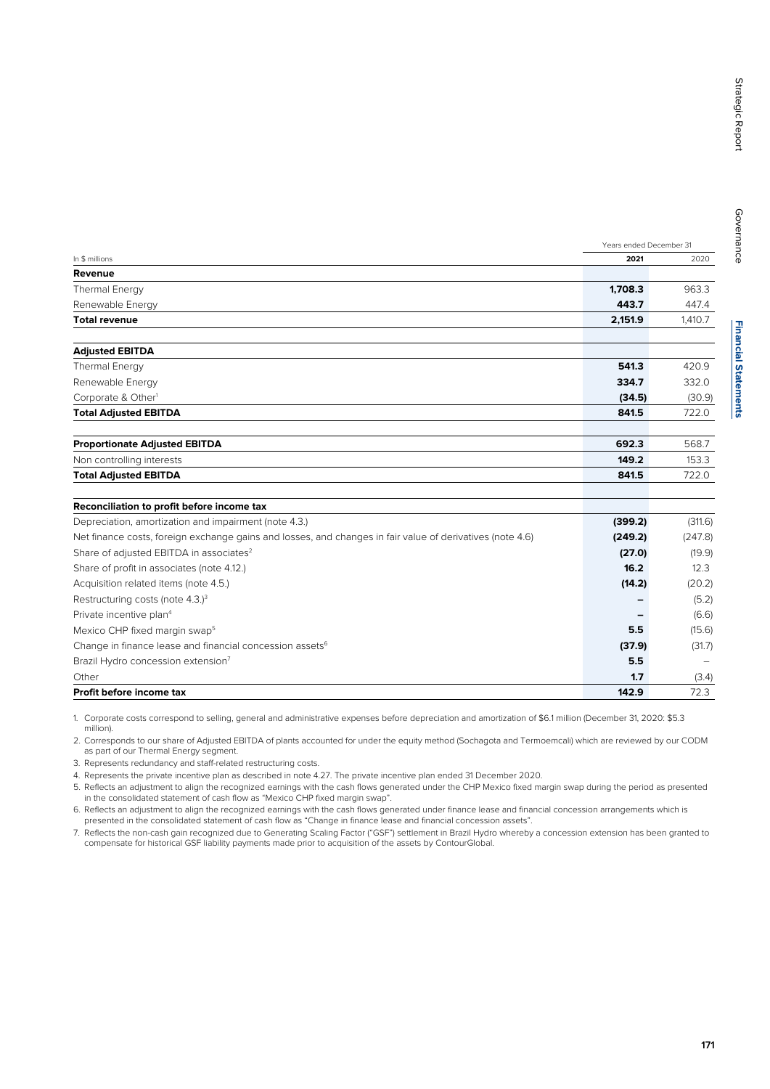Years ended December 31

| Revenue                                                                                                   |         |         |
|-----------------------------------------------------------------------------------------------------------|---------|---------|
|                                                                                                           |         |         |
| <b>Thermal Energy</b>                                                                                     | 1,708.3 | 963.3   |
| Renewable Energy                                                                                          | 443.7   | 447.4   |
| <b>Total revenue</b>                                                                                      | 2,151.9 | 1,410.7 |
| <b>Adjusted EBITDA</b>                                                                                    |         |         |
| <b>Thermal Energy</b>                                                                                     | 541.3   | 420.9   |
| Renewable Energy                                                                                          | 334.7   | 332.0   |
| Corporate & Other <sup>1</sup>                                                                            | (34.5)  | (30.9)  |
| <b>Total Adjusted EBITDA</b>                                                                              | 841.5   | 722.0   |
|                                                                                                           |         |         |
| <b>Proportionate Adjusted EBITDA</b>                                                                      | 692.3   | 568.7   |
| Non controlling interests                                                                                 | 149.2   | 153.3   |
| <b>Total Adjusted EBITDA</b>                                                                              | 841.5   | 722.0   |
| Reconciliation to profit before income tax                                                                |         |         |
| Depreciation, amortization and impairment (note 4.3.)                                                     | (399.2) | (311.6) |
| Net finance costs, foreign exchange gains and losses, and changes in fair value of derivatives (note 4.6) | (249.2) | (247.8) |
| Share of adjusted EBITDA in associates <sup>2</sup>                                                       | (27.0)  | (19.9)  |
| Share of profit in associates (note 4.12.)                                                                | 16.2    | 12.3    |
| Acquisition related items (note 4.5.)                                                                     | (14.2)  | (20.2)  |
| Restructuring costs (note 4.3.) <sup>3</sup>                                                              |         | (5.2)   |
| Private incentive plan <sup>4</sup>                                                                       |         | (6.6)   |

Change in finance lease and financial concession assets<sup>6</sup> (37.9) (31.7) (37.9) (31.7) Brazil Hydro concession extension7 **5.5** –

Other **1.7** (3.4)

### **Profit before income tax 142.9** 72.3

1. Corporate costs correspond to selling, general and administrative expenses before depreciation and amortization of \$6.1 million (December 31, 2020: \$5.3 million).

2. Corresponds to our share of Adjusted EBITDA of plants accounted for under the equity method (Sochagota and Termoemcali) which are reviewed by our CODM as part of our Thermal Energy segment.

Mexico CHP fixed margin swap5 **5.5** (15.6)

3. Represents redundancy and staff-related restructuring costs.

4. Represents the private incentive plan as described in note 4.27. The private incentive plan ended 31 December 2020.

5. Reflects an adjustment to align the recognized earnings with the cash flows generated under the CHP Mexico fixed margin swap during the period as presented in the consolidated statement of cash flow as "Mexico CHP fixed margin swap".

6. Reflects an adjustment to align the recognized earnings with the cash flows generated under finance lease and financial concession arrangements which is presented in the consolidated statement of cash flow as "Change in finance lease and financial concession assets".

7. Reflects the non-cash gain recognized due to Generating Scaling Factor ("GSF") settlement in Brazil Hydro whereby a concession extension has been granted to compensate for historical GSF liability payments made prior to acquisition of the assets by ContourGlobal.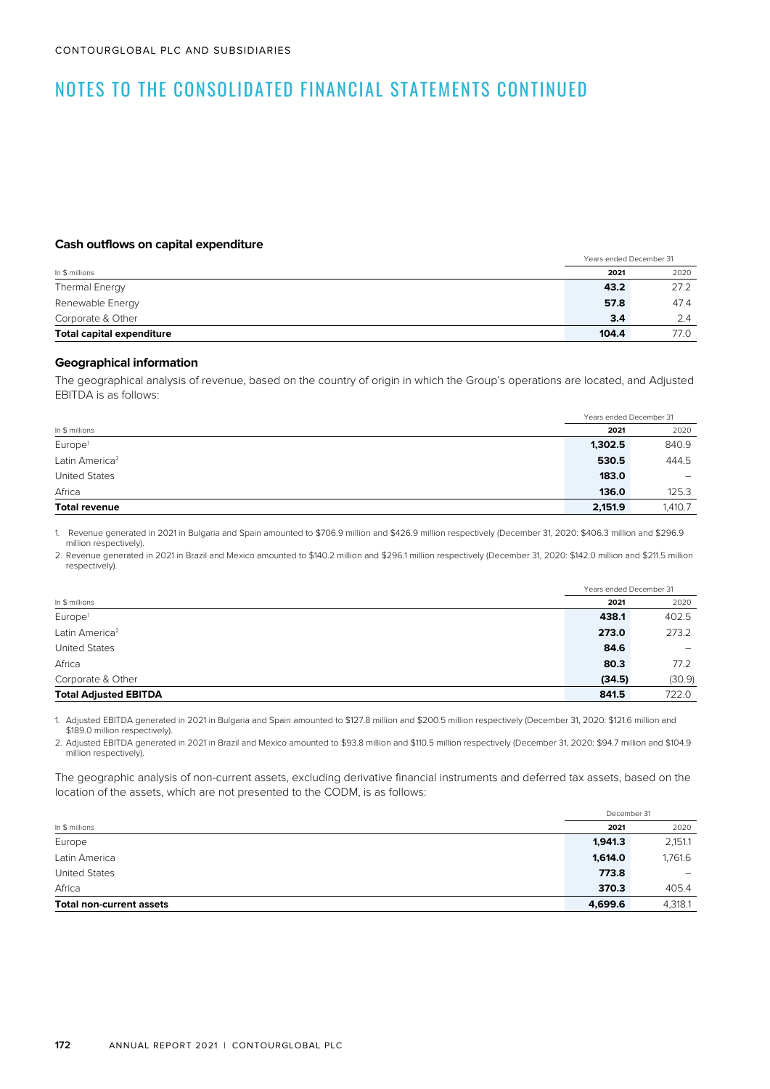#### **Cash outflows on capital expenditure**

|                                  |       | Years ended December 31 |  |
|----------------------------------|-------|-------------------------|--|
| In \$ millions                   | 2021  | 2020                    |  |
| Thermal Energy                   | 43.2  | 27.2                    |  |
| Renewable Energy                 | 57.8  | 47.4                    |  |
| Corporate & Other                | 3.4   | 2.4                     |  |
| <b>Total capital expenditure</b> | 104.4 | 77.0                    |  |

### **Geographical information**

The geographical analysis of revenue, based on the country of origin in which the Group's operations are located, and Adjusted EBITDA is as follows:

|                            | Years ended December 31 |                              |
|----------------------------|-------------------------|------------------------------|
| In \$ millions             | 2021                    | 2020                         |
| Europe <sup>1</sup>        | 1,302.5                 | 840.9                        |
| Latin America <sup>2</sup> | 530.5                   | 444.5                        |
| <b>United States</b>       | 183.0                   | $\qquad \qquad \blacksquare$ |
| Africa                     | 136.0                   | 125.3                        |
| <b>Total revenue</b>       | 2,151.9                 | 1,410.7                      |

1. Revenue generated in 2021 in Bulgaria and Spain amounted to \$706.9 million and \$426.9 million respectively (December 31, 2020: \$406.3 million and \$296.9 million respectively).

2. Revenue generated in 2021 in Brazil and Mexico amounted to \$140.2 million and \$296.1 million respectively (December 31, 2020: \$142.0 million and \$211.5 million respectively).

|                              |        | Years ended December 31  |
|------------------------------|--------|--------------------------|
| In \$ millions               | 2021   | 2020                     |
| Europe <sup>1</sup>          | 438.1  | 402.5                    |
| Latin America <sup>2</sup>   | 273.0  | 273.2                    |
| <b>United States</b>         | 84.6   | $\overline{\phantom{0}}$ |
| Africa                       | 80.3   | 77.2                     |
| Corporate & Other            | (34.5) | (30.9)                   |
| <b>Total Adjusted EBITDA</b> | 841.5  | 722.0                    |

1. Adjusted EBITDA generated in 2021 in Bulgaria and Spain amounted to \$127.8 million and \$200.5 million respectively (December 31, 2020: \$121.6 million and \$189.0 million respectively).

2. Adjusted EBITDA generated in 2021 in Brazil and Mexico amounted to \$93.8 million and \$110.5 million respectively (December 31, 2020: \$94.7 million and \$104.9 million respectively).

The geographic analysis of non-current assets, excluding derivative financial instruments and deferred tax assets, based on the location of the assets, which are not presented to the CODM, is as follows:

|                                 |         | December 31              |
|---------------------------------|---------|--------------------------|
| In \$ millions                  | 2021    | 2020                     |
| Europe                          | 1,941.3 | 2,151.1                  |
| Latin America                   | 1,614.0 | 1,761.6                  |
| <b>United States</b>            | 773.8   | $\overline{\phantom{a}}$ |
| Africa                          | 370.3   | 405.4                    |
| <b>Total non-current assets</b> | 4,699.6 | 4,318.1                  |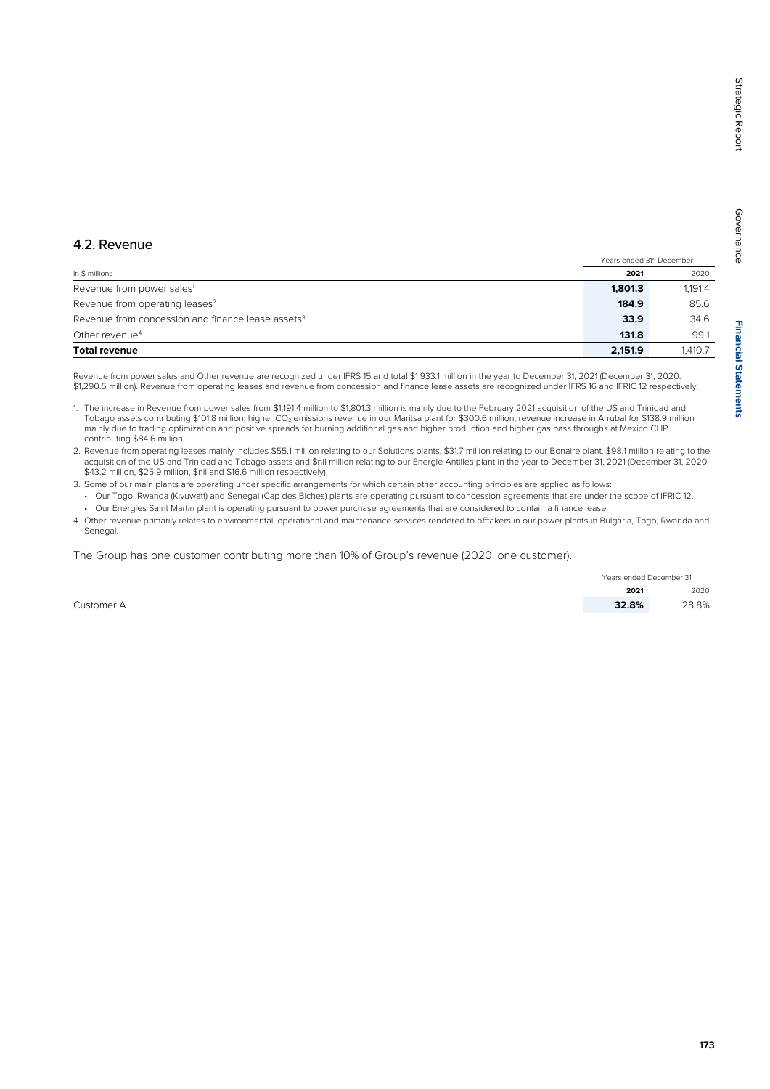# **Financial Statements Financial Statements**

Governance

Governance

Revenue from power sales<sup>1</sup> 1,191.4 Revenue from operating leases<sup>2</sup> 85.6

Years ended 31<sup>st</sup> December

| Other revenue <sup>4</sup>                                                                                                                                                                                                                                                                                                 | 131.8   | 99.7    |
|----------------------------------------------------------------------------------------------------------------------------------------------------------------------------------------------------------------------------------------------------------------------------------------------------------------------------|---------|---------|
| <b>Total revenue</b>                                                                                                                                                                                                                                                                                                       | 2.151.9 | 1.410.7 |
| Revenue from power sales and Other revenue are recognized under IFRS 15 and total \$1,933.1 million in the year to December 31, 2021 (December 31, 2020:<br>\$1,290.5 million). Revenue from operating leases and revenue from concession and finance lease assets are recognized under IFRS 16 and IFRIC 12 respectively. |         |         |

4.2. Revenue

1. The increase in Revenue from power sales from \$1,191.4 million to \$1,801.3 million is mainly due to the February 2021 acquisition of the US and Trinidad and Tobago assets contributing \$101.8 million, higher CO<sub>2</sub> emissions revenue in our Maritsa plant for \$300.6 million, revenue increase in Arrubal for \$138.9 million mainly due to trading optimization and positive spreads for burning additional gas and higher production and higher gas pass throughs at Mexico CHP contributing \$84.6 million.

In \$ millions **2021** 2020

Revenue from concession and finance lease assets<sup>3</sup> 34.6 **33.9** 34.6

2. Revenue from operating leases mainly includes \$55.1 million relating to our Solutions plants, \$31.7 million relating to our Bonaire plant, \$98.1 million relating to the acquisition of the US and Trinidad and Tobago assets and \$nil million relating to our Energie Antilles plant in the year to December 31, 2021 (December 31, 2020: \$43.2 million, \$25.9 million, \$nil and \$16.6 million respectively).

- 3. Some of our main plants are operating under specific arrangements for which certain other accounting principles are applied as follows:
- Our Togo, Rwanda (Kivuwatt) and Senegal (Cap des Biches) plants are operating pursuant to concession agreements that are under the scope of IFRIC 12. • Our Energies Saint Martin plant is operating pursuant to power purchase agreements that are considered to contain a finance lease.
- 4. Other revenue primarily relates to environmental, operational and maintenance services rendered to offtakers in our power plants in Bulgaria, Togo, Rwanda and Senegal.

The Group has one customer contributing more than 10% of Group's revenue (2020: one customer).

|            | Years ended December 31 |       |
|------------|-------------------------|-------|
|            | 2021                    | 2020  |
| Customer A | 32.8%                   | 28.8% |

### **173**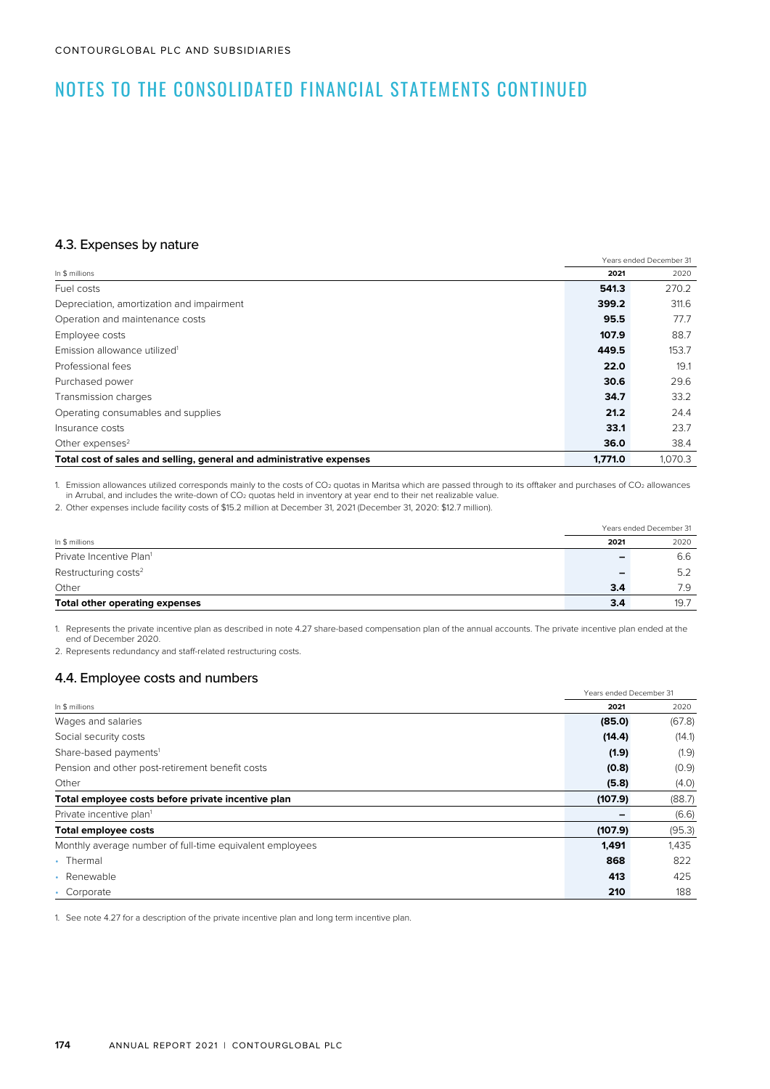### 4.3. Expenses by nature

| — p ,                                                                |                         |         |
|----------------------------------------------------------------------|-------------------------|---------|
|                                                                      | Years ended December 31 |         |
| In \$ millions                                                       | 2021                    | 2020    |
| Fuel costs                                                           | 541.3                   | 270.2   |
| Depreciation, amortization and impairment                            | 399.2                   | 311.6   |
| Operation and maintenance costs                                      | 95.5                    | 77.7    |
| Employee costs                                                       | 107.9                   | 88.7    |
| Emission allowance utilized <sup>1</sup>                             | 449.5                   | 153.7   |
| Professional fees                                                    | 22.0                    | 19.1    |
| Purchased power                                                      | 30.6                    | 29.6    |
| Transmission charges                                                 | 34.7                    | 33.2    |
| Operating consumables and supplies                                   | 21.2                    | 24.4    |
| Insurance costs                                                      | 33.1                    | 23.7    |
| Other expenses <sup>2</sup>                                          | 36.0                    | 38.4    |
| Total cost of sales and selling, general and administrative expenses | 1.771.0                 | 1.070.3 |

1. Emission allowances utilized corresponds mainly to the costs of CO<sub>2</sub> quotas in Maritsa which are passed through to its offtaker and purchases of CO<sub>2</sub> allowances in Arrubal, and includes the write-down of  $CO<sub>2</sub>$  quotas held in inventory at year end to their net realizable value.

2. Other expenses include facility costs of \$15.2 million at December 31, 2021 (December 31, 2020: \$12.7 million).

| In \$ millions                   |     | Years ended December 31 |  |
|----------------------------------|-----|-------------------------|--|
|                                  |     | 2020                    |  |
| Private Incentive Plan1          |     | 6.6                     |  |
| Restructuring costs <sup>2</sup> |     | 5.2                     |  |
| Other                            | 3.4 | 7.9                     |  |
| Total other operating expenses   | 3.4 | 19.7                    |  |

1. Represents the private incentive plan as described in note 4.27 share-based compensation plan of the annual accounts. The private incentive plan ended at the end of December 2020.

2. Represents redundancy and staff-related restructuring costs.

### 4.4. Employee costs and numbers

|                                                          |         | Years ended December 31 |
|----------------------------------------------------------|---------|-------------------------|
| In \$ millions                                           | 2021    | 2020                    |
| Wages and salaries                                       | (85.0)  | (67.8)                  |
| Social security costs                                    | (14.4)  | (14.1)                  |
| Share-based payments <sup>1</sup>                        | (1.9)   | (1.9)                   |
| Pension and other post-retirement benefit costs          | (0.8)   | (0.9)                   |
| Other                                                    | (5.8)   | (4.0)                   |
| Total employee costs before private incentive plan       | (107.9) | (88.7)                  |
| Private incentive plan <sup>1</sup>                      |         | (6.6)                   |
| <b>Total employee costs</b>                              | (107.9) | (95.3)                  |
| Monthly average number of full-time equivalent employees | 1,491   | 1,435                   |
| • Thermal                                                | 868     | 822                     |
| Renewable<br>$\bullet$                                   | 413     | 425                     |
| Corporate                                                | 210     | 188                     |

1. See note 4.27 for a description of the private incentive plan and long term incentive plan.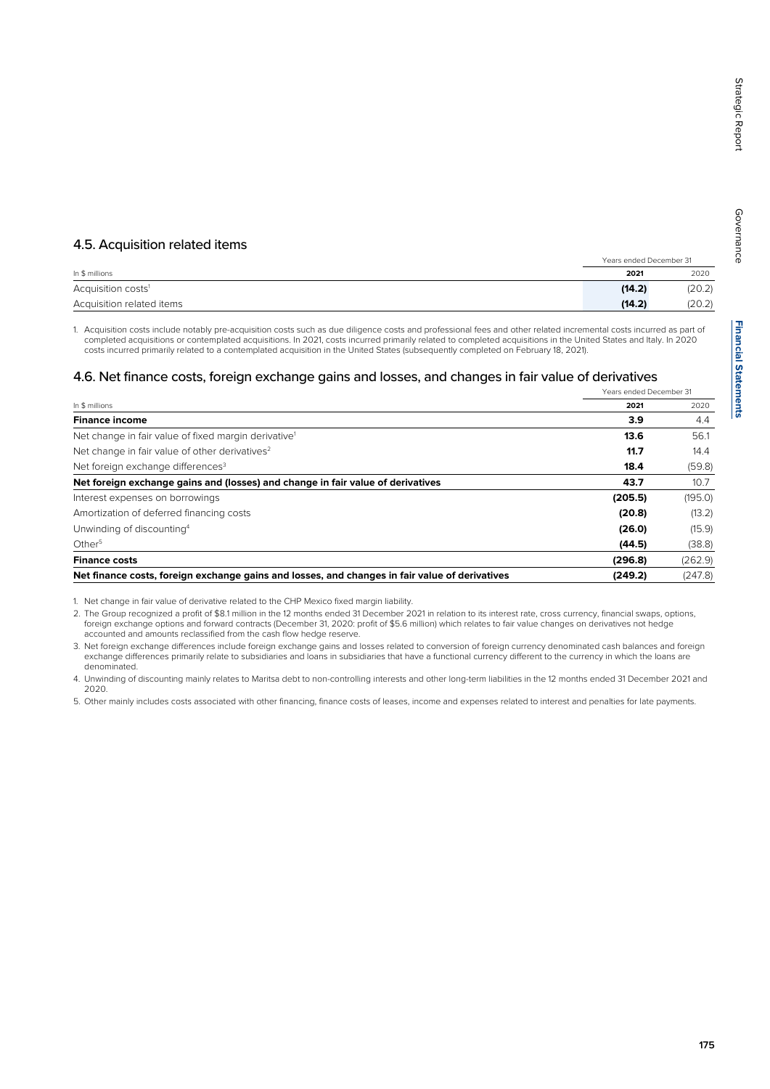Governance

Governance

### 4.5. Acquisition related items

|                                | Years ended December 31 |        |
|--------------------------------|-------------------------|--------|
| In \$ millions                 | 2021                    | 2020   |
| Acquisition costs <sup>1</sup> | (14.2)                  | (20.2) |
| Acquisition related items      | (14.2)                  | (20.2) |

1. Acquisition costs include notably pre-acquisition costs such as due diligence costs and professional fees and other related incremental costs incurred as part of completed acquisitions or contemplated acquisitions. In 2021, costs incurred primarily related to completed acquisitions in the United States and Italy. In 2020 costs incurred primarily related to a contemplated acquisition in the United States (subsequently completed on February 18, 2021).

### 4.6. Net finance costs, foreign exchange gains and losses, and changes in fair value of derivatives

|                                                                                                | Years ended December 31 |         |
|------------------------------------------------------------------------------------------------|-------------------------|---------|
| In \$ millions                                                                                 | 2021                    | 2020    |
| <b>Finance income</b>                                                                          | 3.9                     | 4.4     |
| Net change in fair value of fixed margin derivative <sup>1</sup>                               | 13.6                    | 56.1    |
| Net change in fair value of other derivatives <sup>2</sup>                                     | 11.7                    | 14.4    |
| Net foreign exchange differences <sup>3</sup>                                                  | 18.4                    | (59.8)  |
| Net foreign exchange gains and (losses) and change in fair value of derivatives                | 43.7                    | 10.7    |
| Interest expenses on borrowings                                                                | (205.5)                 | (195.0) |
| Amortization of deferred financing costs                                                       | (20.8)                  | (13.2)  |
| Unwinding of discounting <sup>4</sup>                                                          | (26.0)                  | (15.9)  |
| Other <sup>5</sup>                                                                             | (44.5)                  | (38.8)  |
| <b>Finance costs</b>                                                                           | (296.8)                 | (262.9) |
| Net finance costs, foreign exchange gains and losses, and changes in fair value of derivatives | (249.2)                 | (247.8) |

1. Net change in fair value of derivative related to the CHP Mexico fixed margin liability.

2. The Group recognized a profit of \$8.1 million in the 12 months ended 31 December 2021 in relation to its interest rate, cross currency, financial swaps, options, foreign exchange options and forward contracts (December 31, 2020: profit of \$5.6 million) which relates to fair value changes on derivatives not hedge accounted and amounts reclassified from the cash flow hedge reserve.

3. Net foreign exchange differences include foreign exchange gains and losses related to conversion of foreign currency denominated cash balances and foreign exchange differences primarily relate to subsidiaries and loans in subsidiaries that have a functional currency different to the currency in which the loans are denominated.

4. Unwinding of discounting mainly relates to Maritsa debt to non-controlling interests and other long-term liabilities in the 12 months ended 31 December 2021 and 2020.

5. Other mainly includes costs associated with other financing, finance costs of leases, income and expenses related to interest and penalties for late payments.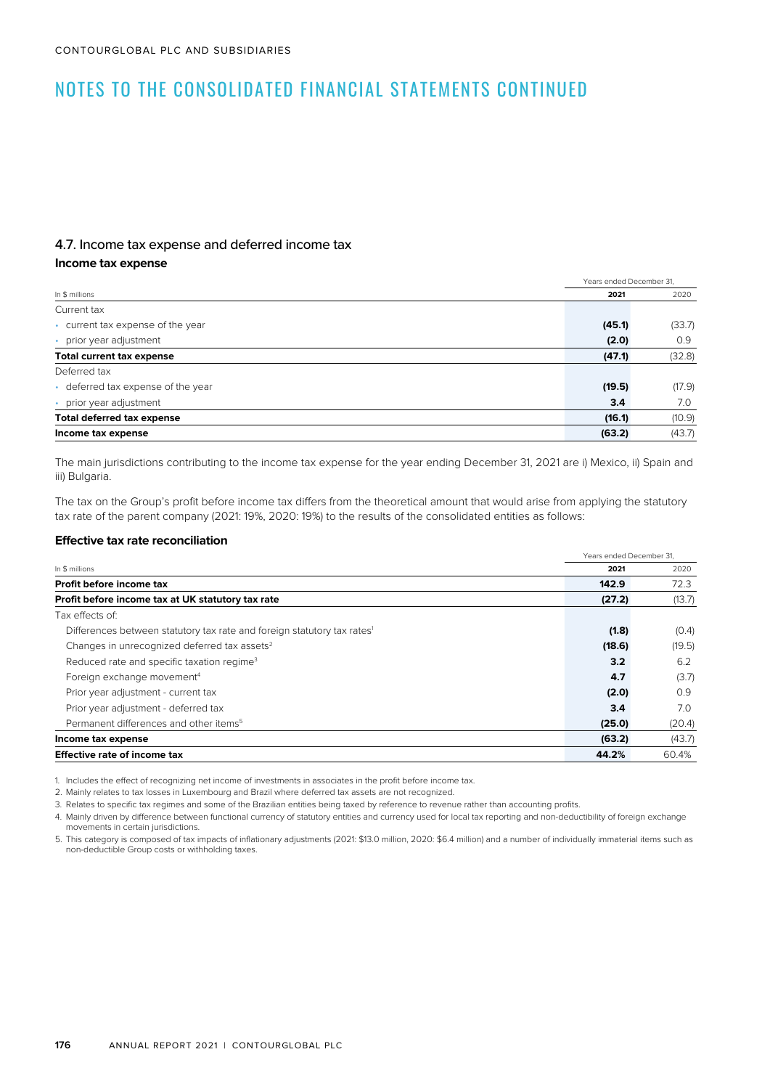### 4.7. Income tax expense and deferred income tax

### **Income tax expense**

|                                    |        | Years ended December 31. |  |  |
|------------------------------------|--------|--------------------------|--|--|
| In \$ millions                     | 2021   | 2020                     |  |  |
| Current tax                        |        |                          |  |  |
| • current tax expense of the year  | (45.1) | (33.7)                   |  |  |
| • prior year adjustment            | (2.0)  | 0.9                      |  |  |
| Total current tax expense          | (47.1) | (32.8)                   |  |  |
| Deferred tax                       |        |                          |  |  |
| • deferred tax expense of the year | (19.5) | (17.9)                   |  |  |
| • prior year adjustment            | 3.4    | 7.0                      |  |  |
| <b>Total deferred tax expense</b>  | (16.1) | (10.9)                   |  |  |
| Income tax expense                 | (63.2) | (43.7)                   |  |  |

The main jurisdictions contributing to the income tax expense for the year ending December 31, 2021 are i) Mexico, ii) Spain and iii) Bulgaria.

The tax on the Group's profit before income tax differs from the theoretical amount that would arise from applying the statutory tax rate of the parent company (2021: 19%, 2020: 19%) to the results of the consolidated entities as follows:

#### **Effective tax rate reconciliation**

|                                                                                     | Years ended December 31. |        |
|-------------------------------------------------------------------------------------|--------------------------|--------|
| In \$ millions                                                                      | 2021                     | 2020   |
| Profit before income tax                                                            | 142.9                    | 72.3   |
| Profit before income tax at UK statutory tax rate                                   | (27.2)                   | (13.7) |
| Tax effects of:                                                                     |                          |        |
| Differences between statutory tax rate and foreign statutory tax rates <sup>1</sup> | (1.8)                    | (0.4)  |
| Changes in unrecognized deferred tax assets <sup>2</sup>                            | (18.6)                   | (19.5) |
| Reduced rate and specific taxation regime <sup>3</sup>                              | 3.2                      | 6.2    |
| Foreign exchange movement <sup>4</sup>                                              | 4.7                      | (3.7)  |
| Prior year adjustment - current tax                                                 | (2.0)                    | 0.9    |
| Prior year adjustment - deferred tax                                                | 3.4                      | 7.0    |
| Permanent differences and other items <sup>5</sup>                                  | (25.0)                   | (20.4) |
| Income tax expense                                                                  | (63.2)                   | (43.7) |
| <b>Effective rate of income tax</b>                                                 | 44.2%                    | 60.4%  |

1. Includes the effect of recognizing net income of investments in associates in the profit before income tax.

2. Mainly relates to tax losses in Luxembourg and Brazil where deferred tax assets are not recognized.

3. Relates to specific tax regimes and some of the Brazilian entities being taxed by reference to revenue rather than accounting profits.

4. Mainly driven by difference between functional currency of statutory entities and currency used for local tax reporting and non-deductibility of foreign exchange movements in certain jurisdictions.

5. This category is composed of tax impacts of inflationary adjustments (2021: \$13.0 million, 2020: \$6.4 million) and a number of individually immaterial items such as non-deductible Group costs or withholding taxes.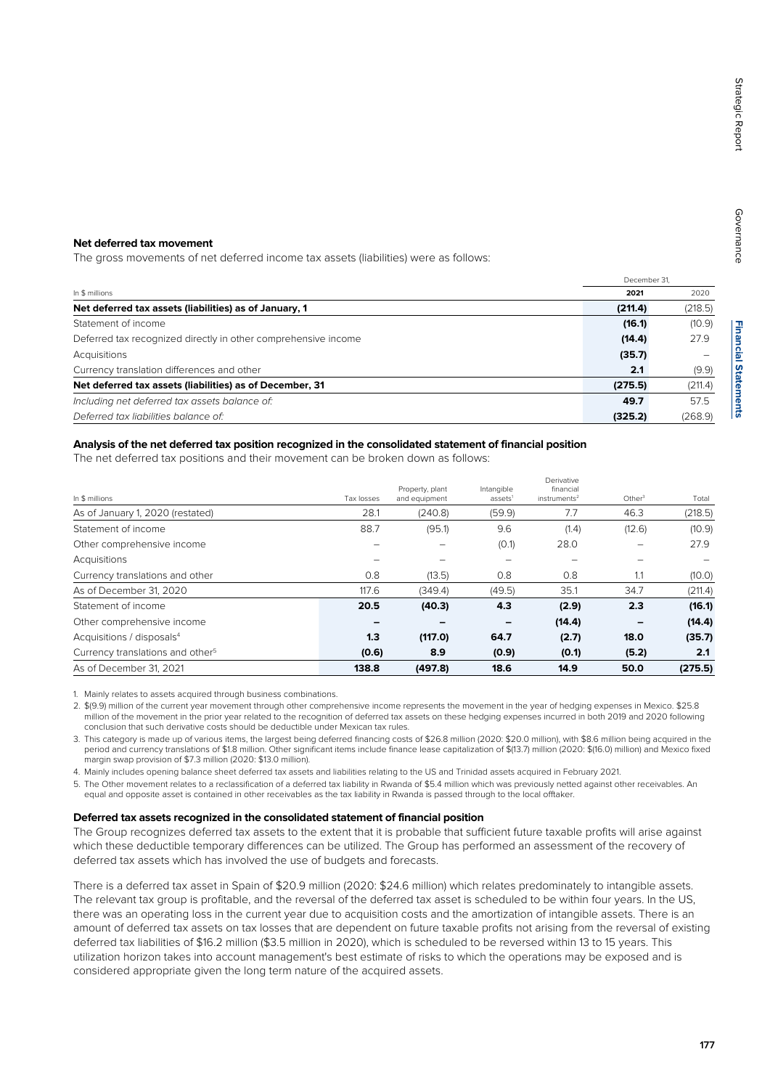### **Net deferred tax movement**

The gross movements of net deferred income tax assets (liabilities) were as follows:

|                                                                | December 31. |         |
|----------------------------------------------------------------|--------------|---------|
| In \$ millions                                                 | 2021         | 2020    |
| Net deferred tax assets (liabilities) as of January, 1         | (211.4)      | (218.5) |
| Statement of income                                            | (16.1)       | (10.9)  |
| Deferred tax recognized directly in other comprehensive income | (14.4)       | 27.9    |
| Acquisitions                                                   | (35.7)       |         |
| Currency translation differences and other                     | 2.1          | (9.9)   |
| Net deferred tax assets (liabilities) as of December, 31       | (275.5)      | (211.4) |
| Including net deferred tax assets balance of:                  | 49.7         | 57.5    |
| Deferred tax liabilities balance of:                           | (325.2)      | (268.9) |

#### **Analysis of the net deferred tax position recognized in the consolidated statement of financial position**

The net deferred tax positions and their movement can be broken down as follows:

|                                              |            |                                  |                                   | Derivative                               |                    |         |
|----------------------------------------------|------------|----------------------------------|-----------------------------------|------------------------------------------|--------------------|---------|
| In \$ millions                               | Tax losses | Property, plant<br>and equipment | Intangible<br>assets <sup>1</sup> | financial<br>$in$ struments <sup>2</sup> | Other <sup>3</sup> | Total   |
| As of January 1, 2020 (restated)             | 28.1       | (240.8)                          | (59.9)                            | 7.7                                      | 46.3               | (218.5) |
| Statement of income                          | 88.7       | (95.1)                           | 9.6                               | (1.4)                                    | (12.6)             | (10.9)  |
| Other comprehensive income                   |            |                                  | (0.1)                             | 28.0                                     | -                  | 27.9    |
| Acquisitions                                 |            |                                  |                                   | -                                        |                    |         |
| Currency translations and other              | 0.8        | (13.5)                           | 0.8                               | 0.8                                      | 1.1                | (10.0)  |
| As of December 31, 2020                      | 117.6      | (349.4)                          | (49.5)                            | 35.1                                     | 34.7               | (211.4) |
| Statement of income                          | 20.5       | (40.3)                           | 4.3                               | (2.9)                                    | 2.3                | (16.1)  |
| Other comprehensive income                   |            |                                  |                                   | (14.4)                                   |                    | (14.4)  |
| Acquisitions / disposals <sup>4</sup>        | 1.3        | (117.0)                          | 64.7                              | (2.7)                                    | 18.0               | (35.7)  |
| Currency translations and other <sup>5</sup> | (0.6)      | 8.9                              | (0.9)                             | (0.1)                                    | (5.2)              | 2.1     |
| As of December 31, 2021                      | 138.8      | (497.8)                          | 18.6                              | 14.9                                     | 50.0               | (275.5) |

1. Mainly relates to assets acquired through business combinations.

2. \$(9.9) million of the current year movement through other comprehensive income represents the movement in the year of hedging expenses in Mexico. \$25.8 million of the movement in the prior year related to the recognition of deferred tax assets on these hedging expenses incurred in both 2019 and 2020 following conclusion that such derivative costs should be deductible under Mexican tax rules.

3. This category is made up of various items, the largest being deferred financing costs of \$26.8 million (2020: \$20.0 million), with \$8.6 million being acquired in the period and currency translations of \$1.8 million. Other significant items include finance lease capitalization of \$(13.7) million (2020: \$(16.0) million) and Mexico fixed margin swap provision of \$7.3 million (2020: \$13.0 million).

4. Mainly includes opening balance sheet deferred tax assets and liabilities relating to the US and Trinidad assets acquired in February 2021.

5. The Other movement relates to a reclassification of a deferred tax liability in Rwanda of \$5.4 million which was previously netted against other receivables. An equal and opposite asset is contained in other receivables as the tax liability in Rwanda is passed through to the local offtaker.

#### **Deferred tax assets recognized in the consolidated statement of financial position**

The Group recognizes deferred tax assets to the extent that it is probable that sufficient future taxable profits will arise against which these deductible temporary differences can be utilized. The Group has performed an assessment of the recovery of deferred tax assets which has involved the use of budgets and forecasts.

There is a deferred tax asset in Spain of \$20.9 million (2020: \$24.6 million) which relates predominately to intangible assets. The relevant tax group is profitable, and the reversal of the deferred tax asset is scheduled to be within four years. In the US, there was an operating loss in the current year due to acquisition costs and the amortization of intangible assets. There is an amount of deferred tax assets on tax losses that are dependent on future taxable profits not arising from the reversal of existing deferred tax liabilities of \$16.2 million (\$3.5 million in 2020), which is scheduled to be reversed within 13 to 15 years. This utilization horizon takes into account management's best estimate of risks to which the operations may be exposed and is considered appropriate given the long term nature of the acquired assets.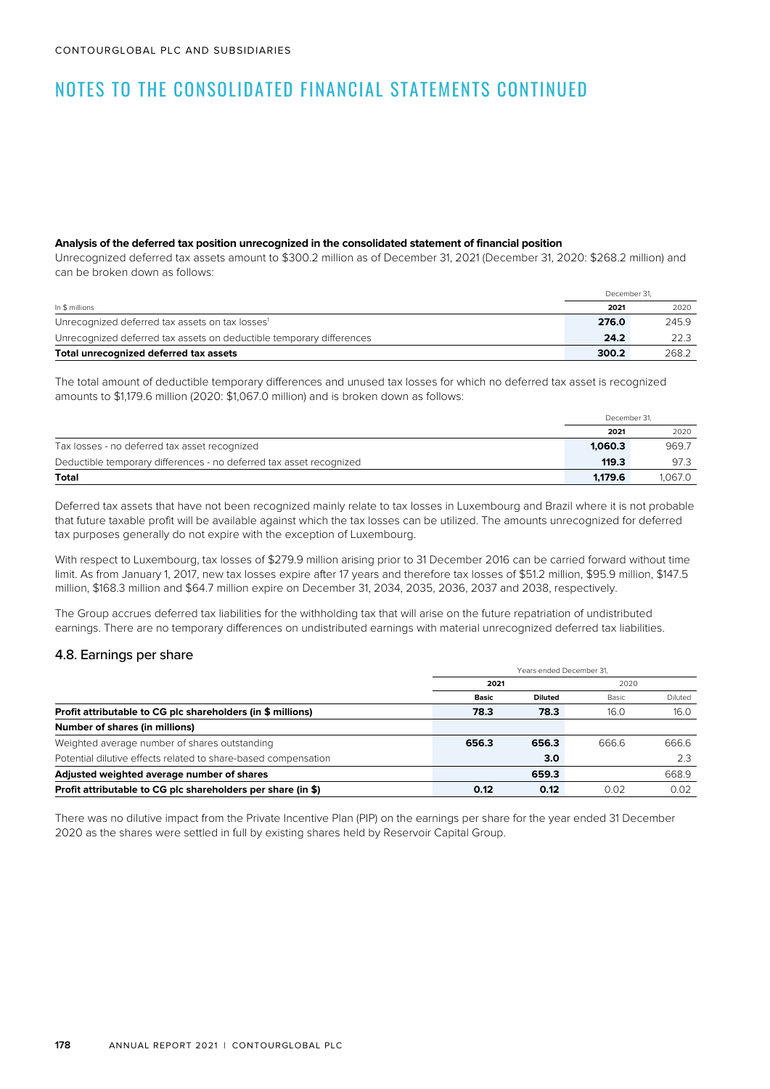#### **Analysis of the deferred tax position unrecognized in the consolidated statement of financial position**

Unrecognized deferred tax assets amount to \$300.2 million as of December 31, 2021 (December 31, 2020: \$268.2 million) and can be broken down as follows:

|                                                                      |       | December 31. |
|----------------------------------------------------------------------|-------|--------------|
| In \$ millions                                                       | 2021  | 2020         |
| Unrecognized deferred tax assets on tax losses <sup>1</sup>          | 276.0 | 245.9        |
| Unrecognized deferred tax assets on deductible temporary differences | 24.2  | 22.3         |
| Total unrecognized deferred tax assets                               | 300.2 | 268.2        |

The total amount of deductible temporary differences and unused tax losses for which no deferred tax asset is recognized amounts to \$1,179.6 million (2020: \$1,067.0 million) and is broken down as follows:

|                                                                     | December 31. |         |
|---------------------------------------------------------------------|--------------|---------|
|                                                                     | 2021         | 2020    |
| Tax losses - no deferred tax asset recognized                       | 1.060.3      | 969.7   |
| Deductible temporary differences - no deferred tax asset recognized | 119.3        | 97.3    |
| Total                                                               | 1.179.6      | 1.067.0 |

Deferred tax assets that have not been recognized mainly relate to tax losses in Luxembourg and Brazil where it is not probable that future taxable profit will be available against which the tax losses can be utilized. The amounts unrecognized for deferred tax purposes generally do not expire with the exception of Luxembourg.

With respect to Luxembourg, tax losses of \$279.9 million arising prior to 31 December 2016 can be carried forward without time limit. As from January 1, 2017, new tax losses expire after 17 years and therefore tax losses of \$51.2 million, \$95.9 million, \$147.5 million, \$168.3 million and \$64.7 million expire on December 31, 2034, 2035, 2036, 2037 and 2038, respectively.

The Group accrues deferred tax liabilities for the withholding tax that will arise on the future repatriation of undistributed earnings. There are no temporary differences on undistributed earnings with material unrecognized deferred tax liabilities.

### 4.8. Earnings per share

|                                                                | Years ended December 31. |                |       |         |  |  |
|----------------------------------------------------------------|--------------------------|----------------|-------|---------|--|--|
|                                                                | 2021                     |                | 2020  |         |  |  |
|                                                                | <b>Basic</b>             | <b>Diluted</b> | Basic | Diluted |  |  |
| Profit attributable to CG plc shareholders (in \$ millions)    | 78.3                     | 78.3           | 16.0  | 16.0    |  |  |
| Number of shares (in millions)                                 |                          |                |       |         |  |  |
| Weighted average number of shares outstanding                  | 656.3                    | 656.3          | 666.6 | 666.6   |  |  |
| Potential dilutive effects related to share-based compensation |                          | 3.0            |       | 2.3     |  |  |
| Adjusted weighted average number of shares                     |                          | 659.3          |       | 668.9   |  |  |
| Profit attributable to CG plc shareholders per share (in \$)   | 0.12                     | 0.12           | 0.02  | 0.02    |  |  |

There was no dilutive impact from the Private Incentive Plan (PIP) on the earnings per share for the year ended 31 December 2020 as the shares were settled in full by existing shares held by Reservoir Capital Group.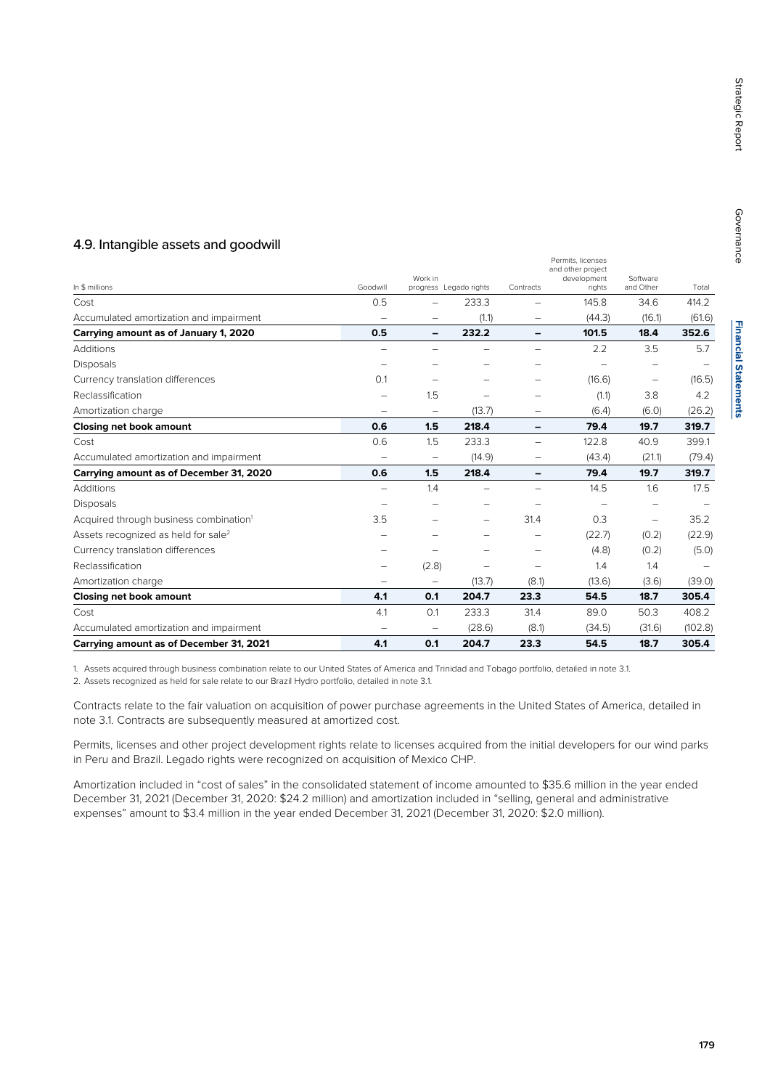# 4.9. Intangible assets and goodwill

| In \$ millions                                     | Goodwill                 | Work in                  | progress Legado rights   | Contracts                | Permits, licenses<br>and other project<br>development<br>rights | Software<br>and Other    | Total   |
|----------------------------------------------------|--------------------------|--------------------------|--------------------------|--------------------------|-----------------------------------------------------------------|--------------------------|---------|
| Cost                                               | 0.5                      |                          | 233.3                    |                          | 145.8                                                           | 34.6                     | 414.2   |
| Accumulated amortization and impairment            | $\equiv$                 | $\overline{\phantom{0}}$ | (1.1)                    |                          | (44.3)                                                          | (16.1)                   | (61.6)  |
| Carrying amount as of January 1, 2020              | 0.5                      | -                        | 232.2                    | $\overline{\phantom{0}}$ | 101.5                                                           | 18.4                     | 352.6   |
| Additions                                          | -                        | -                        |                          | -                        | 2.2                                                             | 3.5                      | 5.7     |
| <b>Disposals</b>                                   | $\qquad \qquad -$        | $\overline{\phantom{0}}$ | $\overline{\phantom{0}}$ | $\overline{\phantom{0}}$ | -                                                               | -                        |         |
| Currency translation differences                   | 0.1                      | -                        |                          | -                        | (16.6)                                                          | $\qquad \qquad -$        | (16.5)  |
| Reclassification                                   | -                        | 1.5                      | -                        | $\overline{\phantom{0}}$ | (1.1)                                                           | 3.8                      | 4.2     |
| Amortization charge                                | $\qquad \qquad -$        | $\qquad \qquad -$        | (13.7)                   | -                        | (6.4)                                                           | (6.0)                    | (26.2)  |
| Closing net book amount                            | 0.6                      | 1.5                      | 218.4                    | -                        | 79.4                                                            | 19.7                     | 319.7   |
| Cost                                               | 0.6                      | 1.5                      | 233.3                    | $\overline{\phantom{0}}$ | 122.8                                                           | 40.9                     | 399.1   |
| Accumulated amortization and impairment            | $\qquad \qquad -$        | $\qquad \qquad -$        | (14.9)                   | $\qquad \qquad -$        | (43.4)                                                          | (21.1)                   | (79.4)  |
| Carrying amount as of December 31, 2020            | 0.6                      | 1.5                      | 218.4                    | -                        | 79.4                                                            | 19.7                     | 319.7   |
| <b>Additions</b>                                   | $\overline{\phantom{0}}$ | 1.4                      |                          | $\equiv$                 | 14.5                                                            | 1.6                      | 17.5    |
| <b>Disposals</b>                                   | -                        |                          | -                        |                          |                                                                 | $\overline{\phantom{0}}$ |         |
| Acquired through business combination <sup>1</sup> | 3.5                      |                          | -                        | 31.4                     | 0.3                                                             |                          | 35.2    |
| Assets recognized as held for sale <sup>2</sup>    | -                        |                          | -                        | $\overline{\phantom{0}}$ | (22.7)                                                          | (0.2)                    | (22.9)  |
| Currency translation differences                   | -                        |                          |                          |                          | (4.8)                                                           | (0.2)                    | (5.0)   |
| Reclassification                                   | -                        | (2.8)                    | -                        |                          | 1.4                                                             | 1.4                      |         |
| Amortization charge                                | $\qquad \qquad -$        | $\qquad \qquad -$        | (13.7)                   | (8.1)                    | (13.6)                                                          | (3.6)                    | (39.0)  |
| <b>Closing net book amount</b>                     | 4.1                      | 0.1                      | 204.7                    | 23.3                     | 54.5                                                            | 18.7                     | 305.4   |
| Cost                                               | 4.1                      | 0.1                      | 233.3                    | 31.4                     | 89.0                                                            | 50.3                     | 408.2   |
| Accumulated amortization and impairment            | $\qquad \qquad -$        | $\qquad \qquad -$        | (28.6)                   | (8.1)                    | (34.5)                                                          | (31.6)                   | (102.8) |
| Carrying amount as of December 31, 2021            | 4.1                      | 0.1                      | 204.7                    | 23.3                     | 54.5                                                            | 18.7                     | 305.4   |

1. Assets acquired through business combination relate to our United States of America and Trinidad and Tobago portfolio, detailed in note 3.1.

2. Assets recognized as held for sale relate to our Brazil Hydro portfolio, detailed in note 3.1.

Contracts relate to the fair valuation on acquisition of power purchase agreements in the United States of America, detailed in note 3.1. Contracts are subsequently measured at amortized cost.

Permits, licenses and other project development rights relate to licenses acquired from the initial developers for our wind parks in Peru and Brazil. Legado rights were recognized on acquisition of Mexico CHP.

Amortization included in "cost of sales" in the consolidated statement of income amounted to \$35.6 million in the year ended December 31, 2021 (December 31, 2020: \$24.2 million) and amortization included in "selling, general and administrative expenses" amount to \$3.4 million in the year ended December 31, 2021 (December 31, 2020: \$2.0 million).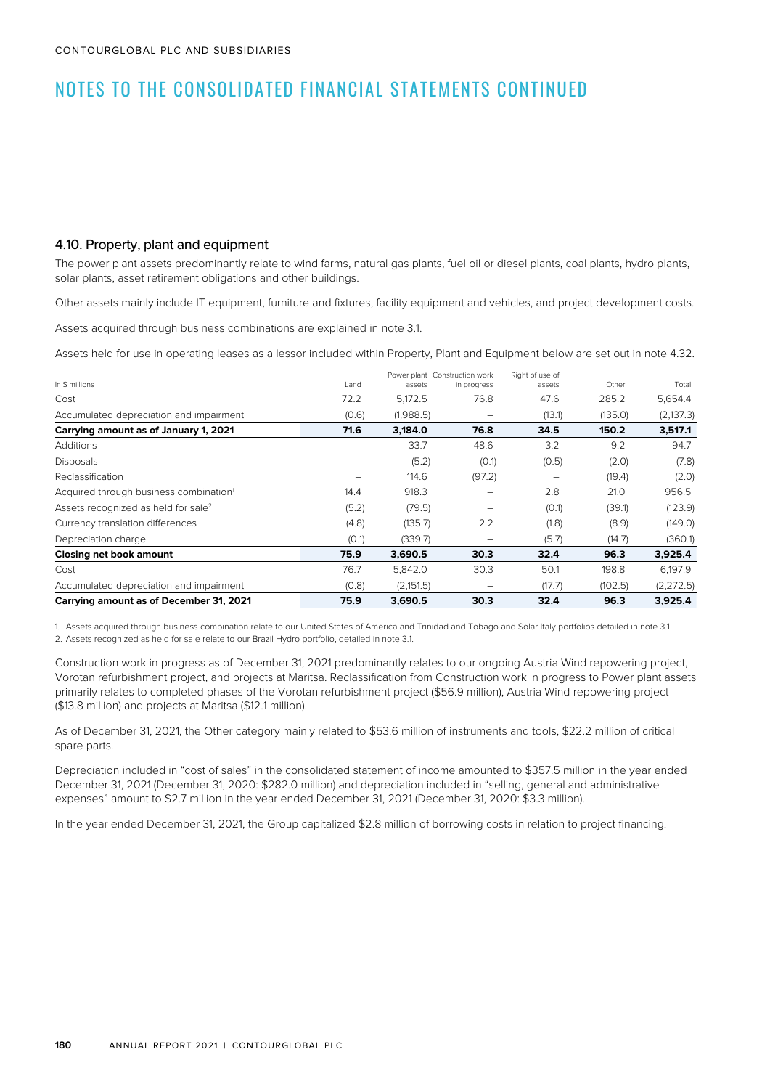### 4.10. Property, plant and equipment

The power plant assets predominantly relate to wind farms, natural gas plants, fuel oil or diesel plants, coal plants, hydro plants, solar plants, asset retirement obligations and other buildings.

Other assets mainly include IT equipment, furniture and fixtures, facility equipment and vehicles, and project development costs.

Assets acquired through business combinations are explained in note 3.1.

Assets held for use in operating leases as a lessor included within Property, Plant and Equipment below are set out in note 4.32.

|                                                    |       | Power plant Construction work |             |        | Right of use of |            |  |
|----------------------------------------------------|-------|-------------------------------|-------------|--------|-----------------|------------|--|
| In \$ millions                                     | Land  | assets                        | in progress | assets | Other           | Total      |  |
| Cost                                               | 72.2  | 5.172.5                       | 76.8        | 47.6   | 285.2           | 5,654.4    |  |
| Accumulated depreciation and impairment            | (0.6) | (1,988.5)                     |             | (13.1) | (135.0)         | (2, 137.3) |  |
| Carrying amount as of January 1, 2021              | 71.6  | 3,184.0                       | 76.8        | 34.5   | 150.2           | 3,517.1    |  |
| <b>Additions</b>                                   |       | 33.7                          | 48.6        | 3.2    | 9.2             | 94.7       |  |
| <b>Disposals</b>                                   | -     | (5.2)                         | (0.1)       | (0.5)  | (2.0)           | (7.8)      |  |
| Reclassification                                   |       | 114.6                         | (97.2)      |        | (19.4)          | (2.0)      |  |
| Acquired through business combination <sup>1</sup> | 14.4  | 918.3                         |             | 2.8    | 21.0            | 956.5      |  |
| Assets recognized as held for sale <sup>2</sup>    | (5.2) | (79.5)                        |             | (0.1)  | (39.1)          | (123.9)    |  |
| Currency translation differences                   | (4.8) | (135.7)                       | 2.2         | (1.8)  | (8.9)           | (149.0)    |  |
| Depreciation charge                                | (0.1) | (339.7)                       |             | (5.7)  | (14.7)          | (360.1)    |  |
| Closing net book amount                            | 75.9  | 3,690.5                       | 30.3        | 32.4   | 96.3            | 3,925.4    |  |
| Cost                                               | 76.7  | 5,842.0                       | 30.3        | 50.1   | 198.8           | 6,197.9    |  |
| Accumulated depreciation and impairment            | (0.8) | (2,151.5)                     |             | (17.7) | (102.5)         | (2, 272.5) |  |
| Carrying amount as of December 31, 2021            | 75.9  | 3,690.5                       | 30.3        | 32.4   | 96.3            | 3,925.4    |  |

1. Assets acquired through business combination relate to our United States of America and Trinidad and Tobago and Solar Italy portfolios detailed in note 3.1. 2. Assets recognized as held for sale relate to our Brazil Hydro portfolio, detailed in note 3.1.

Construction work in progress as of December 31, 2021 predominantly relates to our ongoing Austria Wind repowering project, Vorotan refurbishment project, and projects at Maritsa. Reclassification from Construction work in progress to Power plant assets primarily relates to completed phases of the Vorotan refurbishment project (\$56.9 million), Austria Wind repowering project (\$13.8 million) and projects at Maritsa (\$12.1 million).

As of December 31, 2021, the Other category mainly related to \$53.6 million of instruments and tools, \$22.2 million of critical spare parts.

Depreciation included in "cost of sales" in the consolidated statement of income amounted to \$357.5 million in the year ended December 31, 2021 (December 31, 2020: \$282.0 million) and depreciation included in "selling, general and administrative expenses" amount to \$2.7 million in the year ended December 31, 2021 (December 31, 2020: \$3.3 million).

In the year ended December 31, 2021, the Group capitalized \$2.8 million of borrowing costs in relation to project financing.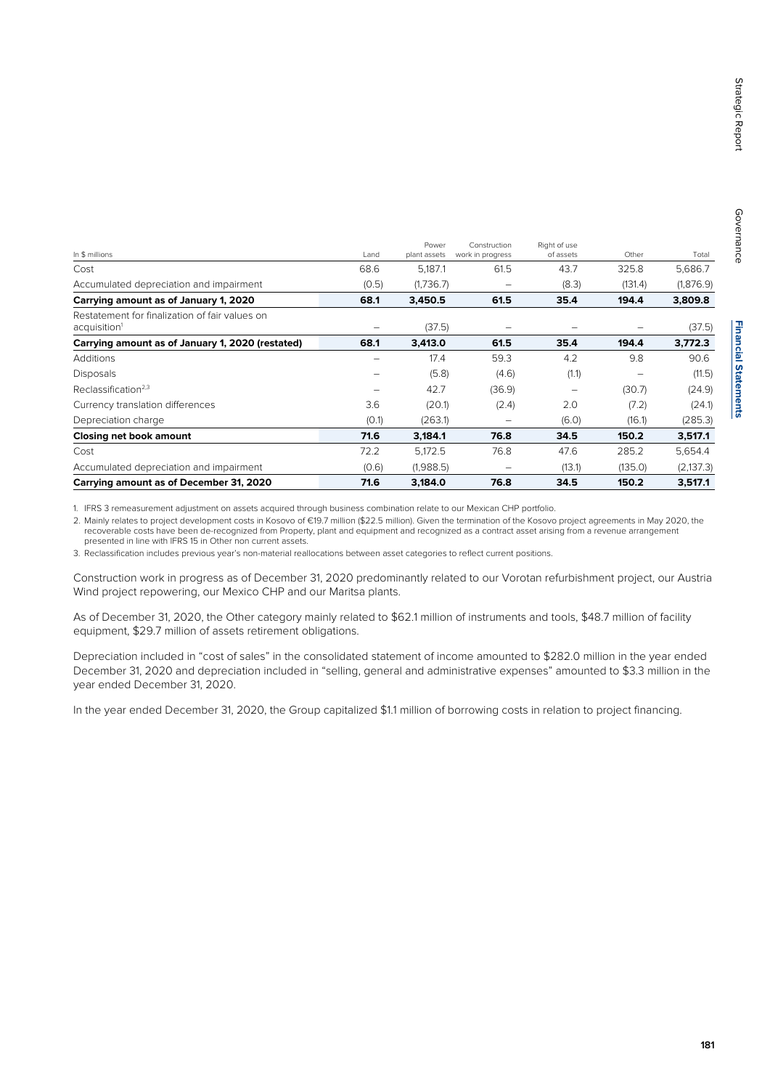| In \$ millions                                                             | Land  | Power<br>plant assets | Construction<br>work in progress | Right of use<br>of assets | Other   | Total      |
|----------------------------------------------------------------------------|-------|-----------------------|----------------------------------|---------------------------|---------|------------|
| Cost                                                                       | 68.6  | 5,187.1               | 61.5                             | 43.7                      | 325.8   | 5,686.7    |
| Accumulated depreciation and impairment                                    | (0.5) | (1,736.7)             |                                  | (8.3)                     | (131.4) | (1,876.9)  |
| Carrying amount as of January 1, 2020                                      | 68.1  | 3.450.5               | 61.5                             | 35.4                      | 194.4   | 3,809.8    |
| Restatement for finalization of fair values on<br>acquisition <sup>1</sup> |       | (37.5)                |                                  |                           |         | (37.5)     |
| Carrying amount as of January 1, 2020 (restated)                           | 68.1  | 3,413.0               | 61.5                             | 35.4                      | 194.4   | 3,772.3    |
| Additions                                                                  |       | 17.4                  | 59.3                             | 4.2                       | 9.8     | 90.6       |
| <b>Disposals</b>                                                           | -     | (5.8)                 | (4.6)                            | (1.1)                     | -       | (11.5)     |
| Reclassification <sup>2,3</sup>                                            |       | 42.7                  | (36.9)                           | $\overline{\phantom{0}}$  | (30.7)  | (24.9)     |
| Currency translation differences                                           | 3.6   | (20.1)                | (2.4)                            | 2.0                       | (7.2)   | (24.1)     |
| Depreciation charge                                                        | (0.1) | (263.1)               | $\overline{\phantom{0}}$         | (6.0)                     | (16.1)  | (285.3)    |
| Closing net book amount                                                    | 71.6  | 3,184.1               | 76.8                             | 34.5                      | 150.2   | 3,517.1    |
| Cost                                                                       | 72.2  | 5,172.5               | 76.8                             | 47.6                      | 285.2   | 5,654.4    |
| Accumulated depreciation and impairment                                    | (0.6) | (1,988.5)             |                                  | (13.1)                    | (135.0) | (2, 137.3) |
| Carrying amount as of December 31, 2020                                    | 71.6  | 3.184.0               | 76.8                             | 34.5                      | 150.2   | 3,517.1    |

1. IFRS 3 remeasurement adjustment on assets acquired through business combination relate to our Mexican CHP portfolio.

2. Mainly relates to project development costs in Kosovo of €19.7 million (\$22.5 million). Given the termination of the Kosovo project agreements in May 2020, the recoverable costs have been de-recognized from Property, plant and equipment and recognized as a contract asset arising from a revenue arrangement presented in line with IFRS 15 in Other non current assets.

3. Reclassification includes previous year's non-material reallocations between asset categories to reflect current positions.

Construction work in progress as of December 31, 2020 predominantly related to our Vorotan refurbishment project, our Austria Wind project repowering, our Mexico CHP and our Maritsa plants.

As of December 31, 2020, the Other category mainly related to \$62.1 million of instruments and tools, \$48.7 million of facility equipment, \$29.7 million of assets retirement obligations.

Depreciation included in "cost of sales" in the consolidated statement of income amounted to \$282.0 million in the year ended December 31, 2020 and depreciation included in "selling, general and administrative expenses" amounted to \$3.3 million in the year ended December 31, 2020.

In the year ended December 31, 2020, the Group capitalized \$1.1 million of borrowing costs in relation to project financing.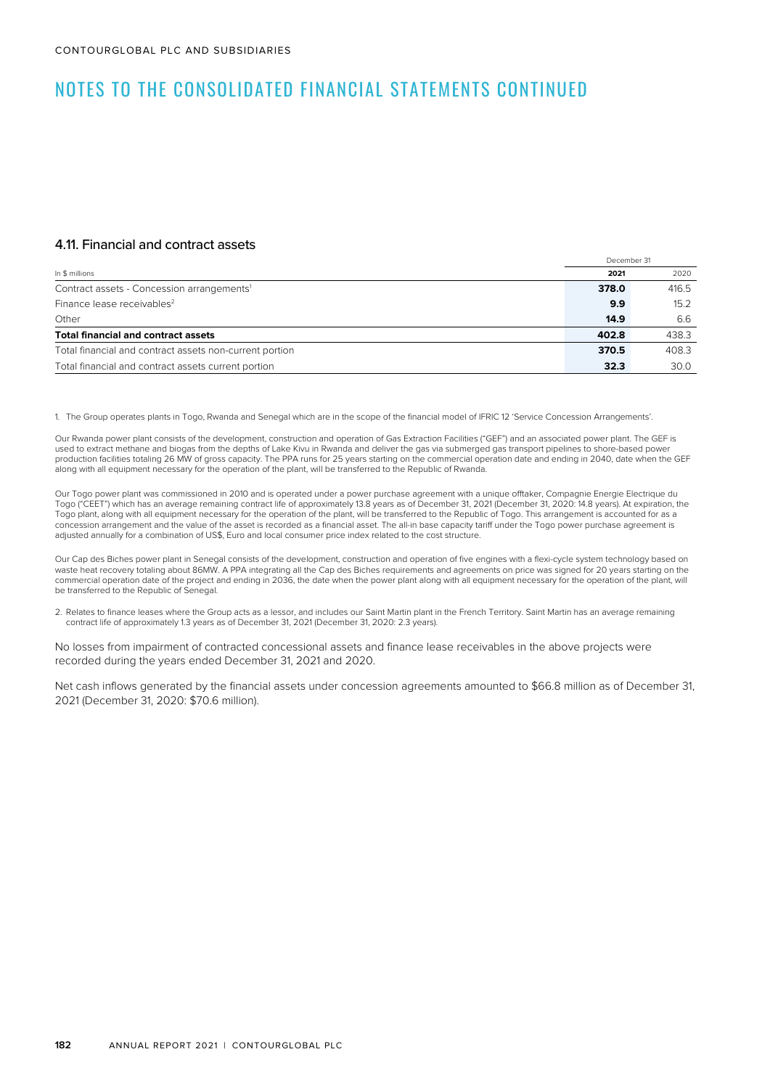#### 4.11. Financial and contract assets

|                                                         |       | December 31 |
|---------------------------------------------------------|-------|-------------|
| In \$ millions                                          | 2021  | 2020        |
| Contract assets - Concession arrangements <sup>1</sup>  | 378.0 | 416.5       |
| Finance lease receivables <sup>2</sup>                  | 9.9   | 15.2        |
| Other                                                   | 14.9  | 6.6         |
| <b>Total financial and contract assets</b>              | 402.8 | 438.3       |
| Total financial and contract assets non-current portion | 370.5 | 408.3       |
| Total financial and contract assets current portion     | 32.3  | 30.0        |

1. The Group operates plants in Togo, Rwanda and Senegal which are in the scope of the financial model of IFRIC 12 'Service Concession Arrangements'.

Our Rwanda power plant consists of the development, construction and operation of Gas Extraction Facilities ("GEF") and an associated power plant. The GEF is used to extract methane and biogas from the depths of Lake Kivu in Rwanda and deliver the gas via submerged gas transport pipelines to shore-based power production facilities totaling 26 MW of gross capacity. The PPA runs for 25 years starting on the commercial operation date and ending in 2040, date when the GEF along with all equipment necessary for the operation of the plant, will be transferred to the Republic of Rwanda.

Our Togo power plant was commissioned in 2010 and is operated under a power purchase agreement with a unique offtaker, Compagnie Energie Electrique du Togo ("CEET") which has an average remaining contract life of approximately 13.8 years as of December 31, 2021 (December 31, 2020: 14.8 years). At expiration, the Togo plant, along with all equipment necessary for the operation of the plant, will be transferred to the Republic of Togo. This arrangement is accounted for as a concession arrangement and the value of the asset is recorded as a financial asset. The all-in base capacity tariff under the Togo power purchase agreement is adjusted annually for a combination of US\$, Euro and local consumer price index related to the cost structure.

Our Cap des Biches power plant in Senegal consists of the development, construction and operation of five engines with a flexi-cycle system technology based on waste heat recovery totaling about 86MW. A PPA integrating all the Cap des Biches requirements and agreements on price was signed for 20 years starting on the commercial operation date of the project and ending in 2036, the date when the power plant along with all equipment necessary for the operation of the plant, will be transferred to the Republic of Senegal.

2. Relates to finance leases where the Group acts as a lessor, and includes our Saint Martin plant in the French Territory. Saint Martin has an average remaining contract life of approximately 1.3 years as of December 31, 2021 (December 31, 2020: 2.3 years).

No losses from impairment of contracted concessional assets and finance lease receivables in the above projects were recorded during the years ended December 31, 2021 and 2020.

Net cash inflows generated by the financial assets under concession agreements amounted to \$66.8 million as of December 31, 2021 (December 31, 2020: \$70.6 million).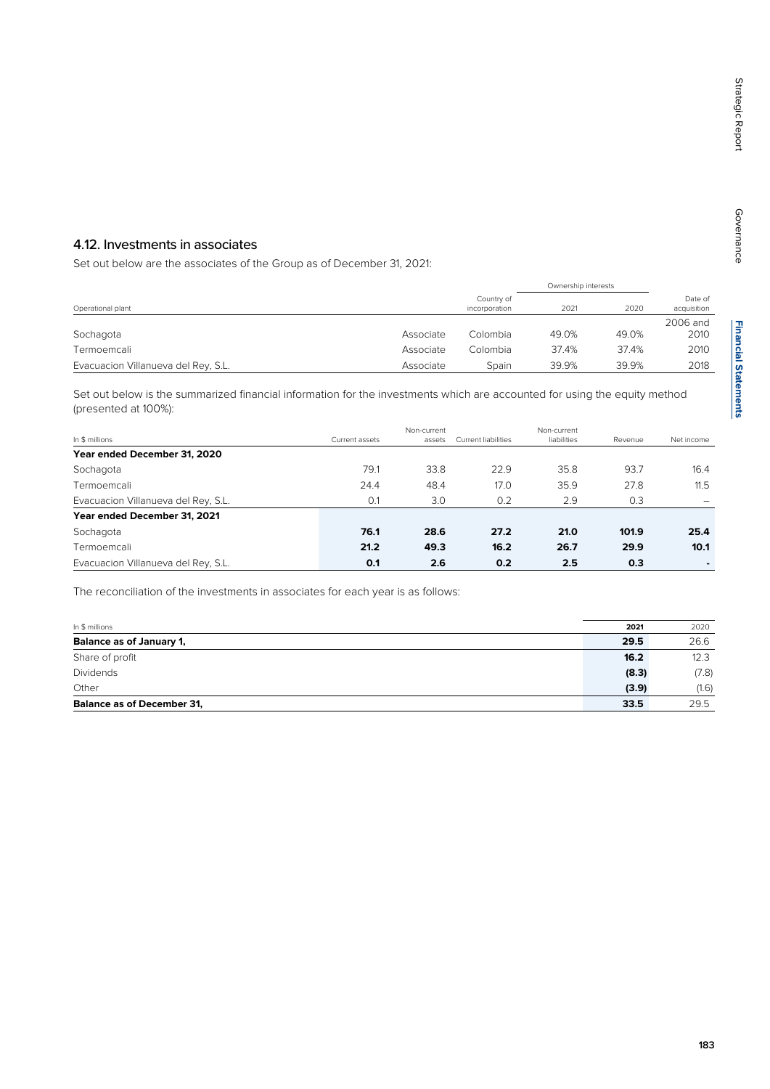# 4.12. Investments in associates

Set out below are the associates of the Group as of December 31, 2021:

|                                     |           |                             | Ownership interests |       |                        |  |
|-------------------------------------|-----------|-----------------------------|---------------------|-------|------------------------|--|
| Operational plant                   |           | Country of<br>incorporation | 2021                | 2020  | Date of<br>acquisition |  |
| Sochagota                           | Associate | Colombia                    | 49.0%               | 49.0% | 2006 and<br>2010       |  |
| Termoemcali                         | Associate | Colombia                    | 37.4%               | 37.4% | 2010                   |  |
| Evacuacion Villanueva del Rey, S.L. | Associate | Spain                       | 39.9%               | 39.9% | 2018                   |  |

Set out below is the summarized financial information for the investments which are accounted for using the equity method (presented at 100%):

| In \$ millions                      | Current assets | Non-current<br>assets | Current liabilities | Non-current<br>liabilities | Revenue | Net income |
|-------------------------------------|----------------|-----------------------|---------------------|----------------------------|---------|------------|
| Year ended December 31, 2020        |                |                       |                     |                            |         |            |
| Sochagota                           | 79.1           | 33.8                  | 22.9                | 35.8                       | 93.7    | 16.4       |
| Termoemcali                         | 24.4           | 48.4                  | 17.0                | 35.9                       | 27.8    | 11.5       |
| Evacuacion Villanueva del Rey, S.L. | 0.1            | 3.0                   | 0.2                 | 2.9                        | 0.3     |            |
| Year ended December 31, 2021        |                |                       |                     |                            |         |            |
| Sochagota                           | 76.1           | 28.6                  | 27.2                | 21.0                       | 101.9   | 25.4       |
| Termoemcali                         | 21.2           | 49.3                  | 16.2                | 26.7                       | 29.9    | 10.1       |
| Evacuacion Villanueva del Rey, S.L. | 0.1            | 2.6                   | 0.2                 | 2.5                        | 0.3     |            |

The reconciliation of the investments in associates for each year is as follows:

| In \$ millions                    | 2021  | 2020  |
|-----------------------------------|-------|-------|
| Balance as of January 1,          | 29.5  | 26.6  |
| Share of profit                   | 16.2  | 12.3  |
| Dividends                         | (8.3) | (7.8) |
| Other                             | (3.9) | (1.6) |
| <b>Balance as of December 31.</b> | 33.5  | 29.5  |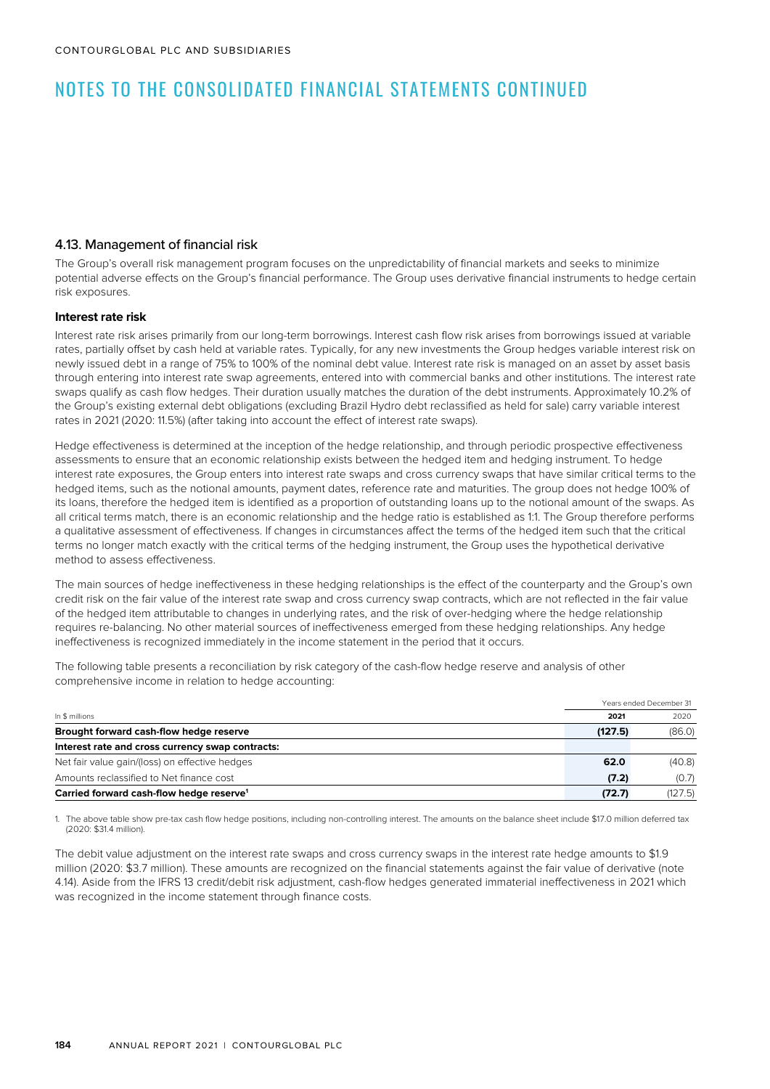### 4.13. Management of financial risk

The Group's overall risk management program focuses on the unpredictability of financial markets and seeks to minimize potential adverse effects on the Group's financial performance. The Group uses derivative financial instruments to hedge certain risk exposures.

#### **Interest rate risk**

Interest rate risk arises primarily from our long-term borrowings. Interest cash flow risk arises from borrowings issued at variable rates, partially offset by cash held at variable rates. Typically, for any new investments the Group hedges variable interest risk on newly issued debt in a range of 75% to 100% of the nominal debt value. Interest rate risk is managed on an asset by asset basis through entering into interest rate swap agreements, entered into with commercial banks and other institutions. The interest rate swaps qualify as cash flow hedges. Their duration usually matches the duration of the debt instruments. Approximately 10.2% of the Group's existing external debt obligations (excluding Brazil Hydro debt reclassified as held for sale) carry variable interest rates in 2021 (2020: 11.5%) (after taking into account the effect of interest rate swaps).

Hedge effectiveness is determined at the inception of the hedge relationship, and through periodic prospective effectiveness assessments to ensure that an economic relationship exists between the hedged item and hedging instrument. To hedge interest rate exposures, the Group enters into interest rate swaps and cross currency swaps that have similar critical terms to the hedged items, such as the notional amounts, payment dates, reference rate and maturities. The group does not hedge 100% of its loans, therefore the hedged item is identified as a proportion of outstanding loans up to the notional amount of the swaps. As all critical terms match, there is an economic relationship and the hedge ratio is established as 1:1. The Group therefore performs a qualitative assessment of effectiveness. If changes in circumstances affect the terms of the hedged item such that the critical terms no longer match exactly with the critical terms of the hedging instrument, the Group uses the hypothetical derivative method to assess effectiveness.

The main sources of hedge ineffectiveness in these hedging relationships is the effect of the counterparty and the Group's own credit risk on the fair value of the interest rate swap and cross currency swap contracts, which are not reflected in the fair value of the hedged item attributable to changes in underlying rates, and the risk of over-hedging where the hedge relationship requires re-balancing. No other material sources of ineffectiveness emerged from these hedging relationships. Any hedge ineffectiveness is recognized immediately in the income statement in the period that it occurs.

The following table presents a reconciliation by risk category of the cash-flow hedge reserve and analysis of other comprehensive income in relation to hedge accounting:

|                                                                | Years ended December 31 |  |  |
|----------------------------------------------------------------|-------------------------|--|--|
| In \$ millions<br>2021                                         | 2020                    |  |  |
| Brought forward cash-flow hedge reserve<br>(127.5)             | (86.0)                  |  |  |
| Interest rate and cross currency swap contracts:               |                         |  |  |
| Net fair value gain/(loss) on effective hedges<br>62.0         | (40.8)                  |  |  |
| Amounts reclassified to Net finance cost<br>(7.2)              | (0.7)                   |  |  |
| Carried forward cash-flow hedge reserve <sup>1</sup><br>(72.7) | (127.5)                 |  |  |

1. The above table show pre-tax cash flow hedge positions, including non-controlling interest. The amounts on the balance sheet include \$17.0 million deferred tax (2020: \$31.4 million).

The debit value adjustment on the interest rate swaps and cross currency swaps in the interest rate hedge amounts to \$1.9 million (2020: \$3.7 million). These amounts are recognized on the financial statements against the fair value of derivative (note 4.14). Aside from the IFRS 13 credit/debit risk adjustment, cash-flow hedges generated immaterial ineffectiveness in 2021 which was recognized in the income statement through finance costs.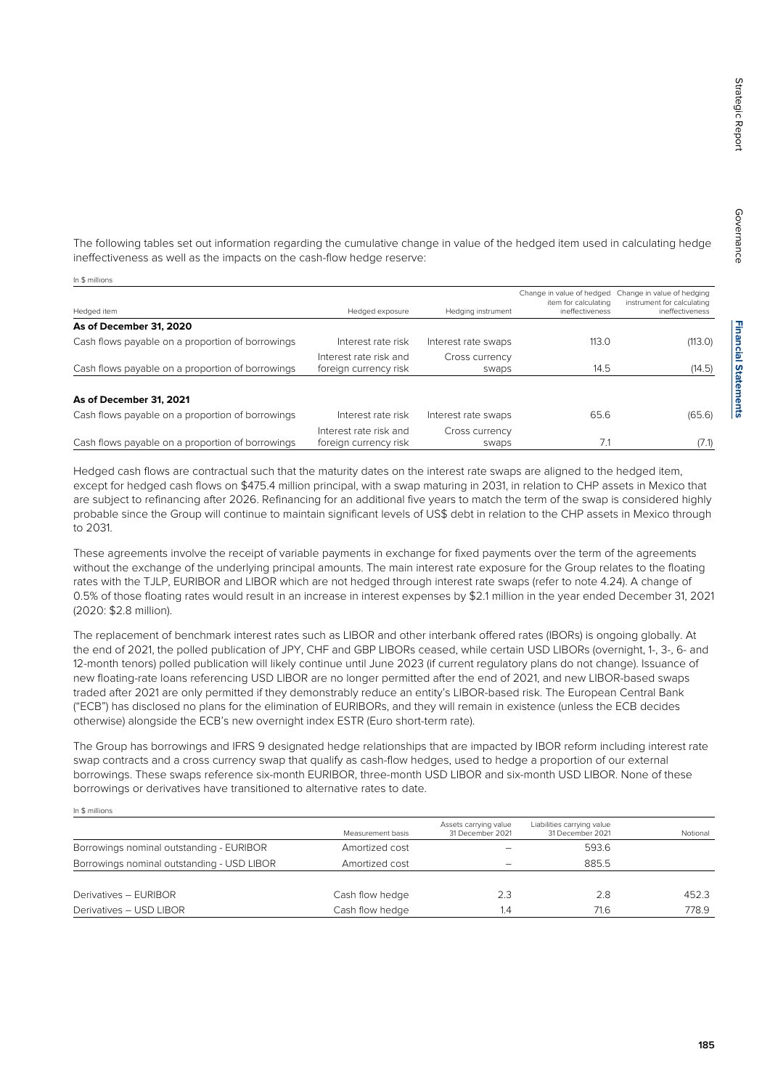**Financial Statements Financial Statements**

The following tables set out information regarding the cumulative change in value of the hedged item used in calculating hedge ineffectiveness as well as the impacts on the cash-flow hedge reserve:

In \$ millions

In \$ millions

| Hedged item                                      | Hedged exposure        | Hedging instrument  | Change in value of hedged<br>item for calculating<br>ineffectiveness | Change in value of hedging<br>instrument for calculating<br>ineffectiveness |
|--------------------------------------------------|------------------------|---------------------|----------------------------------------------------------------------|-----------------------------------------------------------------------------|
|                                                  |                        |                     |                                                                      |                                                                             |
| As of December 31, 2020                          |                        |                     |                                                                      |                                                                             |
| Cash flows payable on a proportion of borrowings | Interest rate risk     | Interest rate swaps | 113.0                                                                | (113.0)                                                                     |
|                                                  | Interest rate risk and | Cross currency      |                                                                      |                                                                             |
| Cash flows payable on a proportion of borrowings | foreign currency risk  | swaps               | 14.5                                                                 | (14.5)                                                                      |
| As of December 31, 2021                          |                        |                     |                                                                      |                                                                             |
| Cash flows payable on a proportion of borrowings | Interest rate risk     | Interest rate swaps | 65.6                                                                 | (65.6)                                                                      |
|                                                  | Interest rate risk and | Cross currency      |                                                                      |                                                                             |
| Cash flows payable on a proportion of borrowings | foreign currency risk  | swaps               | 7.1                                                                  | (7.1)                                                                       |

Hedged cash flows are contractual such that the maturity dates on the interest rate swaps are aligned to the hedged item, except for hedged cash flows on \$475.4 million principal, with a swap maturing in 2031, in relation to CHP assets in Mexico that are subject to refinancing after 2026. Refinancing for an additional five years to match the term of the swap is considered highly probable since the Group will continue to maintain significant levels of US\$ debt in relation to the CHP assets in Mexico through to 2031.

These agreements involve the receipt of variable payments in exchange for fixed payments over the term of the agreements without the exchange of the underlying principal amounts. The main interest rate exposure for the Group relates to the floating rates with the TJLP, EURIBOR and LIBOR which are not hedged through interest rate swaps (refer to note 4.24). A change of 0.5% of those floating rates would result in an increase in interest expenses by \$2.1 million in the year ended December 31, 2021 (2020: \$2.8 million).

The replacement of benchmark interest rates such as LIBOR and other interbank offered rates (IBORs) is ongoing globally. At the end of 2021, the polled publication of JPY, CHF and GBP LIBORs ceased, while certain USD LIBORs (overnight, 1-, 3-, 6- and 12-month tenors) polled publication will likely continue until June 2023 (if current regulatory plans do not change). Issuance of new floating-rate loans referencing USD LIBOR are no longer permitted after the end of 2021, and new LIBOR-based swaps traded after 2021 are only permitted if they demonstrably reduce an entity's LIBOR-based risk. The European Central Bank ("ECB") has disclosed no plans for the elimination of EURIBORs, and they will remain in existence (unless the ECB decides otherwise) alongside the ECB's new overnight index ESTR (Euro short-term rate).

The Group has borrowings and IFRS 9 designated hedge relationships that are impacted by IBOR reform including interest rate swap contracts and a cross currency swap that qualify as cash-flow hedges, used to hedge a proportion of our external borrowings. These swaps reference six-month EURIBOR, three-month USD LIBOR and six-month USD LIBOR. None of these borrowings or derivatives have transitioned to alternative rates to date.

Measurement basis Assets carrying value 31 December 2021 Liabilities carrying value 31 December 2021 Notional Borrowings nominal outstanding - EURIBOR Amortized cost Theorem 2003.6 Borrowings nominal outstanding - USD LIBOR Amortized cost  $\overline{\phantom{0}}$  - 885.5 Derivatives – EURIBOR Cash flow hedge 2.3 2.8 452.3 Derivatives – USD LIBOR Cash flow hedge 1.4 778.9 1.6 778.9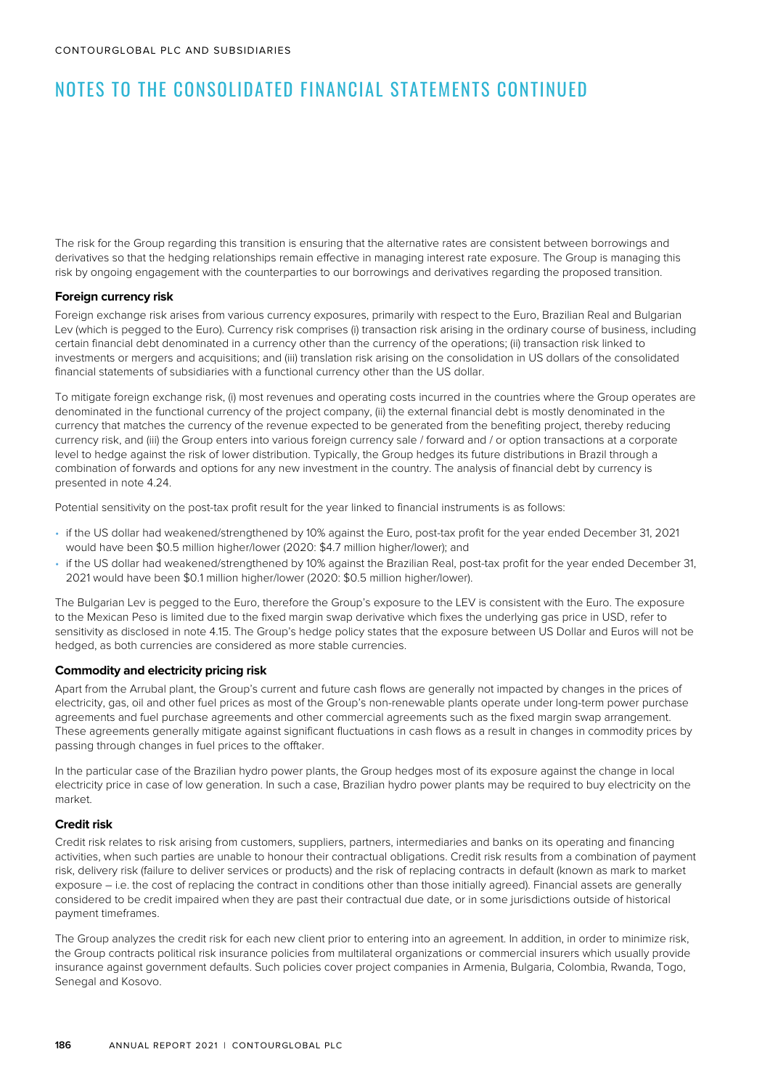The risk for the Group regarding this transition is ensuring that the alternative rates are consistent between borrowings and derivatives so that the hedging relationships remain effective in managing interest rate exposure. The Group is managing this risk by ongoing engagement with the counterparties to our borrowings and derivatives regarding the proposed transition.

### **Foreign currency risk**

Foreign exchange risk arises from various currency exposures, primarily with respect to the Euro, Brazilian Real and Bulgarian Lev (which is pegged to the Euro). Currency risk comprises (i) transaction risk arising in the ordinary course of business, including certain financial debt denominated in a currency other than the currency of the operations; (ii) transaction risk linked to investments or mergers and acquisitions; and (iii) translation risk arising on the consolidation in US dollars of the consolidated financial statements of subsidiaries with a functional currency other than the US dollar.

To mitigate foreign exchange risk, (i) most revenues and operating costs incurred in the countries where the Group operates are denominated in the functional currency of the project company, (ii) the external financial debt is mostly denominated in the currency that matches the currency of the revenue expected to be generated from the benefiting project, thereby reducing currency risk, and (iii) the Group enters into various foreign currency sale / forward and / or option transactions at a corporate level to hedge against the risk of lower distribution. Typically, the Group hedges its future distributions in Brazil through a combination of forwards and options for any new investment in the country. The analysis of financial debt by currency is presented in note 4.24.

Potential sensitivity on the post-tax profit result for the year linked to financial instruments is as follows:

- if the US dollar had weakened/strengthened by 10% against the Euro, post-tax profit for the year ended December 31, 2021 would have been \$0.5 million higher/lower (2020: \$4.7 million higher/lower); and
- if the US dollar had weakened/strengthened by 10% against the Brazilian Real, post-tax profit for the year ended December 31, 2021 would have been \$0.1 million higher/lower (2020: \$0.5 million higher/lower).

The Bulgarian Lev is pegged to the Euro, therefore the Group's exposure to the LEV is consistent with the Euro. The exposure to the Mexican Peso is limited due to the fixed margin swap derivative which fixes the underlying gas price in USD, refer to sensitivity as disclosed in note 4.15. The Group's hedge policy states that the exposure between US Dollar and Euros will not be hedged, as both currencies are considered as more stable currencies.

### **Commodity and electricity pricing risk**

Apart from the Arrubal plant, the Group's current and future cash flows are generally not impacted by changes in the prices of electricity, gas, oil and other fuel prices as most of the Group's non-renewable plants operate under long-term power purchase agreements and fuel purchase agreements and other commercial agreements such as the fixed margin swap arrangement. These agreements generally mitigate against significant fluctuations in cash flows as a result in changes in commodity prices by passing through changes in fuel prices to the offtaker.

In the particular case of the Brazilian hydro power plants, the Group hedges most of its exposure against the change in local electricity price in case of low generation. In such a case, Brazilian hydro power plants may be required to buy electricity on the market.

#### **Credit risk**

Credit risk relates to risk arising from customers, suppliers, partners, intermediaries and banks on its operating and financing activities, when such parties are unable to honour their contractual obligations. Credit risk results from a combination of payment risk, delivery risk (failure to deliver services or products) and the risk of replacing contracts in default (known as mark to market exposure – i.e. the cost of replacing the contract in conditions other than those initially agreed). Financial assets are generally considered to be credit impaired when they are past their contractual due date, or in some jurisdictions outside of historical payment timeframes.

The Group analyzes the credit risk for each new client prior to entering into an agreement. In addition, in order to minimize risk, the Group contracts political risk insurance policies from multilateral organizations or commercial insurers which usually provide insurance against government defaults. Such policies cover project companies in Armenia, Bulgaria, Colombia, Rwanda, Togo, Senegal and Kosovo.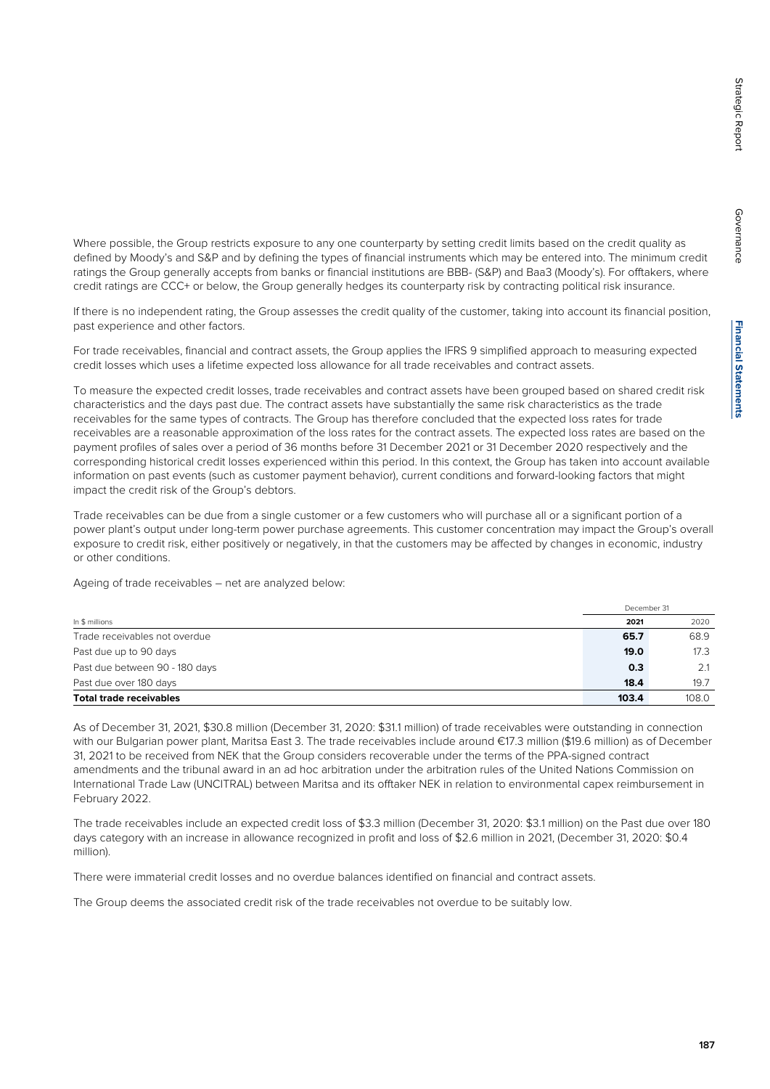Governance

Governance

Where possible, the Group restricts exposure to any one counterparty by setting credit limits based on the credit quality as defined by Moody's and S&P and by defining the types of financial instruments which may be entered into. The minimum credit ratings the Group generally accepts from banks or financial institutions are BBB- (S&P) and Baa3 (Moody's). For offtakers, where credit ratings are CCC+ or below, the Group generally hedges its counterparty risk by contracting political risk insurance.

If there is no independent rating, the Group assesses the credit quality of the customer, taking into account its financial position, past experience and other factors.

For trade receivables, financial and contract assets, the Group applies the IFRS 9 simplified approach to measuring expected credit losses which uses a lifetime expected loss allowance for all trade receivables and contract assets.

To measure the expected credit losses, trade receivables and contract assets have been grouped based on shared credit risk characteristics and the days past due. The contract assets have substantially the same risk characteristics as the trade receivables for the same types of contracts. The Group has therefore concluded that the expected loss rates for trade receivables are a reasonable approximation of the loss rates for the contract assets. The expected loss rates are based on the payment profiles of sales over a period of 36 months before 31 December 2021 or 31 December 2020 respectively and the corresponding historical credit losses experienced within this period. In this context, the Group has taken into account available information on past events (such as customer payment behavior), current conditions and forward-looking factors that might impact the credit risk of the Group's debtors.

Trade receivables can be due from a single customer or a few customers who will purchase all or a significant portion of a power plant's output under long-term power purchase agreements. This customer concentration may impact the Group's overall exposure to credit risk, either positively or negatively, in that the customers may be affected by changes in economic, industry or other conditions.

Ageing of trade receivables – net are analyzed below:

|                                |       | December 31 |  |  |
|--------------------------------|-------|-------------|--|--|
| In \$ millions                 | 2021  | 2020        |  |  |
| Trade receivables not overdue  | 65.7  | 68.9        |  |  |
| Past due up to 90 days         | 19.0  | 17.3        |  |  |
| Past due between 90 - 180 days | 0.3   | 2.1         |  |  |
| Past due over 180 days         | 18.4  | 19.7        |  |  |
| <b>Total trade receivables</b> | 103.4 | 108.0       |  |  |

As of December 31, 2021, \$30.8 million (December 31, 2020: \$31.1 million) of trade receivables were outstanding in connection with our Bulgarian power plant, Maritsa East 3. The trade receivables include around €17.3 million (\$19.6 million) as of December 31, 2021 to be received from NEK that the Group considers recoverable under the terms of the PPA-signed contract amendments and the tribunal award in an ad hoc arbitration under the arbitration rules of the United Nations Commission on International Trade Law (UNCITRAL) between Maritsa and its offtaker NEK in relation to environmental capex reimbursement in February 2022.

The trade receivables include an expected credit loss of \$3.3 million (December 31, 2020: \$3.1 million) on the Past due over 180 days category with an increase in allowance recognized in profit and loss of \$2.6 million in 2021, (December 31, 2020: \$0.4 million).

There were immaterial credit losses and no overdue balances identified on financial and contract assets.

The Group deems the associated credit risk of the trade receivables not overdue to be suitably low.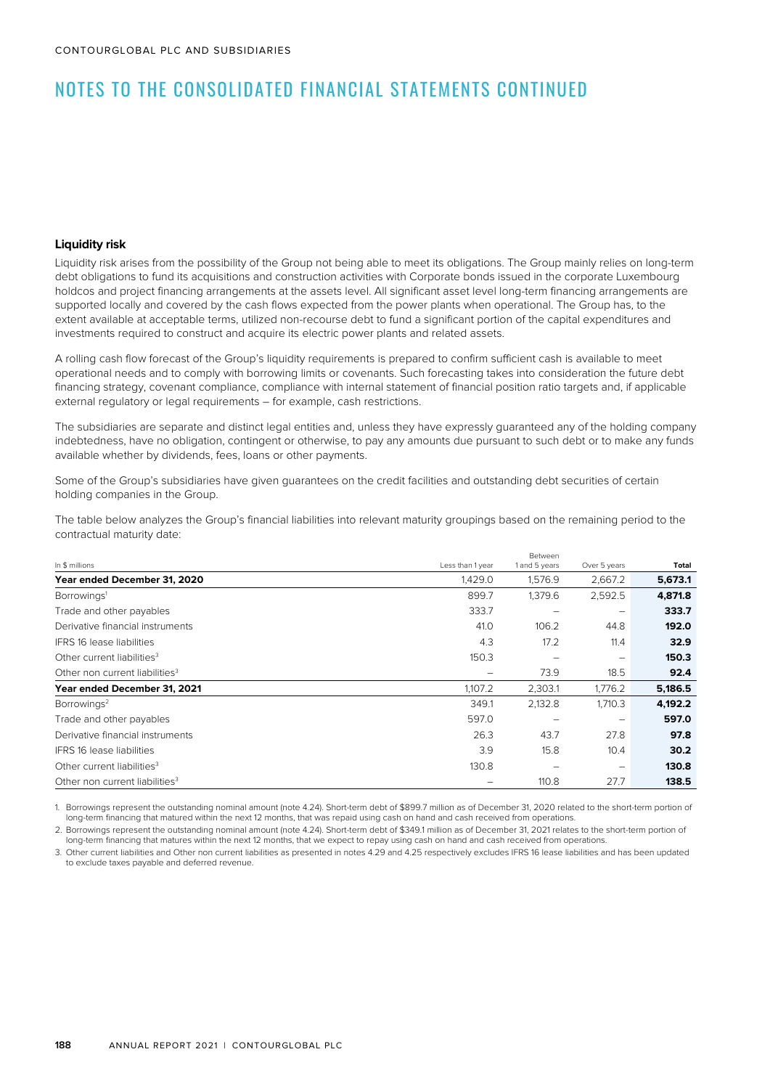#### **Liquidity risk**

Liquidity risk arises from the possibility of the Group not being able to meet its obligations. The Group mainly relies on long-term debt obligations to fund its acquisitions and construction activities with Corporate bonds issued in the corporate Luxembourg holdcos and project financing arrangements at the assets level. All significant asset level long-term financing arrangements are supported locally and covered by the cash flows expected from the power plants when operational. The Group has, to the extent available at acceptable terms, utilized non-recourse debt to fund a significant portion of the capital expenditures and investments required to construct and acquire its electric power plants and related assets.

A rolling cash flow forecast of the Group's liquidity requirements is prepared to confirm sufficient cash is available to meet operational needs and to comply with borrowing limits or covenants. Such forecasting takes into consideration the future debt financing strategy, covenant compliance, compliance with internal statement of financial position ratio targets and, if applicable external regulatory or legal requirements – for example, cash restrictions.

The subsidiaries are separate and distinct legal entities and, unless they have expressly guaranteed any of the holding company indebtedness, have no obligation, contingent or otherwise, to pay any amounts due pursuant to such debt or to make any funds available whether by dividends, fees, loans or other payments.

Some of the Group's subsidiaries have given guarantees on the credit facilities and outstanding debt securities of certain holding companies in the Group.

The table below analyzes the Group's financial liabilities into relevant maturity groupings based on the remaining period to the contractual maturity date:

|                                            | Between          |               |              |         |  |
|--------------------------------------------|------------------|---------------|--------------|---------|--|
| In \$ millions                             | Less than 1 year | 1 and 5 years | Over 5 years | Total   |  |
| Year ended December 31, 2020               | 1,429.0          | 1,576.9       | 2,667.2      | 5,673.1 |  |
| Borrowings <sup>1</sup>                    | 899.7            | 1,379.6       | 2,592.5      | 4,871.8 |  |
| Trade and other payables                   | 333.7            | -             | -            | 333.7   |  |
| Derivative financial instruments           | 41.0             | 106.2         | 44.8         | 192.0   |  |
| <b>IFRS 16 lease liabilities</b>           | 4.3              | 17.2          | 11.4         | 32.9    |  |
| Other current liabilities <sup>3</sup>     | 150.3            |               | -            | 150.3   |  |
| Other non current liabilities <sup>3</sup> | -                | 73.9          | 18.5         | 92.4    |  |
| Year ended December 31, 2021               | 1,107.2          | 2,303.1       | 1,776.2      | 5,186.5 |  |
| Borrowings <sup>2</sup>                    | 349.1            | 2,132.8       | 1,710.3      | 4,192.2 |  |
| Trade and other payables                   | 597.0            |               | -            | 597.0   |  |
| Derivative financial instruments           | 26.3             | 43.7          | 27.8         | 97.8    |  |
| <b>IFRS 16 lease liabilities</b>           | 3.9              | 15.8          | 10.4         | 30.2    |  |
| Other current liabilities <sup>3</sup>     | 130.8            | -             | -            | 130.8   |  |
| Other non current liabilities <sup>3</sup> |                  | 110.8         | 27.7         | 138.5   |  |

1. Borrowings represent the outstanding nominal amount (note 4.24). Short-term debt of \$899.7 million as of December 31, 2020 related to the short-term portion of long-term financing that matured within the next 12 months, that was repaid using cash on hand and cash received from operations.

2. Borrowings represent the outstanding nominal amount (note 4.24). Short-term debt of \$349.1 million as of December 31, 2021 relates to the short-term portion of long-term financing that matures within the next 12 months, that we expect to repay using cash on hand and cash received from operations.

3. Other current liabilities and Other non current liabilities as presented in notes 4.29 and 4.25 respectively excludes IFRS 16 lease liabilities and has been updated to exclude taxes payable and deferred revenue.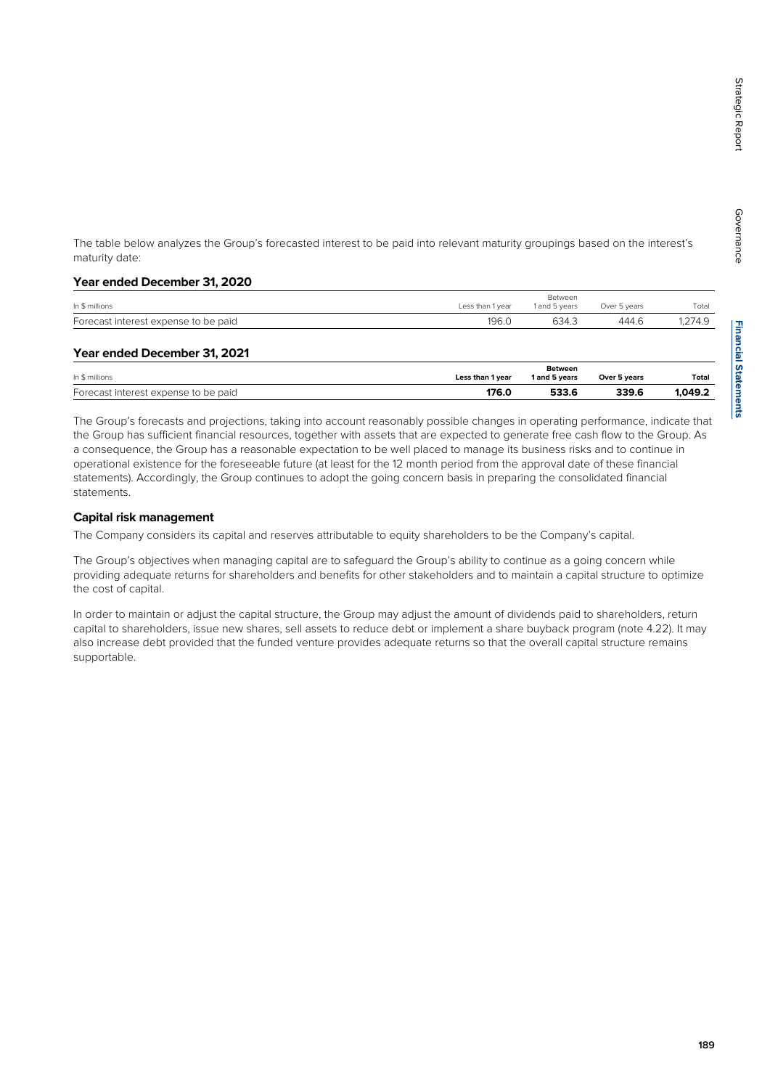**Financial Statements Financial Statements**

The table below analyzes the Group's forecasted interest to be paid into relevant maturity groupings based on the interest's maturity date:

#### **Year ended December 31, 2020**

| In \$ millions                       | Less than 1 year | Between<br>1 and 5 years | Over 5 years | Total  |
|--------------------------------------|------------------|--------------------------|--------------|--------|
| Forecast interest expense to be paid | 196.0            | 634.3                    | 444.6        | ,274.9 |
|                                      |                  |                          |              |        |

### **Year ended December 31, 2021**

| In \$ millions                       | Less than 1 year | <b>Between</b><br>1 and 5 vears | Over 5 years | Total   |
|--------------------------------------|------------------|---------------------------------|--------------|---------|
| Forecast interest expense to be paid | 176.0            | 533.6                           | 339.6        | 1.049.2 |

The Group's forecasts and projections, taking into account reasonably possible changes in operating performance, indicate that the Group has sufficient financial resources, together with assets that are expected to generate free cash flow to the Group. As a consequence, the Group has a reasonable expectation to be well placed to manage its business risks and to continue in operational existence for the foreseeable future (at least for the 12 month period from the approval date of these financial statements). Accordingly, the Group continues to adopt the going concern basis in preparing the consolidated financial statements.

### **Capital risk management**

The Company considers its capital and reserves attributable to equity shareholders to be the Company's capital.

The Group's objectives when managing capital are to safeguard the Group's ability to continue as a going concern while providing adequate returns for shareholders and benefits for other stakeholders and to maintain a capital structure to optimize the cost of capital.

In order to maintain or adjust the capital structure, the Group may adjust the amount of dividends paid to shareholders, return capital to shareholders, issue new shares, sell assets to reduce debt or implement a share buyback program (note 4.22). It may also increase debt provided that the funded venture provides adequate returns so that the overall capital structure remains supportable.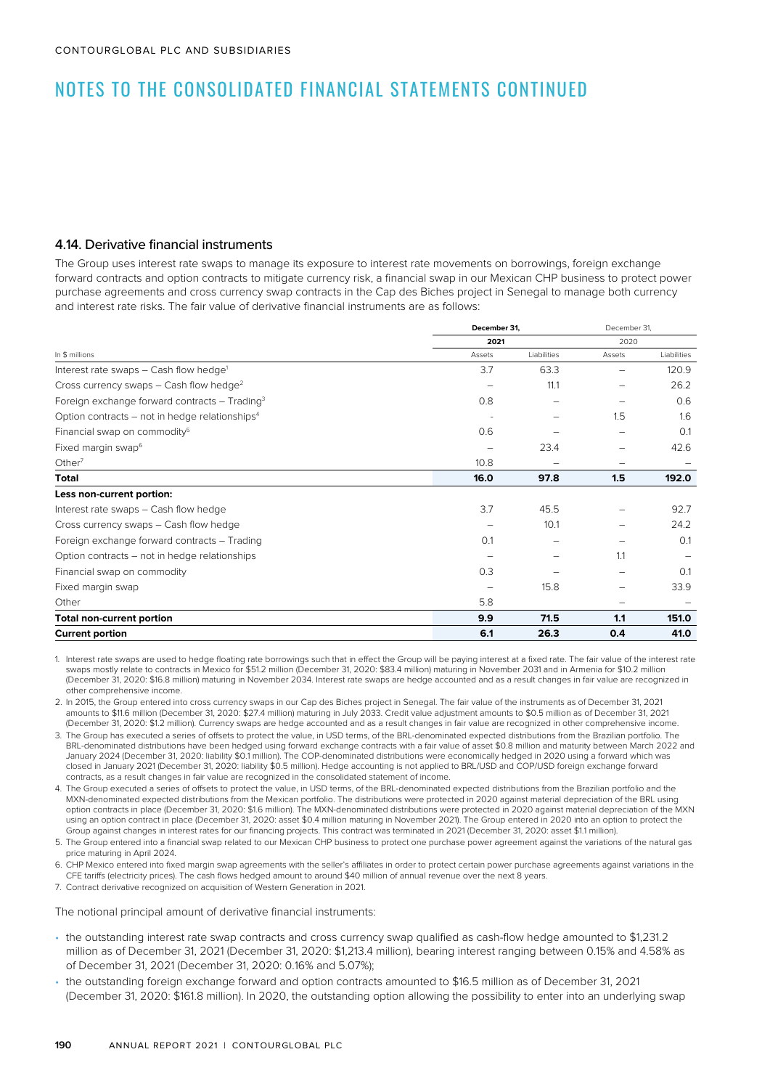### 4.14. Derivative financial instruments

The Group uses interest rate swaps to manage its exposure to interest rate movements on borrowings, foreign exchange forward contracts and option contracts to mitigate currency risk, a financial swap in our Mexican CHP business to protect power purchase agreements and cross currency swap contracts in the Cap des Biches project in Senegal to manage both currency and interest rate risks. The fair value of derivative financial instruments are as follows:

|                                                            |        | December 31, |        | December 31, |  |
|------------------------------------------------------------|--------|--------------|--------|--------------|--|
|                                                            | 2021   |              | 2020   |              |  |
| In \$ millions                                             | Assets | Liabilities  | Assets | Liabilities  |  |
| Interest rate swaps - Cash flow hedge <sup>1</sup>         | 3.7    | 63.3         |        | 120.9        |  |
| Cross currency swaps $-$ Cash flow hedge <sup>2</sup>      | -      | 11.1         |        | 26.2         |  |
| Foreign exchange forward contracts - Trading <sup>3</sup>  | 0.8    |              |        | 0.6          |  |
| Option contracts – not in hedge relationships <sup>4</sup> |        |              | 1.5    | 1.6          |  |
| Financial swap on commodity <sup>5</sup>                   | 0.6    |              |        | 0.1          |  |
| Fixed margin swap <sup>6</sup>                             |        | 23.4         |        | 42.6         |  |
| Other $7$                                                  | 10.8   |              | -      |              |  |
| <b>Total</b>                                               | 16.0   | 97.8         | 1.5    | 192.0        |  |
| Less non-current portion:                                  |        |              |        |              |  |
| Interest rate swaps - Cash flow hedge                      | 3.7    | 45.5         |        | 92.7         |  |
| Cross currency swaps - Cash flow hedge                     |        | 10.1         |        | 24.2         |  |
| Foreign exchange forward contracts - Trading               | 0.1    |              |        | 0.1          |  |
| Option contracts – not in hedge relationships              |        |              | 1.1    |              |  |
| Financial swap on commodity                                | 0.3    |              |        | 0.1          |  |
| Fixed margin swap                                          |        | 15.8         |        | 33.9         |  |
| Other                                                      | 5.8    |              |        |              |  |
| <b>Total non-current portion</b>                           | 9.9    | 71.5         | 1.1    | 151.0        |  |
| <b>Current portion</b>                                     | 6.1    | 26.3         | 0.4    | 41.0         |  |

1. Interest rate swaps are used to hedge floating rate borrowings such that in effect the Group will be paying interest at a fixed rate. The fair value of the interest rate swaps mostly relate to contracts in Mexico for \$51.2 million (December 31, 2020: \$83.4 million) maturing in November 2031 and in Armenia for \$10.2 million (December 31, 2020: \$16.8 million) maturing in November 2034. Interest rate swaps are hedge accounted and as a result changes in fair value are recognized in other comprehensive income.

2. In 2015, the Group entered into cross currency swaps in our Cap des Biches project in Senegal. The fair value of the instruments as of December 31, 2021 amounts to \$11.6 million (December 31, 2020: \$27.4 million) maturing in July 2033. Credit value adjustment amounts to \$0.5 million as of December 31, 2021 (December 31, 2020: \$1.2 million). Currency swaps are hedge accounted and as a result changes in fair value are recognized in other comprehensive income.

- 3. The Group has executed a series of offsets to protect the value, in USD terms, of the BRL-denominated expected distributions from the Brazilian portfolio. The BRL-denominated distributions have been hedged using forward exchange contracts with a fair value of asset \$0.8 million and maturity between March 2022 and January 2024 (December 31, 2020: liability \$0.1 million). The COP-denominated distributions were economically hedged in 2020 using a forward which was closed in January 2021 (December 31, 2020: liability \$0.5 million). Hedge accounting is not applied to BRL/USD and COP/USD foreign exchange forward contracts, as a result changes in fair value are recognized in the consolidated statement of income.
- 4. The Group executed a series of offsets to protect the value, in USD terms, of the BRL-denominated expected distributions from the Brazilian portfolio and the MXN-denominated expected distributions from the Mexican portfolio. The distributions were protected in 2020 against material depreciation of the BRL using option contracts in place (December 31, 2020: \$1.6 million). The MXN-denominated distributions were protected in 2020 against material depreciation of the MXN using an option contract in place (December 31, 2020: asset \$0.4 million maturing in November 2021). The Group entered in 2020 into an option to protect the Group against changes in interest rates for our financing projects. This contract was terminated in 2021 (December 31, 2020: asset \$1.1 million).

5. The Group entered into a financial swap related to our Mexican CHP business to protect one purchase power agreement against the variations of the natural gas price maturing in April 2024.

6. CHP Mexico entered into fixed margin swap agreements with the seller's affiliates in order to protect certain power purchase agreements against variations in the CFE tariffs (electricity prices). The cash flows hedged amount to around \$40 million of annual revenue over the next 8 years.

7. Contract derivative recognized on acquisition of Western Generation in 2021.

The notional principal amount of derivative financial instruments:

- the outstanding interest rate swap contracts and cross currency swap qualified as cash-flow hedge amounted to \$1,231.2 million as of December 31, 2021 (December 31, 2020: \$1,213.4 million), bearing interest ranging between 0.15% and 4.58% as of December 31, 2021 (December 31, 2020: 0.16% and 5.07%);
- the outstanding foreign exchange forward and option contracts amounted to \$16.5 million as of December 31, 2021 (December 31, 2020: \$161.8 million). In 2020, the outstanding option allowing the possibility to enter into an underlying swap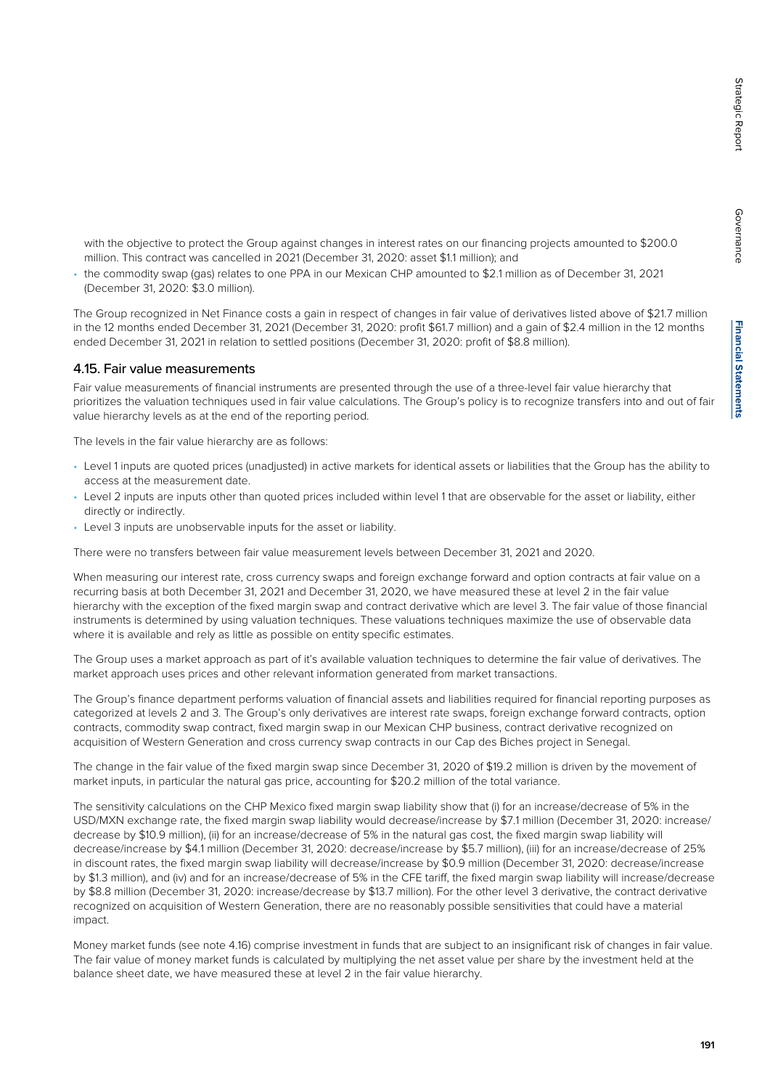Governance

Governance

with the objective to protect the Group against changes in interest rates on our financing projects amounted to \$200.0 million. This contract was cancelled in 2021 (December 31, 2020: asset \$1.1 million); and

• the commodity swap (gas) relates to one PPA in our Mexican CHP amounted to \$2.1 million as of December 31, 2021 (December 31, 2020: \$3.0 million).

The Group recognized in Net Finance costs a gain in respect of changes in fair value of derivatives listed above of \$21.7 million in the 12 months ended December 31, 2021 (December 31, 2020: profit \$61.7 million) and a gain of \$2.4 million in the 12 months ended December 31, 2021 in relation to settled positions (December 31, 2020: profit of \$8.8 million).

#### 4.15. Fair value measurements

Fair value measurements of financial instruments are presented through the use of a three-level fair value hierarchy that prioritizes the valuation techniques used in fair value calculations. The Group's policy is to recognize transfers into and out of fair value hierarchy levels as at the end of the reporting period.

The levels in the fair value hierarchy are as follows:

- Level 1 inputs are quoted prices (unadjusted) in active markets for identical assets or liabilities that the Group has the ability to access at the measurement date.
- Level 2 inputs are inputs other than quoted prices included within level 1 that are observable for the asset or liability, either directly or indirectly.
- Level 3 inputs are unobservable inputs for the asset or liability.

There were no transfers between fair value measurement levels between December 31, 2021 and 2020.

When measuring our interest rate, cross currency swaps and foreign exchange forward and option contracts at fair value on a recurring basis at both December 31, 2021 and December 31, 2020, we have measured these at level 2 in the fair value hierarchy with the exception of the fixed margin swap and contract derivative which are level 3. The fair value of those financial instruments is determined by using valuation techniques. These valuations techniques maximize the use of observable data where it is available and rely as little as possible on entity specific estimates.

The Group uses a market approach as part of it's available valuation techniques to determine the fair value of derivatives. The market approach uses prices and other relevant information generated from market transactions.

The Group's finance department performs valuation of financial assets and liabilities required for financial reporting purposes as categorized at levels 2 and 3. The Group's only derivatives are interest rate swaps, foreign exchange forward contracts, option contracts, commodity swap contract, fixed margin swap in our Mexican CHP business, contract derivative recognized on acquisition of Western Generation and cross currency swap contracts in our Cap des Biches project in Senegal.

The change in the fair value of the fixed margin swap since December 31, 2020 of \$19.2 million is driven by the movement of market inputs, in particular the natural gas price, accounting for \$20.2 million of the total variance.

The sensitivity calculations on the CHP Mexico fixed margin swap liability show that (i) for an increase/decrease of 5% in the USD/MXN exchange rate, the fixed margin swap liability would decrease/increase by \$7.1 million (December 31, 2020: increase/ decrease by \$10.9 million), (ii) for an increase/decrease of 5% in the natural gas cost, the fixed margin swap liability will decrease/increase by \$4.1 million (December 31, 2020: decrease/increase by \$5.7 million), (iii) for an increase/decrease of 25% in discount rates, the fixed margin swap liability will decrease/increase by \$0.9 million (December 31, 2020: decrease/increase by \$1.3 million), and (iv) and for an increase/decrease of 5% in the CFE tariff, the fixed margin swap liability will increase/decrease by \$8.8 million (December 31, 2020: increase/decrease by \$13.7 million). For the other level 3 derivative, the contract derivative recognized on acquisition of Western Generation, there are no reasonably possible sensitivities that could have a material impact.

Money market funds (see note 4.16) comprise investment in funds that are subject to an insignificant risk of changes in fair value. The fair value of money market funds is calculated by multiplying the net asset value per share by the investment held at the balance sheet date, we have measured these at level 2 in the fair value hierarchy.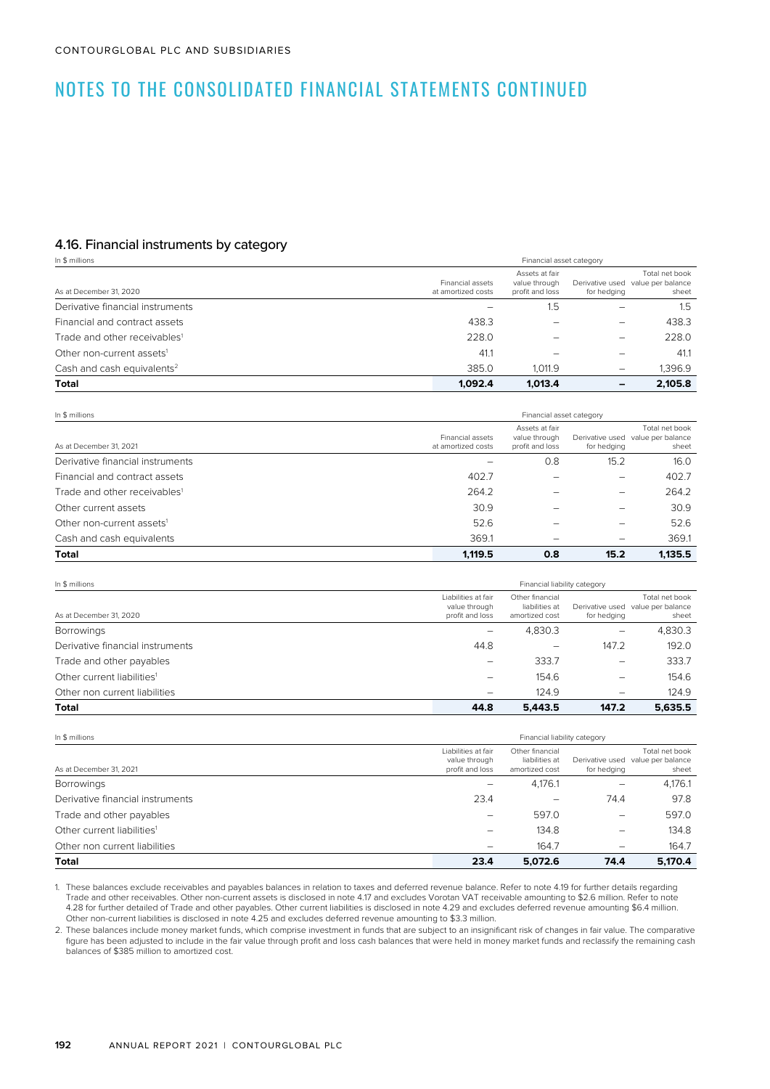### 4.16. Financial instruments by category

| In \$ millions                           | Financial asset category               |                                                    |             |                                                              |  |
|------------------------------------------|----------------------------------------|----------------------------------------------------|-------------|--------------------------------------------------------------|--|
| As at December 31, 2020                  | Financial assets<br>at amortized costs | Assets at fair<br>value through<br>profit and loss | for hedging | Total net book<br>Derivative used value per balance<br>sheet |  |
| Derivative financial instruments         |                                        | 1.5                                                |             | 1.5                                                          |  |
| Financial and contract assets            | 438.3                                  |                                                    | -           | 438.3                                                        |  |
| Trade and other receivables <sup>1</sup> | 228.0                                  |                                                    |             | 228.0                                                        |  |
| Other non-current assets <sup>1</sup>    | 41.1                                   |                                                    |             | 41.1                                                         |  |
| Cash and cash equivalents <sup>2</sup>   | 385.0                                  | 1.011.9                                            |             | 1.396.9                                                      |  |
| <b>Total</b>                             | 1.092.4                                | 1.013.4                                            |             | 2.105.8                                                      |  |

| In \$ millions                           | Financial asset category               |                                                    |             |                                                              |  |
|------------------------------------------|----------------------------------------|----------------------------------------------------|-------------|--------------------------------------------------------------|--|
| As at December 31, 2021                  | Financial assets<br>at amortized costs | Assets at fair<br>value through<br>profit and loss | for hedging | Total net book<br>Derivative used value per balance<br>sheet |  |
| Derivative financial instruments         |                                        | 0.8                                                | 15.2        | 16.0                                                         |  |
| Financial and contract assets            | 402.7                                  |                                                    | -           | 402.7                                                        |  |
| Trade and other receivables <sup>1</sup> | 264.2                                  |                                                    |             | 264.2                                                        |  |
| Other current assets                     | 30.9                                   |                                                    |             | 30.9                                                         |  |
| Other non-current assets <sup>1</sup>    | 52.6                                   |                                                    |             | 52.6                                                         |  |
| Cash and cash equivalents                | 369.1                                  |                                                    | -           | 369.1                                                        |  |
| <b>Total</b>                             | 1.119.5                                | 0.8                                                | 15.2        | 1.135.5                                                      |  |

| In \$ millions                         | Financial liability category                            |                                                     |             |                                                              |  |  |
|----------------------------------------|---------------------------------------------------------|-----------------------------------------------------|-------------|--------------------------------------------------------------|--|--|
| As at December 31, 2020                | Liabilities at fair<br>value through<br>profit and loss | Other financial<br>liabilities at<br>amortized cost | for hedging | Total net book<br>Derivative used value per balance<br>sheet |  |  |
| <b>Borrowings</b>                      | -                                                       | 4,830.3                                             | -           | 4,830.3                                                      |  |  |
| Derivative financial instruments       | 44.8                                                    | $\overline{\phantom{0}}$                            | 147.2       | 192.0                                                        |  |  |
| Trade and other payables               |                                                         | 333.7                                               | -           | 333.7                                                        |  |  |
| Other current liabilities <sup>1</sup> |                                                         | 154.6                                               | -           | 154.6                                                        |  |  |
| Other non current liabilities          |                                                         | 124.9                                               | -           | 124.9                                                        |  |  |
| <b>Total</b>                           | 44.8                                                    | 5.443.5                                             | 147.2       | 5.635.5                                                      |  |  |

| In \$ millions                         |                                                         | Financial liability category                        |             |                                                              |  |  |
|----------------------------------------|---------------------------------------------------------|-----------------------------------------------------|-------------|--------------------------------------------------------------|--|--|
| As at December 31, 2021                | Liabilities at fair<br>value through<br>profit and loss | Other financial<br>liabilities at<br>amortized cost | for hedging | Total net book<br>Derivative used value per balance<br>sheet |  |  |
| <b>Borrowings</b>                      |                                                         | 4,176.1                                             |             | 4,176.1                                                      |  |  |
| Derivative financial instruments       | 23.4                                                    | -                                                   | 74.4        | 97.8                                                         |  |  |
| Trade and other payables               |                                                         | 597.0                                               |             | 597.0                                                        |  |  |
| Other current liabilities <sup>1</sup> |                                                         | 134.8                                               | -           | 134.8                                                        |  |  |
| Other non current liabilities          |                                                         | 164.7                                               | -           | 164.7                                                        |  |  |
| Total                                  | 23.4                                                    | 5.072.6                                             | 74.4        | 5.170.4                                                      |  |  |

1. These balances exclude receivables and payables balances in relation to taxes and deferred revenue balance. Refer to note 4.19 for further details regarding Trade and other receivables. Other non-current assets is disclosed in note 4.17 and excludes Vorotan VAT receivable amounting to \$2.6 million. Refer to note 4.28 for further detailed of Trade and other payables. Other current liabilities is disclosed in note 4.29 and excludes deferred revenue amounting \$6.4 million. Other non-current liabilities is disclosed in note 4.25 and excludes deferred revenue amounting to \$3.3 million.

2. These balances include money market funds, which comprise investment in funds that are subject to an insignificant risk of changes in fair value. The comparative figure has been adjusted to include in the fair value through profit and loss cash balances that were held in money market funds and reclassify the remaining cash balances of \$385 million to amortized cost.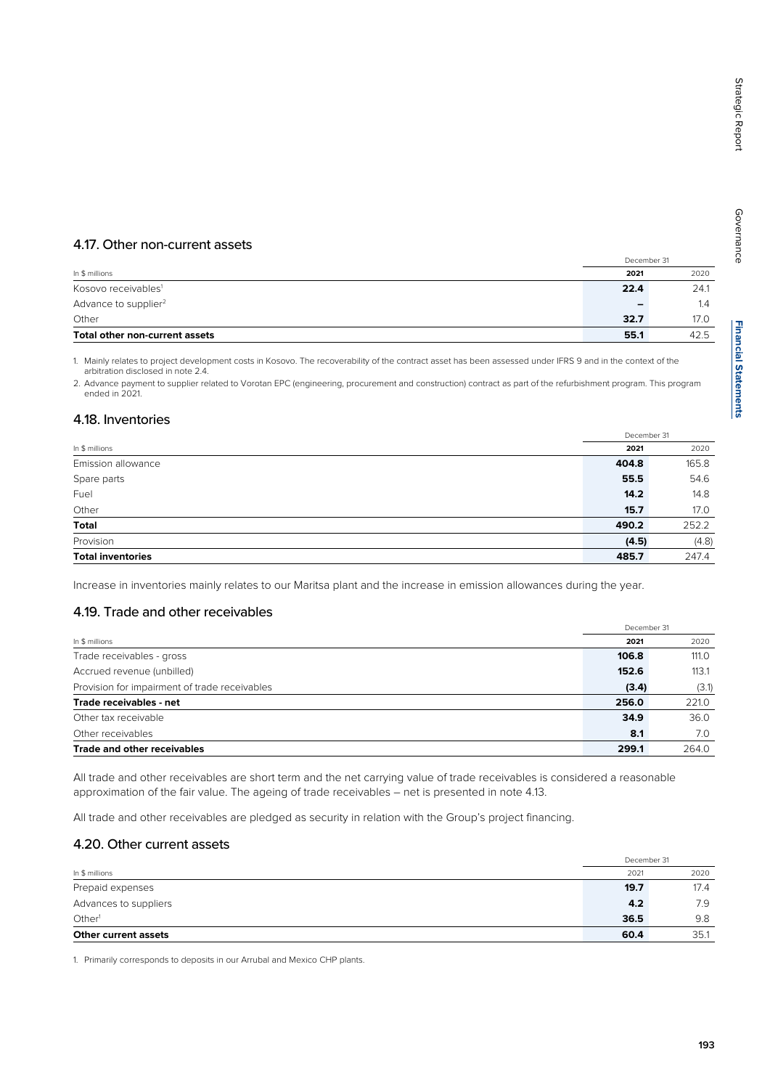# 4.17. Other non-current assets

|                                  |                          | December 31 |
|----------------------------------|--------------------------|-------------|
| In \$ millions                   | 2021                     | 2020        |
| Kosovo receivables <sup>1</sup>  | 22.4                     | 24.1        |
| Advance to supplier <sup>2</sup> | $\overline{\phantom{0}}$ | 1.4         |
| Other                            | 32.7                     | 17.0        |
| Total other non-current assets   | 55.1                     | 42.5        |

1. Mainly relates to project development costs in Kosovo. The recoverability of the contract asset has been assessed under IFRS 9 and in the context of the arbitration disclosed in note 2.4.

2. Advance payment to supplier related to Vorotan EPC (engineering, procurement and construction) contract as part of the refurbishment program. This program ended in 2021.

### 4.18. Inventories

|                          |       | December 31 |
|--------------------------|-------|-------------|
| In \$ millions           | 2021  | 2020        |
| Emission allowance       | 404.8 | 165.8       |
| Spare parts              | 55.5  | 54.6        |
| Fuel                     | 14.2  | 14.8        |
| Other                    | 15.7  | 17.0        |
| Total                    | 490.2 | 252.2       |
| Provision                | (4.5) | (4.8)       |
| <b>Total inventories</b> | 485.7 | 247.4       |

Increase in inventories mainly relates to our Maritsa plant and the increase in emission allowances during the year.

### 4.19. Trade and other receivables

|                                               |       | December 31 |
|-----------------------------------------------|-------|-------------|
| In \$ millions                                | 2021  | 2020        |
| Trade receivables - gross                     | 106.8 | 111.0       |
| Accrued revenue (unbilled)                    | 152.6 | 113.1       |
| Provision for impairment of trade receivables | (3.4) | (3.1)       |
| Trade receivables - net                       | 256.0 | 221.0       |
| Other tax receivable                          | 34.9  | 36.0        |
| Other receivables                             | 8.1   | 7.0         |
| Trade and other receivables                   | 299.1 | 264.0       |

All trade and other receivables are short term and the net carrying value of trade receivables is considered a reasonable approximation of the fair value. The ageing of trade receivables – net is presented in note 4.13.

All trade and other receivables are pledged as security in relation with the Group's project financing.

### 4.20. Other current assets

|                       | December 31 |      |
|-----------------------|-------------|------|
| In \$ millions        | 2021        | 2020 |
| Prepaid expenses      | 19.7        | 17.4 |
| Advances to suppliers | 4.2         | 7.9  |
| Other <sup>1</sup>    | 36.5        | 9.8  |
| Other current assets  | 60.4        | 35.1 |

1. Primarily corresponds to deposits in our Arrubal and Mexico CHP plants.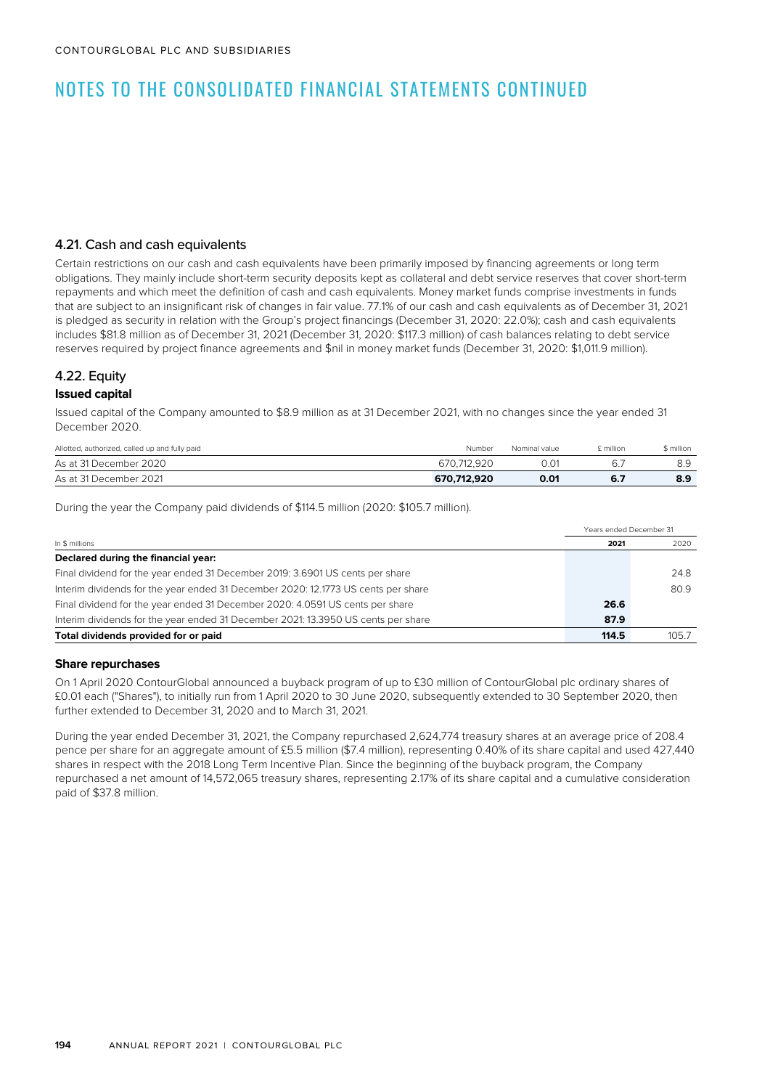### 4.21. Cash and cash equivalents

Certain restrictions on our cash and cash equivalents have been primarily imposed by financing agreements or long term obligations. They mainly include short-term security deposits kept as collateral and debt service reserves that cover short-term repayments and which meet the definition of cash and cash equivalents. Money market funds comprise investments in funds that are subject to an insignificant risk of changes in fair value. 77.1% of our cash and cash equivalents as of December 31, 2021 is pledged as security in relation with the Group's project financings (December 31, 2020: 22.0%); cash and cash equivalents includes \$81.8 million as of December 31, 2021 (December 31, 2020: \$117.3 million) of cash balances relating to debt service reserves required by project finance agreements and \$nil in money market funds (December 31, 2020: \$1,011.9 million).

### 4.22. Equity

### **Issued capital**

Issued capital of the Company amounted to \$8.9 million as at 31 December 2021, with no changes since the year ended 31 December 2020.

| Allotted, authorized, called up and fully paid | Number      | Nominal value | £ million | \$ million |
|------------------------------------------------|-------------|---------------|-----------|------------|
| As at 31 December 2020                         | 670.712.920 | 0.01          | -6.7      | 8.9        |
| As at 31 December 2021                         | 670.712.920 | 0.01          | 6.7       | 8.9        |

During the year the Company paid dividends of \$114.5 million (2020: \$105.7 million).

| In \$ millions                                                                    |       | Years ended December 31 |
|-----------------------------------------------------------------------------------|-------|-------------------------|
|                                                                                   |       | 2020                    |
| Declared during the financial year:                                               |       |                         |
| Final dividend for the year ended 31 December 2019: 3.6901 US cents per share     |       | 24.8                    |
| Interim dividends for the year ended 31 December 2020: 12.1773 US cents per share |       | 80.9                    |
| Final dividend for the year ended 31 December 2020: 4.0591 US cents per share     | 26.6  |                         |
| Interim dividends for the year ended 31 December 2021: 13.3950 US cents per share | 87.9  |                         |
| Total dividends provided for or paid                                              | 114.5 | 105.7                   |

#### **Share repurchases**

On 1 April 2020 ContourGlobal announced a buyback program of up to £30 million of ContourGlobal plc ordinary shares of £0.01 each ("Shares"), to initially run from 1 April 2020 to 30 June 2020, subsequently extended to 30 September 2020, then further extended to December 31, 2020 and to March 31, 2021.

During the year ended December 31, 2021, the Company repurchased 2,624,774 treasury shares at an average price of 208.4 pence per share for an aggregate amount of £5.5 million (\$7.4 million), representing 0.40% of its share capital and used 427,440 shares in respect with the 2018 Long Term Incentive Plan. Since the beginning of the buyback program, the Company repurchased a net amount of 14,572,065 treasury shares, representing 2.17% of its share capital and a cumulative consideration paid of \$37.8 million.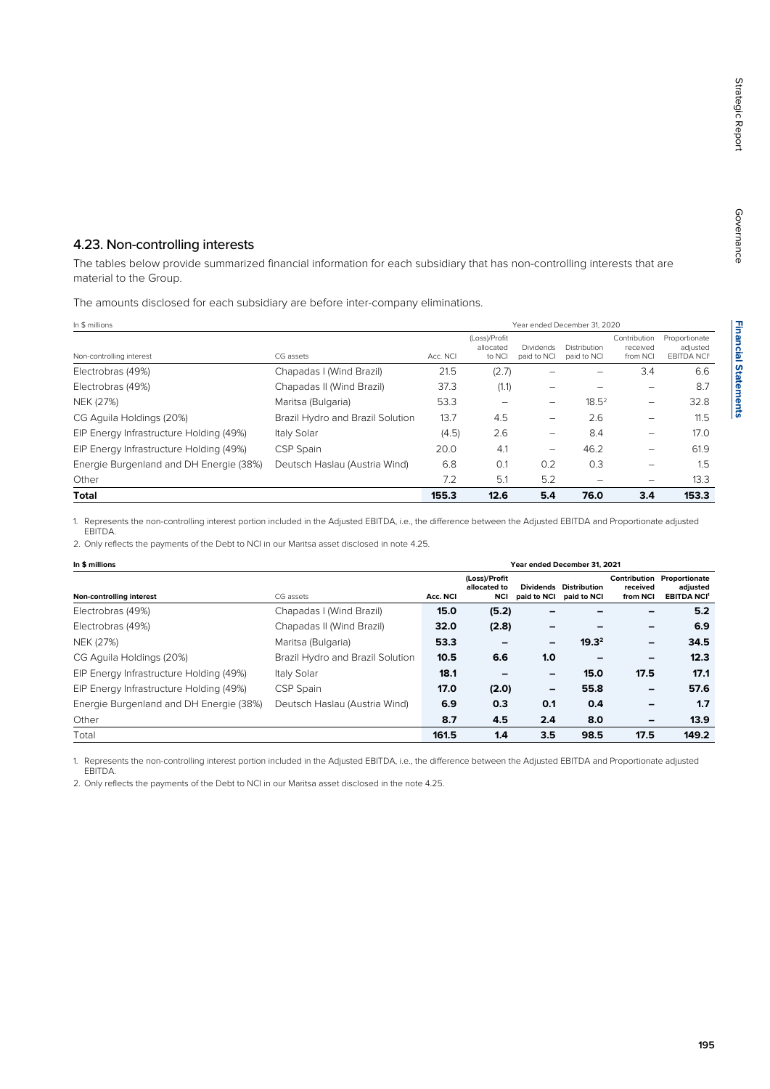## 4.23. Non-controlling interests

The tables below provide summarized financial information for each subsidiary that has non-controlling interests that are material to the Group.

The amounts disclosed for each subsidiary are before inter-company eliminations.

| In \$ millions                          |                                  |          | Year ended December 31, 2020         |                                 |                             |                                      |                                                 |  |  |
|-----------------------------------------|----------------------------------|----------|--------------------------------------|---------------------------------|-----------------------------|--------------------------------------|-------------------------------------------------|--|--|
| Non-controlling interest                | CG assets                        | Acc. NCI | (Loss)/Profit<br>allocated<br>to NCI | <b>Dividends</b><br>paid to NCI | Distribution<br>paid to NCI | Contribution<br>received<br>from NCI | Proportionate<br>adjusted<br><b>EBITDA NCI'</b> |  |  |
| Electrobras (49%)                       | Chapadas I (Wind Brazil)         | 21.5     | (2.7)                                |                                 |                             | 3.4                                  | 6.6                                             |  |  |
| Electrobras (49%)                       | Chapadas II (Wind Brazil)        | 37.3     | (1.1)                                |                                 |                             |                                      | 8.7                                             |  |  |
| NEK (27%)                               | Maritsa (Bulgaria)               | 53.3     |                                      | -                               | $18.5^2$                    | -                                    | 32.8                                            |  |  |
| CG Aguila Holdings (20%)                | Brazil Hydro and Brazil Solution | 13.7     | 4.5                                  | -                               | 2.6                         | -                                    | 11.5                                            |  |  |
| EIP Energy Infrastructure Holding (49%) | Italy Solar                      | (4.5)    | 2.6                                  | $\overline{\phantom{0}}$        | 8.4                         | -                                    | 17.0                                            |  |  |
| EIP Energy Infrastructure Holding (49%) | CSP Spain                        | 20.0     | 4.1                                  | $\overline{\phantom{0}}$        | 46.2                        | -                                    | 61.9                                            |  |  |
| Energie Burgenland and DH Energie (38%) | Deutsch Haslau (Austria Wind)    | 6.8      | 0.1                                  | 0.2                             | 0.3                         |                                      | 1.5                                             |  |  |
| Other                                   |                                  | 7.2      | 5.1                                  | 5.2                             |                             |                                      | 13.3                                            |  |  |
| <b>Total</b>                            |                                  | 155.3    | 12.6                                 | 5.4                             | 76.0                        | 3.4                                  | 153.3                                           |  |  |

1. Represents the non-controlling interest portion included in the Adjusted EBITDA, i.e., the difference between the Adjusted EBITDA and Proportionate adjusted EBITDA.

2. Only reflects the payments of the Debt to NCI in our Maritsa asset disclosed in note 4.25.

| In \$ millions                          |                                  | Year ended December 31, 2021 |                                      |             |                                       |                          |                                                                                |
|-----------------------------------------|----------------------------------|------------------------------|--------------------------------------|-------------|---------------------------------------|--------------------------|--------------------------------------------------------------------------------|
| Non-controlling interest                | CG assets                        | Acc. NCI                     | (Loss)/Profit<br>allocated to<br>NCI | paid to NCI | Dividends Distribution<br>paid to NCI | received<br>from NCI     | <b>Contribution Proportionate</b><br>adjusted<br><b>EBITDA NCI<sup>1</sup></b> |
| Electrobras (49%)                       | Chapadas I (Wind Brazil)         | 15.0                         | (5.2)                                |             |                                       |                          | 5.2                                                                            |
| Electrobras (49%)                       | Chapadas II (Wind Brazil)        | 32.0                         | (2.8)                                |             |                                       | $\overline{\phantom{0}}$ | 6.9                                                                            |
| NEK (27%)                               | Maritsa (Bulgaria)               | 53.3                         | -                                    | -           | $19.3^2$                              | $\overline{\phantom{0}}$ | 34.5                                                                           |
| CG Aguila Holdings (20%)                | Brazil Hydro and Brazil Solution | 10.5                         | 6.6                                  | 1.0         |                                       | $\overline{\phantom{0}}$ | 12.3                                                                           |
| EIP Energy Infrastructure Holding (49%) | Italy Solar                      | 18.1                         | $\overline{\phantom{0}}$             | -           | 15.0                                  | 17.5                     | 17.1                                                                           |
| EIP Energy Infrastructure Holding (49%) | CSP Spain                        | 17.0                         | (2.0)                                | -           | 55.8                                  | -                        | 57.6                                                                           |
| Energie Burgenland and DH Energie (38%) | Deutsch Haslau (Austria Wind)    | 6.9                          | 0.3                                  | 0.1         | 0.4                                   | $\overline{\phantom{0}}$ | 1.7                                                                            |
| Other                                   |                                  | 8.7                          | 4.5                                  | 2.4         | 8.0                                   | $\overline{\phantom{m}}$ | 13.9                                                                           |
| Total                                   |                                  | 161.5                        | 1.4                                  | 3.5         | 98.5                                  | 17.5                     | 149.2                                                                          |

1. Represents the non-controlling interest portion included in the Adjusted EBITDA, i.e., the difference between the Adjusted EBITDA and Proportionate adjusted EBITDA.

2. Only reflects the payments of the Debt to NCI in our Maritsa asset disclosed in the note 4.25.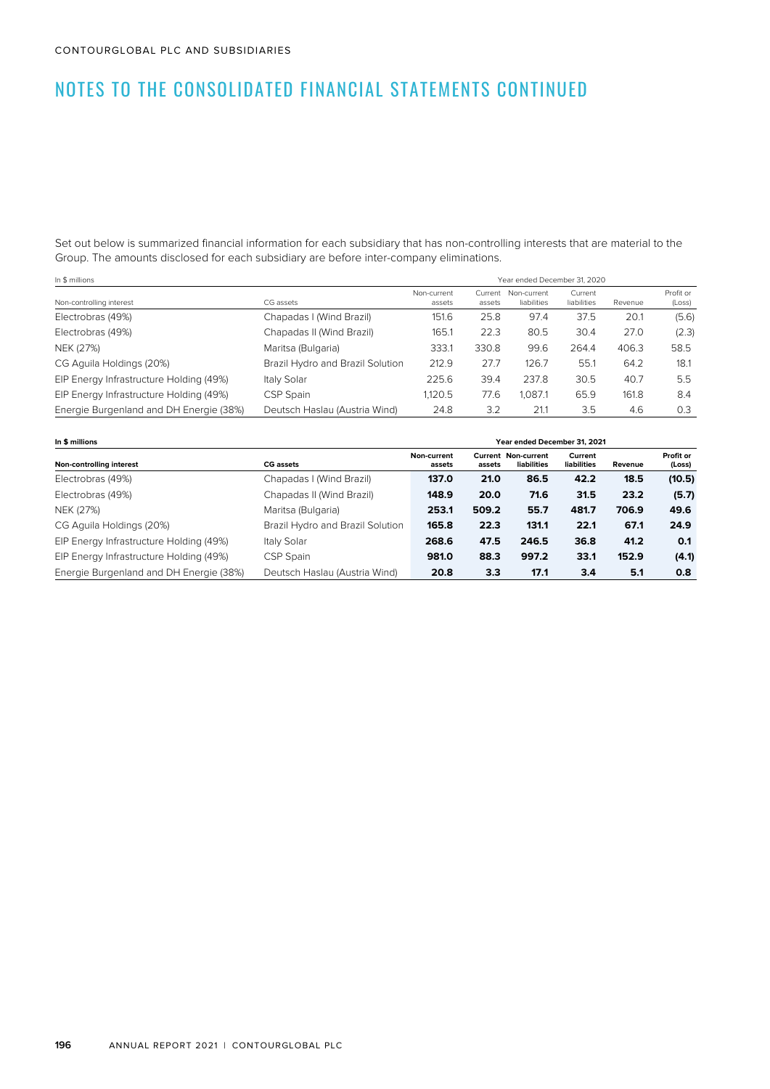Set out below is summarized financial information for each subsidiary that has non-controlling interests that are material to the Group. The amounts disclosed for each subsidiary are before inter-company eliminations.

| In \$ millions                          |                                  |                       | Year ended December 31, 2020 |                            |                        |         |                     |  |
|-----------------------------------------|----------------------------------|-----------------------|------------------------------|----------------------------|------------------------|---------|---------------------|--|
| Non-controlling interest                | CG assets                        | Non-current<br>assets | Current<br>assets            | Non-current<br>liabilities | Current<br>liabilities | Revenue | Profit or<br>(Loss) |  |
| Electrobras (49%)                       | Chapadas I (Wind Brazil)         | 151.6                 | 25.8                         | 97.4                       | 37.5                   | 20.1    | (5.6)               |  |
| Electrobras (49%)                       | Chapadas II (Wind Brazil)        | 165.1                 | 22.3                         | 80.5                       | 30.4                   | 27.0    | (2.3)               |  |
| NEK (27%)                               | Maritsa (Bulgaria)               | 333.1                 | 330.8                        | 99.6                       | 264.4                  | 406.3   | 58.5                |  |
| CG Aguila Holdings (20%)                | Brazil Hydro and Brazil Solution | 212.9                 | 27.7                         | 126.7                      | 55.1                   | 64.2    | 18.1                |  |
| EIP Energy Infrastructure Holding (49%) | Italy Solar                      | 225.6                 | 39.4                         | 237.8                      | 30.5                   | 40.7    | 5.5                 |  |
| EIP Energy Infrastructure Holding (49%) | CSP Spain                        | 1.120.5               | 77.6                         | .087.1                     | 65.9                   | 161.8   | 8.4                 |  |
| Energie Burgenland and DH Energie (38%) | Deutsch Haslau (Austria Wind)    | 24.8                  | 3.2                          | 21.1                       | 3.5                    | 4.6     | 0.3                 |  |

| In \$ millions                          |                                  |                       | Year ended December 31, 2021 |                                    |                        |         |                     |  |
|-----------------------------------------|----------------------------------|-----------------------|------------------------------|------------------------------------|------------------------|---------|---------------------|--|
| Non-controlling interest                | <b>CG</b> assets                 | Non-current<br>assets | assets                       | Current Non-current<br>liabilities | Current<br>liabilities | Revenue | Profit or<br>(Loss) |  |
| Electrobras (49%)                       | Chapadas I (Wind Brazil)         | 137.0                 | 21.0                         | 86.5                               | 42.2                   | 18.5    | (10.5)              |  |
| Electrobras (49%)                       | Chapadas II (Wind Brazil)        | 148.9                 | 20.0                         | 71.6                               | 31.5                   | 23.2    | (5.7)               |  |
| NEK (27%)                               | Maritsa (Bulgaria)               | 253.1                 | 509.2                        | 55.7                               | 481.7                  | 706.9   | 49.6                |  |
| CG Aguila Holdings (20%)                | Brazil Hydro and Brazil Solution | 165.8                 | 22.3                         | 131.1                              | 22.1                   | 67.1    | 24.9                |  |
| EIP Energy Infrastructure Holding (49%) | Italy Solar                      | 268.6                 | 47.5                         | 246.5                              | 36.8                   | 41.2    | 0.1                 |  |
| EIP Energy Infrastructure Holding (49%) | CSP Spain                        | 981.0                 | 88.3                         | 997.2                              | 33.1                   | 152.9   | (4.1)               |  |
| Energie Burgenland and DH Energie (38%) | Deutsch Haslau (Austria Wind)    | 20.8                  | 3.3                          | 17.1                               | 3.4                    | 5.1     | 0.8                 |  |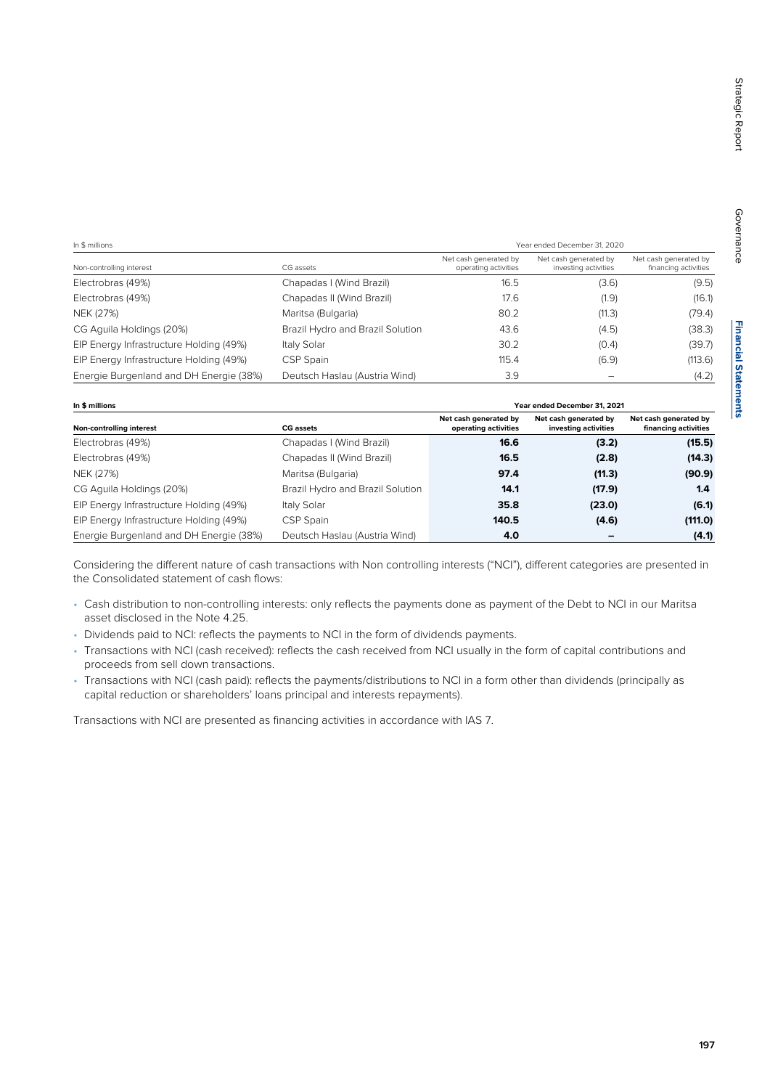Governance

Governance

| In \$ millions                          |                                  | Year ended December 31, 2020                  |                                               |                                               |
|-----------------------------------------|----------------------------------|-----------------------------------------------|-----------------------------------------------|-----------------------------------------------|
| Non-controlling interest                | CG assets                        | Net cash generated by<br>operating activities | Net cash generated by<br>investing activities | Net cash generated by<br>financing activities |
| Electrobras (49%)                       | Chapadas I (Wind Brazil)         | 16.5                                          | (3.6)                                         | (9.5)                                         |
| Electrobras (49%)                       | Chapadas II (Wind Brazil)        | 17.6                                          | (1.9)                                         | (16.1)                                        |
| NEK (27%)                               | Maritsa (Bulgaria)               | 80.2                                          | (11.3)                                        | (79.4)                                        |
| CG Aguila Holdings (20%)                | Brazil Hydro and Brazil Solution | 43.6                                          | (4.5)                                         | (38.3)                                        |
| EIP Energy Infrastructure Holding (49%) | Italy Solar                      | 30.2                                          | (0.4)                                         | (39.7)                                        |
| EIP Energy Infrastructure Holding (49%) | CSP Spain                        | 115.4                                         | (6.9)                                         | (113.6)                                       |
| Energie Burgenland and DH Energie (38%) | Deutsch Haslau (Austria Wind)    | 3.9                                           |                                               | (4.2)                                         |

| In \$ millions                          |                                  | Year ended December 31, 2021                  |                                               |                                               |
|-----------------------------------------|----------------------------------|-----------------------------------------------|-----------------------------------------------|-----------------------------------------------|
| Non-controlling interest                | <b>CG</b> assets                 | Net cash generated by<br>operating activities | Net cash generated by<br>investing activities | Net cash generated by<br>financing activities |
| Electrobras (49%)                       | Chapadas I (Wind Brazil)         | 16.6                                          | (3.2)                                         | (15.5)                                        |
| Electrobras (49%)                       | Chapadas II (Wind Brazil)        | 16.5                                          | (2.8)                                         | (14.3)                                        |
| NEK (27%)                               | Maritsa (Bulgaria)               | 97.4                                          | (11.3)                                        | (90.9)                                        |
| CG Aguila Holdings (20%)                | Brazil Hydro and Brazil Solution | 14.1                                          | (17.9)                                        | 1.4                                           |
| EIP Energy Infrastructure Holding (49%) | Italy Solar                      | 35.8                                          | (23.0)                                        | (6.1)                                         |
| EIP Energy Infrastructure Holding (49%) | CSP Spain                        | 140.5                                         | (4.6)                                         | (111.0)                                       |
| Energie Burgenland and DH Energie (38%) | Deutsch Haslau (Austria Wind)    | 4.0                                           |                                               | (4.1)                                         |

Considering the different nature of cash transactions with Non controlling interests ("NCI"), different categories are presented in the Consolidated statement of cash flows:

- Cash distribution to non-controlling interests: only reflects the payments done as payment of the Debt to NCI in our Maritsa asset disclosed in the Note 4.25.
- Dividends paid to NCI: reflects the payments to NCI in the form of dividends payments.
- Transactions with NCI (cash received): reflects the cash received from NCI usually in the form of capital contributions and proceeds from sell down transactions.
- Transactions with NCI (cash paid): reflects the payments/distributions to NCI in a form other than dividends (principally as capital reduction or shareholders' loans principal and interests repayments).

Transactions with NCI are presented as financing activities in accordance with IAS 7.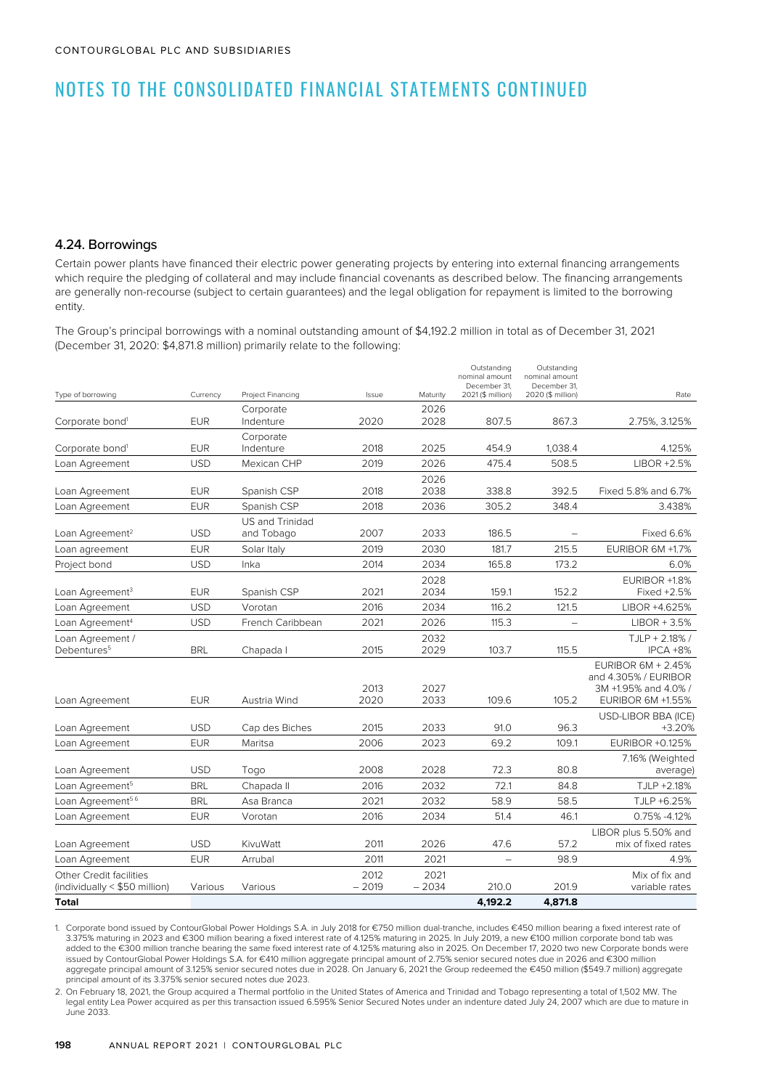#### 4.24. Borrowings

Certain power plants have financed their electric power generating projects by entering into external financing arrangements which require the pledging of collateral and may include financial covenants as described below. The financing arrangements are generally non-recourse (subject to certain guarantees) and the legal obligation for repayment is limited to the borrowing entity.

The Group's principal borrowings with a nominal outstanding amount of \$4,192.2 million in total as of December 31, 2021 (December 31, 2020: \$4,871.8 million) primarily relate to the following:

| Type of borrowing                                        | Currency   | Project Financing      | Issue           | Maturity        | Outstanding<br>nominal amount<br>December 31,<br>2021 (\$ million) | Outstanding<br>nominal amount<br>December 31,<br>2020 (\$ million) | Rate                                                                                           |
|----------------------------------------------------------|------------|------------------------|-----------------|-----------------|--------------------------------------------------------------------|--------------------------------------------------------------------|------------------------------------------------------------------------------------------------|
|                                                          |            | Corporate              |                 | 2026            |                                                                    |                                                                    |                                                                                                |
| Corporate bond <sup>1</sup>                              | <b>EUR</b> | Indenture              | 2020            | 2028            | 807.5                                                              | 867.3                                                              | 2.75%, 3.125%                                                                                  |
|                                                          |            | Corporate              |                 |                 |                                                                    |                                                                    |                                                                                                |
| Corporate bond <sup>1</sup>                              | <b>EUR</b> | Indenture              | 2018            | 2025            | 454.9                                                              | 1,038.4                                                            | 4.125%                                                                                         |
| Loan Agreement                                           | <b>USD</b> | Mexican CHP            | 2019            | 2026            | 475.4                                                              | 508.5                                                              | LIBOR +2.5%                                                                                    |
| Loan Agreement                                           | <b>EUR</b> | Spanish CSP            | 2018            | 2026<br>2038    | 338.8                                                              | 392.5                                                              | Fixed 5.8% and 6.7%                                                                            |
| Loan Agreement                                           | <b>EUR</b> | Spanish CSP            | 2018            | 2036            | 305.2                                                              | 348.4                                                              | 3.438%                                                                                         |
|                                                          |            | <b>US and Trinidad</b> |                 |                 |                                                                    |                                                                    |                                                                                                |
| Loan Agreement <sup>2</sup>                              | <b>USD</b> | and Tobago             | 2007            | 2033            | 186.5                                                              |                                                                    | <b>Fixed 6.6%</b>                                                                              |
| Loan agreement                                           | <b>EUR</b> | Solar Italy            | 2019            | 2030            | 181.7                                                              | 215.5                                                              | EURIBOR 6M +1.7%                                                                               |
| Project bond                                             | <b>USD</b> | Inka                   | 2014            | 2034            | 165.8                                                              | 173.2                                                              | 6.0%                                                                                           |
|                                                          |            |                        |                 | 2028            |                                                                    |                                                                    | EURIBOR +1.8%                                                                                  |
| Loan Agreement <sup>3</sup>                              | <b>EUR</b> | Spanish CSP            | 2021            | 2034            | 159.1                                                              | 152.2                                                              | Fixed +2.5%                                                                                    |
| Loan Agreement                                           | <b>USD</b> | Vorotan                | 2016            | 2034            | 116.2                                                              | 121.5                                                              | LIBOR +4.625%                                                                                  |
| Loan Agreement <sup>4</sup>                              | <b>USD</b> | French Caribbean       | 2021            | 2026            | 115.3                                                              |                                                                    | $LIBOR + 3.5%$                                                                                 |
| Loan Agreement /<br>Debentures <sup>5</sup>              | <b>BRL</b> | Chapada I              | 2015            | 2032<br>2029    | 103.7                                                              | 115.5                                                              | TJLP + 2.18% /<br>IPCA +8%                                                                     |
| Loan Agreement                                           | <b>EUR</b> | Austria Wind           | 2013<br>2020    | 2027<br>2033    | 109.6                                                              | 105.2                                                              | <b>EURIBOR 6M + 2.45%</b><br>and 4.305% / EURIBOR<br>3M +1.95% and 4.0% /<br>EURIBOR 6M +1.55% |
| Loan Agreement                                           | <b>USD</b> | Cap des Biches         | 2015            | 2033            | 91.0                                                               | 96.3                                                               | USD-LIBOR BBA (ICE)<br>$+3.20%$                                                                |
| Loan Agreement                                           | <b>EUR</b> | Maritsa                | 2006            | 2023            | 69.2                                                               | 109.1                                                              | <b>EURIBOR +0.125%</b>                                                                         |
| Loan Agreement                                           | <b>USD</b> | Togo                   | 2008            | 2028            | 72.3                                                               | 80.8                                                               | 7.16% (Weighted<br>average)                                                                    |
| Loan Agreement <sup>5</sup>                              | <b>BRL</b> | Chapada II             | 2016            | 2032            | 72.1                                                               | 84.8                                                               | TJLP +2.18%                                                                                    |
| Loan Agreement <sup>56</sup>                             | <b>BRL</b> | Asa Branca             | 2021            | 2032            | 58.9                                                               | 58.5                                                               | TJLP +6.25%                                                                                    |
| Loan Agreement                                           | <b>EUR</b> | Vorotan                | 2016            | 2034            | 51.4                                                               | 46.1                                                               | 0.75% -4.12%                                                                                   |
| Loan Agreement                                           | <b>USD</b> | KivuWatt               | 2011            | 2026            | 47.6                                                               | 57.2                                                               | LIBOR plus 5.50% and<br>mix of fixed rates                                                     |
| Loan Agreement                                           | <b>EUR</b> | Arrubal                | 2011            | 2021            | $\overline{\phantom{0}}$                                           | 98.9                                                               | 4.9%                                                                                           |
| Other Credit facilities<br>(individually < \$50 million) | Various    | Various                | 2012<br>$-2019$ | 2021<br>$-2034$ | 210.0                                                              | 201.9                                                              | Mix of fix and<br>variable rates                                                               |
| <b>Total</b>                                             |            |                        |                 |                 | 4,192.2                                                            | 4,871.8                                                            |                                                                                                |

1. Corporate bond issued by ContourGlobal Power Holdings S.A. in July 2018 for €750 million dual-tranche, includes €450 million bearing a fixed interest rate of 3.375% maturing in 2023 and €300 million bearing a fixed interest rate of 4.125% maturing in 2025. In July 2019, a new €100 million corporate bond tab was added to the €300 million tranche bearing the same fixed interest rate of 4.125% maturing also in 2025. On December 17, 2020 two new Corporate bonds were issued by ContourGlobal Power Holdings S.A. for €410 million aggregate principal amount of 2.75% senior secured notes due in 2026 and €300 million aggregate principal amount of 3.125% senior secured notes due in 2028. On January 6, 2021 the Group redeemed the €450 million (\$549.7 million) aggregate principal amount of its 3.375% senior secured notes due 2023.

2. On February 18, 2021, the Group acquired a Thermal portfolio in the United States of America and Trinidad and Tobago representing a total of 1,502 MW. The legal entity Lea Power acquired as per this transaction issued 6.595% Senior Secured Notes under an indenture dated July 24, 2007 which are due to mature in June 2033.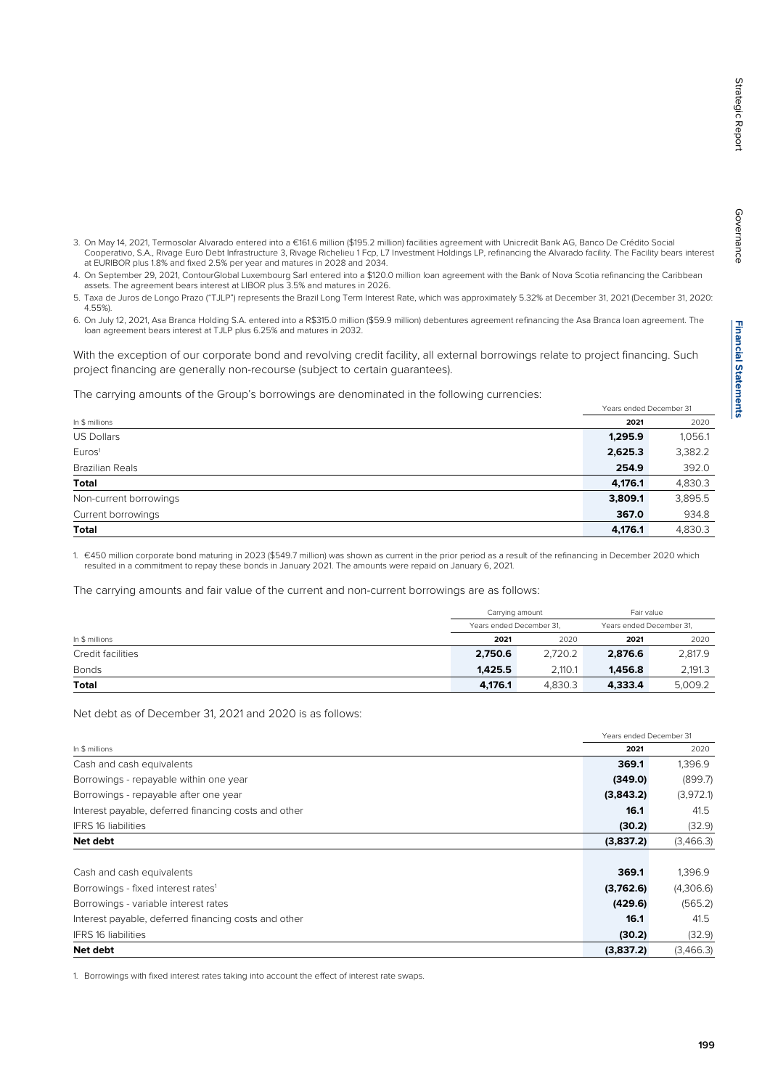- 
- 3. On May 14, 2021, Termosolar Alvarado entered into a €161.6 million (\$195.2 million) facilities agreement with Unicredit Bank AG, Banco De Crédito Social Cooperativo, S.A., Rivage Euro Debt Infrastructure 3, Rivage Richelieu 1 Fcp, L7 Investment Holdings LP, refinancing the Alvarado facility. The Facility bears interest at EURIBOR plus 1.8% and fixed 2.5% per year and matures in 2028 and 2034.
- 4. On September 29, 2021, ContourGlobal Luxembourg Sarl entered into a \$120.0 million loan agreement with the Bank of Nova Scotia refinancing the Caribbean assets. The agreement bears interest at LIBOR plus 3.5% and matures in 2026.
- 5. Taxa de Juros de Longo Prazo ("TJLP") represents the Brazil Long Term Interest Rate, which was approximately 5.32% at December 31, 2021 (December 31, 2020: 4.55%).
- 6. On July 12, 2021, Asa Branca Holding S.A. entered into a R\$315.0 million (\$59.9 million) debentures agreement refinancing the Asa Branca loan agreement. The loan agreement bears interest at TJLP plus 6.25% and matures in 2032.

With the exception of our corporate bond and revolving credit facility, all external borrowings relate to project financing. Such project financing are generally non-recourse (subject to certain guarantees).

The carrying amounts of the Group's borrowings are denominated in the following currencies:

|                        |         | Years ended December 31 |
|------------------------|---------|-------------------------|
| In \$ millions         | 2021    | 2020                    |
| <b>US Dollars</b>      | 1,295.9 | 1,056.1                 |
| Euros <sup>1</sup>     | 2,625.3 | 3,382.2                 |
| Brazilian Reals        | 254.9   | 392.0                   |
| <b>Total</b>           | 4,176.1 | 4,830.3                 |
| Non-current borrowings | 3,809.1 | 3,895.5                 |
| Current borrowings     | 367.0   | 934.8                   |
| Total                  | 4,176.1 | 4,830.3                 |

1. €450 million corporate bond maturing in 2023 (\$549.7 million) was shown as current in the prior period as a result of the refinancing in December 2020 which resulted in a commitment to repay these bonds in January 2021. The amounts were repaid on January 6, 2021.

The carrying amounts and fair value of the current and non-current borrowings are as follows:

|                   |         | Carrying amount<br>Years ended December 31, |         | Fair value               |
|-------------------|---------|---------------------------------------------|---------|--------------------------|
|                   |         |                                             |         | Years ended December 31, |
| In \$ millions    | 2021    | 2020                                        | 2021    | 2020                     |
| Credit facilities | 2.750.6 | 2,720.2                                     | 2,876.6 | 2,817.9                  |
| <b>Bonds</b>      | 1.425.5 | 2.110.1                                     | 1.456.8 | 2,191.3                  |
| <b>Total</b>      | 4,176.1 | 4.830.3<br>4.333.4                          |         | 5.009.2                  |

Net debt as of December 31, 2021 and 2020 is as follows:

|                                                      | Years ended December 31 |           |
|------------------------------------------------------|-------------------------|-----------|
| In \$ millions                                       | 2021                    | 2020      |
| Cash and cash equivalents                            | 369.1                   | 1,396.9   |
| Borrowings - repayable within one year               | (349.0)                 | (899.7)   |
| Borrowings - repayable after one year                | (3,843.2)               | (3,972.1) |
| Interest payable, deferred financing costs and other | 16.1                    | 41.5      |
| <b>IFRS 16 liabilities</b>                           | (30.2)                  | (32.9)    |
| Net debt                                             | (3,837.2)               | (3,466.3) |
|                                                      |                         |           |
| Cash and cash equivalents                            | 369.1                   | 1,396.9   |
| Borrowings - fixed interest rates <sup>1</sup>       | (3,762.6)               | (4,306.6) |
| Borrowings - variable interest rates                 | (429.6)                 | (565.2)   |
| Interest payable, deferred financing costs and other | 16.1                    | 41.5      |
| <b>IFRS 16 liabilities</b>                           | (30.2)                  | (32.9)    |
| Net debt                                             | (3,837.2)               | (3,466.3) |

1. Borrowings with fixed interest rates taking into account the effect of interest rate swaps.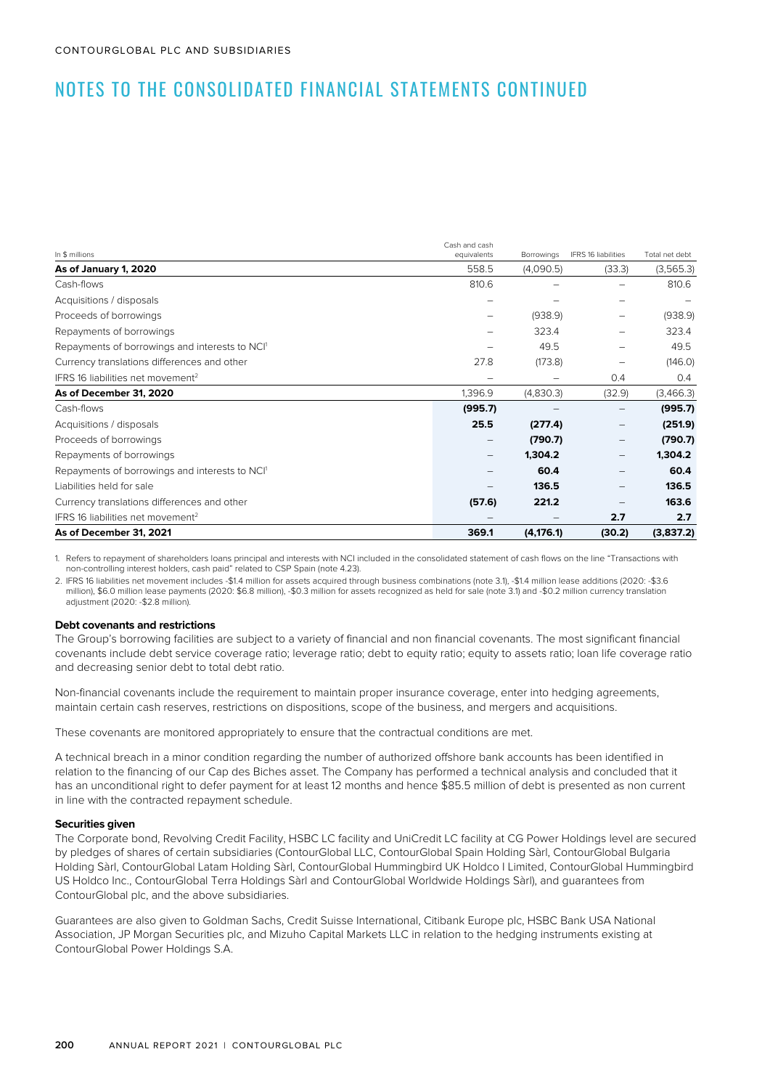| In \$ millions                                             | Cash and cash<br>equivalents | Borrowings | IFRS 16 liabilities | Total net debt |
|------------------------------------------------------------|------------------------------|------------|---------------------|----------------|
| As of January 1, 2020                                      | 558.5                        | (4,090.5)  | (33.3)              | (3,565.3)      |
| Cash-flows                                                 | 810.6                        |            |                     | 810.6          |
| Acquisitions / disposals                                   |                              |            |                     |                |
| Proceeds of borrowings                                     |                              | (938.9)    |                     | (938.9)        |
| Repayments of borrowings                                   |                              | 323.4      | -                   | 323.4          |
| Repayments of borrowings and interests to NCI <sup>1</sup> |                              | 49.5       |                     | 49.5           |
| Currency translations differences and other                | 27.8                         | (173.8)    | -                   | (146.0)        |
| IFRS 16 liabilities net movement <sup>2</sup>              |                              | -          | 0.4                 | 0.4            |
| As of December 31, 2020                                    | 1,396.9                      | (4,830.3)  | (32.9)              | (3,466.3)      |
| Cash-flows                                                 | (995.7)                      |            |                     | (995.7)        |
| Acquisitions / disposals                                   | 25.5                         | (277.4)    | $\qquad \qquad -$   | (251.9)        |
| Proceeds of borrowings                                     |                              | (790.7)    |                     | (790.7)        |
| Repayments of borrowings                                   |                              | 1,304.2    | $\qquad \qquad -$   | 1,304.2        |
| Repayments of borrowings and interests to NCI <sup>1</sup> |                              | 60.4       | —                   | 60.4           |
| Liabilities held for sale                                  |                              | 136.5      | —                   | 136.5          |
| Currency translations differences and other                | (57.6)                       | 221.2      |                     | 163.6          |
| IFRS 16 liabilities net movement <sup>2</sup>              |                              |            | 2.7                 | 2.7            |
| As of December 31, 2021                                    | 369.1                        | (4, 176.1) | (30.2)              | (3,837.2)      |

1. Refers to repayment of shareholders loans principal and interests with NCI included in the consolidated statement of cash flows on the line "Transactions with non-controlling interest holders, cash paid" related to CSP Spain (note 4.23).

2. IFRS 16 liabilities net movement includes -\$1.4 million for assets acquired through business combinations (note 3.1), -\$1.4 million lease additions (2020: -\$3.6 million), \$6.0 million lease payments (2020: \$6.8 million), -\$0.3 million for assets recognized as held for sale (note 3.1) and -\$0.2 million currency translation adjustment (2020: -\$2.8 million).

#### **Debt covenants and restrictions**

The Group's borrowing facilities are subject to a variety of financial and non financial covenants. The most significant financial covenants include debt service coverage ratio; leverage ratio; debt to equity ratio; equity to assets ratio; loan life coverage ratio and decreasing senior debt to total debt ratio.

Non-financial covenants include the requirement to maintain proper insurance coverage, enter into hedging agreements, maintain certain cash reserves, restrictions on dispositions, scope of the business, and mergers and acquisitions.

These covenants are monitored appropriately to ensure that the contractual conditions are met.

A technical breach in a minor condition regarding the number of authorized offshore bank accounts has been identified in relation to the financing of our Cap des Biches asset. The Company has performed a technical analysis and concluded that it has an unconditional right to defer payment for at least 12 months and hence \$85.5 million of debt is presented as non current in line with the contracted repayment schedule.

#### **Securities given**

The Corporate bond, Revolving Credit Facility, HSBC LC facility and UniCredit LC facility at CG Power Holdings level are secured by pledges of shares of certain subsidiaries (ContourGlobal LLC, ContourGlobal Spain Holding Sàrl, ContourGlobal Bulgaria Holding Sàrl, ContourGlobal Latam Holding Sàrl, ContourGlobal Hummingbird UK Holdco I Limited, ContourGlobal Hummingbird US Holdco Inc., ContourGlobal Terra Holdings Sàrl and ContourGlobal Worldwide Holdings Sàrl), and guarantees from ContourGlobal plc, and the above subsidiaries.

Guarantees are also given to Goldman Sachs, Credit Suisse International, Citibank Europe plc, HSBC Bank USA National Association, JP Morgan Securities plc, and Mizuho Capital Markets LLC in relation to the hedging instruments existing at ContourGlobal Power Holdings S.A.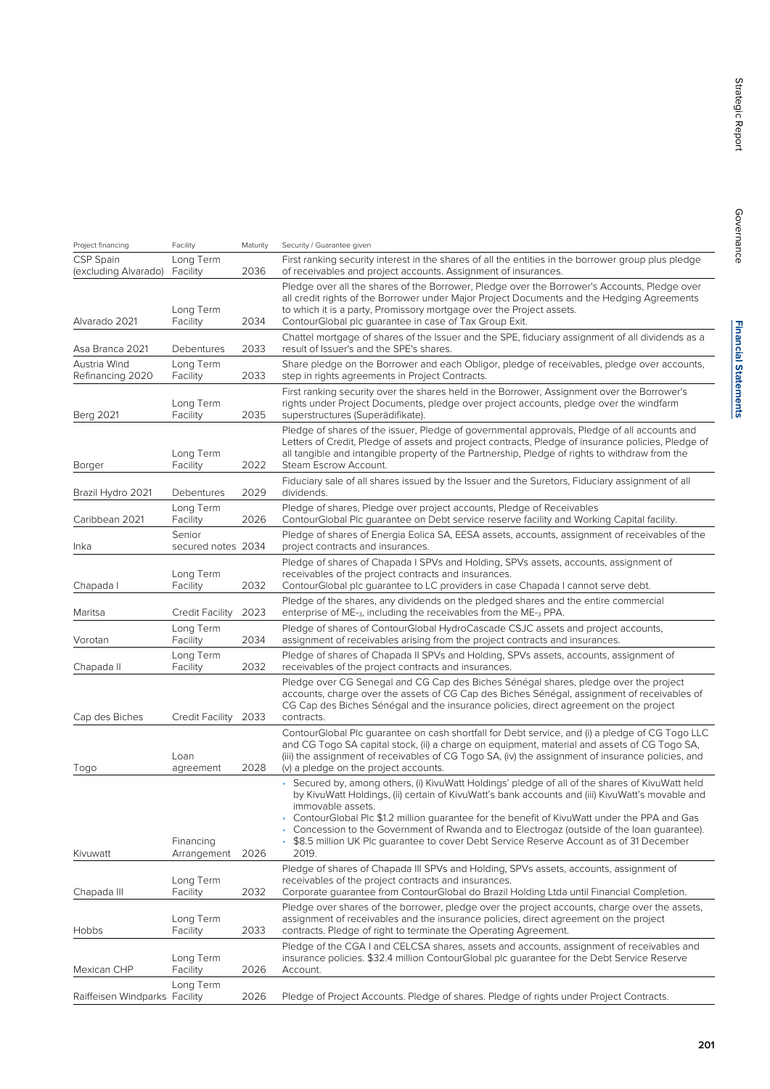| Project financing                 | Facility                     | Maturity | Security / Guarantee given                                                                                                                                                                                                                                                                                                                                                                                                                                                                                               |
|-----------------------------------|------------------------------|----------|--------------------------------------------------------------------------------------------------------------------------------------------------------------------------------------------------------------------------------------------------------------------------------------------------------------------------------------------------------------------------------------------------------------------------------------------------------------------------------------------------------------------------|
| CSP Spain<br>(excluding Alvarado) | Long Term<br>Facility        | 2036     | First ranking security interest in the shares of all the entities in the borrower group plus pledge<br>of receivables and project accounts. Assignment of insurances.                                                                                                                                                                                                                                                                                                                                                    |
| Alvarado 2021                     | Long Term<br>Facility        | 2034     | Pledge over all the shares of the Borrower, Pledge over the Borrower's Accounts, Pledge over<br>all credit rights of the Borrower under Major Project Documents and the Hedging Agreements<br>to which it is a party, Promissory mortgage over the Project assets.<br>ContourGlobal plc guarantee in case of Tax Group Exit.                                                                                                                                                                                             |
| Asa Branca 2021                   | Debentures                   | 2033     | Chattel mortgage of shares of the Issuer and the SPE, fiduciary assignment of all dividends as a<br>result of Issuer's and the SPE's shares.                                                                                                                                                                                                                                                                                                                                                                             |
| Austria Wind<br>Refinancing 2020  | Long Term<br>Facility        | 2033     | Share pledge on the Borrower and each Obligor, pledge of receivables, pledge over accounts,<br>step in rights agreements in Project Contracts.                                                                                                                                                                                                                                                                                                                                                                           |
| <b>Berg 2021</b>                  | Long Term<br>Facility        | 2035     | First ranking security over the shares held in the Borrower, Assignment over the Borrower's<br>rights under Project Documents, pledge over project accounts, pledge over the windfarm<br>superstructures (Superädifikate).                                                                                                                                                                                                                                                                                               |
| Borger                            | Long Term<br>Facility        | 2022     | Pledge of shares of the issuer, Pledge of governmental approvals, Pledge of all accounts and<br>Letters of Credit, Pledge of assets and project contracts, Pledge of insurance policies, Pledge of<br>all tangible and intangible property of the Partnership, Pledge of rights to withdraw from the<br>Steam Escrow Account.                                                                                                                                                                                            |
| Brazil Hydro 2021                 | Debentures                   | 2029     | Fiduciary sale of all shares issued by the Issuer and the Suretors, Fiduciary assignment of all<br>dividends.                                                                                                                                                                                                                                                                                                                                                                                                            |
| Caribbean 2021                    | Long Term<br>Facility        | 2026     | Pledge of shares, Pledge over project accounts, Pledge of Receivables<br>ContourGlobal Plc guarantee on Debt service reserve facility and Working Capital facility.                                                                                                                                                                                                                                                                                                                                                      |
| Inka                              | Senior<br>secured notes 2034 |          | Pledge of shares of Energia Eolica SA, EESA assets, accounts, assignment of receivables of the<br>project contracts and insurances.                                                                                                                                                                                                                                                                                                                                                                                      |
| Chapada I                         | Long Term<br>Facility        | 2032     | Pledge of shares of Chapada I SPVs and Holding, SPVs assets, accounts, assignment of<br>receivables of the project contracts and insurances.<br>ContourGlobal plc guarantee to LC providers in case Chapada I cannot serve debt.                                                                                                                                                                                                                                                                                         |
| Maritsa                           | Credit Facility              | 2023     | Pledge of the shares, any dividends on the pledged shares and the entire commercial<br>enterprise of ME-3, including the receivables from the ME-3 PPA.                                                                                                                                                                                                                                                                                                                                                                  |
| Vorotan                           | Long Term<br>Facility        | 2034     | Pledge of shares of ContourGlobal HydroCascade CSJC assets and project accounts,<br>assignment of receivables arising from the project contracts and insurances.                                                                                                                                                                                                                                                                                                                                                         |
| Chapada II                        | Long Term<br>Facility        | 2032     | Pledge of shares of Chapada II SPVs and Holding, SPVs assets, accounts, assignment of<br>receivables of the project contracts and insurances.                                                                                                                                                                                                                                                                                                                                                                            |
| Cap des Biches                    | Credit Facility              | 2033     | Pledge over CG Senegal and CG Cap des Biches Sénégal shares, pledge over the project<br>accounts, charge over the assets of CG Cap des Biches Sénégal, assignment of receivables of<br>CG Cap des Biches Sénégal and the insurance policies, direct agreement on the project<br>contracts.                                                                                                                                                                                                                               |
| Togo                              | Loan<br>agreement            | 2028     | ContourGlobal Plc quarantee on cash shortfall for Debt service, and (i) a pledge of CG Togo LLC<br>and CG Togo SA capital stock, (ii) a charge on equipment, material and assets of CG Togo SA,<br>(iii) the assignment of receivables of CG Togo SA, (iv) the assignment of insurance policies, and<br>(v) a pledge on the project accounts.                                                                                                                                                                            |
| Kivuwatt                          | Financing<br>Arrangement     | 2026     | • Secured by, among others, (i) KivuWatt Holdings' pledge of all of the shares of KivuWatt held<br>by KivuWatt Holdings, (ii) certain of KivuWatt's bank accounts and (iii) KivuWatt's movable and<br>immovable assets.<br>ContourGlobal Plc \$1.2 million guarantee for the benefit of KivuWatt under the PPA and Gas<br>• Concession to the Government of Rwanda and to Electrogaz (outside of the loan guarantee).<br>\$8.5 million UK Plc quarantee to cover Debt Service Reserve Account as of 31 December<br>2019. |
| Chapada III                       | Long Term<br>Facility        | 2032     | Pledge of shares of Chapada III SPVs and Holding, SPVs assets, accounts, assignment of<br>receivables of the project contracts and insurances.<br>Corporate guarantee from ContourGlobal do Brazil Holding Ltda until Financial Completion.                                                                                                                                                                                                                                                                              |
| Hobbs                             | Long Term<br>Facility        | 2033     | Pledge over shares of the borrower, pledge over the project accounts, charge over the assets,<br>assignment of receivables and the insurance policies, direct agreement on the project<br>contracts. Pledge of right to terminate the Operating Agreement.                                                                                                                                                                                                                                                               |
| Mexican CHP                       | Long Term<br>Facility        | 2026     | Pledge of the CGA I and CELCSA shares, assets and accounts, assignment of receivables and<br>insurance policies. \$32.4 million ContourGlobal plc quarantee for the Debt Service Reserve<br>Account.                                                                                                                                                                                                                                                                                                                     |
| Raiffeisen Windparks Facility     | Long Term                    | 2026     | Pledge of Project Accounts. Pledge of shares. Pledge of rights under Project Contracts.                                                                                                                                                                                                                                                                                                                                                                                                                                  |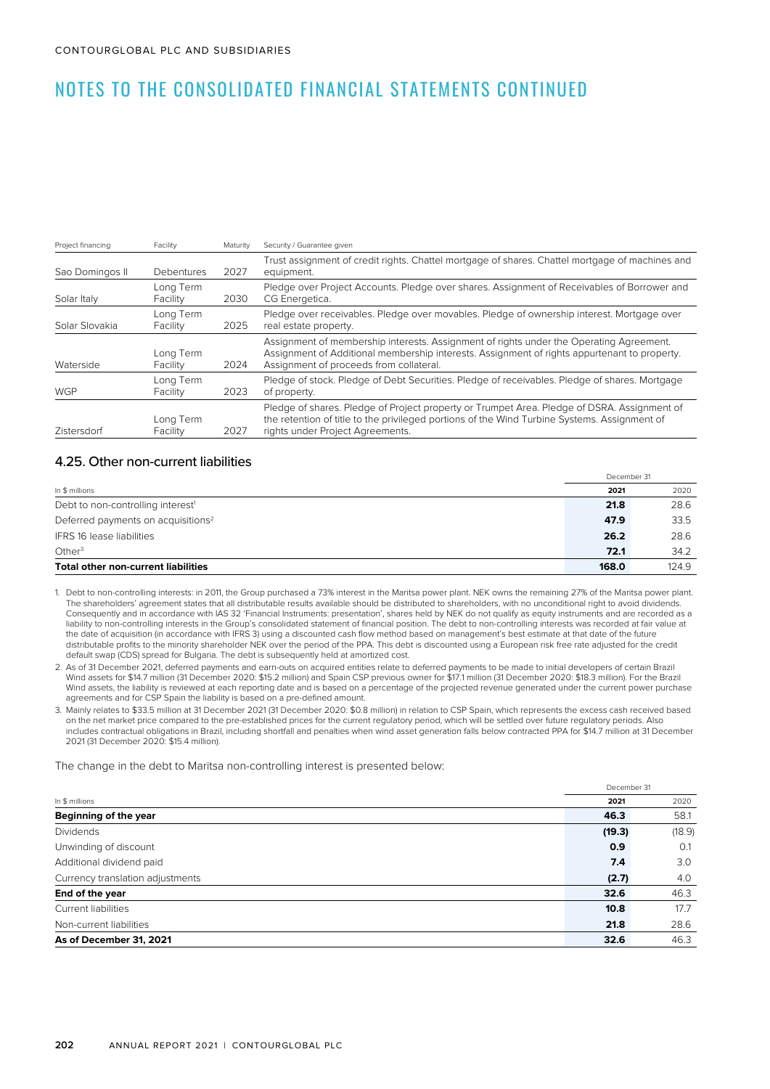| Project financing | Facility              | Maturity | Security / Guarantee given                                                                                                                                                                                                         |
|-------------------|-----------------------|----------|------------------------------------------------------------------------------------------------------------------------------------------------------------------------------------------------------------------------------------|
| Sao Domingos II   | Debentures            | 2027     | Trust assignment of credit rights. Chattel mortgage of shares. Chattel mortgage of machines and<br>equipment.                                                                                                                      |
| Solar Italy       | Long Term<br>Facility | 2030     | Pledge over Project Accounts. Pledge over shares. Assignment of Receivables of Borrower and<br>CG Energetica.                                                                                                                      |
| Solar Slovakia    | Long Term<br>Facility | 2025     | Pledge over receivables. Pledge over movables. Pledge of ownership interest. Mortgage over<br>real estate property.                                                                                                                |
| Waterside         | Long Term<br>Facility | 2024     | Assignment of membership interests. Assignment of rights under the Operating Agreement.<br>Assignment of Additional membership interests. Assignment of rights appurtenant to property.<br>Assignment of proceeds from collateral. |
| <b>WGP</b>        | Long Term<br>Facility | 2023     | Pledge of stock. Pledge of Debt Securities. Pledge of receivables. Pledge of shares. Mortgage<br>of property.                                                                                                                      |
| Zistersdorf       | Long Term<br>Facility | 2027     | Pledge of shares. Pledge of Project property or Trumpet Area. Pledge of DSRA. Assignment of<br>the retention of title to the privileged portions of the Wind Turbine Systems. Assignment of<br>rights under Project Agreements.    |

### 4.25. Other non-current liabilities

|                                                | December 31 |       |
|------------------------------------------------|-------------|-------|
| In \$ millions                                 | 2021        | 2020  |
| Debt to non-controlling interest <sup>1</sup>  | 21.8        | 28.6  |
| Deferred payments on acquisitions <sup>2</sup> | 47.9        | 33.5  |
| <b>IFRS 16 lease liabilities</b>               | 26.2        | 28.6  |
| Other $3$                                      | 72.1        | 34.2  |
| <b>Total other non-current liabilities</b>     | 168.0       | 124.9 |

1. Debt to non-controlling interests: in 2011, the Group purchased a 73% interest in the Maritsa power plant. NEK owns the remaining 27% of the Maritsa power plant. The shareholders' agreement states that all distributable results available should be distributed to shareholders, with no unconditional right to avoid dividends. Consequently and in accordance with IAS 32 'Financial Instruments: presentation', shares held by NEK do not qualify as equity instruments and are recorded as a liability to non-controlling interests in the Group's consolidated statement of financial position. The debt to non-controlling interests was recorded at fair value at the date of acquisition (in accordance with IFRS 3) using a discounted cash flow method based on management's best estimate at that date of the future distributable profits to the minority shareholder NEK over the period of the PPA. This debt is discounted using a European risk free rate adjusted for the credit default swap (CDS) spread for Bulgaria. The debt is subsequently held at amortized cost.

2. As of 31 December 2021, deferred payments and earn-outs on acquired entities relate to deferred payments to be made to initial developers of certain Brazil Wind assets for \$14.7 million (31 December 2020: \$15.2 million) and Spain CSP previous owner for \$17.1 million (31 December 2020: \$18.3 million). For the Brazil Wind assets, the liability is reviewed at each reporting date and is based on a percentage of the projected revenue generated under the current power purchase agreements and for CSP Spain the liability is based on a pre-defined amount.

3. Mainly relates to \$33.5 million at 31 December 2021 (31 December 2020: \$0.8 million) in relation to CSP Spain, which represents the excess cash received based on the net market price compared to the pre-established prices for the current regulatory period, which will be settled over future regulatory periods. Also includes contractual obligations in Brazil, including shortfall and penalties when wind asset generation falls below contracted PPA for \$14.7 million at 31 December 2021 (31 December 2020: \$15.4 million).

The change in the debt to Maritsa non-controlling interest is presented below:

| In \$ millions                   |        | December 31 |
|----------------------------------|--------|-------------|
|                                  |        | 2020        |
| Beginning of the year            | 46.3   | 58.1        |
| <b>Dividends</b>                 | (19.3) | (18.9)      |
| Unwinding of discount            | 0.9    | 0.1         |
| Additional dividend paid         | 7.4    | 3.0         |
| Currency translation adjustments | (2.7)  | 4.0         |
| End of the year                  | 32.6   | 46.3        |
| Current liabilities              | 10.8   | 17.7        |
| Non-current liabilities          | 21.8   | 28.6        |
| As of December 31, 2021          | 32.6   | 46.3        |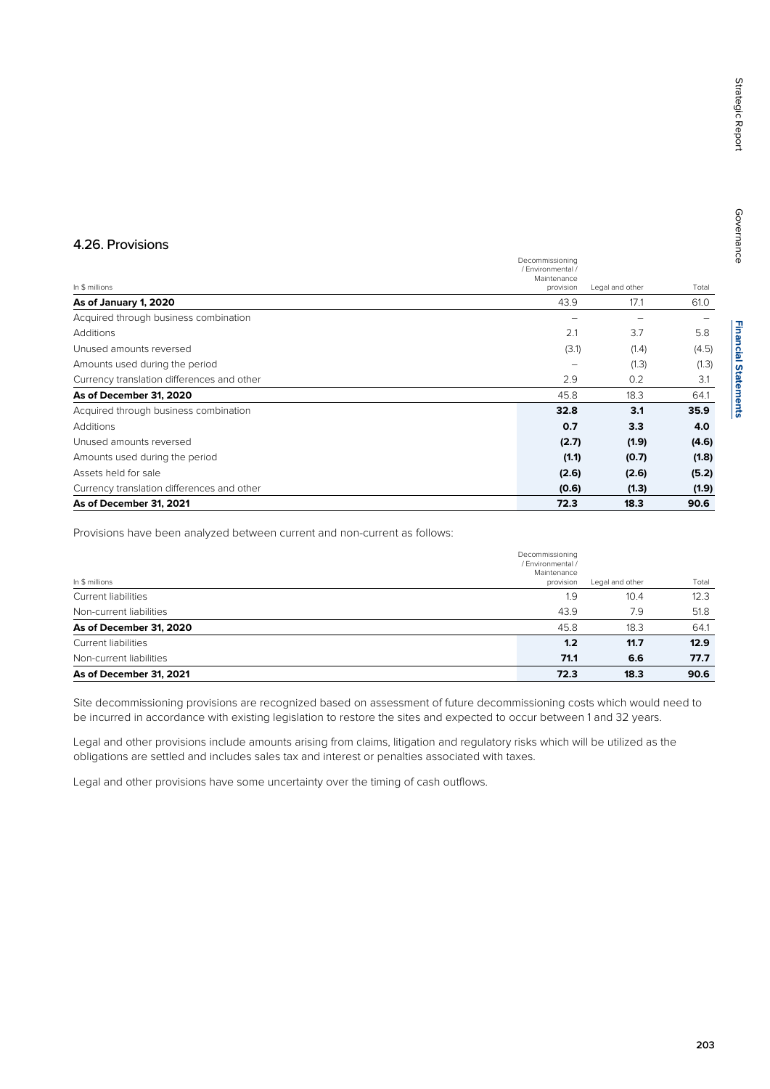# **Financial Statements Financial Statements**

### 4.26. Provisions

|                                            | Decommissioning<br>/ Fnvironmental / |                 |       |
|--------------------------------------------|--------------------------------------|-----------------|-------|
|                                            | Maintenance                          |                 |       |
| In \$ millions                             | provision                            | Legal and other | Total |
| As of January 1, 2020                      | 43.9                                 | 17.1            | 61.0  |
| Acquired through business combination      |                                      |                 |       |
| Additions                                  | 2.1                                  | 3.7             | 5.8   |
| Unused amounts reversed                    | (3.1)                                | (1.4)           | (4.5) |
| Amounts used during the period             |                                      | (1.3)           | (1.3) |
| Currency translation differences and other | 2.9                                  | 0.2             | 3.1   |
| As of December 31, 2020                    | 45.8                                 | 18.3            | 64.1  |
| Acquired through business combination      | 32.8                                 | 3.1             | 35.9  |
| Additions                                  | 0.7                                  | 3.3             | 4.0   |
| Unused amounts reversed                    | (2.7)                                | (1.9)           | (4.6) |
| Amounts used during the period             | (1.1)                                | (0.7)           | (1.8) |
| Assets held for sale                       | (2.6)                                | (2.6)           | (5.2) |
| Currency translation differences and other | (0.6)                                | (1.3)           | (1.9) |
| As of December 31, 2021                    | 72.3                                 | 18.3            | 90.6  |

Provisions have been analyzed between current and non-current as follows:

| As of December 31, 2021    | 72.3                                                             | 18.3            | 90.6  |
|----------------------------|------------------------------------------------------------------|-----------------|-------|
| Non-current liabilities    | 71.1                                                             | 6.6             | 77.7  |
| <b>Current liabilities</b> | 1.2                                                              | 11.7            | 12.9  |
| As of December 31, 2020    | 45.8                                                             | 18.3            | 64.1  |
| Non-current liabilities    | 43.9                                                             | 7.9             | 51.8  |
| <b>Current liabilities</b> | 1.9                                                              | 10.4            | 12.3  |
| In \$ millions             | Decommissioning<br>/ Environmental /<br>Maintenance<br>provision | Legal and other | Total |

Site decommissioning provisions are recognized based on assessment of future decommissioning costs which would need to be incurred in accordance with existing legislation to restore the sites and expected to occur between 1 and 32 years.

Legal and other provisions include amounts arising from claims, litigation and regulatory risks which will be utilized as the obligations are settled and includes sales tax and interest or penalties associated with taxes.

Legal and other provisions have some uncertainty over the timing of cash outflows.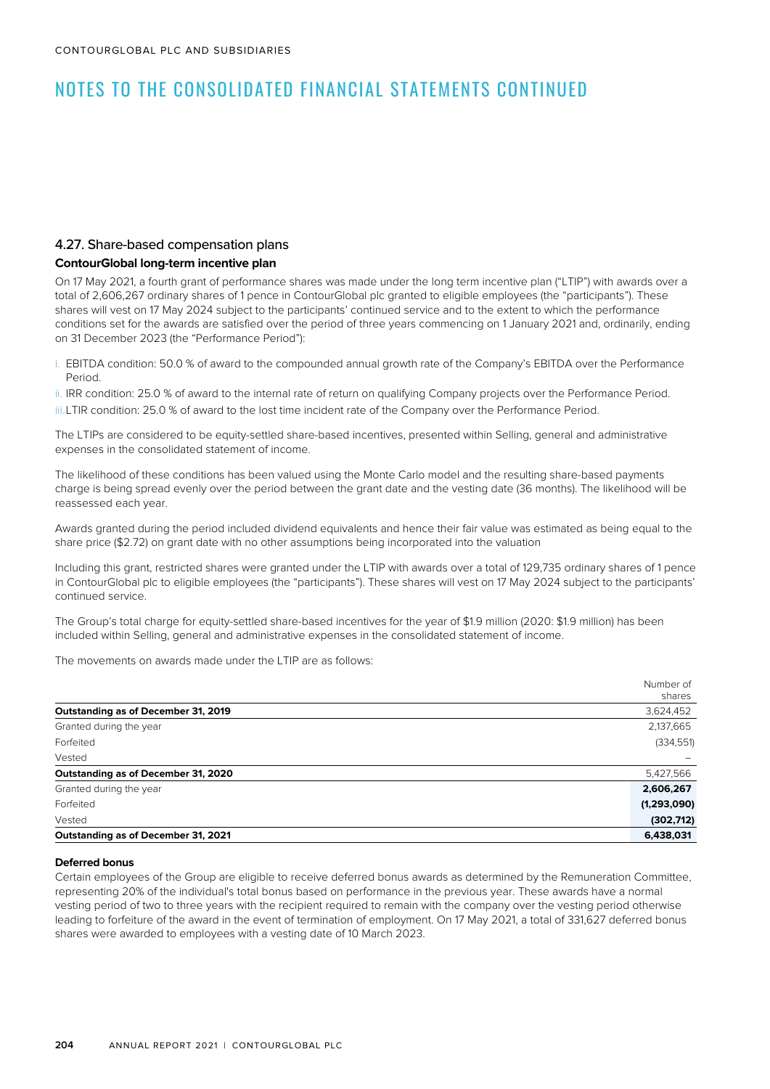### 4.27. Share-based compensation plans

### **ContourGlobal long-term incentive plan**

On 17 May 2021, a fourth grant of performance shares was made under the long term incentive plan ("LTIP") with awards over a total of 2,606,267 ordinary shares of 1 pence in ContourGlobal plc granted to eligible employees (the "participants"). These shares will vest on 17 May 2024 subject to the participants' continued service and to the extent to which the performance conditions set for the awards are satisfied over the period of three years commencing on 1 January 2021 and, ordinarily, ending on 31 December 2023 (the "Performance Period"):

- i. EBITDA condition: 50.0 % of award to the compounded annual growth rate of the Company's EBITDA over the Performance Period.
- ii. IRR condition: 25.0 % of award to the internal rate of return on qualifying Company projects over the Performance Period. iii.LTIR condition: 25.0 % of award to the lost time incident rate of the Company over the Performance Period.

The LTIPs are considered to be equity-settled share-based incentives, presented within Selling, general and administrative expenses in the consolidated statement of income.

The likelihood of these conditions has been valued using the Monte Carlo model and the resulting share-based payments charge is being spread evenly over the period between the grant date and the vesting date (36 months). The likelihood will be reassessed each year.

Awards granted during the period included dividend equivalents and hence their fair value was estimated as being equal to the share price (\$2.72) on grant date with no other assumptions being incorporated into the valuation

Including this grant, restricted shares were granted under the LTIP with awards over a total of 129,735 ordinary shares of 1 pence in ContourGlobal plc to eligible employees (the "participants"). These shares will vest on 17 May 2024 subject to the participants' continued service.

The Group's total charge for equity-settled share-based incentives for the year of \$1.9 million (2020: \$1.9 million) has been included within Selling, general and administrative expenses in the consolidated statement of income.

The movements on awards made under the LTIP are as follows:

| Number of<br>shares |
|---------------------|
| 3,624,452           |
| 2,137,665           |
| (334, 551)          |
|                     |
| 5,427,566           |
| 2,606,267           |
| (1,293,090)         |
| (302, 712)          |
| 6,438,031           |
|                     |

#### **Deferred bonus**

Certain employees of the Group are eligible to receive deferred bonus awards as determined by the Remuneration Committee, representing 20% of the individual's total bonus based on performance in the previous year. These awards have a normal vesting period of two to three years with the recipient required to remain with the company over the vesting period otherwise leading to forfeiture of the award in the event of termination of employment. On 17 May 2021, a total of 331,627 deferred bonus shares were awarded to employees with a vesting date of 10 March 2023.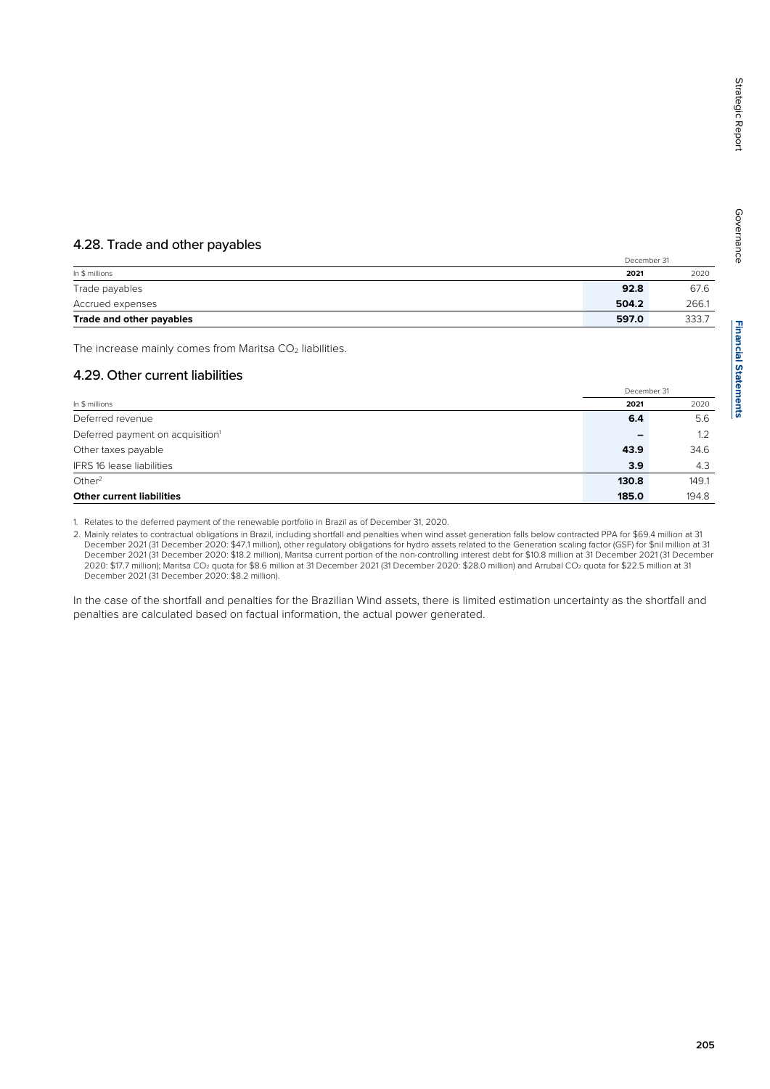## 4.28. Trade and other payables

|                          | December 31 |       |
|--------------------------|-------------|-------|
| In \$ millions           | 2021        | 2020  |
| Trade payables           | 92.8        | 67.6  |
| Accrued expenses         | 504.2       | 266.1 |
| Trade and other payables | 597.0       | 333.7 |

The increase mainly comes from Maritsa  $CO<sub>2</sub>$  liabilities.

# 4.29. Other current liabilities

|                                              | December 31 |       |
|----------------------------------------------|-------------|-------|
| In \$ millions                               | 2021        | 2020  |
| Deferred revenue                             | 6.4         | 5.6   |
| Deferred payment on acquisition <sup>1</sup> |             | 1.2   |
| Other taxes payable                          | 43.9        | 34.6  |
| <b>IFRS 16 lease liabilities</b>             | 3.9         | 4.3   |
| Other <sup>2</sup>                           | 130.8       | 149.1 |
| <b>Other current liabilities</b>             | 185.0       | 194.8 |

1. Relates to the deferred payment of the renewable portfolio in Brazil as of December 31, 2020.

2. Mainly relates to contractual obligations in Brazil, including shortfall and penalties when wind asset generation falls below contracted PPA for \$69.4 million at 31 December 2021 (31 December 2020: \$47.1 million), other regulatory obligations for hydro assets related to the Generation scaling factor (GSF) for \$nil million at 31 December 2021 (31 December 2020: \$18.2 million), Maritsa current portion of the non-controlling interest debt for \$10.8 million at 31 December 2021 (31 December 2020: \$17.7 million); Maritsa CO2 quota for \$8.6 million at 31 December 2021 (31 December 2020: \$28.0 million) and Arrubal CO2 quota for \$22.5 million at 31 December 2021 (31 December 2020: \$8.2 million).

In the case of the shortfall and penalties for the Brazilian Wind assets, there is limited estimation uncertainty as the shortfall and penalties are calculated based on factual information, the actual power generated.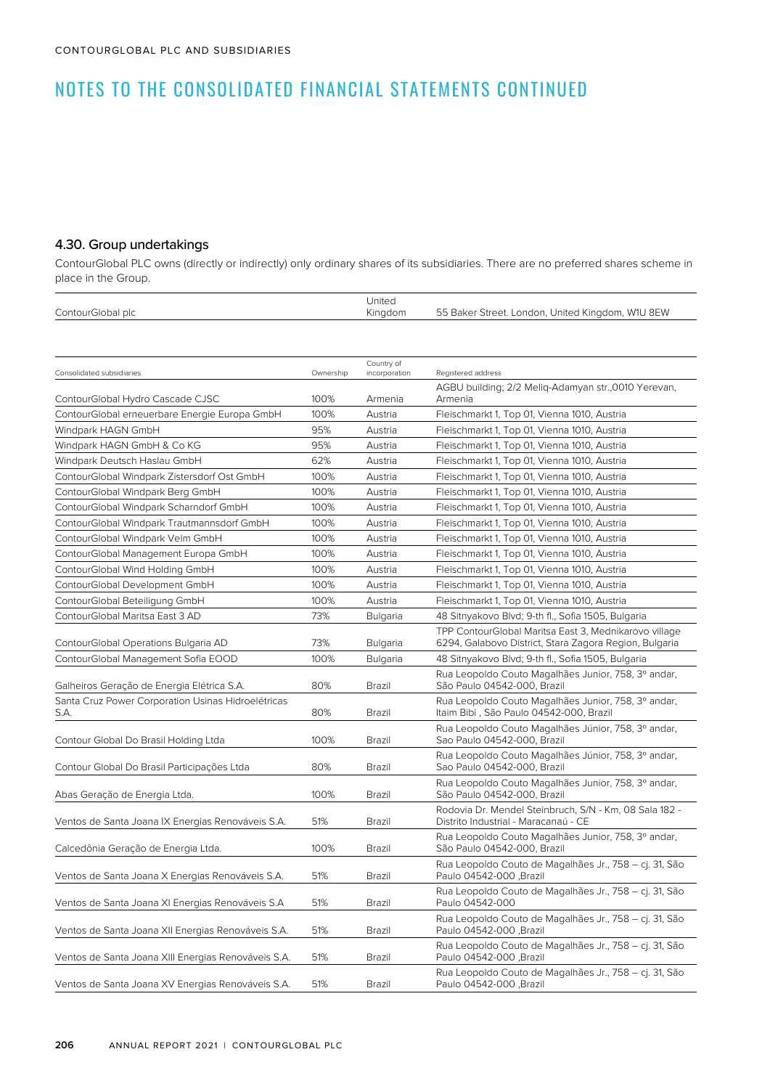### 4.30. Group undertakings

ContourGlobal PLC owns (directly or indirectly) only ordinary shares of its subsidiaries. There are no preferred shares scheme in place in the Group.

| ContourGlobal plc | Jnited<br>Kingdom | 55 Baker Street. London, United Kingdom, W1U 8EW |
|-------------------|-------------------|--------------------------------------------------|

| Consolidated subsidiaries                                  | Ownership | Country of<br>incorporation | Registered address                                                                                              |
|------------------------------------------------------------|-----------|-----------------------------|-----------------------------------------------------------------------------------------------------------------|
| ContourGlobal Hydro Cascade CJSC                           | 100%      | Armenia                     | AGBU building; 2/2 Melig-Adamyan str.,0010 Yerevan,<br>Armenia                                                  |
| ContourGlobal erneuerbare Energie Europa GmbH              | 100%      | Austria                     | Fleischmarkt 1, Top 01, Vienna 1010, Austria                                                                    |
| Windpark HAGN GmbH                                         | 95%       | Austria                     | Fleischmarkt 1, Top 01, Vienna 1010, Austria                                                                    |
| Windpark HAGN GmbH & Co KG                                 | 95%       | Austria                     | Fleischmarkt 1, Top 01, Vienna 1010, Austria                                                                    |
| Windpark Deutsch Haslau GmbH                               | 62%       | Austria                     | Fleischmarkt 1, Top 01, Vienna 1010, Austria                                                                    |
| ContourGlobal Windpark Zistersdorf Ost GmbH                | 100%      | Austria                     | Fleischmarkt 1, Top 01, Vienna 1010, Austria                                                                    |
| ContourGlobal Windpark Berg GmbH                           | 100%      | Austria                     | Fleischmarkt 1, Top 01, Vienna 1010, Austria                                                                    |
| ContourGlobal Windpark Scharndorf GmbH                     | 100%      | Austria                     | Fleischmarkt 1, Top 01, Vienna 1010, Austria                                                                    |
| ContourGlobal Windpark Trautmannsdorf GmbH                 | 100%      | Austria                     | Fleischmarkt 1, Top 01, Vienna 1010, Austria                                                                    |
| ContourGlobal Windpark Velm GmbH                           | 100%      | Austria                     | Fleischmarkt 1, Top 01, Vienna 1010, Austria                                                                    |
| ContourGlobal Management Europa GmbH                       | 100%      | Austria                     | Fleischmarkt 1, Top 01, Vienna 1010, Austria                                                                    |
| ContourGlobal Wind Holding GmbH                            | 100%      | Austria                     | Fleischmarkt 1, Top 01, Vienna 1010, Austria                                                                    |
| ContourGlobal Development GmbH                             | 100%      | Austria                     | Fleischmarkt 1, Top 01, Vienna 1010, Austria                                                                    |
| ContourGlobal Beteiligung GmbH                             | 100%      | Austria                     | Fleischmarkt 1, Top 01, Vienna 1010, Austria                                                                    |
| ContourGlobal Maritsa East 3 AD                            | 73%       | Bulgaria                    | 48 Sitnyakovo Blvd; 9-th fl., Sofia 1505, Bulgaria                                                              |
| ContourGlobal Operations Bulgaria AD                       | 73%       | <b>Bulgaria</b>             | TPP ContourGlobal Maritsa East 3, Mednikarovo village<br>6294, Galabovo District, Stara Zagora Region, Bulgaria |
| ContourGlobal Management Sofia EOOD                        | 100%      | Bulgaria                    | 48 Sitnyakovo Blvd; 9-th fl., Sofia 1505, Bulgaria                                                              |
| Galheiros Geração de Energia Elétrica S.A.                 | 80%       | Brazil                      | Rua Leopoldo Couto Magalhães Junior, 758, 3º andar,<br>São Paulo 04542-000, Brazil                              |
| Santa Cruz Power Corporation Usinas Hidroelétricas<br>S.A. | 80%       | <b>Brazil</b>               | Rua Leopoldo Couto Magalhães Junior, 758, 3º andar,<br>Itaim Bibi, São Paulo 04542-000, Brazil                  |
| Contour Global Do Brasil Holding Ltda                      | 100%      | Brazil                      | Rua Leopoldo Couto Magalhães Júnior, 758, 3º andar,<br>Sao Paulo 04542-000, Brazil                              |
| Contour Global Do Brasil Participações Ltda                | 80%       | Brazil                      | Rua Leopoldo Couto Magalhães Júnior, 758, 3º andar,<br>Sao Paulo 04542-000, Brazil                              |
| Abas Geração de Energia Ltda.                              | 100%      | Brazil                      | Rua Leopoldo Couto Magalhães Junior, 758, 3º andar,<br>São Paulo 04542-000, Brazil                              |
| Ventos de Santa Joana IX Energias Renováveis S.A.          | 51%       | Brazil                      | Rodovia Dr. Mendel Steinbruch, S/N - Km, 08 Sala 182 -<br>Distrito Industrial - Maracanaú - CE                  |
| Calcedônia Geração de Energia Ltda.                        | 100%      | Brazil                      | Rua Leopoldo Couto Magalhães Junior, 758, 3º andar,<br>São Paulo 04542-000, Brazil                              |
| Ventos de Santa Joana X Energias Renováveis S.A.           | 51%       | Brazil                      | Rua Leopoldo Couto de Magalhães Jr., 758 – cj. 31, São<br>Paulo 04542-000, Brazil                               |
| Ventos de Santa Joana XI Energias Renováveis S.A           | 51%       | Brazil                      | Rua Leopoldo Couto de Magalhães Jr., 758 – cj. 31, São<br>Paulo 04542-000                                       |
| Ventos de Santa Joana XII Energias Renováveis S.A.         | 51%       | Brazil                      | Rua Leopoldo Couto de Magalhães Jr., 758 – cj. 31, São<br>Paulo 04542-000, Brazil                               |
| Ventos de Santa Joana XIII Energias Renováveis S.A.        | 51%       | Brazil                      | Rua Leopoldo Couto de Magalhães Jr., 758 – cj. 31, São<br>Paulo 04542-000, Brazil                               |
| Ventos de Santa Joana XV Energias Renováveis S.A.          | 51%       | Brazil                      | Rua Leopoldo Couto de Magalhães Jr., 758 - cj. 31, São<br>Paulo 04542-000, Brazil                               |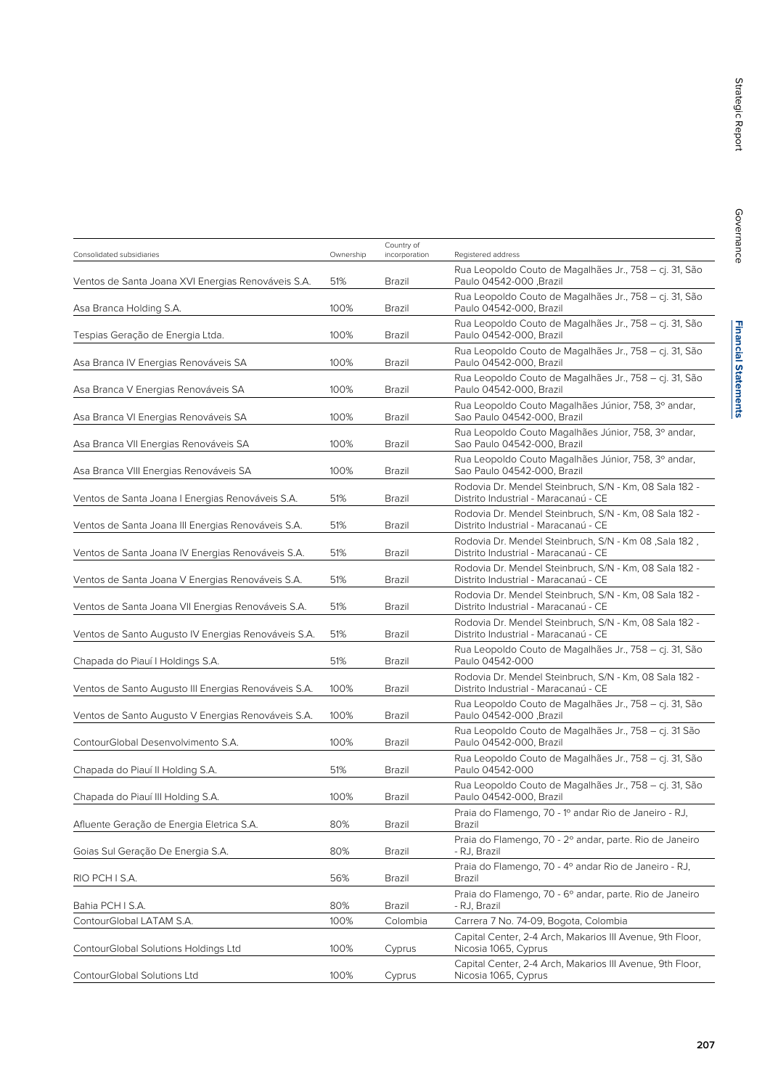| Consolidated subsidiaries                            | Ownership | Country of<br>incorporation | Registered address                                                                             |
|------------------------------------------------------|-----------|-----------------------------|------------------------------------------------------------------------------------------------|
| Ventos de Santa Joana XVI Energias Renováveis S.A.   | 51%       | Brazil                      | Rua Leopoldo Couto de Magalhães Jr., 758 - cj. 31, São<br>Paulo 04542-000, Brazil              |
| Asa Branca Holding S.A.                              | 100%      | Brazil                      | Rua Leopoldo Couto de Magalhães Jr., 758 – cj. 31, São<br>Paulo 04542-000, Brazil              |
| Tespias Geração de Energia Ltda.                     | 100%      | Brazil                      | Rua Leopoldo Couto de Magalhães Jr., 758 - cj. 31, São<br>Paulo 04542-000, Brazil              |
| Asa Branca IV Energias Renováveis SA                 | 100%      | Brazil                      | Rua Leopoldo Couto de Magalhães Jr., 758 – cj. 31, São<br>Paulo 04542-000, Brazil              |
| Asa Branca V Energias Renováveis SA                  | 100%      | Brazil                      | Rua Leopoldo Couto de Magalhães Jr., 758 - cj. 31, São<br>Paulo 04542-000, Brazil              |
| Asa Branca VI Energias Renováveis SA                 | 100%      | Brazil                      | Rua Leopoldo Couto Magalhães Júnior, 758, 3º andar,<br>Sao Paulo 04542-000, Brazil             |
| Asa Branca VII Energias Renováveis SA                | 100%      | Brazil                      | Rua Leopoldo Couto Magalhães Júnior, 758, 3º andar,<br>Sao Paulo 04542-000, Brazil             |
| Asa Branca VIII Energias Renováveis SA               | 100%      | Brazil                      | Rua Leopoldo Couto Magalhães Júnior, 758, 3º andar,<br>Sao Paulo 04542-000, Brazil             |
| Ventos de Santa Joana I Energias Renováveis S.A.     | 51%       | Brazil                      | Rodovia Dr. Mendel Steinbruch, S/N - Km, 08 Sala 182 -<br>Distrito Industrial - Maracanaú - CE |
| Ventos de Santa Joana III Energias Renováveis S.A.   | 51%       | Brazil                      | Rodovia Dr. Mendel Steinbruch, S/N - Km, 08 Sala 182 -<br>Distrito Industrial - Maracanaú - CE |
| Ventos de Santa Joana IV Energias Renováveis S.A.    | 51%       | Brazil                      | Rodovia Dr. Mendel Steinbruch, S/N - Km 08, Sala 182,<br>Distrito Industrial - Maracanaú - CE  |
| Ventos de Santa Joana V Energias Renováveis S.A.     | 51%       | Brazil                      | Rodovia Dr. Mendel Steinbruch, S/N - Km, 08 Sala 182 -<br>Distrito Industrial - Maracanaú - CE |
| Ventos de Santa Joana VII Energias Renováveis S.A.   | 51%       | Brazil                      | Rodovia Dr. Mendel Steinbruch, S/N - Km, 08 Sala 182 -<br>Distrito Industrial - Maracanaú - CE |
| Ventos de Santo Augusto IV Energias Renováveis S.A.  | 51%       | Brazil                      | Rodovia Dr. Mendel Steinbruch, S/N - Km, 08 Sala 182 -<br>Distrito Industrial - Maracanaú - CE |
| Chapada do Piauí I Holdings S.A.                     | 51%       | Brazil                      | Rua Leopoldo Couto de Magalhães Jr., 758 - cj. 31, São<br>Paulo 04542-000                      |
| Ventos de Santo Augusto III Energias Renováveis S.A. | 100%      | Brazil                      | Rodovia Dr. Mendel Steinbruch, S/N - Km, 08 Sala 182 -<br>Distrito Industrial - Maracanaú - CE |
| Ventos de Santo Augusto V Energias Renováveis S.A.   | 100%      | Brazil                      | Rua Leopoldo Couto de Magalhães Jr., 758 – cj. 31, São<br>Paulo 04542-000, Brazil              |
| ContourGlobal Desenvolvimento S.A.                   | 100%      | Brazil                      | Rua Leopoldo Couto de Magalhães Jr., 758 - cj. 31 São<br>Paulo 04542-000, Brazil               |
| Chapada do Piauí II Holding S.A.                     | 51%       | Brazil                      | Rua Leopoldo Couto de Magalhães Jr., 758 - cj. 31, São<br>Paulo 04542-000                      |
| Chapada do Piauí III Holding S.A.                    | 100%      | Brazil                      | Rua Leopoldo Couto de Magalhães Jr., 758 - cj. 31, São<br>Paulo 04542-000, Brazil              |
| Afluente Geração de Energia Eletrica S.A.            | 80%       | Brazil                      | Praia do Flamengo, 70 - 1º andar Rio de Janeiro - RJ,<br>Brazil                                |
| Goias Sul Geração De Energia S.A.                    | 80%       | Brazil                      | Praia do Flamengo, 70 - 2º andar, parte. Rio de Janeiro<br>- RJ, Brazil                        |
| RIO PCH I S.A.                                       | 56%       | Brazil                      | Praia do Flamengo, 70 - 4º andar Rio de Janeiro - RJ,<br>Brazil                                |
| Bahia PCH I S.A.                                     | 80%       | Brazil                      | Praia do Flamengo, 70 - 6º andar, parte. Rio de Janeiro<br>- RJ, Brazil                        |
| ContourGlobal LATAM S.A.                             | 100%      | Colombia                    | Carrera 7 No. 74-09, Bogota, Colombia                                                          |
| ContourGlobal Solutions Holdings Ltd                 | 100%      | Cyprus                      | Capital Center, 2-4 Arch, Makarios III Avenue, 9th Floor,<br>Nicosia 1065, Cyprus              |
| ContourGlobal Solutions Ltd                          | 100%      | Cyprus                      | Capital Center, 2-4 Arch, Makarios III Avenue, 9th Floor,<br>Nicosia 1065, Cyprus              |
|                                                      |           |                             |                                                                                                |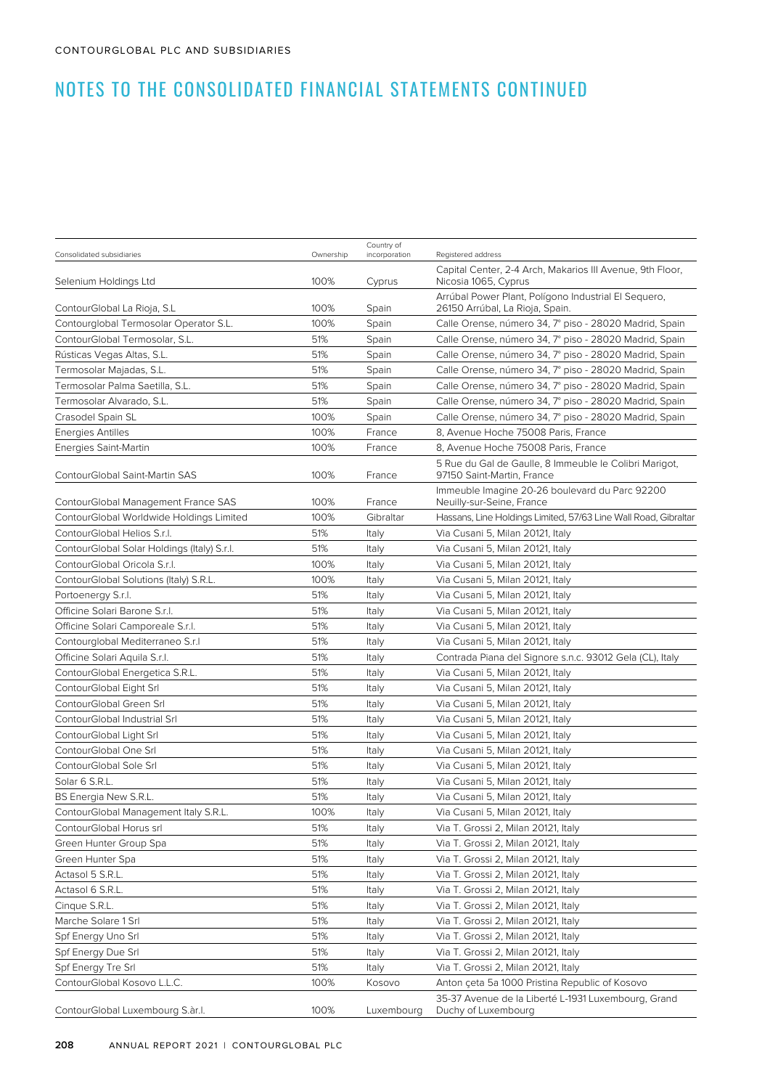| Consolidated subsidiaries                                    | Ownership  | Country of<br>incorporation | Registered address                                                                                               |
|--------------------------------------------------------------|------------|-----------------------------|------------------------------------------------------------------------------------------------------------------|
| Selenium Holdings Ltd                                        | 100%       | Cyprus                      | Capital Center, 2-4 Arch, Makarios III Avenue, 9th Floor,<br>Nicosia 1065, Cyprus                                |
| ContourGlobal La Rioja, S.L                                  | 100%       | Spain                       | Arrúbal Power Plant, Polígono Industrial El Seguero,<br>26150 Arrúbal, La Rioja, Spain.                          |
| Contourglobal Termosolar Operator S.L.                       | 100%       | Spain                       | Calle Orense, número 34, 7º piso - 28020 Madrid, Spain                                                           |
| ContourGlobal Termosolar, S.L.                               | 51%        | Spain                       | Calle Orense, número 34, 7º piso - 28020 Madrid, Spain                                                           |
| Rústicas Vegas Altas, S.L.                                   | 51%        | Spain                       | Calle Orense, número 34, 7º piso - 28020 Madrid, Spain                                                           |
| Termosolar Majadas, S.L.                                     | 51%        | Spain                       |                                                                                                                  |
|                                                              | 51%        |                             | Calle Orense, número 34, 7º piso - 28020 Madrid, Spain                                                           |
| Termosolar Palma Saetilla, S.L.<br>Termosolar Alvarado, S.L. | 51%        | Spain                       | Calle Orense, número 34, 7º piso - 28020 Madrid, Spain<br>Calle Orense, número 34, 7º piso - 28020 Madrid, Spain |
| Crasodel Spain SL                                            | 100%       | Spain                       | Calle Orense, número 34, 7º piso - 28020 Madrid, Spain                                                           |
|                                                              | 100%       | Spain                       |                                                                                                                  |
| Energies Antilles                                            |            | France                      | 8, Avenue Hoche 75008 Paris, France                                                                              |
| Energies Saint-Martin                                        | 100%       | France                      | 8, Avenue Hoche 75008 Paris, France                                                                              |
| ContourGlobal Saint-Martin SAS                               | 100%       | France                      | 5 Rue du Gal de Gaulle, 8 Immeuble le Colibri Marigot,<br>97150 Saint-Martin, France                             |
| ContourGlobal Management France SAS                          | 100%       | France                      | Immeuble Imagine 20-26 boulevard du Parc 92200<br>Neuilly-sur-Seine, France                                      |
| ContourGlobal Worldwide Holdings Limited                     | 100%       | Gibraltar                   | Hassans, Line Holdings Limited, 57/63 Line Wall Road, Gibraltar                                                  |
| ContourGlobal Helios S.r.l.                                  | 51%        | Italy                       | Via Cusani 5, Milan 20121, Italy                                                                                 |
| ContourGlobal Solar Holdings (Italy) S.r.I.                  | 51%        | Italy                       | Via Cusani 5, Milan 20121, Italy                                                                                 |
| ContourGlobal Oricola S.r.l.                                 | 100%       | Italy                       | Via Cusani 5, Milan 20121, Italy                                                                                 |
| ContourGlobal Solutions (Italy) S.R.L.                       | 100%       | Italy                       | Via Cusani 5, Milan 20121, Italy                                                                                 |
| Portoenergy S.r.l.                                           | 51%        | Italy                       | Via Cusani 5, Milan 20121, Italy                                                                                 |
| Officine Solari Barone S.r.l.                                | 51%        | Italy                       | Via Cusani 5, Milan 20121, Italy                                                                                 |
| Officine Solari Camporeale S.r.l.                            | 51%        | Italy                       | Via Cusani 5, Milan 20121, Italy                                                                                 |
| Contourglobal Mediterraneo S.r.I                             | 51%        | Italy                       | Via Cusani 5, Milan 20121, Italy                                                                                 |
| Officine Solari Aquila S.r.l.                                | 51%        | Italy                       | Contrada Piana del Signore s.n.c. 93012 Gela (CL), Italy                                                         |
| ContourGlobal Energetica S.R.L.                              | 51%        | Italy                       | Via Cusani 5, Milan 20121, Italy                                                                                 |
| ContourGlobal Eight Srl                                      | 51%        | Italy                       | Via Cusani 5, Milan 20121, Italy                                                                                 |
| ContourGlobal Green Srl                                      | 51%        | Italy                       | Via Cusani 5, Milan 20121, Italy                                                                                 |
| ContourGlobal Industrial Srl                                 | 51%        | Italy                       | Via Cusani 5, Milan 20121, Italy                                                                                 |
| ContourGlobal Light Srl                                      | 51%        | Italy                       | Via Cusani 5, Milan 20121, Italy                                                                                 |
| ContourGlobal One Srl                                        | 51%        | Italy                       | Via Cusani 5, Milan 20121, Italy                                                                                 |
| ContourGlobal Sole Srl                                       | 51%        | Italy                       | Via Cusani 5, Milan 20121, Italy                                                                                 |
| Solar 6 S.R.L.                                               | 51%        | Italy                       | Via Cusani 5, Milan 20121, Italy                                                                                 |
| BS Energia New S.R.L.                                        | 51%        | Italy                       | Via Cusani 5, Milan 20121, Italy                                                                                 |
| ContourGlobal Management Italy S.R.L.                        | 100%       | Italy                       | Via Cusani 5, Milan 20121, Italy                                                                                 |
| ContourGlobal Horus srl                                      | 51%        | Italy                       | Via T. Grossi 2, Milan 20121, Italy                                                                              |
| Green Hunter Group Spa                                       | 51%        | Italy                       | Via T. Grossi 2, Milan 20121, Italy                                                                              |
| Green Hunter Spa                                             | 51%        | Italy                       | Via T. Grossi 2, Milan 20121, Italy                                                                              |
| Actasol 5 S.R.L.                                             | 51%        | Italy                       | Via T. Grossi 2, Milan 20121, Italy                                                                              |
| Actasol 6 S.R.L.                                             | 51%        | Italy                       | Via T. Grossi 2, Milan 20121, Italy                                                                              |
| Cinque S.R.L.                                                | 51%        | Italy                       | Via T. Grossi 2, Milan 20121, Italy                                                                              |
| Marche Solare 1 Srl                                          | 51%        | Italy                       | Via T. Grossi 2, Milan 20121, Italy                                                                              |
|                                                              |            |                             |                                                                                                                  |
| Spf Energy Uno Srl<br>Spf Energy Due Srl                     | 51%<br>51% | Italy                       | Via T. Grossi 2, Milan 20121, Italy<br>Via T. Grossi 2, Milan 20121, Italy                                       |
| Spf Energy Tre Srl                                           |            | Italy                       |                                                                                                                  |
|                                                              | 51%        | Italy                       | Via T. Grossi 2, Milan 20121, Italy                                                                              |
| ContourGlobal Kosovo L.L.C.                                  | 100%       | Kosovo                      | Anton çeta 5a 1000 Pristina Republic of Kosovo                                                                   |
| ContourGlobal Luxembourg S.àr.l.                             | 100%       | Luxembourg                  | 35-37 Avenue de la Liberté L-1931 Luxembourg, Grand<br>Duchy of Luxembourg                                       |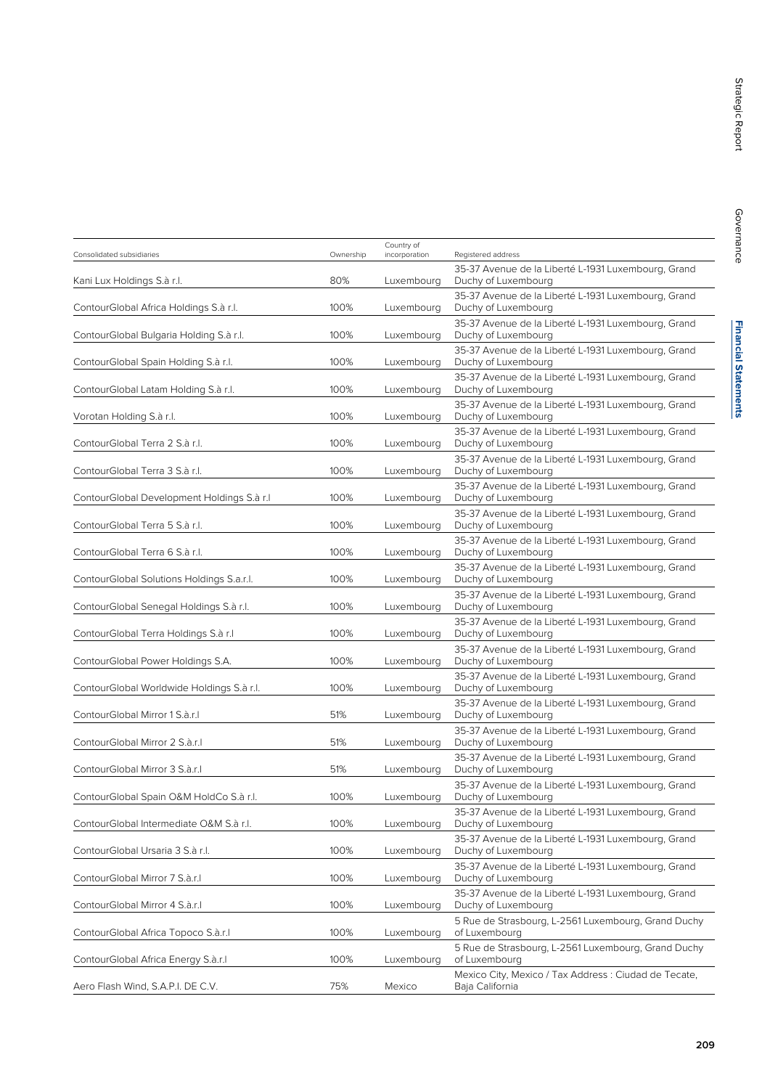|                                            |           | Country of    |                                                                            |
|--------------------------------------------|-----------|---------------|----------------------------------------------------------------------------|
| Consolidated subsidiaries                  | Ownership | incorporation | Registered address                                                         |
| Kani Lux Holdings S.à r.l.                 | 80%       | Luxembourg    | 35-37 Avenue de la Liberté L-1931 Luxembourg, Grand<br>Duchy of Luxembourg |
| ContourGlobal Africa Holdings S.à r.l.     | 100%      | Luxembourg    | 35-37 Avenue de la Liberté L-1931 Luxembourg, Grand<br>Duchy of Luxembourg |
| ContourGlobal Bulgaria Holding S.à r.l.    | 100%      | Luxembourg    | 35-37 Avenue de la Liberté L-1931 Luxembourg, Grand<br>Duchy of Luxembourg |
| ContourGlobal Spain Holding S.à r.l.       | 100%      | Luxembourg    | 35-37 Avenue de la Liberté L-1931 Luxembourg, Grand<br>Duchy of Luxembourg |
| ContourGlobal Latam Holding S.à r.l.       | 100%      | Luxembourg    | 35-37 Avenue de la Liberté L-1931 Luxembourg, Grand<br>Duchy of Luxembourg |
| Vorotan Holding S.à r.l.                   | 100%      | Luxembourg    | 35-37 Avenue de la Liberté L-1931 Luxembourg, Grand<br>Duchy of Luxembourg |
| ContourGlobal Terra 2 S.à r.l.             | 100%      | Luxembourg    | 35-37 Avenue de la Liberté L-1931 Luxembourg, Grand<br>Duchy of Luxembourg |
| ContourGlobal Terra 3 S.à r.l.             | 100%      | Luxembourg    | 35-37 Avenue de la Liberté L-1931 Luxembourg, Grand<br>Duchy of Luxembourg |
| ContourGlobal Development Holdings S.à r.l | 100%      | Luxembourg    | 35-37 Avenue de la Liberté L-1931 Luxembourg, Grand<br>Duchy of Luxembourg |
| ContourGlobal Terra 5 S.à r.l.             | 100%      | Luxembourg    | 35-37 Avenue de la Liberté L-1931 Luxembourg, Grand<br>Duchy of Luxembourg |
| ContourGlobal Terra 6 S.à r.l.             | 100%      | Luxembourg    | 35-37 Avenue de la Liberté L-1931 Luxembourg, Grand<br>Duchy of Luxembourg |
| ContourGlobal Solutions Holdings S.a.r.l.  | 100%      | Luxembourg    | 35-37 Avenue de la Liberté L-1931 Luxembourg, Grand<br>Duchy of Luxembourg |
| ContourGlobal Senegal Holdings S.à r.l.    | 100%      | Luxembourg    | 35-37 Avenue de la Liberté L-1931 Luxembourg, Grand<br>Duchy of Luxembourg |
| ContourGlobal Terra Holdings S.à r.l       | 100%      | Luxembourg    | 35-37 Avenue de la Liberté L-1931 Luxembourg, Grand<br>Duchy of Luxembourg |
| ContourGlobal Power Holdings S.A.          | 100%      | Luxembourg    | 35-37 Avenue de la Liberté L-1931 Luxembourg, Grand<br>Duchy of Luxembourg |
| ContourGlobal Worldwide Holdings S.à r.l.  | 100%      | Luxembourg    | 35-37 Avenue de la Liberté L-1931 Luxembourg, Grand<br>Duchy of Luxembourg |
| ContourGlobal Mirror 1 S.à.r.I             | 51%       | Luxembourg    | 35-37 Avenue de la Liberté L-1931 Luxembourg, Grand<br>Duchy of Luxembourg |
| ContourGlobal Mirror 2 S.à.r.I             | 51%       | Luxembourg    | 35-37 Avenue de la Liberté L-1931 Luxembourg, Grand<br>Duchy of Luxembourg |
| ContourGlobal Mirror 3 S.à.r.I             | 51%       | Luxembourg    | 35-37 Avenue de la Liberté L-1931 Luxembourg, Grand<br>Duchy of Luxembourg |
| ContourGlobal Spain O&M HoldCo S.à r.l.    | 100%      | Luxembourg    | 35-37 Avenue de la Liberté L-1931 Luxembourg, Grand<br>Duchy of Luxembourg |
| ContourGlobal Intermediate O&M S.à r.l.    | 100%      | Luxembourg    | 35-37 Avenue de la Liberté L-1931 Luxembourg, Grand<br>Duchy of Luxembourg |
| ContourGlobal Ursaria 3 S.à r.l.           | 100%      | Luxembourg    | 35-37 Avenue de la Liberté L-1931 Luxembourg, Grand<br>Duchy of Luxembourg |
| ContourGlobal Mirror 7 S.à.r.l             | 100%      | Luxembourg    | 35-37 Avenue de la Liberté L-1931 Luxembourg, Grand<br>Duchy of Luxembourg |
| ContourGlobal Mirror 4 S.à.r.I             | 100%      | Luxembourg    | 35-37 Avenue de la Liberté L-1931 Luxembourg, Grand<br>Duchy of Luxembourg |
| ContourGlobal Africa Topoco S.à.r.I        | 100%      | Luxembourg    | 5 Rue de Strasbourg, L-2561 Luxembourg, Grand Duchy<br>of Luxembourg       |
| ContourGlobal Africa Energy S.à.r.I        | 100%      | Luxembourg    | 5 Rue de Strasbourg, L-2561 Luxembourg, Grand Duchy<br>of Luxembourg       |
| Aero Flash Wind, S.A.P.I. DE C.V.          | 75%       | Mexico        | Mexico City, Mexico / Tax Address : Ciudad de Tecate,<br>Baja California   |
|                                            |           |               |                                                                            |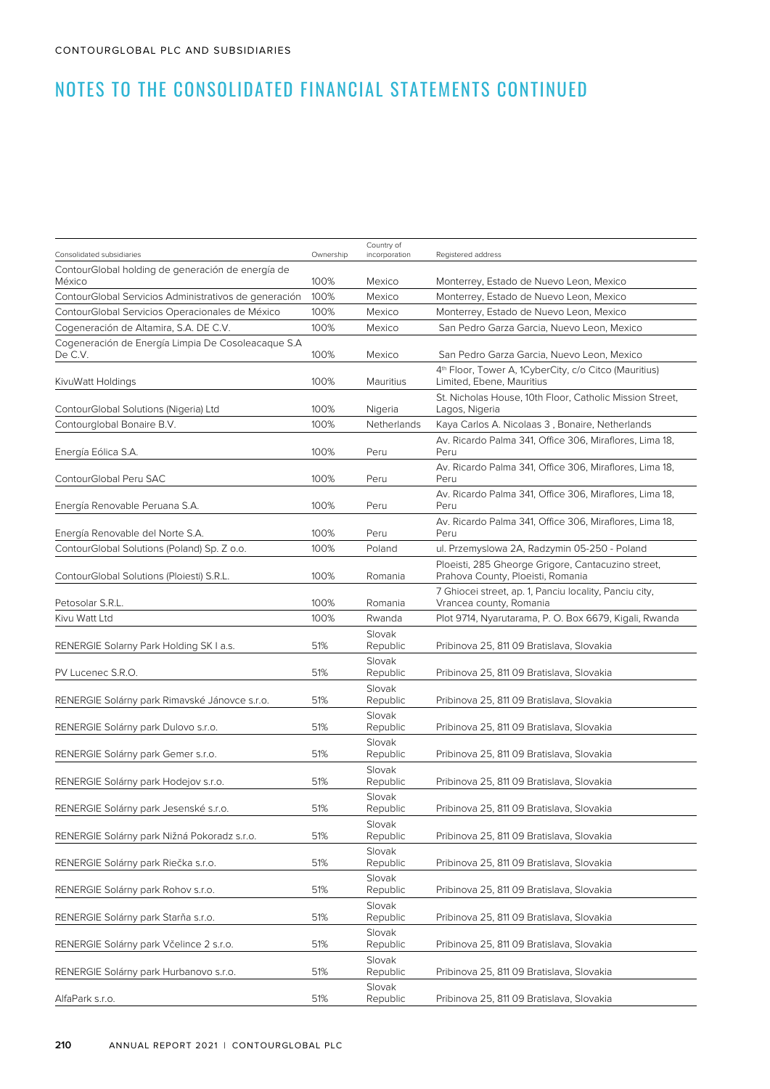| Consolidated subsidiaries                                     | Ownership | Country of<br>incorporation | Registered address                                                                             |
|---------------------------------------------------------------|-----------|-----------------------------|------------------------------------------------------------------------------------------------|
| ContourGlobal holding de generación de energía de<br>México   | 100%      | Mexico                      | Monterrey, Estado de Nuevo Leon, Mexico                                                        |
| ContourGlobal Servicios Administrativos de generación         | 100%      | Mexico                      | Monterrey, Estado de Nuevo Leon, Mexico                                                        |
| ContourGlobal Servicios Operacionales de México               | 100%      | Mexico                      | Monterrey, Estado de Nuevo Leon, Mexico                                                        |
| Cogeneración de Altamira, S.A. DE C.V.                        | 100%      | Mexico                      | San Pedro Garza Garcia, Nuevo Leon, Mexico                                                     |
| Cogeneración de Energía Limpia De Cosoleacaque S.A<br>De C.V. | 100%      | Mexico                      | San Pedro Garza Garcia, Nuevo Leon, Mexico                                                     |
| KivuWatt Holdings                                             | 100%      | Mauritius                   | 4 <sup>th</sup> Floor, Tower A, 1CyberCity, c/o Citco (Mauritius)<br>Limited, Ebene, Mauritius |
| ContourGlobal Solutions (Nigeria) Ltd                         | 100%      | Nigeria                     | St. Nicholas House, 10th Floor, Catholic Mission Street,<br>Lagos, Nigeria                     |
| Contourglobal Bonaire B.V.                                    | 100%      | Netherlands                 | Kaya Carlos A. Nicolaas 3, Bonaire, Netherlands                                                |
| Energía Eólica S.A.                                           | 100%      | Peru                        | Av. Ricardo Palma 341, Office 306, Miraflores, Lima 18,<br>Peru                                |
| ContourGlobal Peru SAC                                        | 100%      | Peru                        | Av. Ricardo Palma 341, Office 306, Miraflores, Lima 18,<br>Peru                                |
| Energía Renovable Peruana S.A.                                | 100%      | Peru                        | Av. Ricardo Palma 341, Office 306, Miraflores, Lima 18,<br>Peru                                |
| Energía Renovable del Norte S.A.                              | 100%      | Peru                        | Av. Ricardo Palma 341, Office 306, Miraflores, Lima 18,<br>Peru                                |
| ContourGlobal Solutions (Poland) Sp. Z o.o.                   | 100%      | Poland                      | ul. Przemyslowa 2A, Radzymin 05-250 - Poland                                                   |
| ContourGlobal Solutions (Ploiesti) S.R.L.                     | 100%      | Romania                     | Ploeisti, 285 Gheorge Grigore, Cantacuzino street,<br>Prahova County, Ploeisti, Romania        |
| Petosolar S.R.L.                                              | 100%      | Romania                     | 7 Ghiocei street, ap. 1, Panciu locality, Panciu city,<br>Vrancea county, Romania              |
| Kivu Watt Ltd                                                 | 100%      | Rwanda                      | Plot 9714, Nyarutarama, P. O. Box 6679, Kigali, Rwanda                                         |
| RENERGIE Solarny Park Holding SK I a.s.                       | 51%       | Slovak<br>Republic          | Pribinova 25, 811 09 Bratislava, Slovakia                                                      |
| PV Lucenec S.R.O.                                             | 51%       | Slovak<br>Republic          | Pribinova 25, 811 09 Bratislava, Slovakia                                                      |
| RENERGIE Solárny park Rimavské Jánovce s.r.o.                 | 51%       | Slovak<br>Republic          | Pribinova 25, 811 09 Bratislava, Slovakia                                                      |
| RENERGIE Solárny park Dulovo s.r.o.                           | 51%       | Slovak<br>Republic          | Pribinova 25, 811 09 Bratislava, Slovakia                                                      |
| RENERGIE Solárny park Gemer s.r.o.                            | 51%       | Slovak<br>Republic          | Pribinova 25, 811 09 Bratislava, Slovakia                                                      |
| RENERGIE Solárny park Hodejov s.r.o.                          | 51%       | Slovak<br>Republic          | Pribinova 25, 811 09 Bratislava, Slovakia                                                      |
| RENERGIE Solárny park Jesenské s.r.o.                         | 51%       | Slovak<br>Republic          | Pribinova 25, 811 09 Bratislava, Slovakia                                                      |
| RENERGIE Solárny park Nižná Pokoradz s.r.o.                   | 51%       | Slovak<br>Republic          | Pribinova 25, 811 09 Bratislava, Slovakia                                                      |
| RENERGIE Solárny park Riečka s.r.o.                           | 51%       | Slovak<br>Republic          | Pribinova 25, 811 09 Bratislava, Slovakia                                                      |
| RENERGIE Solárny park Rohov s.r.o.                            | 51%       | Slovak<br>Republic          | Pribinova 25, 811 09 Bratislava, Slovakia                                                      |
| RENERGIE Solárny park Starňa s.r.o.                           | 51%       | Slovak<br>Republic          | Pribinova 25, 811 09 Bratislava, Slovakia                                                      |
| RENERGIE Solárny park Včelince 2 s.r.o.                       | 51%       | Slovak<br>Republic          | Pribinova 25, 811 09 Bratislava, Slovakia                                                      |
| RENERGIE Solárny park Hurbanovo s.r.o.                        | 51%       | Slovak<br>Republic          | Pribinova 25, 811 09 Bratislava, Slovakia                                                      |
| AlfaPark s.r.o.                                               | 51%       | Slovak<br>Republic          | Pribinova 25, 811 09 Bratislava, Slovakia                                                      |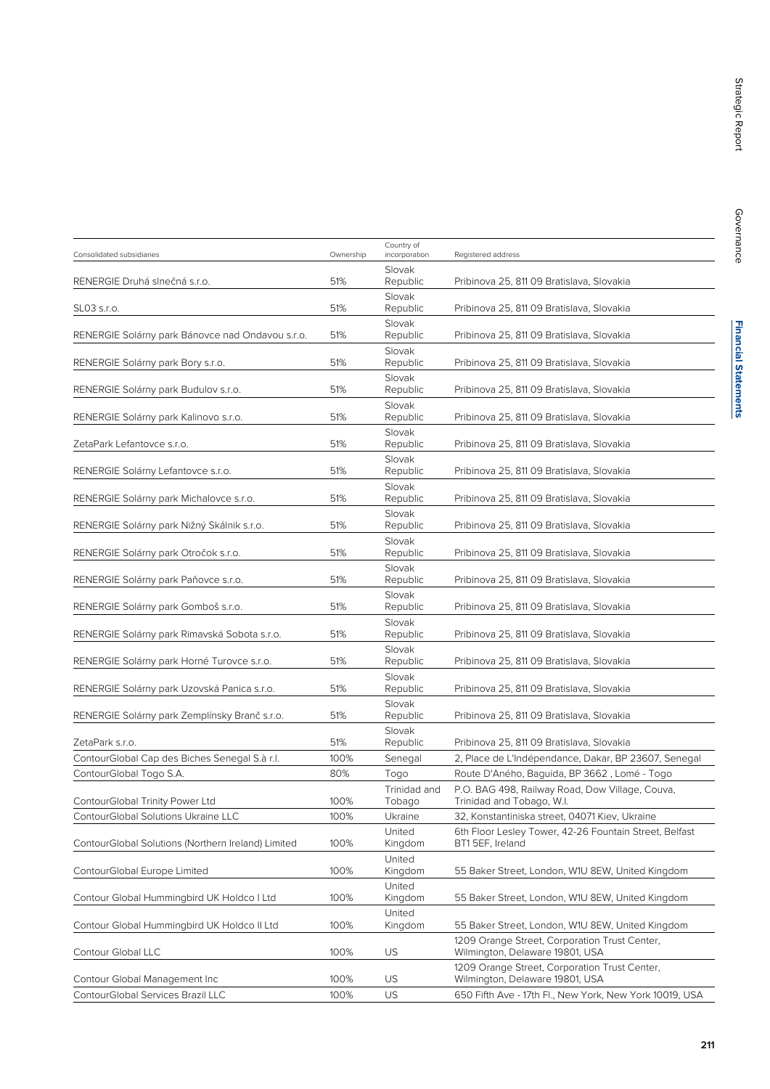| Consolidated subsidiaries                          | Ownership | Country of<br>incorporation | Registered address                                                               |
|----------------------------------------------------|-----------|-----------------------------|----------------------------------------------------------------------------------|
| RENERGIE Druhá slnečná s.r.o.                      | 51%       | Slovak<br>Republic          | Pribinova 25, 811 09 Bratislava, Slovakia                                        |
| SL03 s.r.o.                                        | 51%       | Slovak<br>Republic          | Pribinova 25, 811 09 Bratislava, Slovakia                                        |
| RENERGIE Solárny park Bánovce nad Ondavou s.r.o.   | 51%       | Slovak<br>Republic          | Pribinova 25, 811 09 Bratislava, Slovakia                                        |
| RENERGIE Solárny park Bory s.r.o.                  | 51%       | Slovak<br>Republic          | Pribinova 25, 811 09 Bratislava, Slovakia                                        |
| RENERGIE Solárny park Budulov s.r.o.               | 51%       | Slovak<br>Republic          | Pribinova 25, 811 09 Bratislava, Slovakia                                        |
| RENERGIE Solárny park Kalinovo s.r.o.              | 51%       | Slovak<br>Republic          | Pribinova 25, 811 09 Bratislava, Slovakia                                        |
| ZetaPark Lefantovce s.r.o.                         | 51%       | Slovak<br>Republic          | Pribinova 25, 811 09 Bratislava, Slovakia                                        |
| RENERGIE Solárny Lefantovce s.r.o.                 | 51%       | Slovak<br>Republic          | Pribinova 25, 811 09 Bratislava, Slovakia                                        |
| RENERGIE Solárny park Michalovce s.r.o.            | 51%       | Slovak<br>Republic          | Pribinova 25, 811 09 Bratislava, Slovakia                                        |
| RENERGIE Solárny park Nižný Skálnik s.r.o.         | 51%       | Slovak<br>Republic          | Pribinova 25, 811 09 Bratislava, Slovakia                                        |
| RENERGIE Solárny park Otročok s.r.o.               | 51%       | Slovak<br>Republic          | Pribinova 25, 811 09 Bratislava, Slovakia                                        |
| RENERGIE Solárny park Paňovce s.r.o.               | 51%       | Slovak<br>Republic          | Pribinova 25, 811 09 Bratislava, Slovakia                                        |
| RENERGIE Solárny park Gomboš s.r.o.                | 51%       | Slovak<br>Republic          | Pribinova 25, 811 09 Bratislava, Slovakia                                        |
| RENERGIE Solárny park Rimavská Sobota s.r.o.       | 51%       | Slovak<br>Republic          | Pribinova 25, 811 09 Bratislava, Slovakia                                        |
| RENERGIE Solárny park Horné Turovce s.r.o.         | 51%       | Slovak<br>Republic          | Pribinova 25, 811 09 Bratislava, Slovakia                                        |
| RENERGIE Solárny park Uzovská Panica s.r.o.        | 51%       | Slovak<br>Republic          | Pribinova 25, 811 09 Bratislava, Slovakia                                        |
| RENERGIE Solárny park Zemplínsky Branč s.r.o.      | 51%       | Slovak<br>Republic          | Pribinova 25, 811 09 Bratislava, Slovakia                                        |
| ZetaPark s.r.o.                                    | 51%       | Slovak<br>Republic          | Pribinova 25, 811 09 Bratislava, Slovakia                                        |
| ContourGlobal Cap des Biches Senegal S.à r.l.      | 100%      | Senegal                     | 2, Place de L'Indépendance, Dakar, BP 23607, Senegal                             |
| ContourGlobal Togo S.A.                            | 80%       | Togo                        | Route D'Aného, Baguida, BP 3662, Lomé - Togo                                     |
| ContourGlobal Trinity Power Ltd                    | 100%      | Trinidad and<br>Tobago      | P.O. BAG 498, Railway Road, Dow Village, Couva,<br>Trinidad and Tobago, W.I.     |
| ContourGlobal Solutions Ukraine LLC                | 100%      | Ukraine                     | 32, Konstantiniska street, 04071 Kiev, Ukraine                                   |
| ContourGlobal Solutions (Northern Ireland) Limited | 100%      | United<br>Kingdom           | 6th Floor Lesley Tower, 42-26 Fountain Street, Belfast<br>BT15EF, Ireland        |
| ContourGlobal Europe Limited                       | 100%      | United<br>Kingdom           | 55 Baker Street, London, W1U 8EW, United Kingdom                                 |
| Contour Global Hummingbird UK Holdco I Ltd         | 100%      | United<br>Kingdom           | 55 Baker Street, London, W1U 8EW, United Kingdom                                 |
| Contour Global Hummingbird UK Holdco II Ltd        | 100%      | United<br>Kingdom           | 55 Baker Street, London, W1U 8EW, United Kingdom                                 |
| Contour Global LLC                                 | 100%      | US                          | 1209 Orange Street, Corporation Trust Center,<br>Wilmington, Delaware 19801, USA |
| Contour Global Management Inc                      | 100%      | US                          | 1209 Orange Street, Corporation Trust Center,<br>Wilmington, Delaware 19801, USA |
| ContourGlobal Services Brazil LLC                  | 100%      | US                          | 650 Fifth Ave - 17th Fl., New York, New York 10019, USA                          |
|                                                    |           |                             |                                                                                  |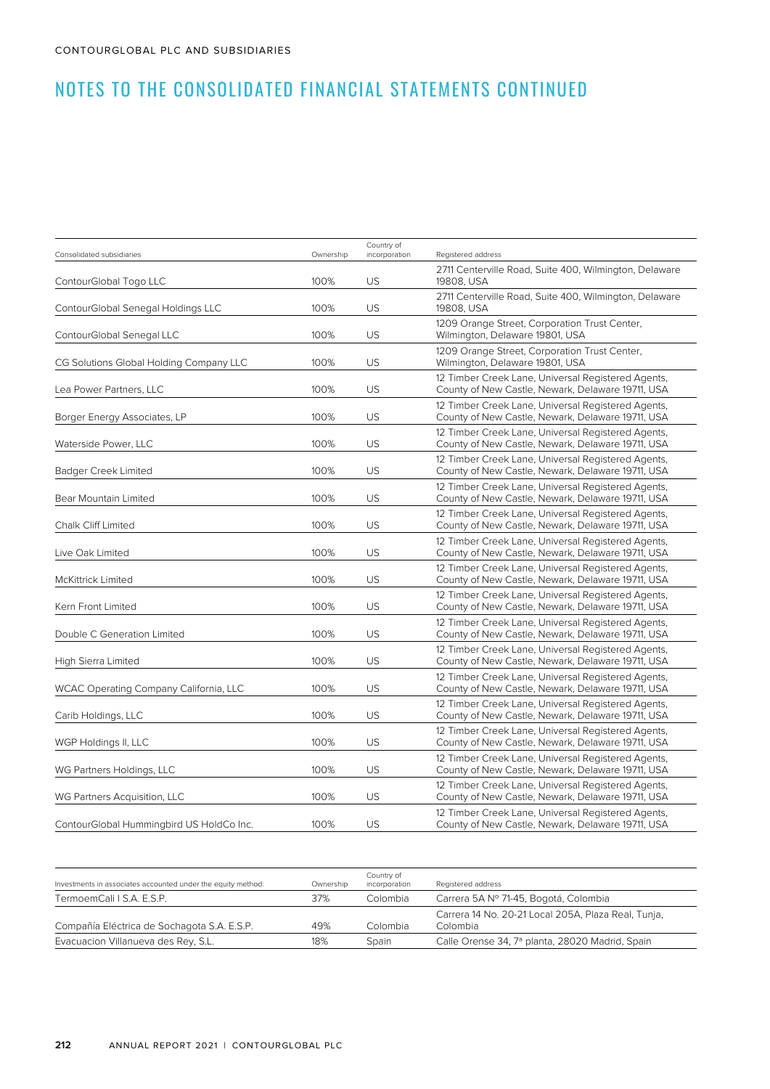| Consolidated subsidiaries                     | Ownership | Country of<br>incorporation | Registered address                                                                                      |
|-----------------------------------------------|-----------|-----------------------------|---------------------------------------------------------------------------------------------------------|
| ContourGlobal Togo LLC                        | 100%      | US                          | 2711 Centerville Road, Suite 400, Wilmington, Delaware<br>19808, USA                                    |
| ContourGlobal Senegal Holdings LLC            | 100%      | <b>US</b>                   | 2711 Centerville Road, Suite 400, Wilmington, Delaware<br>19808, USA                                    |
| ContourGlobal Senegal LLC                     | 100%      | US                          | 1209 Orange Street, Corporation Trust Center,<br>Wilmington, Delaware 19801, USA                        |
| CG Solutions Global Holding Company LLC       | 100%      | US.                         | 1209 Orange Street, Corporation Trust Center,<br>Wilmington, Delaware 19801, USA                        |
| Lea Power Partners, LLC                       | 100%      | <b>US</b>                   | 12 Timber Creek Lane, Universal Registered Agents,<br>County of New Castle, Newark, Delaware 19711, USA |
| Borger Energy Associates, LP                  | 100%      | US                          | 12 Timber Creek Lane, Universal Registered Agents,<br>County of New Castle, Newark, Delaware 19711, USA |
| Waterside Power, LLC                          | 100%      | <b>US</b>                   | 12 Timber Creek Lane, Universal Registered Agents,<br>County of New Castle, Newark, Delaware 19711, USA |
| Badger Creek Limited                          | 100%      | US                          | 12 Timber Creek Lane, Universal Registered Agents,<br>County of New Castle, Newark, Delaware 19711, USA |
| Bear Mountain Limited                         | 100%      | <b>US</b>                   | 12 Timber Creek Lane, Universal Registered Agents,<br>County of New Castle, Newark, Delaware 19711, USA |
| <b>Chalk Cliff Limited</b>                    | 100%      | <b>US</b>                   | 12 Timber Creek Lane, Universal Registered Agents,<br>County of New Castle, Newark, Delaware 19711, USA |
| Live Oak Limited                              | 100%      | US                          | 12 Timber Creek Lane, Universal Registered Agents,<br>County of New Castle, Newark, Delaware 19711, USA |
| <b>McKittrick Limited</b>                     | 100%      | <b>US</b>                   | 12 Timber Creek Lane, Universal Registered Agents,<br>County of New Castle, Newark, Delaware 19711, USA |
| Kern Front Limited                            | 100%      | US                          | 12 Timber Creek Lane, Universal Registered Agents,<br>County of New Castle, Newark, Delaware 19711, USA |
| Double C Generation Limited                   | 100%      | US.                         | 12 Timber Creek Lane, Universal Registered Agents,<br>County of New Castle, Newark, Delaware 19711, USA |
| High Sierra Limited                           | 100%      | US                          | 12 Timber Creek Lane, Universal Registered Agents,<br>County of New Castle, Newark, Delaware 19711, USA |
| <b>WCAC Operating Company California, LLC</b> | 100%      | US                          | 12 Timber Creek Lane, Universal Registered Agents,<br>County of New Castle, Newark, Delaware 19711, USA |
| Carib Holdings, LLC                           | 100%      | <b>US</b>                   | 12 Timber Creek Lane, Universal Registered Agents,<br>County of New Castle, Newark, Delaware 19711, USA |
| WGP Holdings II, LLC                          | 100%      | US                          | 12 Timber Creek Lane, Universal Registered Agents,<br>County of New Castle, Newark, Delaware 19711, USA |
| WG Partners Holdings, LLC                     | 100%      | <b>US</b>                   | 12 Timber Creek Lane, Universal Registered Agents,<br>County of New Castle, Newark, Delaware 19711, USA |
| WG Partners Acquisition, LLC                  | 100%      | US.                         | 12 Timber Creek Lane, Universal Registered Agents,<br>County of New Castle, Newark, Delaware 19711, USA |
| ContourGlobal Hummingbird US HoldCo Inc.      | 100%      | US                          | 12 Timber Creek Lane, Universal Registered Agents,<br>County of New Castle, Newark, Delaware 19711, USA |
|                                               |           |                             |                                                                                                         |

| Investments in associates accounted under the equity method: | Ownership | Country of<br>incorporation | Registered address                                              |
|--------------------------------------------------------------|-----------|-----------------------------|-----------------------------------------------------------------|
| TermoemCali   S.A. E.S.P.                                    | 37%       | Colombia                    | Carrera 5A Nº 71-45, Bogotá, Colombia                           |
| Compañía Eléctrica de Sochagota S.A. E.S.P.                  | 49%       | Colombia                    | Carrera 14 No. 20-21 Local 205A, Plaza Real, Tunja,<br>Colombia |
| Evacuacion Villanueva des Rey, S.L.                          | 18%       | Spain                       | Calle Orense 34, 7ª planta, 28020 Madrid, Spain                 |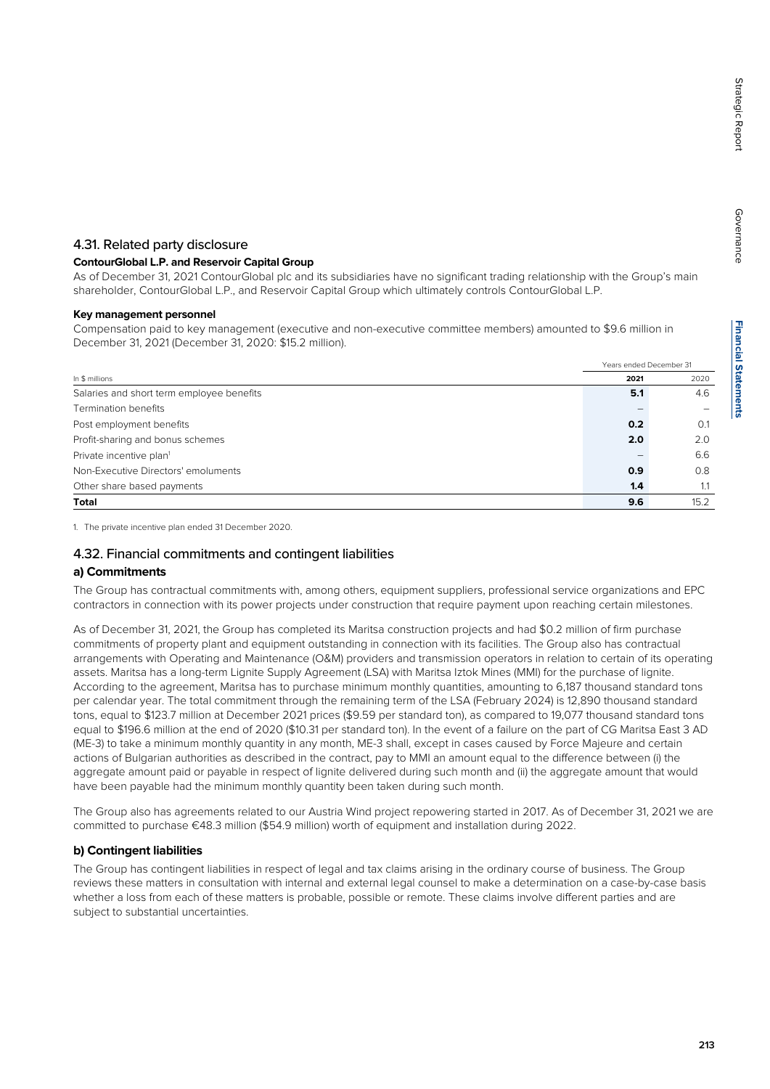## 4.31. Related party disclosure

## **ContourGlobal L.P. and Reservoir Capital Group**

As of December 31, 2021 ContourGlobal plc and its subsidiaries have no significant trading relationship with the Group's main shareholder, ContourGlobal L.P., and Reservoir Capital Group which ultimately controls ContourGlobal L.P.

## **Key management personnel**

Compensation paid to key management (executive and non-executive committee members) amounted to \$9.6 million in December 31, 2021 (December 31, 2020: \$15.2 million).

|                                           | Years ended December 31 |      |
|-------------------------------------------|-------------------------|------|
| In \$ millions                            | 2021                    | 2020 |
| Salaries and short term employee benefits | 5.1                     | 4.6  |
| Termination benefits                      |                         |      |
| Post employment benefits                  | 0.2                     | O.1  |
| Profit-sharing and bonus schemes          | 2.0                     | 2.0  |
| Private incentive plan <sup>1</sup>       |                         | 6.6  |
| Non-Executive Directors' emoluments       | 0.9                     | 0.8  |
| Other share based payments                | 1.4                     | 1.1  |
| <b>Total</b>                              | 9.6                     | 15.2 |

1. The private incentive plan ended 31 December 2020.

## 4.32. Financial commitments and contingent liabilities

#### **a) Commitments**

The Group has contractual commitments with, among others, equipment suppliers, professional service organizations and EPC contractors in connection with its power projects under construction that require payment upon reaching certain milestones.

As of December 31, 2021, the Group has completed its Maritsa construction projects and had \$0.2 million of firm purchase commitments of property plant and equipment outstanding in connection with its facilities. The Group also has contractual arrangements with Operating and Maintenance (O&M) providers and transmission operators in relation to certain of its operating assets. Maritsa has a long-term Lignite Supply Agreement (LSA) with Maritsa Iztok Mines (MMI) for the purchase of lignite. According to the agreement, Maritsa has to purchase minimum monthly quantities, amounting to 6,187 thousand standard tons per calendar year. The total commitment through the remaining term of the LSA (February 2024) is 12,890 thousand standard tons, equal to \$123.7 million at December 2021 prices (\$9.59 per standard ton), as compared to 19,077 thousand standard tons equal to \$196.6 million at the end of 2020 (\$10.31 per standard ton). In the event of a failure on the part of CG Maritsa East 3 AD (ME-3) to take a minimum monthly quantity in any month, ME-3 shall, except in cases caused by Force Majeure and certain actions of Bulgarian authorities as described in the contract, pay to MMI an amount equal to the difference between (i) the aggregate amount paid or payable in respect of lignite delivered during such month and (ii) the aggregate amount that would have been payable had the minimum monthly quantity been taken during such month.

The Group also has agreements related to our Austria Wind project repowering started in 2017. As of December 31, 2021 we are committed to purchase €48.3 million (\$54.9 million) worth of equipment and installation during 2022.

## **b) Contingent liabilities**

The Group has contingent liabilities in respect of legal and tax claims arising in the ordinary course of business. The Group reviews these matters in consultation with internal and external legal counsel to make a determination on a case-by-case basis whether a loss from each of these matters is probable, possible or remote. These claims involve different parties and are subject to substantial uncertainties.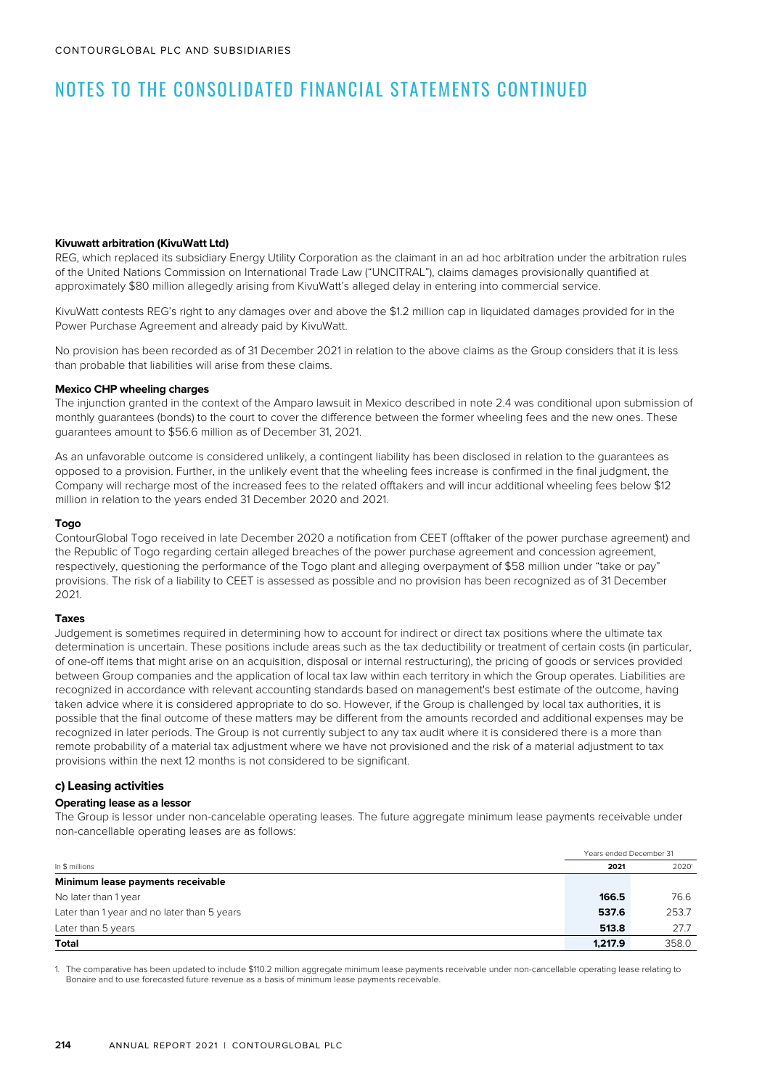#### **Kivuwatt arbitration (KivuWatt Ltd)**

REG, which replaced its subsidiary Energy Utility Corporation as the claimant in an ad hoc arbitration under the arbitration rules of the United Nations Commission on International Trade Law ("UNCITRAL"), claims damages provisionally quantified at approximately \$80 million allegedly arising from KivuWatt's alleged delay in entering into commercial service.

KivuWatt contests REG's right to any damages over and above the \$1.2 million cap in liquidated damages provided for in the Power Purchase Agreement and already paid by KivuWatt.

No provision has been recorded as of 31 December 2021 in relation to the above claims as the Group considers that it is less than probable that liabilities will arise from these claims.

#### **Mexico CHP wheeling charges**

The injunction granted in the context of the Amparo lawsuit in Mexico described in note 2.4 was conditional upon submission of monthly guarantees (bonds) to the court to cover the difference between the former wheeling fees and the new ones. These guarantees amount to \$56.6 million as of December 31, 2021.

As an unfavorable outcome is considered unlikely, a contingent liability has been disclosed in relation to the guarantees as opposed to a provision. Further, in the unlikely event that the wheeling fees increase is confirmed in the final judgment, the Company will recharge most of the increased fees to the related offtakers and will incur additional wheeling fees below \$12 million in relation to the years ended 31 December 2020 and 2021.

#### **Togo**

ContourGlobal Togo received in late December 2020 a notification from CEET (offtaker of the power purchase agreement) and the Republic of Togo regarding certain alleged breaches of the power purchase agreement and concession agreement, respectively, questioning the performance of the Togo plant and alleging overpayment of \$58 million under "take or pay" provisions. The risk of a liability to CEET is assessed as possible and no provision has been recognized as of 31 December 2021.

#### **Taxes**

Judgement is sometimes required in determining how to account for indirect or direct tax positions where the ultimate tax determination is uncertain. These positions include areas such as the tax deductibility or treatment of certain costs (in particular, of one-off items that might arise on an acquisition, disposal or internal restructuring), the pricing of goods or services provided between Group companies and the application of local tax law within each territory in which the Group operates. Liabilities are recognized in accordance with relevant accounting standards based on management's best estimate of the outcome, having taken advice where it is considered appropriate to do so. However, if the Group is challenged by local tax authorities, it is possible that the final outcome of these matters may be different from the amounts recorded and additional expenses may be recognized in later periods. The Group is not currently subject to any tax audit where it is considered there is a more than remote probability of a material tax adjustment where we have not provisioned and the risk of a material adjustment to tax provisions within the next 12 months is not considered to be significant.

#### **c) Leasing activities**

#### **Operating lease as a lessor**

The Group is lessor under non-cancelable operating leases. The future aggregate minimum lease payments receivable under non-cancellable operating leases are as follows:

|                                             | Years ended December 31 |       |  |
|---------------------------------------------|-------------------------|-------|--|
| In \$ millions                              | 2021                    | 20201 |  |
| Minimum lease payments receivable           |                         |       |  |
| No later than 1 year                        | 166.5                   | 76.6  |  |
| Later than 1 year and no later than 5 years | 537.6                   | 253.7 |  |
| Later than 5 years                          | 513.8                   | 27.7  |  |
| Total                                       | 1.217.9                 | 358.0 |  |

1. The comparative has been updated to include \$110.2 million aggregate minimum lease payments receivable under non-cancellable operating lease relating to Bonaire and to use forecasted future revenue as a basis of minimum lease payments receivable.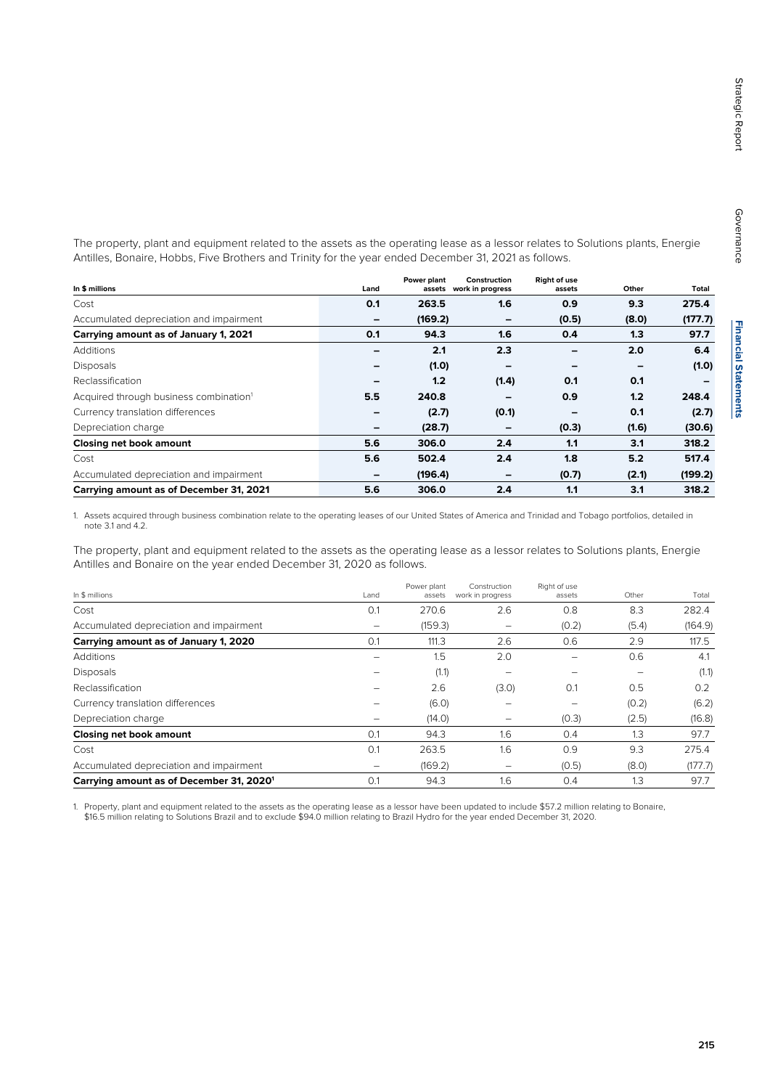**Financial Statements Financial Statements**

The property, plant and equipment related to the assets as the operating lease as a lessor relates to Solutions plants, Energie Antilles, Bonaire, Hobbs, Five Brothers and Trinity for the year ended December 31, 2021 as follows.

| In \$ millions                                     | Land | Power plant<br>assets | Construction<br>work in progress | <b>Right of use</b><br>assets | Other | Total   |
|----------------------------------------------------|------|-----------------------|----------------------------------|-------------------------------|-------|---------|
| Cost                                               | 0.1  | 263.5                 | 1.6                              | 0.9                           | 9.3   | 275.4   |
| Accumulated depreciation and impairment            |      | (169.2)               | $\overline{\phantom{0}}$         | (0.5)                         | (8.0) | (177.7) |
| Carrying amount as of January 1, 2021              | 0.1  | 94.3                  | 1.6                              | 0.4                           | 1.3   | 97.7    |
| Additions                                          |      | 2.1                   | 2.3                              |                               | 2.0   | 6.4     |
| <b>Disposals</b>                                   |      | (1.0)                 |                                  |                               |       | (1.0)   |
| Reclassification                                   |      | 1.2                   | (1.4)                            | 0.1                           | 0.1   |         |
| Acquired through business combination <sup>1</sup> | 5.5  | 240.8                 |                                  | 0.9                           | 1.2   | 248.4   |
| Currency translation differences                   | -    | (2.7)                 | (0.1)                            |                               | 0.1   | (2.7)   |
| Depreciation charge                                |      | (28.7)                | -                                | (0.3)                         | (1.6) | (30.6)  |
| Closing net book amount                            | 5.6  | 306.0                 | 2.4                              | 1.1                           | 3.1   | 318.2   |
| Cost                                               | 5.6  | 502.4                 | 2.4                              | 1.8                           | 5.2   | 517.4   |
| Accumulated depreciation and impairment            |      | (196.4)               | $\qquad \qquad \blacksquare$     | (0.7)                         | (2.1) | (199.2) |
| Carrying amount as of December 31, 2021            | 5.6  | 306.0                 | 2.4                              | 1.1                           | 3.1   | 318.2   |

1. Assets acquired through business combination relate to the operating leases of our United States of America and Trinidad and Tobago portfolios, detailed in note 3.1 and 4.2.

The property, plant and equipment related to the assets as the operating lease as a lessor relates to Solutions plants, Energie Antilles and Bonaire on the year ended December 31, 2020 as follows.

| In \$ millions                                       | Land | Power plant<br>assets | Construction<br>work in progress | Right of use<br>assets | Other | Total   |
|------------------------------------------------------|------|-----------------------|----------------------------------|------------------------|-------|---------|
| Cost                                                 | 0.1  | 270.6                 | 2.6                              | 0.8                    | 8.3   | 282.4   |
| Accumulated depreciation and impairment              | -    | (159.3)               |                                  | (0.2)                  | (5.4) | (164.9) |
| Carrying amount as of January 1, 2020                | 0.1  | 111.3                 | 2.6                              | 0.6                    | 2.9   | 117.5   |
| Additions                                            |      | 1.5                   | 2.0                              |                        | 0.6   | 4.1     |
| <b>Disposals</b>                                     |      | (1.1)                 |                                  |                        | -     | (1.1)   |
| Reclassification                                     |      | 2.6                   | (3.0)                            | 0.1                    | 0.5   | 0.2     |
| Currency translation differences                     |      | (6.0)                 |                                  |                        | (0.2) | (6.2)   |
| Depreciation charge                                  |      | (14.0)                |                                  | (0.3)                  | (2.5) | (16.8)  |
| Closing net book amount                              | 0.1  | 94.3                  | 1.6                              | 0.4                    | 1.3   | 97.7    |
| Cost                                                 | 0.1  | 263.5                 | 1.6                              | 0.9                    | 9.3   | 275.4   |
| Accumulated depreciation and impairment              |      | (169.2)               | -                                | (0.5)                  | (8.0) | (177.7) |
| Carrying amount as of December 31, 2020 <sup>1</sup> | 0.1  | 94.3                  | 1.6                              | 0.4                    | 1.3   | 97.7    |

1. Property, plant and equipment related to the assets as the operating lease as a lessor have been updated to include \$57.2 million relating to Bonaire, \$16.5 million relating to Solutions Brazil and to exclude \$94.0 million relating to Brazil Hydro for the year ended December 31, 2020.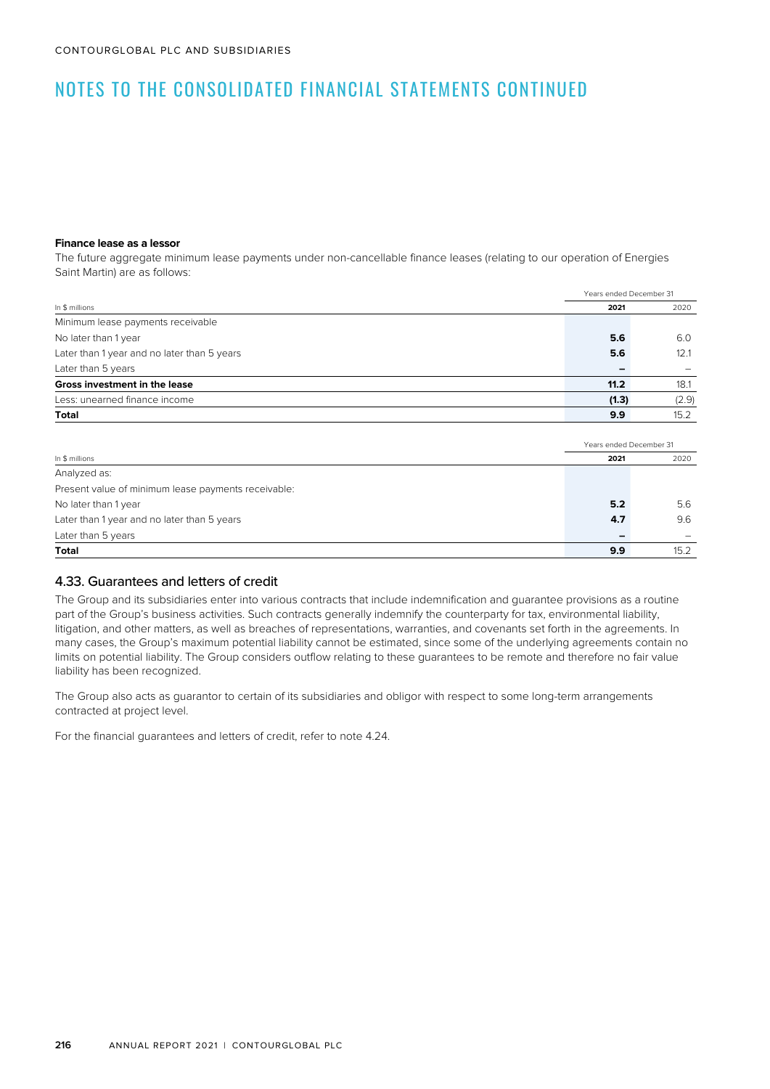#### **Finance lease as a lessor**

The future aggregate minimum lease payments under non-cancellable finance leases (relating to our operation of Energies Saint Martin) are as follows:

|                                             | Years ended December 31 |       |
|---------------------------------------------|-------------------------|-------|
| In \$ millions                              | 2021                    | 2020  |
| Minimum lease payments receivable           |                         |       |
| No later than 1 year                        | 5.6                     | 6.0   |
| Later than 1 year and no later than 5 years | 5.6                     | 12.1  |
| Later than 5 years                          |                         |       |
| Gross investment in the lease               | 11.2                    | 18.1  |
| Less: unearned finance income               | (1.3)                   | (2.9) |
| Total                                       | 9.9                     | 15.2  |
|                                             |                         |       |

|                                                     |      | Years ended December 31 |  |
|-----------------------------------------------------|------|-------------------------|--|
| In \$ millions                                      | 2021 | 2020                    |  |
| Analyzed as:                                        |      |                         |  |
| Present value of minimum lease payments receivable: |      |                         |  |
| No later than 1 year                                | 5.2  | 5.6                     |  |
| Later than 1 year and no later than 5 years         | 4.7  | 9.6                     |  |
| Later than 5 years                                  |      |                         |  |
| Total                                               | 9.9  | 15.2                    |  |

## 4.33. Guarantees and letters of credit

The Group and its subsidiaries enter into various contracts that include indemnification and guarantee provisions as a routine part of the Group's business activities. Such contracts generally indemnify the counterparty for tax, environmental liability, litigation, and other matters, as well as breaches of representations, warranties, and covenants set forth in the agreements. In many cases, the Group's maximum potential liability cannot be estimated, since some of the underlying agreements contain no limits on potential liability. The Group considers outflow relating to these guarantees to be remote and therefore no fair value liability has been recognized.

The Group also acts as guarantor to certain of its subsidiaries and obligor with respect to some long-term arrangements contracted at project level.

For the financial guarantees and letters of credit, refer to note 4.24.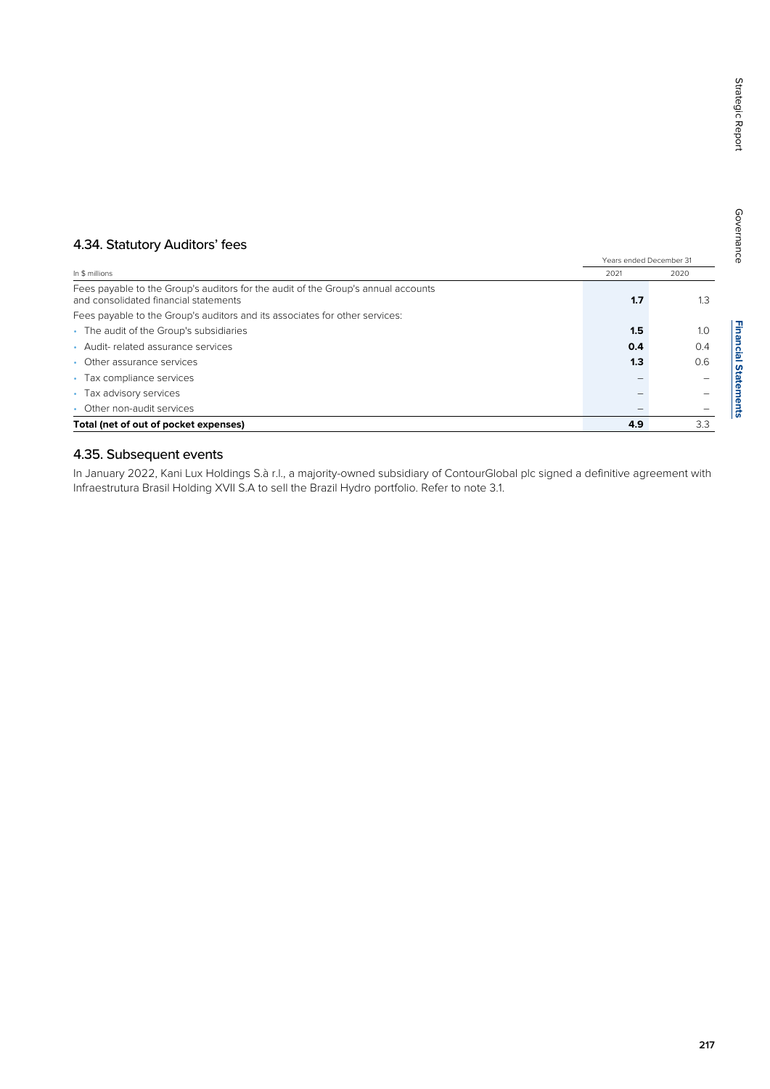## 4.34. Statutory Auditors' fees

|                                                                                                                            |      | Years ended December 31 |  |
|----------------------------------------------------------------------------------------------------------------------------|------|-------------------------|--|
| In \$ millions                                                                                                             | 2021 | 2020                    |  |
| Fees payable to the Group's auditors for the audit of the Group's annual accounts<br>and consolidated financial statements | 1.7  | 1.3                     |  |
| Fees payable to the Group's auditors and its associates for other services:                                                |      |                         |  |
| The audit of the Group's subsidiaries<br>$\bullet$                                                                         | 1.5  | 1.0                     |  |
| Audit-related assurance services                                                                                           | 0.4  | 0.4                     |  |
| Other assurance services                                                                                                   | 1.3  | 0.6                     |  |
| Tax compliance services<br>$\bullet$                                                                                       |      |                         |  |
| Tax advisory services<br>$\bullet$                                                                                         |      |                         |  |
| Other non-audit services                                                                                                   |      |                         |  |
| Total (net of out of pocket expenses)                                                                                      | 4.9  | 3.3                     |  |

## 4.35. Subsequent events

In January 2022, Kani Lux Holdings S.à r.l., a majority-owned subsidiary of ContourGlobal plc signed a definitive agreement with Infraestrutura Brasil Holding XVII S.A to sell the Brazil Hydro portfolio. Refer to note 3.1.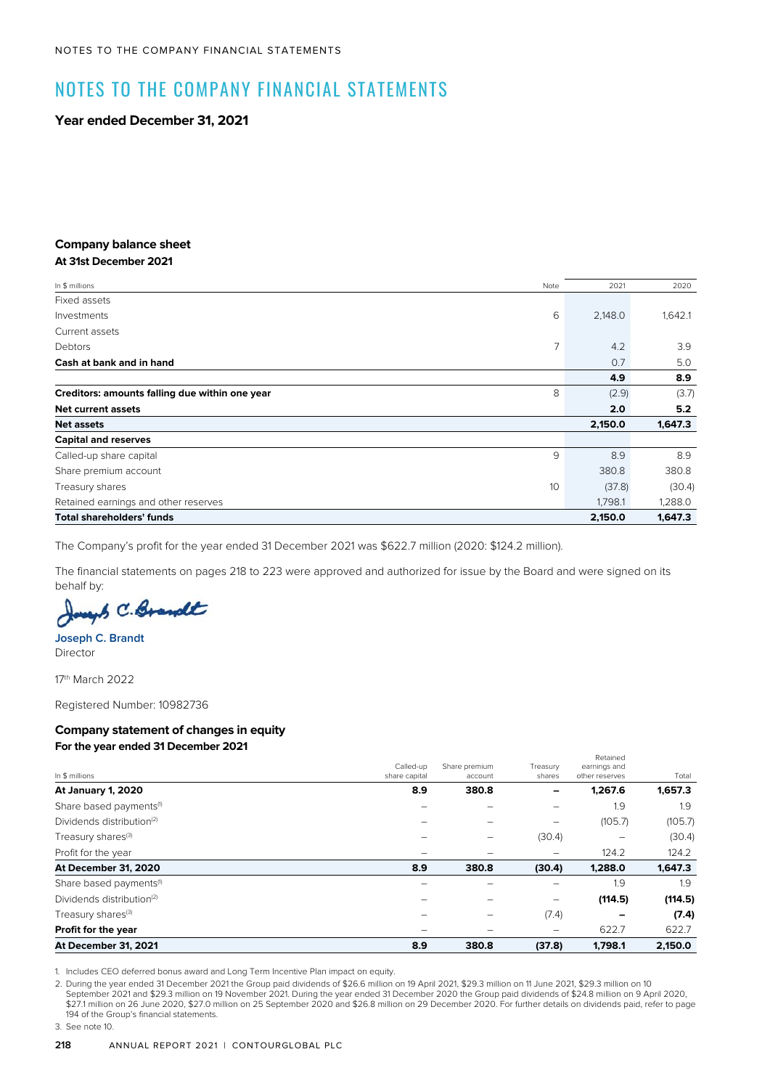# NOTES TO THE COMPANY FINANCIAL STATEMENTS

**Year ended December 31, 2021**

#### **Company balance sheet At 31st December 2021**

| In \$ millions                                 | Note | 2021    | 2020    |
|------------------------------------------------|------|---------|---------|
| Fixed assets                                   |      |         |         |
| Investments                                    | 6    | 2,148.0 | 1,642.1 |
| Current assets                                 |      |         |         |
| Debtors                                        | 7    | 4.2     | 3.9     |
| Cash at bank and in hand                       |      | 0.7     | 5.0     |
|                                                |      | 4.9     | 8.9     |
| Creditors: amounts falling due within one year | 8    | (2.9)   | (3.7)   |
| <b>Net current assets</b>                      |      | 2.0     | 5.2     |
| <b>Net assets</b>                              |      | 2,150.0 | 1,647.3 |
| <b>Capital and reserves</b>                    |      |         |         |
| Called-up share capital                        | 9    | 8.9     | 8.9     |
| Share premium account                          |      | 380.8   | 380.8   |
| Treasury shares                                | 10   | (37.8)  | (30.4)  |
| Retained earnings and other reserves           |      | 1,798.1 | 1,288.0 |
| <b>Total shareholders' funds</b>               |      | 2,150.0 | 1,647.3 |

The Company's profit for the year ended 31 December 2021 was \$622.7 million (2020: \$124.2 million).

The financial statements on pages 218 to 223 were approved and authorized for issue by the Board and were signed on its behalf by:

up C. Brandt

**Joseph C. Brandt** Director

17th March 2022

Registered Number: 10982736

## **Company statement of changes in equity For the year ended 31 December 2021**

#### In \$ millions Called-up share capital Share premium account Treasury share Retained earnings and other reserves Total **At January 1, 2020 8.9 380.8 – 1,267.6 1,657.3** Share based payments<sup>(1)</sup> and the set of the set of the set of the set of the set of the set of the set of the set of the set of the set of the set of the set of the set of the set of the set of the set of the set of the s Dividends distribution(2) – – – (105.7) (105.7) Treasury shares<sup>(3)</sup> and the set of the set of the set of the set of the set of the set of the set of the set of the set of the set of the set of the set of the set of the set of the set of the set of the set of the set o Profit for the year 124.2 124.2 124.2 124.2 124.2 124.2 124.2 124.2 124.2 124.2 124.2 124.2 124.2 124.2 124.2 124.2 124.2 124.2 124.2 124.2 124.2 124.2 124.2 124.2 124.2 124.2 124.2 124.2 124.2 124.2 124.2 124.2 124.2 124. **At December 31, 2020 8.9 380.8 (30.4) 1,288.0 1,647.3** Share based payments<sup>(1)</sup> and the set of the set of the set of the set of the set of the set of the set of the set of the set of the set of the set of the set of the set of the set of the set of the set of the set of the s Dividends distribution(2) – – – **(114.5) (114.5)** Treasury shares(3) – – (7.4) **– (7.4) Profit for the year** 622.7 622.7 **At December 31, 2021 8.9 380.8 (37.8) 1,798.1 2,150.0**

1. Includes CEO deferred bonus award and Long Term Incentive Plan impact on equity.

2. During the year ended 31 December 2021 the Group paid dividends of \$26.6 million on 19 April 2021, \$29.3 million on 11 June 2021, \$29.3 million on 10 September 2021 and \$29.3 million on 19 November 2021. During the year ended 31 December 2020 the Group paid dividends of \$24.8 million on 9 April 2020, \$27.1 million on 26 June 2020, \$27.0 million on 25 September 2020 and \$26.8 million on 29 December 2020. For further details on dividends paid, refer to page 194 of the Group's financial statements.

3. See note 10.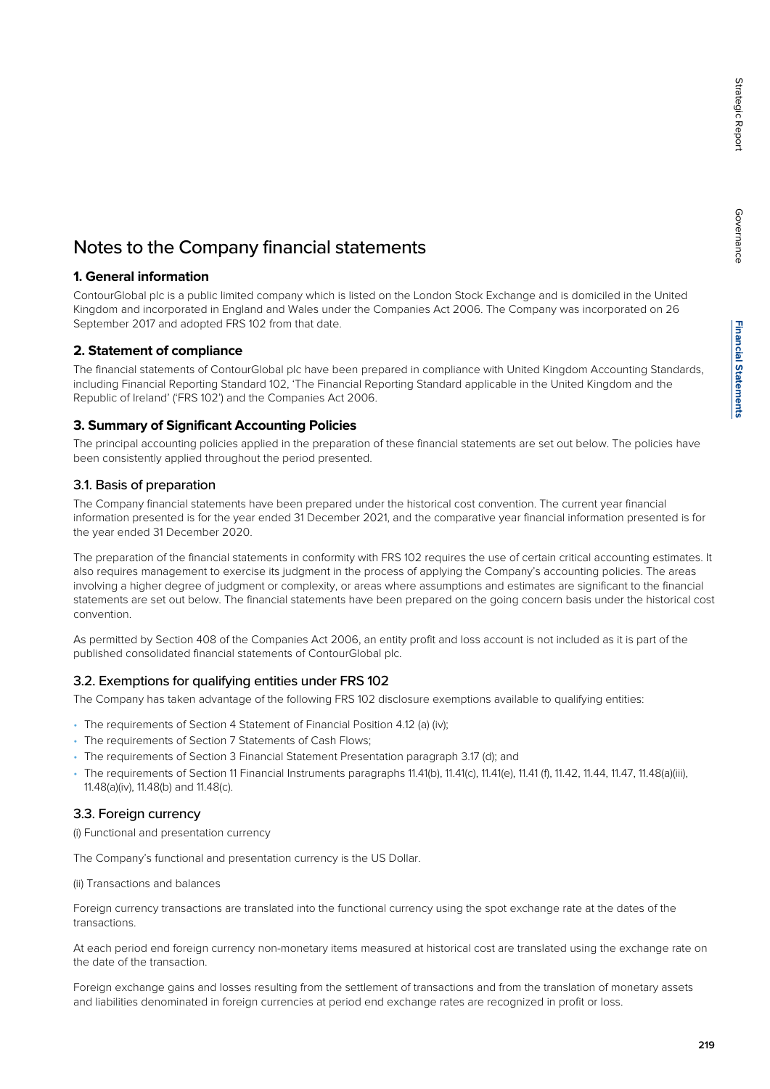## Notes to the Company financial statements

## **1. General information**

ContourGlobal plc is a public limited company which is listed on the London Stock Exchange and is domiciled in the United Kingdom and incorporated in England and Wales under the Companies Act 2006. The Company was incorporated on 26 September 2017 and adopted FRS 102 from that date.

## **2. Statement of compliance**

The financial statements of ContourGlobal plc have been prepared in compliance with United Kingdom Accounting Standards, including Financial Reporting Standard 102, 'The Financial Reporting Standard applicable in the United Kingdom and the Republic of Ireland' ('FRS 102') and the Companies Act 2006.

## **3. Summary of Significant Accounting Policies**

The principal accounting policies applied in the preparation of these financial statements are set out below. The policies have been consistently applied throughout the period presented.

## 3.1. Basis of preparation

The Company financial statements have been prepared under the historical cost convention. The current year financial information presented is for the year ended 31 December 2021, and the comparative year financial information presented is for the year ended 31 December 2020.

The preparation of the financial statements in conformity with FRS 102 requires the use of certain critical accounting estimates. It also requires management to exercise its judgment in the process of applying the Company's accounting policies. The areas involving a higher degree of judgment or complexity, or areas where assumptions and estimates are significant to the financial statements are set out below. The financial statements have been prepared on the going concern basis under the historical cost convention.

As permitted by Section 408 of the Companies Act 2006, an entity profit and loss account is not included as it is part of the published consolidated financial statements of ContourGlobal plc.

## 3.2. Exemptions for qualifying entities under FRS 102

The Company has taken advantage of the following FRS 102 disclosure exemptions available to qualifying entities:

- The requirements of Section 4 Statement of Financial Position 4.12 (a) (iv);
- The requirements of Section 7 Statements of Cash Flows;
- The requirements of Section 3 Financial Statement Presentation paragraph 3.17 (d); and
- The requirements of Section 11 Financial Instruments paragraphs 11.41(b), 11.41(c), 11.41(e), 11.41 (f), 11.42, 11.44, 11.47, 11.48(a)(iii), 11.48(a)(iv), 11.48(b) and 11.48(c).

## 3.3. Foreign currency

(i) Functional and presentation currency

The Company's functional and presentation currency is the US Dollar.

(ii) Transactions and balances

Foreign currency transactions are translated into the functional currency using the spot exchange rate at the dates of the transactions.

At each period end foreign currency non-monetary items measured at historical cost are translated using the exchange rate on the date of the transaction.

Foreign exchange gains and losses resulting from the settlement of transactions and from the translation of monetary assets and liabilities denominated in foreign currencies at period end exchange rates are recognized in profit or loss.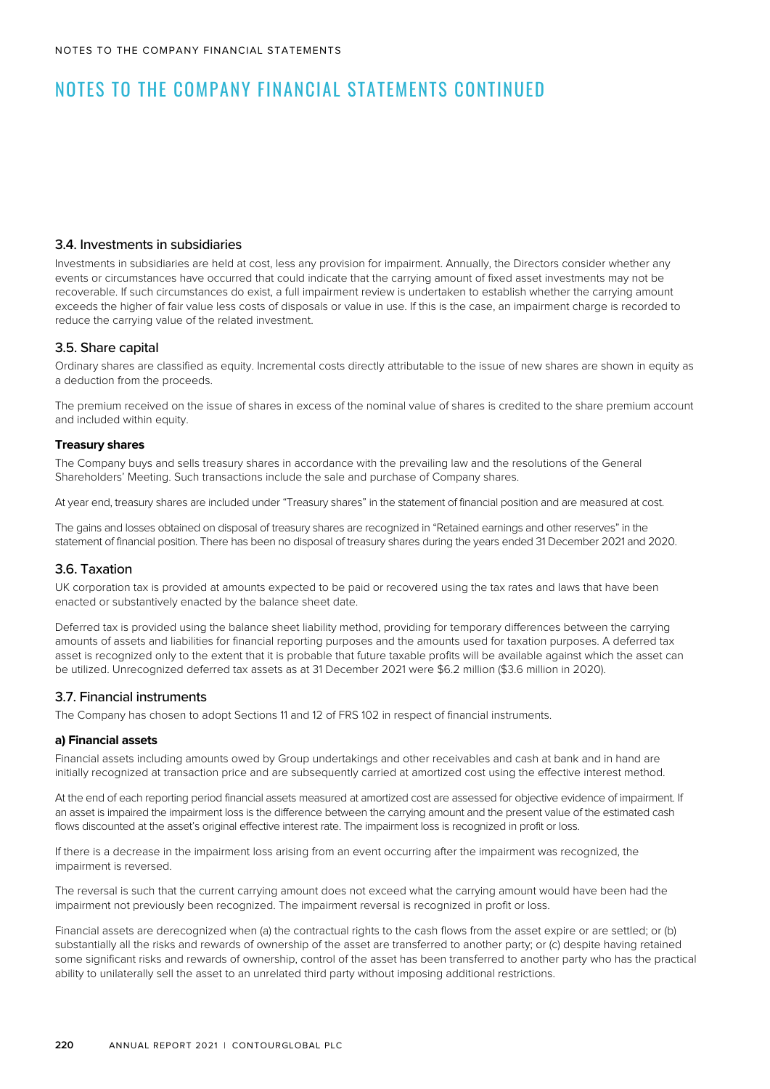# NOTES TO THE COMPANY FINANCIAL STATEMENTS CONTINUED

## 3.4. Investments in subsidiaries

Investments in subsidiaries are held at cost, less any provision for impairment. Annually, the Directors consider whether any events or circumstances have occurred that could indicate that the carrying amount of fixed asset investments may not be recoverable. If such circumstances do exist, a full impairment review is undertaken to establish whether the carrying amount exceeds the higher of fair value less costs of disposals or value in use. If this is the case, an impairment charge is recorded to reduce the carrying value of the related investment.

## 3.5. Share capital

Ordinary shares are classified as equity. Incremental costs directly attributable to the issue of new shares are shown in equity as a deduction from the proceeds.

The premium received on the issue of shares in excess of the nominal value of shares is credited to the share premium account and included within equity.

## **Treasury shares**

The Company buys and sells treasury shares in accordance with the prevailing law and the resolutions of the General Shareholders' Meeting. Such transactions include the sale and purchase of Company shares.

At year end, treasury shares are included under "Treasury shares" in the statement of financial position and are measured at cost.

The gains and losses obtained on disposal of treasury shares are recognized in "Retained earnings and other reserves" in the statement of financial position. There has been no disposal of treasury shares during the years ended 31 December 2021 and 2020.

## 3.6. Taxation

UK corporation tax is provided at amounts expected to be paid or recovered using the tax rates and laws that have been enacted or substantively enacted by the balance sheet date.

Deferred tax is provided using the balance sheet liability method, providing for temporary differences between the carrying amounts of assets and liabilities for financial reporting purposes and the amounts used for taxation purposes. A deferred tax asset is recognized only to the extent that it is probable that future taxable profits will be available against which the asset can be utilized. Unrecognized deferred tax assets as at 31 December 2021 were \$6.2 million (\$3.6 million in 2020).

## 3.7. Financial instruments

The Company has chosen to adopt Sections 11 and 12 of FRS 102 in respect of financial instruments.

## **a) Financial assets**

Financial assets including amounts owed by Group undertakings and other receivables and cash at bank and in hand are initially recognized at transaction price and are subsequently carried at amortized cost using the effective interest method.

At the end of each reporting period financial assets measured at amortized cost are assessed for objective evidence of impairment. If an asset is impaired the impairment loss is the difference between the carrying amount and the present value of the estimated cash flows discounted at the asset's original effective interest rate. The impairment loss is recognized in profit or loss.

If there is a decrease in the impairment loss arising from an event occurring after the impairment was recognized, the impairment is reversed.

The reversal is such that the current carrying amount does not exceed what the carrying amount would have been had the impairment not previously been recognized. The impairment reversal is recognized in profit or loss.

Financial assets are derecognized when (a) the contractual rights to the cash flows from the asset expire or are settled; or (b) substantially all the risks and rewards of ownership of the asset are transferred to another party; or (c) despite having retained some significant risks and rewards of ownership, control of the asset has been transferred to another party who has the practical ability to unilaterally sell the asset to an unrelated third party without imposing additional restrictions.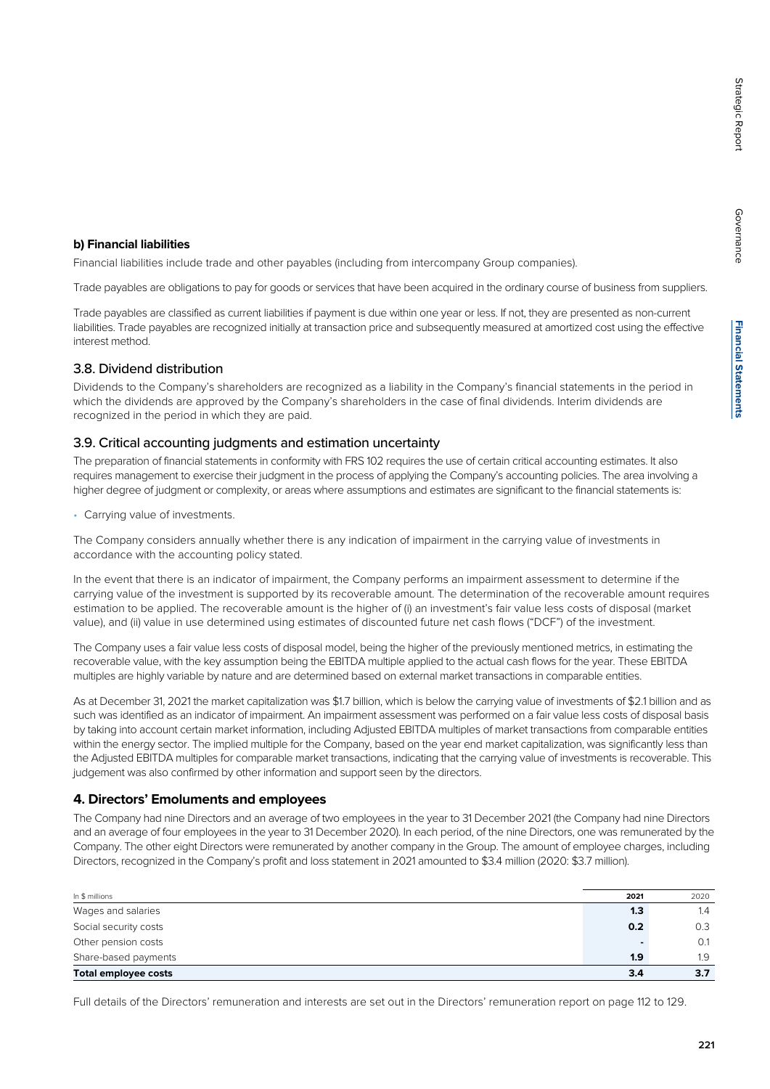**Financial Statements**

**Financial Statements** 

# Trade payables are obligations to pay for goods or services that have been acquired in the ordinary course of business from suppliers.

Trade payables are classified as current liabilities if payment is due within one year or less. If not, they are presented as non-current liabilities. Trade payables are recognized initially at transaction price and subsequently measured at amortized cost using the effective interest method.

Financial liabilities include trade and other payables (including from intercompany Group companies).

## 3.8. Dividend distribution

**b) Financial liabilities**

Dividends to the Company's shareholders are recognized as a liability in the Company's financial statements in the period in which the dividends are approved by the Company's shareholders in the case of final dividends. Interim dividends are recognized in the period in which they are paid.

## 3.9. Critical accounting judgments and estimation uncertainty

The preparation of financial statements in conformity with FRS 102 requires the use of certain critical accounting estimates. It also requires management to exercise their judgment in the process of applying the Company's accounting policies. The area involving a higher degree of judgment or complexity, or areas where assumptions and estimates are significant to the financial statements is:

• Carrying value of investments.

The Company considers annually whether there is any indication of impairment in the carrying value of investments in accordance with the accounting policy stated.

In the event that there is an indicator of impairment, the Company performs an impairment assessment to determine if the carrying value of the investment is supported by its recoverable amount. The determination of the recoverable amount requires estimation to be applied. The recoverable amount is the higher of (i) an investment's fair value less costs of disposal (market value), and (ii) value in use determined using estimates of discounted future net cash flows ("DCF") of the investment.

The Company uses a fair value less costs of disposal model, being the higher of the previously mentioned metrics, in estimating the recoverable value, with the key assumption being the EBITDA multiple applied to the actual cash flows for the year. These EBITDA multiples are highly variable by nature and are determined based on external market transactions in comparable entities.

As at December 31, 2021 the market capitalization was \$1.7 billion, which is below the carrying value of investments of \$2.1 billion and as such was identified as an indicator of impairment. An impairment assessment was performed on a fair value less costs of disposal basis by taking into account certain market information, including Adjusted EBITDA multiples of market transactions from comparable entities within the energy sector. The implied multiple for the Company, based on the year end market capitalization, was significantly less than the Adjusted EBITDA multiples for comparable market transactions, indicating that the carrying value of investments is recoverable. This judgement was also confirmed by other information and support seen by the directors.

## **4. Directors' Emoluments and employees**

The Company had nine Directors and an average of two employees in the year to 31 December 2021 (the Company had nine Directors and an average of four employees in the year to 31 December 2020). In each period, of the nine Directors, one was remunerated by the Company. The other eight Directors were remunerated by another company in the Group. The amount of employee charges, including Directors, recognized in the Company's profit and loss statement in 2021 amounted to \$3.4 million (2020: \$3.7 million).

| In \$ millions              | 2021 | 2020 |
|-----------------------------|------|------|
| Wages and salaries          | 1.3  | 1.4  |
| Social security costs       | 0.2  | 0.3  |
| Other pension costs         |      | 0.1  |
| Share-based payments        | 1.9  | 1.9  |
| <b>Total employee costs</b> | 3.4  | 3.7  |

Full details of the Directors' remuneration and interests are set out in the Directors' remuneration report on page 112 to 129.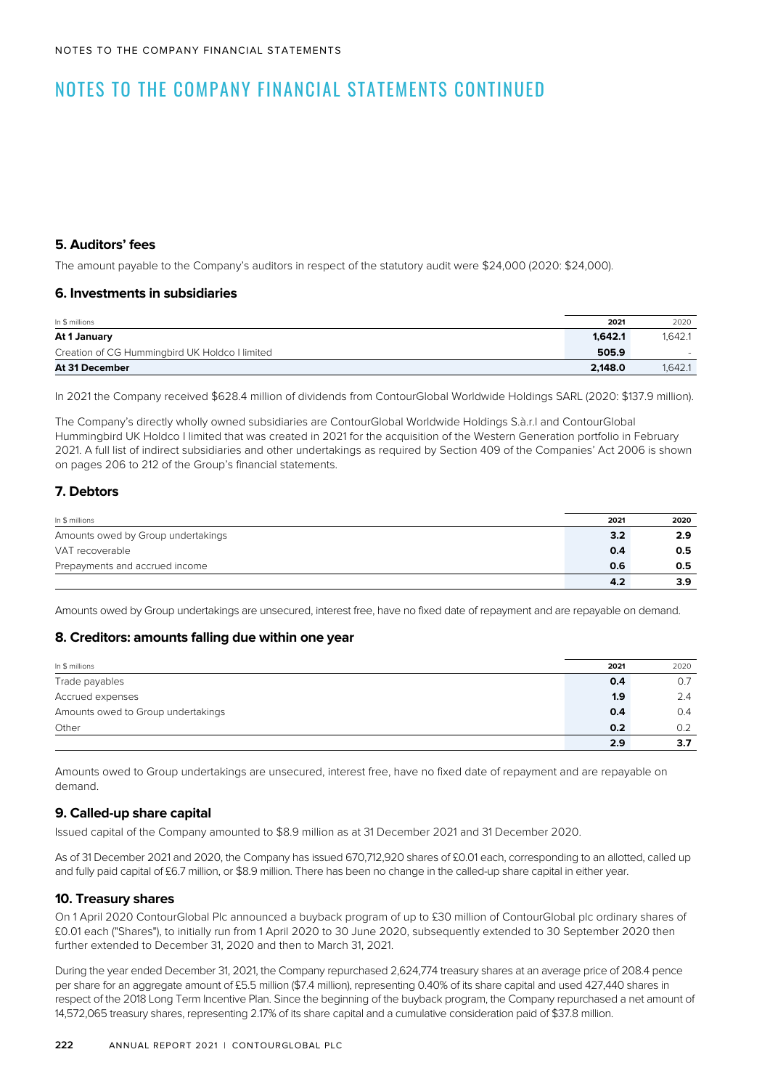# NOTES TO THE COMPANY FINANCIAL STATEMENTS CONTINUED

## **5. Auditors' fees**

The amount payable to the Company's auditors in respect of the statutory audit were \$24,000 (2020: \$24,000).

## **6. Investments in subsidiaries**

| In \$ millions                                 | 2021    | 2020    |
|------------------------------------------------|---------|---------|
| At 1 January                                   | 1.642.1 | 1.642.1 |
| Creation of CG Hummingbird UK Holdco I limited | 505.9   | ۰.      |
| At 31 December                                 | 2.148.0 | 1.642.1 |

In 2021 the Company received \$628.4 million of dividends from ContourGlobal Worldwide Holdings SARL (2020: \$137.9 million).

The Company's directly wholly owned subsidiaries are ContourGlobal Worldwide Holdings S.à.r.l and ContourGlobal Hummingbird UK Holdco I limited that was created in 2021 for the acquisition of the Western Generation portfolio in February 2021. A full list of indirect subsidiaries and other undertakings as required by Section 409 of the Companies' Act 2006 is shown on pages 206 to 212 of the Group's financial statements.

## **7. Debtors**

| In \$ millions                     | 2021 | 2020 |
|------------------------------------|------|------|
| Amounts owed by Group undertakings | 3.2  | 2.9  |
| VAT recoverable                    | 0.4  | 0.5  |
| Prepayments and accrued income     | 0.6  | 0.5  |
|                                    | 4.2  | 3.9  |

Amounts owed by Group undertakings are unsecured, interest free, have no fixed date of repayment and are repayable on demand.

## **8. Creditors: amounts falling due within one year**

| In \$ millions                     | 2021 | 2020 |
|------------------------------------|------|------|
| Trade payables                     | 0.4  | 0.7  |
| Accrued expenses                   | 1.9  | 2.4  |
| Amounts owed to Group undertakings | 0.4  | 0.4  |
| Other                              | 0.2  | 0.2  |
|                                    | 2.9  | 3.7  |

Amounts owed to Group undertakings are unsecured, interest free, have no fixed date of repayment and are repayable on demand.

## **9. Called-up share capital**

Issued capital of the Company amounted to \$8.9 million as at 31 December 2021 and 31 December 2020.

As of 31 December 2021 and 2020, the Company has issued 670,712,920 shares of £0.01 each, corresponding to an allotted, called up and fully paid capital of £6.7 million, or \$8.9 million. There has been no change in the called-up share capital in either year.

## **10. Treasury shares**

On 1 April 2020 ContourGlobal Plc announced a buyback program of up to £30 million of ContourGlobal plc ordinary shares of £0.01 each ("Shares"), to initially run from 1 April 2020 to 30 June 2020, subsequently extended to 30 September 2020 then further extended to December 31, 2020 and then to March 31, 2021.

During the year ended December 31, 2021, the Company repurchased 2,624,774 treasury shares at an average price of 208.4 pence per share for an aggregate amount of £5.5 million (\$7.4 million), representing 0.40% of its share capital and used 427,440 shares in respect of the 2018 Long Term Incentive Plan. Since the beginning of the buyback program, the Company repurchased a net amount of 14,572,065 treasury shares, representing 2.17% of its share capital and a cumulative consideration paid of \$37.8 million.